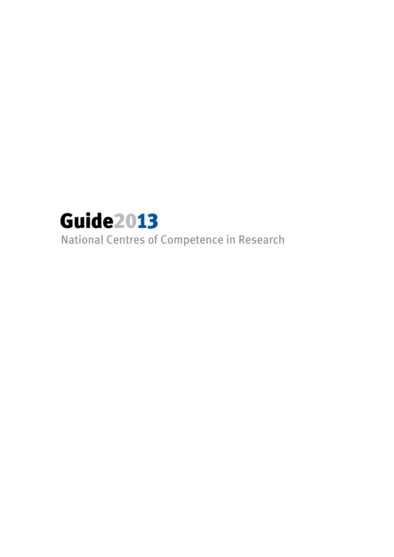

National Centres of Competence in Research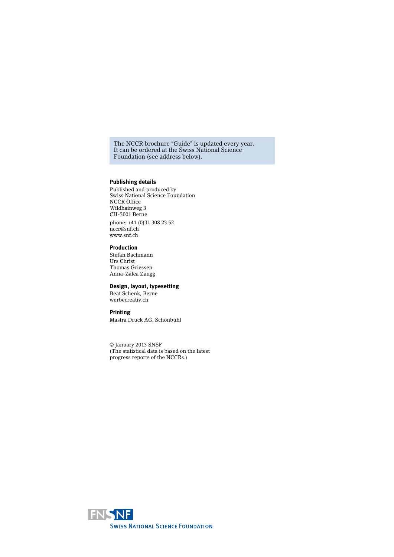The NCCR brochure "Guide" is updated every year. It can be ordered at the Swiss National Science Foundation (see address below).

#### **Publishing details**

Published and produced by Swiss National Science Foundation NCCR Office Wildhainweg 3 CH-3001 Berne phone: +41 (0)31 308 23 52 nccr@snf.ch www.snf.ch

#### **Production**

Stefan Bachmann Urs Christ Thomas Griessen Anna-Zalea Zaugg

### **Design, layout, typesetting**

Beat Schenk, Berne werbecreativ.ch

#### **Printing**

Mastra Druck AG, Schönbühl

© January 2013 SNSF (The statistical data is based on the latest progress reports of the NCCRs.)

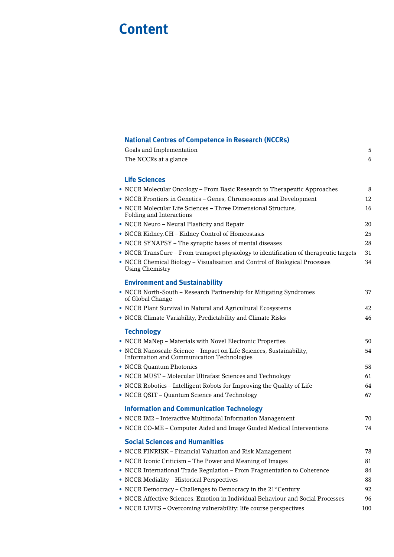# **Content**

| <b>National Centres of Competence in Research (NCCRs)</b> |   |
|-----------------------------------------------------------|---|
| Goals and Implementation                                  | 5 |
| The NCCRs at a glance                                     |   |
|                                                           |   |

# **Life Sciences**

| • NCCR Molecular Oncology – From Basic Research to Therapeutic Approaches                                                | 8   |
|--------------------------------------------------------------------------------------------------------------------------|-----|
| • NCCR Frontiers in Genetics - Genes, Chromosomes and Development                                                        | 12  |
| • NCCR Molecular Life Sciences - Three Dimensional Structure,<br>Folding and Interactions                                | 16  |
| • NCCR Neuro - Neural Plasticity and Repair                                                                              | 20  |
| • NCCR Kidney.CH - Kidney Control of Homeostasis                                                                         | 25  |
| NCCR SYNAPSY - The synaptic bases of mental diseases                                                                     | 28  |
| • NCCR TransCure – From transport physiology to identification of therapeutic targets                                    | 31  |
| • NCCR Chemical Biology - Visualisation and Control of Biological Processes<br><b>Using Chemistry</b>                    | 34  |
| <b>Environment and Sustainability</b>                                                                                    |     |
| • NCCR North-South - Research Partnership for Mitigating Syndromes<br>of Global Change                                   | 37  |
| • NCCR Plant Survival in Natural and Agricultural Ecosystems                                                             | 42  |
| • NCCR Climate Variability, Predictability and Climate Risks                                                             | 46  |
| <b>Technology</b>                                                                                                        |     |
| • NCCR MaNep - Materials with Novel Electronic Properties                                                                | 50  |
| • NCCR Nanoscale Science - Impact on Life Sciences, Sustainability,<br><b>Information and Communication Technologies</b> | 54  |
| • NCCR Quantum Photonics                                                                                                 | 58  |
| • NCCR MUST - Molecular Ultrafast Sciences and Technology                                                                | 61  |
| • NCCR Robotics - Intelligent Robots for Improving the Quality of Life                                                   | 64  |
| • NCCR QSIT – Quantum Science and Technology                                                                             | 67  |
| <b>Information and Communication Technology</b>                                                                          |     |
| • NCCR IM2 - Interactive Multimodal Information Management                                                               | 70  |
| • NCCR CO-ME - Computer Aided and Image Guided Medical Interventions                                                     | 74  |
| <b>Social Sciences and Humanities</b>                                                                                    |     |
| • NCCR FINRISK - Financial Valuation and Risk Management                                                                 | 78  |
| • NCCR Iconic Criticism – The Power and Meaning of Images                                                                | 81  |
| • NCCR International Trade Regulation - From Fragmentation to Coherence                                                  | 84  |
| • NCCR Mediality - Historical Perspectives                                                                               | 88  |
| • NCCR Democracy – Challenges to Democracy in the $21st$ Century                                                         | 92  |
| • NCCR Affective Sciences: Emotion in Individual Behaviour and Social Processes                                          | 96  |
| • NCCR LIVES - Overcoming vulnerability: life course perspectives                                                        | 100 |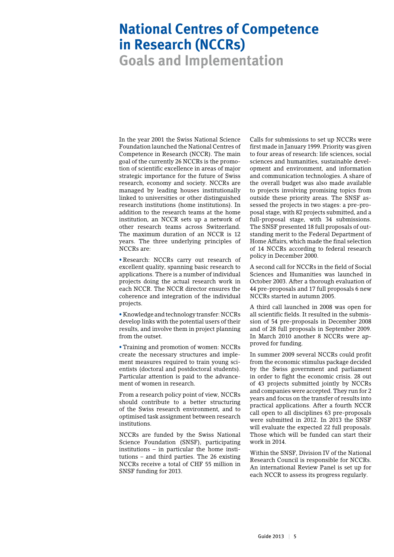# **National Centres of Competence in Research (NCCRs)**

**Goals and Implementation**

In the year 2001 the Swiss National Science Foundation launched the National Centres of Competence in Research (NCCR). The main goal of the currently 26 NCCRs is the promotion of scientific excellence in areas of major strategic importance for the future of Swiss research, economy and society. NCCRs are managed by leading houses institutionally linked to universities or other distinguished research institutions (home institutions). In addition to the research teams at the home institution, an NCCR sets up a network of other research teams across Switzerland. The maximum duration of an NCCR is 12 years. The three underlying principles of NCCRs are:

• Research: NCCRs carry out research of excellent quality, spanning basic research to applications. There is a number of individual projects doing the actual research work in each NCCR. The NCCR director ensures the coherence and integration of the individual projects.

• Knowledge and technology transfer: NCCRs develop links with the potential users of their results, and involve them in project planning from the outset.

• Training and promotion of women: NCCRs create the necessary structures and implement measures required to train young scientists (doctoral and postdoctoral students). Particular attention is paid to the advancement of women in research.

From a research policy point of view, NCCRs should contribute to a better structuring of the Swiss research environment, and to optimised task assignment between research institutions.

NCCRs are funded by the Swiss National Science Foundation (SNSF), participating institutions – in particular the home institutions – and third parties. The 26 existing NCCRs receive a total of CHF 55 million in SNSF funding for 2013.

Calls for submissions to set up NCCRs were first made in January 1999. Priority was given to four areas of research: life sciences, social sciences and humanities, sustainable development and environment, and information and communication technologies. A share of the overall budget was also made available to projects involving promising topics from outside these priority areas. The SNSF assessed the projects in two stages: a pre-proposal stage, with 82 projects submitted, and a full-proposal stage, with 34 submissions. The SNSF presented 18 full proposals of outstanding merit to the Federal Department of Home Affairs, which made the final selection of 14 NCCRs according to federal research policy in December 2000.

A second call for NCCRs in the field of Social Sciences and Humanities was launched in October 2003. After a thorough evaluation of 44 pre-proposals and 17 full proposals 6 new NCCRs started in autumn 2005.

A third call launched in 2008 was open for all scientific fields. It resulted in the submission of 54 pre-proposals in December 2008 and of 28 full proposals in September 2009. In March 2010 another 8 NCCRs were approved for funding.

In summer 2009 several NCCRs could profit from the economic stimulus package decided by the Swiss government and parliament in order to fight the economic crisis. 28 out of 43 projects submitted jointly by NCCRs and companies were accepted. They run for 2 years and focus on the transfer of results into practical applications. After a fourth NCCR call open to all disciplines 63 pre-proposals were submitted in 2012. In 2013 the SNSF will evaluate the expected 22 full proposals. Those which will be funded can start their work in 2014.

Within the SNSF, Division IV of the National Research Council is responsible for NCCRs. An international Review Panel is set up for each NCCR to assess its progress regularly.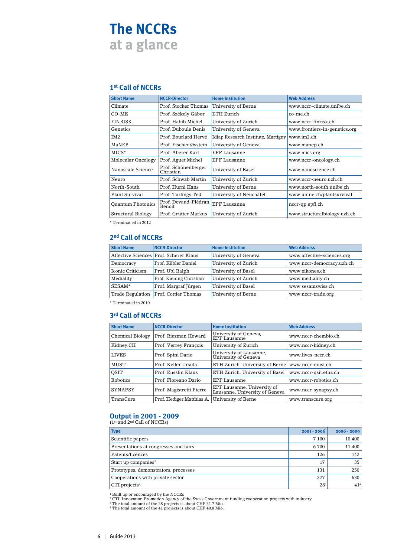# **The NCCRs at a glance**

# **1st Call of NCCRs**

| <b>Short Name</b>        | <b>NCCR-Director</b>             | <b>Home Institution</b>            | <b>Web Address</b>            |
|--------------------------|----------------------------------|------------------------------------|-------------------------------|
| Climate                  | Prof. Stocker Thomas             | University of Berne                | www.nccr-climate.unibe.ch     |
| $CO-ME$                  | Prof. Székely Gábor              | ETH Zurich                         | co-me.ch                      |
| FINRISK                  | Prof. Habib Michel               | University of Zurich               | www.nccr-finrisk.ch           |
| Genetics                 | Prof. Duboule Denis              | University of Geneva               | www.frontiers-in-genetics.org |
| TM <sub>2</sub>          | Prof. Bourlard Hervé             | Idiap Research Institute, Martigny | www.im2.ch                    |
| MaNEP                    | Prof. Fischer Øystein            | University of Geneva               | www.manep.ch                  |
| MICS*                    | Prof. Aberer Karl                | EPF Lausanne                       | www.mics.org                  |
| Molecular Oncology       | Prof. Aguet Michel               | <b>EPF Lausanne</b>                | www.nccr-oncology.ch          |
| Nanoscale Science        | Prof. Schönenberger<br>Christian | University of Basel                | www.nanoscience.ch            |
| Neuro                    | Prof. Schwab Martin              | University of Zurich               | www.nccr-neuro.uzh.ch         |
| North-South              | Prof. Hurni Hans                 | University of Berne                | www.north-south.unibe.ch      |
| Plant Survival           | Prof. Turlings Ted               | University of Neuchâtel            | www.unine.ch/plantsurvival    |
| <b>Ouantum Photonics</b> | Prof. Devaud-Plédran<br>Benoît   | EPF Lausanne                       | nccr-qp.epfl.ch               |
| Structural Biology       | Prof. Grütter Markus             | University of Zurich               | www.structuralbiology.uzh.ch  |

\* Terminat ed in 2012

# **2nd Call of NCCRs**

| <b>Short Name</b>       | <b>NCCR-Director</b>                   | <b>Home Institution</b> | <b>Web Address</b>         |
|-------------------------|----------------------------------------|-------------------------|----------------------------|
|                         | Affective Sciences Prof. Scherer Klaus | University of Geneva    | www.affective-sciences.org |
| Democracy               | Prof. Kübler Daniel                    | University of Zurich    | www.nccr-democracy.uzh.ch  |
| Iconic Criticism        | Prof. Ubl Ralph                        | University of Basel     | www.eikones.ch             |
| Mediality               | Prof. Kiening Christian                | University of Zurich    | www.mediality.ch           |
| SESAM*                  | Prof. Margraf Jürgen                   | University of Basel     | www.sesamswiss.ch          |
| <b>Trade Regulation</b> | Prof. Cottier Thomas                   | University of Berne     | www.nccr-trade.org         |

\* Terminated in 2010

# **3rd Call of NCCRs**

| <b>Short Name</b>       | <b>NCCR-Director</b>      | <b>Home Institution</b>                                       | <b>Web Address</b>    |
|-------------------------|---------------------------|---------------------------------------------------------------|-----------------------|
| <b>Chemical Biology</b> | Prof. Riezman Howard      | University of Geneva,<br><b>EPF Lausanne</b>                  | www.nccr-chembio.ch   |
| Kidney.CH               | Prof. Verrey François     | University of Zurich                                          | www.nccr-kidney.ch    |
| <b>LIVES</b>            | Prof. Spini Dario         | University of Lausanne,<br>University of Geneva               | www.lives-nccr.ch     |
| <b>MUST</b>             | Prof. Keller Ursula       | ETH Zurich, University of Berne                               | www.nccr-must.ch      |
| <b>OSIT</b>             | Prof. Ensslin Klaus       | ETH Zurich, University of Basel                               | www.nccr-gsit.ethz.ch |
| <b>Robotics</b>         | Prof. Floreano Dario      | <b>EPF Lausanne</b>                                           | www.nccr-robotics.ch  |
| <b>SYNAPSY</b>          | Prof. Magistretti Pierre  | EPF Lausanne, University of<br>Lausanne, University of Geneva | www.nccr-synapsy.ch   |
| TransCure               | Prof. Hediger Matthias A. | University of Berne                                           | www.transcure.org     |

# **Output in 2001 - 2009**<br>(1<sup>st</sup> and 2<sup>nd</sup> Call of NCCRs)

**Type 2001 - 2006 2006 - 2009** Scientific papers 7 100 10 400 Presentations at congresses and fairs 6 700 11 400 Patents/licences 126 142 Start up companies<sup>1</sup> 35 Prototypes, demonstrators, processes 131 250 Cooperations with private sector 277 630  $\boxed{\text{CTI projects}^2}$  28<sup>3</sup> 41<sup>4</sup>

<sup>1</sup> Built up or encouraged by the NCCRs<br><sup>2</sup> CTI: Innovation Promotion Agency of the Swiss Government funding cooperation projects with industry<br><sup>3</sup> The total amount of the 28 projects is about CHF 31.7 Mio.

<sup>4</sup> The total amount of the 41 projects is about CHF 40.8 Mio.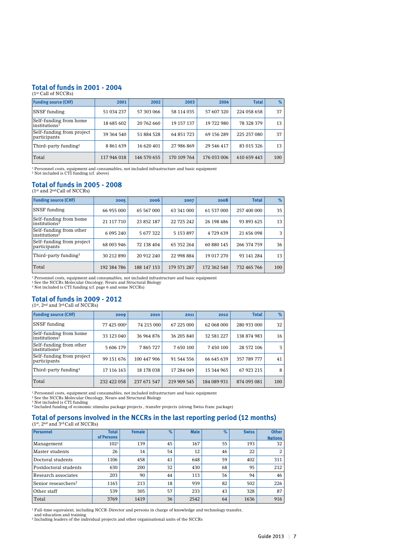# **Total of funds in 2001 - 2004**

| $(1st$ Call of NCCRs)                                   |             |             |             |             |              |               |
|---------------------------------------------------------|-------------|-------------|-------------|-------------|--------------|---------------|
| <b>Funding source (CHF)</b>                             | 2001        | 2002        | 2003        | 2004        | <b>Total</b> | $\frac{9}{6}$ |
| <b>SNSF</b> funding                                     | 51 034 237  | 57 303 066  | 58 114 035  | 57 607 320  | 224 058 658  | 37            |
| Self-funding from home<br>$ $ institutions <sup>1</sup> | 18 685 602  | 20 762 660  | 19 157 137  | 19 722 980  | 78 328 379   | 13            |
| Self-funding from project<br>participants               | 39 364 540  | 51 884 528  | 64 851 723  | 69 156 289  | 225 257 080  | 37            |
| Third-party funding <sup>2</sup>                        | 8861639     | 16 620 401  | 27 986 869  | 29 546 417  | 83 015 326   | 13            |
| Total                                                   | 117 946 018 | 146 570 655 | 170 109 764 | 176 033 006 | 610 659 443  | 100           |

<sup>1</sup> Personnel costs, equipment and consumables, not included infrastructure and basic equipment 2 Not included is CTI funding (cf. above)

#### **Total of funds in 2005 - 2008** (1<sup>st</sup> and 2<sup>nd</sup> Call of NCCRs)

| <b>Funding source (CHF)</b>                                             | 2005        | 2006        | 2007        | 2008        | <b>Total</b> | $\frac{9}{6}$ |
|-------------------------------------------------------------------------|-------------|-------------|-------------|-------------|--------------|---------------|
| <b>SNSF</b> funding                                                     | 66 955 000  | 65 567 000  | 63 341 000  | 61 537 000  | 257 400 000  | 35            |
| Self-funding from home<br>institutions <sup>1</sup>                     | 21 117 710  | 23 852 187  | 22 725 242  | 26 198 486  | 93 893 625   | 13            |
| Self-funding from other<br>institutions <sup><math>\bar{z}</math></sup> | 6 095 240   | 5 677 322   | 5 153 897   | 4729639     | 21 656 098   | 3             |
| Self-funding from project<br>participants                               | 68 003 946  | 72 138 404  | 65 352 264  | 60 880 145  | 266 374 759  | 36            |
| Third-party funding <sup>3</sup>                                        | 30 212 890  | 20 912 240  | 22 998 884  | 19 017 270  | 93 141 284   | 13            |
| Total                                                                   | 192 384 786 | 188 147 153 | 179 571 287 | 172 362 540 | 732 465 766  | 100           |

<sup>1</sup> Personnel costs, equipment and consumables, not included infrastructure and basic equipment<br><sup>2</sup> See the NCCRs Molecular Oncology, Neuro and Structural Biology<br><sup>3</sup> Not included is CTI funding (cf. page 6 and some NCCRs)

# **Total of funds in 2009 - 2012**

 $(1^{st}, 2^{nd}$  and  $3^{rd}$ Call of NCCRs)

| <b>Funding source (CHF)</b>                          | 2009        | 2010        | 2011        | 2012        | <b>Total</b> | $\%$ |
|------------------------------------------------------|-------------|-------------|-------------|-------------|--------------|------|
| <b>SNSF</b> funding                                  | 77 425 0004 | 74 215 000  | 67 225 000  | 62 068 000  | 280 933 000  | 32   |
| Self-funding from home<br>institutions <sup>1</sup>  | 33 123 040  | 36 964 876  | 36 205 840  | 32 581 227  | 138 874 983  | 16   |
| Self-funding from other<br>institutions <sup>2</sup> | 5 606 179   | 7865727     | 7 650 100   | 7450100     | 28 572 106   | 3    |
| Self-funding from project<br>participants            | 99 151 676  | 100 447 906 | 91 544 556  | 66 645 639  | 357 789 777  | 41   |
| Third-party funding <sup>3</sup>                     | 17 116 163  | 18 178 038  | 17 284 049  | 15 344 965  | 67 923 215   | 8    |
| Total                                                | 232 422 058 | 237 671 547 | 219 909 545 | 184 089 931 | 874 093 081  | 100  |

<sup>1</sup> Personnel costs, equipment and consumables, not included infrastructure and basic equipment<br><sup>2</sup> See the NCCRs Molecular Oncology, Neuro and Structural Biology<br><sup>3</sup> Not included funding<br><sup>4</sup> Included funding of economic s

# **Total of persons involved in the NCCRs in the last reporting period (12 months)** (1st, 2nd and 3rdCall of NCCRs)

| Personnel                       | <b>Total</b><br>of Persons | <b>Female</b> | $\%$ | <b>Male</b> | $\%$ | <b>Swiss</b> | <b>Other</b><br><b>Nations</b> |
|---------------------------------|----------------------------|---------------|------|-------------|------|--------------|--------------------------------|
| Management                      | 102 <sup>1</sup>           | 139           | 45   | 167         | 55   | 193          | 32                             |
| Master students                 | 26                         | 14            | 54   | 12          | 46   | 22           | 2                              |
| Doctoral students               | 1106                       | 458           | 41   | 648         | 59   | 402          | 311                            |
| Postdoctoral students           | 630                        | 200           | 32   | 430         | 68   | 95           | 212                            |
| Research associates             | 203                        | 90            | 44   | 113         | 56   | 94           | 46                             |
| Senior researchers <sup>2</sup> | 1163                       | 213           | 18   | 939         | 82   | 502          | 226                            |
| Other staff                     | 539                        | 305           | 57   | 233         | 43   | 328          | 87                             |
| Total                           | 3769                       | 1419          | 36   | 2542        | 64   | 1636         | 916                            |

<sup>1</sup> Full-time equivalent, including NCCR-Director and persons in charge of knowledge and technology transfer,

and education and training <sup>2</sup> Including leaders of the individual projects and other organisational units of the NCCRs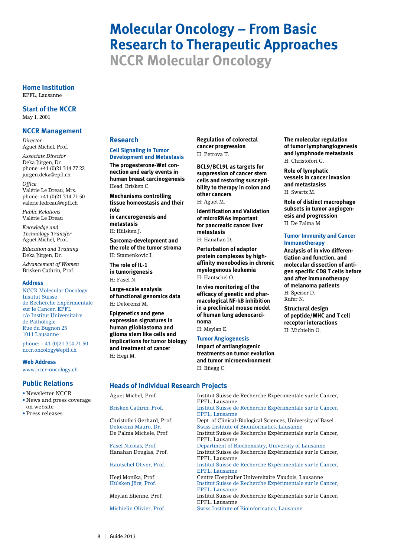# **Molecular Oncology – From Basic Research to Therapeutic Approaches NCCR Molecular Oncology**

**Home Institution** EPFL, Lausanne

**Start of the NCCR** May 1, 2001

#### **NCCR Management**

*Director* Aguet Michel, Prof.

*Associate Director* Deka Jürgen, Dr. phone: +41 (0)21 314 77 22 jurgen.deka@epfl.ch

*Office* Valérie Le Dreau, Mrs. phone: +41 (0)21 314 71 50 valerie.ledreau@epfl.ch

*Public Relations* Valérie Le Dreau

*Knowledge and Technology Transfer* Aguet Michel, Prof.

*Education and Training* Deka Jürgen, Dr.

*Advancement of Women* Brisken Cathrin, Prof.

#### **Address**

NCCR Molecular Oncology Institut Suisse de Recherche Expérimentale sur le Cancer, EPFL c/o Institut Universitaire de Pathologie Rue du Bugnon 25 1011 Lausanne

phone: + 41 (0)21 314 71 50 nccr.oncology@epfl.ch

**Web Address**

www.nccr-oncology.ch

#### **Public Relations**

- Newsletter NCCR
- News and press coverage on website
- Press releases

# **Research**

#### **Cell Signaling in Tumor Development and Metastasis**

**The progesterone-Wnt connection and early events in human breast carcinogenesis** Head: Brisken C.

**Mechanisms controlling tissue homeostasis and their role in cancerogenesis and** 

**metastasis** H: Hülsken J.

**Sarcoma-development and the role of the tumor stroma** H: Stamenkovic I.

**The role of IL-1 in tumorigenesis** H: Fasel N.

**Large-scale analysis of functional genomics data** H: Delorenzi M.

**Epigenetics and gene expression signatures in human glioblastoma and glioma stem like cells and implications for tumor biology and treatment of cancer** H: Hegi M.

**Regulation of colorectal cancer progression** H: Petrova T.

**BCL9/BCL9L as targets for suppression of cancer stem cells and restoring susceptibility to therapy in colon and other cancers**

H: Aguet M.

**Identification and Validation of microRNAs important for pancreatic cancer liver metastasis**

H: Hanahan D.

**Perturbation of adaptor protein complexes by highaffinity monobodies in chronic myelogenous leukemia** H: Hantschel O.

**In vivo monitoring of the efficacy of genetic and pharmacological NF-kB inhibition in a preclinical mouse model of human lung adenocarcinoma** H: Meylan E.

**Tumor Angiogenesis**

H: Rüegg C.

**Impact of antiangiogenic treatments on tumor evolution and tumor microenvironment**

#### **The molecular regulation of tumor lymphangiogenesis and lymphnode metastasis** H: Christofori G.

**Role of lymphatic vessels in cancer invasion and metastasiss** H: Swartz M.

**Role of distinct macrophage subsets in tumor angiogenesis and progression** H: De Palma M.

#### **Tumor Immunity and Cancer Immunotherapy**

**Analysis of in vivo differentiation and function, and molecular dissection of antigen specific CD8 T cells before and after immunotherapy of melanoma patients** H: Speiser D. Rufer N.

**Structural design of peptide/MHC and T cell receptor interactions** H: Michielin O.

#### **Heads of Individual Research Projects**

Aguet Michel, Prof. Institut Suisse de Recherche Expérimentale sur le Cancer, EPFL, Lausanne Institut Suisse de Recherche Expérimentale sur le Cancer, EPFL, Lausanne Christofori Gerhard, Prof. Dept. of Clinical-Biological Sciences, University of Basel Delorenzi Mauro, Dr. Swiss Institute of Bioinformatics, Lausanne Institut Suisse de Recherche Expérimentale sur le Cancer, EPFL, Lausanne Fasel Nicolas, Prof. Department of Biochemistry, University of Lausanne Institut Suisse de Recherche Expérimentale sur le Cancer, EPFL, Lausanne Hantschel Oliver, Prof. Institut Suisse de Recherche Expérimentale sur le Cancer, EPFL, Lausanne Hegi Monika, Prof. Centre Hospitalier Universitaire Vaudois, Lausanne Institut Suisse de Recherche Expérimentale sur le Cancer, EPFL, Lausanne Institut Suisse de Recherche Expérimentale sur le Cancer, EPFL, Lausanne

Michielin Olivier, Prof. Swiss Institute of Bioinformatics, Lausanne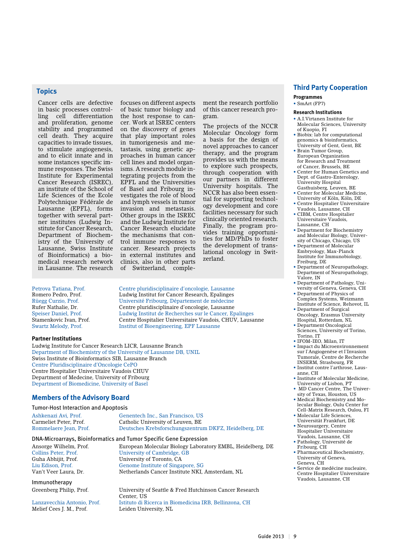# **Topics**

Cancer cells are defective in basic processes controlling cell differentiation and proliferation, genome stability and programmed cell death. They acquire capacities to invade tissues, to stimulate angiogenesis, and to elicit innate and in some instances specific immune responses. The Swiss Institute for Experimental Cancer Research (ISREC), an institute of the School of Life Sciences of the Ecole Polytechnique Fédérale de Lausanne (EPFL), forms together with several partner institutes (Ludwig Institute for Cancer Research, Department of Biochemistry of the University of Lausanne, Swiss Institute of Bioinformatics) a biomedical research network in Lausanne. The research

focuses on different aspects of basic tumor biology and the host response to cancer. Work at ISREC centers on the discovery of genes that play important roles in tumorigenesis and metastasis, using genetic approaches in human cancer cell lines and model organisms. A research module integrating projects from the EPFL and the Universities of Basel and Fribourg investigates the role of blood and lymph vessels in tumor invasion and metastasis. Other groups in the ISREC and the Ludwig Institute for Cancer Research elucidate the mechanisms that control immune responses to cancer. Research projects in external institutes and clinics, also in other parts of Switzerland, complement the research portfolio of this cancer research program.

The projects of the NCCR Molecular Oncology form a basis for the design of novel approaches to cancer therapy, and the program provides us with the means to explore such prospects, through cooperation with our partners in different University hospitals. The NCCR has also been essential for supporting technology development and core facilities necessary for such clinically oriented research. Finally, the program provides training opportunities for MD/PhDs to foster the development of translational oncology in Switzerland.

Petrova Tatiana, Prof. Centre pluridisciplinaire d'oncologie, Lausanne Romero Pedro, Prof.<br>
Ludwig Institut for Cancer Research, Epalinges<br>
Rüegg Curzio, Prof.<br>
Université Fribourg, Département de médecine Université Fribourg, Département de médecine Rufer Nathalie, Dr. Centre pluridisciplinaire d'oncologie, Lausanne Speiser Daniel, Prof. Ludwig Institut de Recherches sur le Cancer, Epalinges Stamenkovic Ivan, Prof. Centre Hospitalier Universitaire Vaudois, CHUV, Lausanne Swartz Melody, Prof. Institut of Bioengineering, EPF Lausanne

#### **Partner Institutions**

Ludwig Institute for Cancer Research LICR, Lausanne Branch Department of Biochemistry of the University of Lausanne DB, UNIL Swiss Institute of Bioinformatics SIB, Lausanne Branch Centre Pluridisciplinaire d'Oncologie CePO Centre Hospitalier Universitaire Vaudois CHUV Department of Medecine, University of Fribourg Department of Biomedicine, University of Basel

### **Members of the Advisory Board**

#### Tumor-Host Interaction and Apoptosis

| Ashkenazi Avi. Prof.   | Genentech Inc., San Francisco, US                     |
|------------------------|-------------------------------------------------------|
| Carmeliet Peter, Prof. | Catholic University of Leuven, BE                     |
| Rommelaere Jean, Prof. | Deutsches Krebsforschungszentrum DKFZ, Heidelberg, DE |

#### DNA-Microarrays, Bioinformatics and Tumor Specific Gene Expression

Immunotherapy

Center, US<br>Lanzavecchia Antonio, Prof. [stituto di R Melief Cees J. M., Prof.

Ansorge Wilhelm, Prof. **European Molecular Biology Laboratory EMBL**, Heidelberg, DE Collins Peter, Prof. **European Molecular Biology Laboratory EMBL**, Heidelberg, DE University of Cambridge, GB Guha Abhijit, Prof. University of Toronto, CA Liu Edison, Prof. Genome Institute of Singapore, SG Van't Veer Laura, Dr. Netherlands Cancer Institute NKI, Amsterdam, NL

Greenberg Philip, Prof. University of Seattle & Fred Hutchinson Cancer Research Istituto di Ricerca in Biomedicina IRB, Bellinzona, CH<br>Leiden University, NL

# **Third Party Cooperation**

**Programmes** • SmArt (FP7)

#### **Research Institutions**

- • A.I.Virtanen Institute for Molecular Sciences, University of Kuopio, FI
- Biobix: lab for computational genomics & bioinformatics, University of Gent, Gent, BE
- • Brain Tumor Group, European Organization for Research and Treatment of Cancer, Brussels, BE
- • Center for Human Genetics and Dept. of Gastro-Enterology, University Hospital Gasthuisberg, Leuven, BE
- • Center for Molecular Medicine,
- University of Köln, Köln, DE • Centre Hospitalier Universitaire
- Vaudois, Lausanne, CH • CIBM, Centre Hospitalier Universitaire Vaudois,
- Lausanne, CH • Department for Biochemistry
- and Molecular Biology, University of Chicago, Chicago, US
- • Department of Molecular Embryology, Max-Planck Institute for Immunobiology, Freiburg, DE
- Department of Neuropathology, Department of Neuropathology, Valore, IN
- Department of Pathology, University of Geneva, Geneva, CH
- Department of Physics of Complex Systems, Weizmann Institute of Science, Rehovot, IL
- Department of Surgical Oncology, Erasmus University
- Hospital, Rotterdam, NL • Department Oncological Sciences, University of Torino, Torino, IT
- • IFOM-IEO, Milan, IT
- • Impact du Microenvironnement sur l`Angiogenèse et l`Invasion Tumorale, Centre de Recherche INSERM, Strasbourg, FR
- • Institut contre l'arthrose, Lausanne, CH
- • Institute of Molecular Medicine, University of Lisbon, PT
- MD Cancer Centre, The University of Texas, Houston, US
- • Medical Biochemistry and Molecular Biology, Oulu Center for Cell-Matrix Research, Oulou, FI
- • Molecular Life Sciences, Universität Frankfurt, DE
- • Neurosurgery, Centre Hospitalier Universitaire
- Vaudois, Lausanne, CH • Pathology, Université de
- Fribourg, CH • Pharmaceutical Biochemistry,
- University of Geneva, Geneva, CH
- Service de medécine nucleaire, Centre Hospitalier Universitaire Vaudois, Lausanne, CH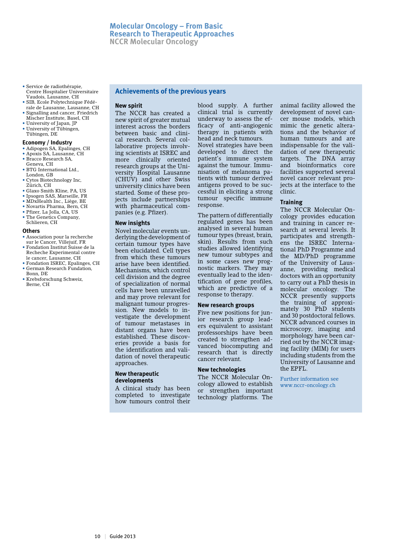- • Service de radiothérapie, Centre Hospitalier Universitaire Vaudois, Lausanne, CH
- • SIB, Ecole Polytechnique Fédérale de Lausanne, Lausanne, CH • Signalling and cancer, Friedrich
- Mischer Institute, Basel, CH • University of Japan, JP
- • University of Tübingen, Tübingen, DE

#### **Economy / Industry**

- • Adipogen SA, Epalinges, CH
- • Apoxis SA, Lausanne, CH
- • Bracco Research SA, Geneva, CH
- BTG International Ltd., London, GB
- • Cytos Biotechnology Inc, Zürich, CH
- • Glaxo Smith Kline, PA, US
- • Ipsogen SAS, Marseille, FR • MDxHealth Inc., Liège, BE
- • Novartis Pharma, Bern, CH
- • Pfizer, La Jolla, CA, US
- The Genetics Company,

# Schlieren, CH

#### **Others**

- • Association pour la recherche sur le Cancer, Villejuif, FR
- Fondation Institut Suisse de la Recheche Experimental contre le cancer, Lausanne, CH
- Fondation ISREC, Epalinges, CH • German Research Fundation,
- Bonn, DE
- Krebsforschung Schweiz, Berne, CH

# **Achievements of the previous years**

#### **New spirit**

The NCCR has created a new spirit of greater mutual interest across the borders between basic and clinical research. Several collaborative projects involving scientists at ISREC and more clinically oriented research groups at the University Hospital Lausanne (CHUV) and other Swiss university clinics have been started. Some of these projects include partnerships with pharmaceutical companies (e.g. Pfizer).

#### **New insights**

Novel molecular events underlying the development of certain tumour types have been elucidated. Cell types from which these tumours arise have been identified. Mechanisms, which control cell division and the degree of specialization of normal cells have been unravelled and may prove relevant for malignant tumour progression. New models to investigate the development of tumour metastases in distant organs have been established. These discoveries provide a basis for the identification and validation of novel therapeutic approaches.

#### **New therapeutic developments**

A clinical study has been completed to investigate how tumours control their

blood supply. A further clinical trial is currently underway to assess the efficacy of anti-angiogenic therapy in patients with head and neck tumours. Novel strategies have been developed to direct the patient's immune system against the tumour. Immunisation of melanoma patients with tumour derived antigens proved to be successful in eliciting a strong tumour specific immune response.

The pattern of differentially regulated genes has been analysed in several human tumour types (breast, brain, skin). Results from such studies allowed identifying new tumour subtypes and in some cases new prognostic markers. They may eventually lead to the identification of gene profiles, which are predictive of a response to therapy.

#### **New research groups**

Five new positions for junior research group leaders equivalent to assistant professorships have been created to strengthen advanced biocomputing and research that is directly cancer relevant.

#### **New technologies**

The NCCR Molecular Oncology allowed to establish or strengthen important technology platforms. The

animal facility allowed the development of novel cancer mouse models, which mimic the genetic alterations and the behavior of human tumours and are indispensable for the validation of new therapeutic targets. The DNA array and bioinformatics core facilities supported several novel cancer relevant projects at the interface to the clinic.

#### **Training**

The NCCR Molecular Oncology provides education and training in cancer research at several levels. It participates and strengthens the ISREC International PhD Programme and the MD/PhD programme of the University of Lausanne, providing medical doctors with an opportunity to carry out a PhD thesis in molecular oncology. The NCCR presently supports the training of approximately 30 PhD students and 30 postdoctoral fellows. NCCR advanced courses in microscopy, imaging and morphology have been carried out by the NCCR imaging facility (MIM) for users including students from the University of Lausanne and  $tha FPT$ 

Further information see www.nccr-oncology.ch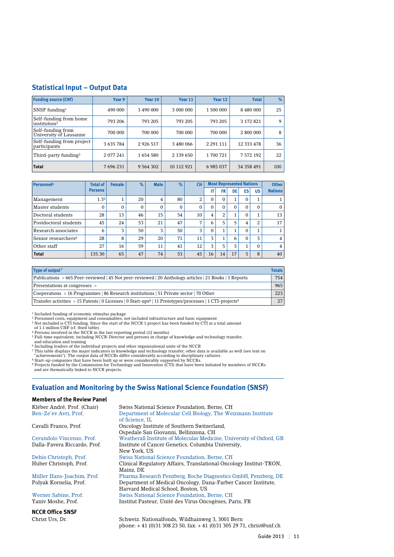# **Statistical Input – Output Data**

| <b>Funding source (CHF)</b>                        | Year 9    | Year 10       | Year 11    | Year 12       | <b>Total</b> | %   |
|----------------------------------------------------|-----------|---------------|------------|---------------|--------------|-----|
| SNSF funding $1$                                   | 490 000   | 3 490 000     | 3 000 000  | 1 500 000     | 8 480 000    | 25  |
| Self-funding from home<br>institution <sup>2</sup> | 793 206   | 793 205       | 793 205    | 793 205       | 3 172 821    | 9   |
| Self-funding from<br>University of Lausanne        | 700 000   | 700 000       | 700 000    | 700 000       | 2 800 000    | 8   |
| Self-funding from project<br>participants          | 3 635 784 | 2 9 2 6 5 1 7 | 3 480 066  | 2 2 9 1 1 1 1 | 12 333 478   | 36  |
| Third-party funding <sup>3</sup>                   | 2 077 241 | 1654580       | 2 139 650  | 1700721       | 7 572 192    | 22  |
| <b>Total</b>                                       | 7 696 231 | 9 5 6 4 3 0 2 | 10 112 921 | 6 985 037     | 34 358 491   | 100 |

| Personnel <sup>4</sup>          | <b>Total of</b> | <b>Female</b> | $\%$ | <b>Male</b>  | $\%$ | <b>CH</b> | <b>Most Represented Nations</b> |                      |              |          | <b>Other</b> |                |
|---------------------------------|-----------------|---------------|------|--------------|------|-----------|---------------------------------|----------------------|--------------|----------|--------------|----------------|
|                                 | <b>Persons</b>  |               |      |              |      |           | IT                              | <b>FR</b>            | DE           | ES       | <b>US</b>    | <b>Nations</b> |
| Management                      | 1.35            |               | 20   | 4            | 80   | 2         | $\Omega$                        | $\Omega$             | $\mathbf{1}$ | 0        |              |                |
| Master students                 | 0               | $\Omega$      | 0    | $\mathbf{0}$ | 0    | $\Omega$  | $\Omega$                        | $\Omega$             | 0            | $\Omega$ | 0            | $\Omega$       |
| Doctoral students               | 28              | 13            | 46   | 15           | 54   | 10        | 4                               | 2                    | 1            | $\Omega$ |              | 13             |
| Postdoctoral students           | 45              | 24            | 53   | 21           | 47   | 7         | 6                               | 5                    | 5            | 4        | 2            | 17             |
| Research associates             | 6               | 3             | 50   | 3            | 50   | 3         | $\Omega$                        |                      | 1            | $\Omega$ |              |                |
| Senior researchers <sup>6</sup> | 28              | 8             | 29   | 20           | 71   | 11        | 3                               | $\blacktriangleleft$ | 6            | $\Omega$ | 3            | 4              |
| Other staff                     | 27              | 16            | 59   | 11           | 41   | 12        | 3                               | 5                    | 3            | 1        | $\Omega$     | 4              |
| <b>Total</b>                    | 135.30          | 65            | 47   | 74           | 53   | 45        | 16                              | 14                   | 17           | 5        | 8            | 40             |

| Type of output <sup>7</sup>                                                                                                      | <b>Totals</b> |
|----------------------------------------------------------------------------------------------------------------------------------|---------------|
| Publications > 665 Peer-reviewed   45 Not peer-reviewed   20 Anthology articles   21 Books   3 Reports                           | 754           |
| Presentations at congresses >                                                                                                    | 965           |
| Cooperations > 16 Programmes   86 Research institutions   51 Private sector   70 Other                                           | 223           |
| Transfer activities > 15 Patents   0 Licenses   0 Start-ups <sup>8</sup>   11 Prototypes/processes   1 CTI-projects <sup>9</sup> | 27            |

<sup>1</sup> Included funding of economic stimulus package<br><sup>2</sup> Personnel costs, equipment and consumables, not included infrastructure and basic equipment<br><sup>3</sup> Not included is CTI funding. Since the start of the NCCR 1 project has b

<sup>5</sup> Full-time equivalent, including NCCR-Director and persons in charge of knowledge and technology transfer,<br>and education and training<br><sup>5</sup> Including leaders of the individual projects and other organisational units of th

9 Projects funded by the Commission for Technology and Innovation (CTI) that have been initiated by members of NCCRs and are thematically linked to NCCR projects.

# **Evaluation and Monitoring by the Swiss National Science Foundation (SNSF)**

#### **Members of the Review Panel**

| Kléber André, Prof. (Chair)  | Swiss National Science Foundation, Berne, CH                                    |
|------------------------------|---------------------------------------------------------------------------------|
| Ben-Ze'ev Avri, Prof.        | Department of Molecular Cell Biology, The Weizmann Institute                    |
|                              | of Science. IL                                                                  |
| Cavalli Franco, Prof.        | Oncology Institute of Southern Switzerland,                                     |
|                              | Ospedale San Giovanni, Bellinzona, CH                                           |
| Cerundolo Vincenzo, Prof.    | Weatherall Institute of Molecular Medicine, University of Oxford, GB            |
| Dalla-Favera Riccardo, Prof. | Institute of Cancer Genetics, Columbia University,                              |
|                              | New York, US                                                                    |
| Dehio Christoph, Prof.       | Swiss National Science Foundation, Berne, CH                                    |
| Huber Christoph, Prof.       | Clinical Regulatory Affairs, Translational Oncology Institut-TRON,<br>Mainz, DE |
| Müller Hans-Joachim, Prof.   | Pharma Research Penzberg, Roche Diagnostics GmbH, Penzberg, DE                  |
| Polyak Kornelia, Prof.       | Department of Medical Oncology, Dana-Farber Cancer Institute,                   |
|                              | Harvard Medical School, Boston, US                                              |
| Werner Sabine, Prof.         | Swiss National Science Foundation, Berne, CH                                    |
| Yaniv Moshe, Prof.           | Institut Pasteur, Unité des Virus Oncogènes, Paris, FR                          |
| <b>NCCR Office SNSF</b>      |                                                                                 |
|                              |                                                                                 |

Christ Urs, Dr. Schweiz. Nationalfonds, Wildhainweg 3, 3001 Bern phone: + 41 (0)31 308 23 50, fax: + 41 (0)31 305 29 71, christ@snf.ch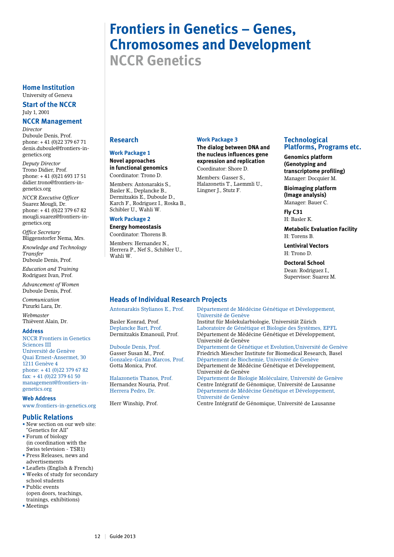# **Frontiers in Genetics – Genes, Chromosomes and Development NCCR Genetics**

**Home Institution** University of Geneva

**Start of the NCCR** July 1, 2001

# **NCCR Management**

*Director* Duboule Denis, Prof. phone: + 41 (0)22 379 67 71 denis.duboule@frontiers-ingenetics.org

*Deputy Director* Trono Didier, Prof. phone: + 41 (0)21 693 17 51 didier.trono@frontiers-ingenetics.org

*NCCR Executive Officer* Suarez Mougli, Dr. phone: + 41 (0)22 379 67 82 mougli.suarez@frontiers-ingenetics.org

*Office Secretary* Bliggenstorfer Nema, Mrs.

*Knowledge and Technology Transfer* Duboule Denis, Prof.

*Education and Training* Rodriguez Ivan, Prof.

*Advancement of Women* Duboule Denis, Prof.

*Communication* Pizurki Lara, Dr.

*Webmaster* Thièvent Alain, Dr.

#### **Address**

NCCR Frontiers in Genetics Sciences III Université de Genève Quai Ernest-Ansermet, 30 1211 Genève 4 phone: + 41 (0)22 379 67 82 fax: + 41 (0)22 379 61 50 management@frontiers-ingenetics.org

#### **Web Address**

www.frontiers-in-genetics.org

#### **Public Relations**

- *•* New section on our web site: "Genetics for All"
- *•* Forum of biology (in coordination with the Swiss television - TSR1)
- *•* Press Releases, news and advertisements
- *•* Leaflets (English & French)
- *•* Weeks of study for secondary school students *•* Public events
- (open doors, teachings, trainings, exhibitions)
- *•* Meetings

# **Research**

# **Work Package 1**

**Novel approaches in functional genomics** Coordinator: Trono D.

Members: Antonarakis S., Basler K., Deplancke B., Dermitzakis E., Duboule D., Karch F., Rodriguez I., Roska B., Schibler U., Wahli W.

#### **Work Package 2**

**Energy homeostasis** Coordinator: Thorens B.

Members: Hernandez N., Herrera P., Nef S., Schibler U., Wahli W.

# **Work Package 3**

**The dialog between DNA and the nucleus influences gene expression and replication** Coordinator: Shore D.

Members: Gasser S., Halazonetis T., Laemmli U., Lingner J., Stutz F.

# **Technological Platforms, Programs etc.**

**Genomics platform (Genotyping and transcriptome profiling)** Manager: Docquier M.

**Bioimaging platform (Image analysis)** Manager: Bauer C.

**Fly C31** H: Basler K.

**Metabolic Evaluation Facility** H: Torens B.

**Lentiviral Vectors** H: Trono D.

### **Doctoral School**

Dean: Rodriguez I., Supervisor: Suarez M.

# **Heads of Individual Research Projects**

Antonarakis Stylianos E., Prof. Département de Médécine Génétique et Développement, Université de Genève Basler Konrad, Prof. Institut für Molekularbiologie, Universität Zürich Deplancke Bart, Prof. Laboratoire de Génétique et Biologie des Systèmes, EPFL Département de Médécine Génétique et Développement, Université de Genève Duboule Denis, Prof. Département de Génétique et Evolution,Université de Genève Friedrich Miescher Institute for Biomedical Research, Basel Gonzalez-Gaitan Marcos, Prof. Département de Biochemie, Université de Genève Département de Médécine Génétique et Développement, Université de Genève Halazonetis Thanos, Prof. Département de Biologie Moléculaire, Université de Genève<br>Hernandez Nouria, Prof. Centre Intégratif de Génomique, Université de Lausanne Hernandez Nouria, Prof. Centre Intégratif de Génomique, Université de Lausanne<br>
Herrera Pedro, Dr. Département de Médécine Génétique et Développement. Département de Médécine Génétique et Développement, Université de Genève Centre Intégratif de Génomique, Université de Lausanne

12 | Guide 2013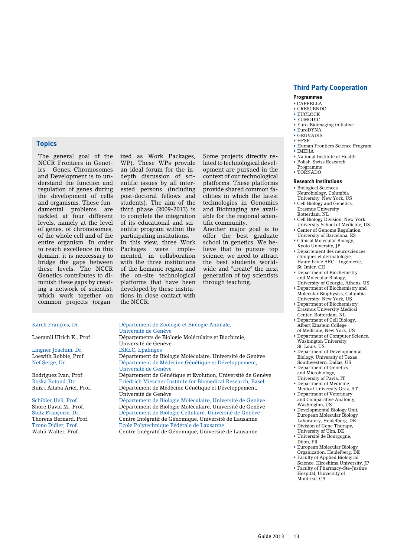# **Third Party Cooperation**

#### **Programmes**

- CAPPELLA
- • CRESCENDO • EUCLOCK
- EUMODIC
- Euro-Bioimaging initiative
- EuroDYNA • GEUVADIS
- HFSP
- Human Frontiers Science Program
- IMIDIA
- National Institute of Health
- Polish-Swiss Research
- Programme • TORNADO

#### **Research Institutions**

- Biological Sciences Neurobiology, Columbia
- University, New York, US • Cell Biology and Genetics,
- Erasmus University Rotterdam, NL
- Cell Biology Division, New York University School of Medicine, US
- Center of Genome Regulation, University of Barcelona, ES
- Clinical Molecular Biology, Kyoto University, JP
- Département des neurosciences cliniques et dermatologie, Haute Ecole ARC – Ingénierie, St. Imier, CH
- Department of Biochemistry and Molecular Biology,
- University of Georgia, Athens, US • Department of Biochemistry and Molecular Biophysics, Columbia University, New York, US
- Department of Biochemistry, Erasmus University Medical Center, Rotterdam, NL
- Department of Cell Biology, Albert Einstein College of Medicine, New York, US
- Department of Computer Science, Washington University, St. Louis, US
- Department of Developmental Biology, University of Texas Southwestern, Dallas, US
- Department of Genetics and Microbiology,
- University of Pavia, IT
- Department of Medicine, Medical University Graz, AT • Department of Veterinary
- and Comparative Anatomy, Washington, US
- Developmental Biology Unit, European Molecular Biology Laboratory, Heidelberg, DE
- Division of Gene Therapy, University of Ulm, DE
- Université de Bourgogne, Dijon, FR
- European Molecular Biology Organization, Heidelberg, DE
- Faculty of Applied Biological Science, Hiroshima University, JP
- Faculty of Pharmacy-Ste-Justine Hospital, University of Montreal, CA

# **Topics**

The general goal of the NCCR Frontiers in Genetics – Genes, Chromosomes and Development is to understand the function and regulation of genes during the development of cells and organisms. These fundamental problems are tackled at four different levels, namely at the level of genes, of chromosomes, of the whole cell and of the entire organism. In order to reach excellence in this domain, it is neccessary to bridge the gaps between these levels. The NCCR Genetics contributes to diminish these gaps by creating a network of scientist, which work together on common projects (organized as Work Packages, WP). These WPs provide an ideal forum for the indepth discussion of scientific issues by all interested persons (including post-doctoral fellows and students). The aim of the third phase (2009-2013) is to complete the integration of its educational and scientific program within the participating institutions.

In this view, three Work<br>Packages were imple-Packages mented, in collaboration with the three institutions of the Lemanic region and the on-site technological platforms that have been developed by these institutions in close contact with the NCCR.

Université de Genève

lated to technological development are pursued in the context of our technological platforms. These platforms provide shared common facilities in which the latest technologies in Genomics and Bioimaging are available for the regional scientific community. Another major goal is to

Some projects directly re-

offer the best graduate school in genetics. We believe that to pursue top science, we need to attract the best students worldwide and "create" the next generation of top scientists through teaching.

#### Karch François, Dr. Département de Zoologie et Biologie Animale,

Laemmli Ulrich K., Prof. Départements de Biologie Moléculaire et Biochimie,

Lingner Joachim, Dr. ISREC, Epalinges

 Université de Genève Loewith Robbie, Prof. Département de Biologie Moléculaire, Université de Genève Nef Serge, Dr. Département de Médécine Génétique et Développement, Université de Genève Rodriguez Ivan, Prof. Département de Génétique et Evolution, Université de Genève<br>Roska Botond, Dr. Priedrich Miescher Institute for Biomedical Research. Basel Roska Botond, Dr. Friedrich Miescher Institute for Biomedical Research, Basel Département de Médécine Génétique et Développement, Université de Genève Schibler Ueli, Prof. Département de Biologie Moléculaire, Université de Genève<br>Shore David M., Prof. Département de Biologie Moléculaire, Université de Genève Département de Biologie Moléculaire, Université de Genève Stutz Françoise, Dr. Département de Biologie Cellulaire, Université de Genève Thorens Bernard, Prof. Centre Intégratif de Génomique, Université de Lausanne Trono Didier, Prof. Ecole Polytechnique Fédérale de Lausanne Centre Intégratif de Génomique, Université de Lausanne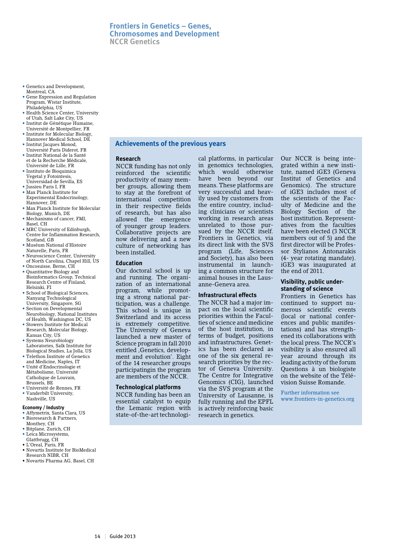# **Frontiers in Genetics – Genes, Chromosomes and Development NCCR Genetics**

- Genetics and Development, Montreal, CA
- Gene Expression and Regulation Program, Wistar Institute, Philadelphia, US
- Health Science Center, University of Utah, Salt Lake City, US
- Institut de Génétique Humaine, Université de Montpellier, FR
- Institute for Molecular Biology, Hannover Medical School, DE
- Institut Jacques Monod,
- Université Paris Diderot, FR • Institut National de la Santé et de la Recherche Médicale,
- Université de Lille, FR • Instituto de Bioquimica Vegetal y Fotointesis, Universidad de Sevilla, ES
- Jussieu Paris I, FR
- Max Planck Institute for Experimental Endocrinology, Hannover, DE
- Max Planck Institute for Molecular Biology, Munich, DE
- Mechanisms of cancer, FMI, Basel, CH
- MRC University of Edinburgh, Centre for Inflammation Research, Scotland, GB
- Muséum National d'Histoire Naturelle, Paris, FR
- Neuroscience Center, University
- of North Carolina, Chapel Hill, US • Oncosuisse, Berne, CH
- Quantitative Biology and Bioinformatics Group, Technical Research Centre of Finland, Helsinki, FI
- School of Biological Sciences, Nanyang Technological University, Singapore, SG
- Section on Developmental Neurobiology, National Institutes of Health, Washington DC, US
- Stowers Institute for Medical Research, Molecular Biology, Kansas City, US
- Systems Neurobiology Laboratories, Salk Institute for Biological Studies, La Jolla, US
- Telethon Institute of Genetics and Medicine, Naples, IT
- Unité d'Endocrinologie et Métabolisme, Université Catholique de Louvain, Brussels, BE
- Université de Rennes, FR • Vanderbilt University, Nashville, US

#### **Economy / Industry**

- Affymetrix, Santa Clara, US • Bioresearch & Partners,
- Monthey, CH • Bitplane, Zurich, CH
- Leica Microsystems,
- Glattbrugg, CH
- • L'Oreal, Paris, FR • Novartis Institute for BioMedical Research NIBR, CH
- • Novartis Pharma AG, Basel, CH

# **Achievements of the previous years**

#### **Research**

NCCR funding has not only reinforced the scientific productivity of many member groups, allowing them to stay at the forefront of international competition in their respective fields of research, but has also allowed the emergence of younger group leaders. Collaborative projects are now delivering and a new culture of networking has been installed.

# **Education**

Our doctoral school is up and running. The organization of an international program, while promoting a strong national participation, was a challenge. This school is unique in Switzerland and its access is extremely competitive. The University of Geneva launched a new master of Science program in fall 2010 entitled Genetics, development and evolution'. Eight of the 14 researcher groups participatingin the program are members of the NCCR.

# **Technological platforms**

NCCR funding has been an essential catalyst to equip the Lemanic region with state-of-the-art technological platforms, in particular in genomics technologies, which would otherwise have been beyond our means. These platforms are very successful and heavily used by customers from the entire country, including clinicians or scientists working in research areas unrelated to those pursued by the NCCR itself. Frontiers in Genetics, via its direct link with the SVS program (Life, Sciences and Society), has also been instrumental in launching a common structure for animal houses in the Lausanne-Geneva area.

# **Infrastructural effects**

The NCCR had a major impact on the local scientific priorities within the Faculties of science and medicine of the host institution, in terms of budget, positions and infrastructures. Genetics has been declared as one of the six general research priorities by the rector of Geneva University. The Centre for Integrative Genomics (CIG), launched via the SVS program at the University of Lausanne, is fully running and the EPFL is actively reinforcing basic research in genetics.

Our NCCR is being integrated within a new institute, named iGE3 (Geneva Institut of Genetics and Genomics). The structure of iGE3 includes most of the scientists of the Faculty of Medicine and the Biology Section of the host institution. Representatives from the faculties have been elected (3 NCCR members out of 5) and the first director will be Professor Stylianos Antonarakis (4- year rotating mandate). iGE3 was inaugurated at the end of 2011.

# **Visibility, public understanding of science**

Frontiers in Genetics has continued to support numerous scientific events (local or national conferences and public manifestations) and has strengthened its collaborations with the local press. The NCCR's visibility is also ensured all year around through its leading activity of the forum Questions à un biologiste on the website of the Télévision Suisse Romande.

Further information see www.frontiers-in-genetics.org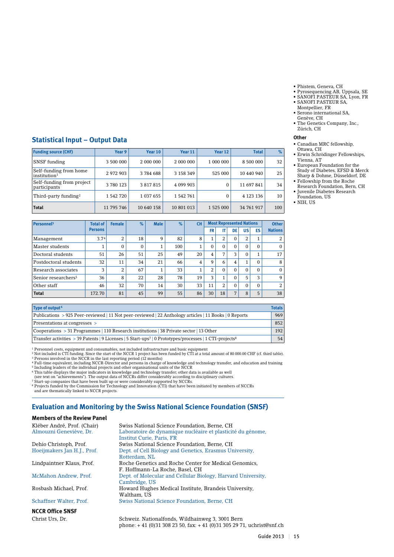- • Phistem, Geneva, CH
- • Pyrosequencing AB, Uppsala, SE
- • SANOFI PASTEUR SA, Lyon, FR • SANOFI PASTEUR SA,
- Montpellier, FR
- • Serono international SA, Genève, CH
- The Genetics Company, Inc., Zürich, CH

#### **Other**

- • Canadian MRC fellowship,
- Ottawa, CH • Erwin Schrödinger Fellowships,
- Vienna, AT • European Foundation for the Study of Diabetes, EFSD & Merck Sharp & Dohme, Düsseldorf, DE
- • Fellowship from the Roche Research Foundation, Bern, CH
- Juvenile Diabetes Research Foundation, US
- • NIH, US

# **Statistical Input – Output Data**

| <b>Funding source (CHF)</b>                        | Year 9     | Year 10       | Year 11    | Year 12       | <b>Total</b> | %   |
|----------------------------------------------------|------------|---------------|------------|---------------|--------------|-----|
| <b>SNSF</b> funding                                | 3 500 000  | 2 000 000     | 2 000 000  | 1 000 000     | 8 500 000    | 32  |
| Self-funding from home<br>institution <sup>1</sup> | 2972903    | 3784688       | 3 158 349  | 525 000       | 10 440 940   | 25  |
| Self-funding from project<br>participants          | 3 780 123  | 3 817 815     | 4 099 903  | $\Omega$      | 11 697 841   | 34  |
| Third-party funding <sup>2</sup>                   | 1 542 720  | 1 0 3 7 6 5 5 | 1542761    | $\Omega$      | 4 123 136    | 10  |
| Total                                              | 11 795 746 | 10 640 158    | 10 801 013 | 1 5 2 5 0 0 0 | 34 761 917   | 100 |

| Personnel <sup>3</sup>          | <b>Total of</b> | <b>Female</b> | $\%$     | <b>Male</b> | %   | <b>CH</b>      | <b>Most Represented Nations</b> |    |              | <b>Other</b> |          |                |
|---------------------------------|-----------------|---------------|----------|-------------|-----|----------------|---------------------------------|----|--------------|--------------|----------|----------------|
|                                 | <b>Persons</b>  |               |          |             |     |                | <b>FR</b>                       | IΤ | DE           | <b>US</b>    | ES       | <b>Nations</b> |
| Management                      | 3.74            | 2             | 18       | 9           | 82  | 8              |                                 | 2  | $\mathbf{0}$ | 2            |          | 2              |
| Master students                 |                 | $\Omega$      | $\Omega$ |             | 100 | $\mathbf{1}$   | $\Omega$                        | 0  | 0            | $\Omega$     | $\Omega$ | $\mathbf{0}$   |
| Doctoral students               | 51              | 26            | 51       | 25          | 49  | 20             | 4                               | 7  | 3            | $\Omega$     |          | 17             |
| Postdoctoral students           | 32              | 11            | 34       | 21          | 66  | $\overline{4}$ | 9                               | 6  | 4            | $\mathbf{1}$ | $\Omega$ | 8              |
| Research associates             | 3               | 2             | 67       |             | 33  | $\mathbf{1}$   | 2                               | 0  | $\Omega$     | $\Omega$     | $\Omega$ | $\mathbf{0}$   |
| Senior researchers <sup>5</sup> | 36              | 8             | 22       | 28          | 78  | 19             | 3                               |    | $\Omega$     | 5            | 3        | 9              |
| Other staff                     | 46              | 32            | 70       | 14          | 30  | 33             | 11                              | 2  | $\Omega$     | $\Omega$     | $\Omega$ | 2              |
| <b>Total</b>                    | 172.70          | 81            | 45       | 99          | 55  | 86             | 30                              | 18 | 7            | 8            | 5        | 38             |

| Type of output <sup>6</sup>                                                                                                     | <b>Totals</b> |
|---------------------------------------------------------------------------------------------------------------------------------|---------------|
| Publications > 925 Peer-reviewed   11 Not peer-reviewed   22 Anthology articles   11 Books   0 Reports                          | 969           |
| Presentations at congresses >                                                                                                   | 852           |
| $\sim$ Cooperations > 31 Programmes   110 Research institutions   38 Private sector   13 Other                                  | 192           |
| Transfer activities > 39 Patents   9 Licenses   5 Start-ups <sup>7</sup>   0 Prototypes/processes   1 CTI-projects <sup>8</sup> | 54            |

<sup>1</sup> Personnel costs, equipment and consumables, not included infrastructure and basic equipment<br><sup>2</sup> Not included is CTI funding. Since the start of the NCCR 1 project has been funded by CTI at a total amount of 80 000.00 C

<sup>4</sup> Full-time equivalent, including NCCR-Director and persons in charge of knowledge and technology transfer, and education and training<br><sup>5</sup> Including leaders of the individual projects and other organisational units of th

<sup>6</sup> This table displays the major indicators in knowledge and technology transfer; other data is available as well<br>(see text on "achievements"). The output data of NCCRs differ considerably according to disciplinary cultur

and are thematically linked to NCCR projects.

# **Evaluation and Monitoring by the Swiss National Science Foundation (SNSF)**

#### **Members of the Review Panel**

| Kléber André, Prof. (Chair) | Swiss National Science Foundation, Berne, CH                 |
|-----------------------------|--------------------------------------------------------------|
| Almouzni Geneviève, Dr.     | Laboratoire de dynamique nucléaire et plasticité du génome.  |
|                             | <b>Institut Curie, Paris, FR</b>                             |
| Dehio Christoph, Prof.      | Swiss National Science Foundation, Berne, CH                 |
| Hoeijmakers Jan H.J., Prof. | Dept. of Cell Biology and Genetics, Erasmus University,      |
|                             | Rotterdam, NL                                                |
| Lindpaintner Klaus, Prof.   | Roche Genetics and Roche Center for Medical Genomics.        |
|                             | F. Hoffmann-La Roche. Basel. CH                              |
| McMahon Andrew, Prof.       | Dept. of Molecular and Cellular Biology, Harvard University, |
|                             | Cambridge, US                                                |
| Rosbash Michael, Prof.      | Howard Hughes Medical Institute, Brandeis University,        |
|                             | Waltham, US                                                  |
| Schaffner Walter, Prof.     | Swiss National Science Foundation, Berne, CH                 |
| <b>NCCR Office SNSF</b>     |                                                              |
|                             |                                                              |

Christ Urs, Dr. Schweiz. Nationalfonds, Wildhainweg 3, 3001 Bern phone: + 41 (0)31 308 23 50, fax: + 41 (0)31 305 29 71, uchrist@snf.ch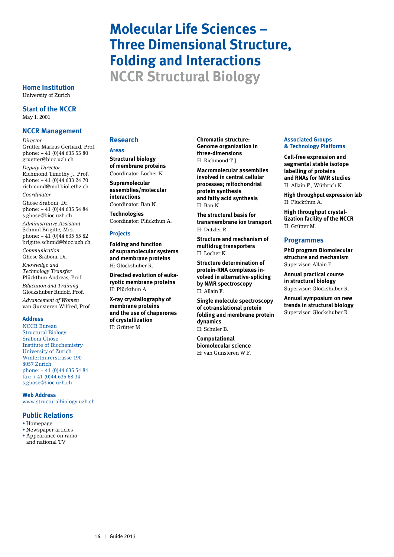# **Molecular Life Sciences – Three Dimensional Structure, Folding and Interactions NCCR Structural Biology**

University of Zurich

**Start of the NCCR** May 1, 2001

# **NCCR Management**

*Director* Grütter Markus Gerhard, Prof. phone: + 41 (0)44 635 55 80 gruetter@bioc.uzh.ch

*Deputy Director* Richmond Timothy J., Prof. phone: + 41 (0)44 633 24 70 richmond@mol.biol.ethz.ch *Coordinator*

Ghose Sraboni, Dr. phone: + 41 (0)44 635 54 84 s.ghose@bioc.uzh.ch *Administrative Assistant* Schmid Brigitte, Mrs. phone:  $+41(0)446355582$ brigitte.schmid@bioc.uzh.ch

*Communication* Ghose Sraboni, Dr.

*Knowledge and Technology Transfer* Plückthun Andreas, Prof.

*Education and Training* Glockshuber Rudolf, Prof.

*Advancement of Women* van Gunsteren Wilfred, Prof.

#### **Address**

NCCR Bureau Structural Biology Sraboni Ghose Institute of Biochemistry University of Zurich Winterthurerstrasse 190 8057 Zurich phone: + 41 (0)44 635 54 84 fax: + 41 (0)44 635 68 34 s.ghose@bioc.uzh.ch

**Web Address**

www.structuralbiology.uzh.ch

# **Public Relations**

- • Homepage
- Newspaper articles
- • Appearance on radio and national TV

# **Research**

#### **Areas**

**Structural biology of membrane proteins** Coordinator: Locher K.

**Supramolecular assemblies/molecular interactions**

Coordinator: Ban N.

**Technologies** Coordinator: Plückthun A.

#### **Projects**

**Folding and function of supramolecular systems and membrane proteins**  H: Glockshuber R.

**Directed evolution of eukaryotic membrane proteins** H: Plückthun A.

**X-ray crystallography of membrane proteins and the use of chaperones of crystallization** H: Grütter M.

**Chromatin structure: Genome organization in three-dimensions** H: Richmond T.J.

**Macromolecular assemblies involved in central cellular processes; mitochondrial protein synthesis and fatty acid synthesis** H: Ban N.

**The structural basis for transmembrane ion transport** H: Dutzler R.

**Structure and mechanism of multidrug transporters** H: Locher K.

**Structure determination of protein-RNA complexes involved in alternative-splicing by NMR spectroscopy** H: Allain F.

**Single molecule spectroscopy of cotranslational protein folding and membrane protein dynamics**  H: Schuler B.

**Computational biomolecular science**  H: van Gunsteren W.F.

#### **Associated Groups & Technology Platforms**

**Cell-free expression and segmental stable isotope labelling of proteins and RNAs for NMR studies** H: Allain F., Wüthrich K.

**High throughput expression lab** H: Plückthun A.

**High throughput crystallization facility of the NCCR** H: Grütter M.

# **Programmes**

**PhD program Biomolecular structure and mechanism** Supervisor: Allain F.

**Annual practical course in structural biology**  Supervisor: Glockshuber R.

**Annual symposium on new trends in structural biology**  Supervisor: Glockshuber R.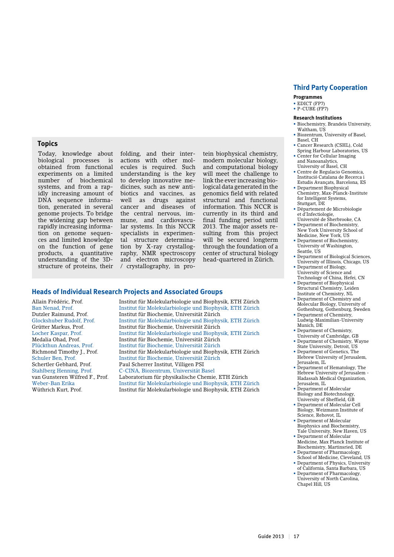# **Topics**

Today, knowledge about biological processes is obtained from functional experiments on a limited number of biochemical systems, and from a rapidly increasing amount of DNA sequence information, generated in several genome projects. To bridge the widening gap between rapidly increasing information on genome sequences and limited knowledge on the function of gene products, a quantitative understanding of the 3Dstructure of proteins, their

folding, and their interactions with other molecules is required. Such understanding is the key to develop innovative medicines, such as new antibiotics and vaccines, as well as drugs against cancer and diseases of the central nervous, immune, and cardiovascular systems. In this NCCR specialists in experimental structure determination by X-ray crystallography, NMR spectroscopy and electron microscopy / crystallography, in pro-

tein biophysical chemistry, modern molecular biology, and computational biology will meet the challenge to link the ever increasing biological data generated in the genomics field with related structural and functional information. This NCCR is currently in its third and final funding period until 2013. The major assets resulting from this project will be secured longterm through the foundation of a center of structural biology head-quartered in Zürich.

#### **Heads of Individual Research Projects and Associated Groups**

Allain Frédéric, Prof. Institut für Molekularbiologie und Biophysik, ETH Zürich Ban Nenad, Prof. Institut für Molekularbiologie und Biophysik, ETH Zürich Institut für Biochemie, Universität Zürich Glockshuber Rudolf, Prof. Institut für Molekularbiologie und Biophysik, ETH Zürich Institut für Biochemie, Universität Zürich Locher Kaspar, Prof. Institut für Molekularbiologie und Biophysik, ETH Zürich Medalia Ohad, Prof. Institut für Biochemie, Universität Zürich Plückthun Andreas, Prof. Institut für Biochemie, Universität Zürich Richmond Timothy J., Prof. Institut für Molekularbiologie und Biophysik, ETH Zürich Schuler Ben, Prof. Institut für Biochemie, Universität Zürich Paul Scherrer Institut, Villigen PSI Stahlberg Henning, Prof. C-CINA, Biozentrum, Universität Basel van Gunsteren Wilfred F., Prof. Laboratorium für physikalische Chemie, ETH Zürich Institut für Molekularbiologie und Biophysik, ETH Zürich Wüthrich Kurt, Prof. Institut für Molekularbiologie und Biophysik, ETH Zürich

# **Third Party Cooperation**

#### **Programmes**

- EDICT (FP7)
- P-CUBE (FP7)

#### **Research Institutions**

- Biochemistry, Brandeis University, Waltham, US • Biozentrum, University of Basel,
- Basel, CH
- Cancer Research (CSHL), Cold Spring Harbour Laboratories, US
- Center for Cellular Imaging and Nanoanalytics, University of Basel, CH
- Centre de Regulacio Genomica, Institució Catalana de Recerca i Estudis Avançats, Barcelona, ES
- Department Biophysical Chemistry, Max-Planck-Institute for Intelligent Systems, Stuttgart, DE
- Département de Microbiologie et d'Infectiologie, Université de Sherbrooke, CA
- Department of Biochemistry, New York University School of
- Medicine, New York, US • Department of Biochemistry, University of Washington,
- Seattle, US • Department of Biological Sciences,
- University of Illinois, Chicago, US • Department of Biology,
- University of Science and Technology of China, Hefei, CN • Department of Biophysical
- Structural Chemistry, Leiden Institute of Chemistry, NL • Department of Chemistry and
- Molecular Biology, University of Gothenburg, Gothenburg, Sweden • Department of Chemistry,
- Ludwig-Maximilian-University Munich, DE
- Department of Chemistry, University of Cambridge, GB
- Department of Chemistry, Wayne State University, Detroit, US
- Department of Genetics, The Hebrew University of Jerusalem, Jerusalem, IL
- Department of Hematology, The Hebrew University of Jerusalem - Hadassah Medical Organization, Jerusalem, IL
- Department of Molecular Biology and Biotechnology, University of Sheffield, GB
- Department of Molecular Cell Biology, Weizmann Institute of Science, Rehovot, IL
- Department of Molecular Biophysics and Biochemistry, Yale University, New Haven, US
- Department of Molecular Medicine, Max Planck Institute of Biochemistry, Martinsried, DE
- Department of Pharmacology, School of Medicine, Cleveland, US
- Department of Physics, University of California, Santa Barbara, US
- Department of Pharmacology, University of North Carolina, Chapel Hill, US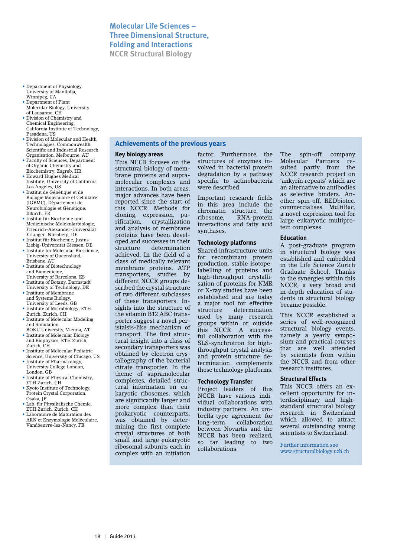# **Molecular Life Sciences – Three Dimensional Structure, Folding and Interactions NCCR Structural Biology**

- Department of Physiology, University of Manitoba, Winnipeg, CA
- Department of Plant Molecular Biology, University of Lausanne, CH
- Division of Chemistry and Chemical Engineering, California Institute of Technology, Pasadena, US
- Division of Molecular and Health Technologies, Commonwealth Scientific and Industrial Research Organisation, Melbourne, AU
- Faculty of Sciences, Department of Organic Chemistry and Biochemistry, Zagreb, HR
- Howard Hughes Medical Institute, University of California Los Angeles, US
- Institut de Génétique et de Biologie Moléculaire et Cellulaire (IGBMC), Département de Neurobiologie et Génétique, Illkirch, FR
- Institut für Biochemie und Medizinische Molekularbiologie, Friedrich-Alexander-Universität Erlangen-Nürnberg, DE
- Institut für Biochemie, Justus-Liebig-Universität Giessen, DE
- Institute for Molecular Bioscience, University of Queensland, Brisbane, AU
- Institute of Biotechnology and Biomedicine, University of Barcelona, ES
- Institute of Botany, Darmstadt University of Technology, DE
- Institute of Membrane and Systems Biology, University of Leeds, GB
- Institute of Microbiology, ETH Zurich, Zurich, CH
- Institute of Molecular Modeling and Simulation, BOKU University, Vienna, AT
- Institute of Molecular Biology and Biophysics, ETH Zurich, Zurich, CH
- Institute of Molecular Pediatric Science, University of Chicago, US
- Institute of Pharmacology, University College London, London, GB
- Institute of Physical Chemistry. ETH Zurich, CH
- Kyoto Institute of Technology, Protein Crystal Corporation, Osaka, JP
- Lab. für Physikalische Chemie, ETH Zurich, Zurich, CH
- Laboratoire de Maturation des ARN et Enzymologie Moléculaire, Vandoeuvre-les-Nancy, FR

# **Achievements of the previous years**

# **Key biology areas**

This NCCR focuses on the structural biology of membrane proteins and supramolecular complexes and interactions. In both areas, major advances have been reported since the start of this NCCR. Methods for cloning, expression, pu-<br>rification, crystallization crystallization and analysis of membrane proteins have been developed and successes in their structure determination achieved. In the field of a class of medically relevant membrane proteins, ATP transporters, studies by different NCCR groups described the crystal structure of two different subclasses of these transporters. Insights into the structure of the vitamin B12 ABC transporter suggest a novel peristalsis-like mechanism of transport. The first structural insight into a class of secondary transporters was obtained by electron crystallography of the bacterial citrate transporter. In the theme of supramolecular complexes, detailed structural information on eukaryotic ribosomes, which are significantly larger and more complex than their prokaryotic counterparts, was obtained by determining the first complete crystal structures of both small and large eukaryotic ribosomal subunits each in complex with an initiation

factor. Furthermore, the structures of enzymes involved in bacterial protein degradation by a pathway specific to actinobacteria were described.

Important research fields in this area include the chromatin structure, the<br>ribosome. RNA-protein RNA-protein interactions and fatty acid synthases.

#### **Technology platforms**

Shared infrastructure units for recombinant protein production, stable isotopelabelling of proteins and high-throughput crystallisation of proteins for NMR or X-ray studies have been established and are today a major tool for effective structure determination used by many research groups within or outside this NCCR. A successful collaboration with the SLS-synchrotron for highthroughput crystal analysis and protein structure determination complements these technology platforms.

# **Technology Transfer**

Project leaders of this NCCR have various individual collaborations with industry partners. An umbrella-type agreement for long-term collaboration between Novartis and the NCCR has been realized, so far leading to two collaborations.

The spin-off company Molecular Partners resulted partly from the NCCR research project on 'ankyrin repeats' which are an alternative to antibodies as selective binders. Another spin-off, REDbiotec, commercialises MultiBac, a novel expression tool for large eukaryotic multiprotein complexes.

#### **Education**

A post-graduate program in structural biology was established and embedded in the Life Science Zurich Graduate School. Thanks to the synergies within this NCCR, a very broad and in-depth education of students in structural biology became possible.

This NCCR established a series of well-recognized structural biology events, namely a yearly symposium and practical courses that are well attended by scientists from within the NCCR and from other research institutes.

#### **Structural Effects**

This NCCR offers an excellent opportunity for interdisciplinary and highstandard structural biology research in Switzerland which allowed to attract several outstanding young scientists to Switzerland.

Further information see www.structuralbiology.uzh.ch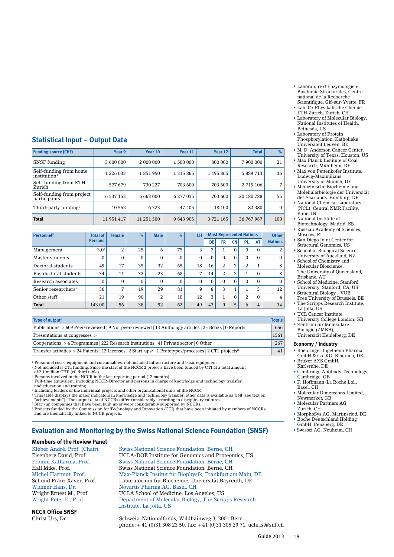- Laboratoire d'Enzymologie et Biochimie Structurales, Centre national de la Recherche Scientifique, Gif-sur-Yvette, FR • Lab. für Physikalische Chemie,
- ETH Zurich, Zurich, CH • Laboratory of Molecular Biology, National Institutes of Health,
- Bethesda, US • Laboratory of Protein Phosphorylation, Katholieke Universiteit Leuven, BE
- M. D. Anderson Cancer Center, University of Texas, Houston, US
- Max Planck Institute of Coal Research, Mühlheim, DE
- Max von Pettenkofer Institute, Ludwig-Maximilians University of Munich, DE
- Medizinische Biochemie und Molekularbiologie der Universität des Saarlands, Homburg, DE
- National Chemical Laboratory (NCL), Central NMR Facility,
- Pune, IN • National Institute of
- Biotechnology, Madrid, ES • Russian Academy of Sciences,
- Moscow, RH • San Diego Joint Center for Structural Genomics, US
- School of Biological Sciences, University of Auckland, NZ
- School of Chemistry and Molecular Bioscience, The University of Queensland,
- Brisbane, AU School of Medicine, Stanford University, Stanford, CA, US
- Structural Biology VUB, Free University of Brussels, BE
- The Scripps Research Institute, La Jolla, US
- UCL Cancer Institute,
- University College London, GB • Zentrum für Molekulare
- Biologie (ZMBH), Universität Heidelberg, DE

# **Economy / Industry**

- Boehringer Ingelheim Pharma GmbH & Co. KG, Biberach, DE
- Bruker AXS GmbH, Karlsruhe, DE
- Cambridge Antibody Technology, Cambridge, GB
- F. Hoffmann-La Roche Ltd.,
	- Basel, CH • Molecular Dimensions Limited,
- Newmarket, GB
- Molecular Partners AG, Zurich, CH
- MorphoSys AG, Martinsried, DE • Roche Deutschland Holding
- GmbH, Penzberg, DE<br>• Swissci AG, Neuheim, CH
- 

# **Statistical Input – Output Data**

| <b>Funding source (CHF)</b>                        | Year 9     | Year 10    | Year 11       | Year 12 | <b>Total</b> | %        |
|----------------------------------------------------|------------|------------|---------------|---------|--------------|----------|
| SNSF funding                                       | 3 600 000  | 2 000 000  | 1 500 000     | 800 000 | 7 900 000    | 21       |
| Self-funding from home<br>institution <sup>1</sup> | 1 226 033  | 1851950    | 1 3 1 5 8 6 5 | 1495865 | 5 889 713    | 16       |
| Self-funding from ETH<br>Zurich                    | 577 679    | 730 227    | 703 600       | 703 600 | 2 715 106    | 7        |
| Self-funding from project<br>participants          | 6 537 153  | 6 663 000  | 6 277 035     | 703 600 | 20 180 788   | 55       |
| Third-party funding <sup>2</sup>                   | 10 552     | 6 3 2 3    | 47 405        | 18 100  | 82 380       | $\Omega$ |
| <b>Total</b>                                       | 11 951 417 | 11 251 500 | 9 843 905     | 3721165 | 36 767 987   | 100      |

| Personnel <sup>3</sup>          | <b>Total of</b> | <b>Female</b>  | $\%$     | <b>Male</b> | $\%$         | <b>CH</b> | <b>Most Represented Nations</b> |                |                |                           |                | <b>Other</b>   |
|---------------------------------|-----------------|----------------|----------|-------------|--------------|-----------|---------------------------------|----------------|----------------|---------------------------|----------------|----------------|
|                                 | <b>Persons</b>  |                |          |             |              |           | DE                              | <b>FR</b>      | <b>CN</b>      | <b>PL</b>                 | AT             | <b>Nations</b> |
| Management                      | 3.04            | $\overline{2}$ | 25       | 6           | 75           | 3         | 2                               |                | $\Omega$       | $\Omega$                  | $\Omega$       | 2              |
| Master students                 | $\Omega$        | $\Omega$       | $\Omega$ | $\Omega$    | $\mathbf{0}$ | $\Omega$  | $\Omega$                        | 0              | $\Omega$       | $\Omega$                  | $\Omega$       | $\Omega$       |
| Doctoral students               | 49              | 17             | 35       | 32          | 65           | 18        | 16                              | $\overline{2}$ | $\overline{2}$ | 2                         |                | 8              |
| Postdoctoral students           | 34              | 11             | 32       | 23          | 68           | 7         | 14                              | $\overline{2}$ | 2              | $\blacktriangleleft$<br>T | $\Omega$       | 8              |
| Research associates             | $\Omega$        | $\Omega$       | $\Omega$ | $\Omega$    | $\mathbf{0}$ | $\Omega$  | $\Omega$                        | 0              | $\Omega$       | $\Omega$                  | $\Omega$       | $\Omega$       |
| Senior researchers <sup>5</sup> | 36              | 7              | 19       | 29          | 81           | 9         | 8                               | 3              | $\mathbf{I}$   | $\blacktriangleleft$      | 3              | 12             |
| Other staff                     | 21              | 19             | 90       | 2           | 10           | 12        | 3                               |                | $\Omega$       | 2                         | $\Omega$       | $\overline{4}$ |
| <b>Total</b>                    | 143.00          | 56             | 38       | 92          | 62           | 49        | 43                              | 9              | 5              | 6                         | $\overline{4}$ | 34             |

| Type of output <sup>6</sup> |  |
|-----------------------------|--|
|                             |  |

| Publications > 609 Peer-reviewed   9 Not peer-reviewed   13 Anthology articles   25 Books   0 Reports                            | 656  |
|----------------------------------------------------------------------------------------------------------------------------------|------|
| Presentations at congresses >                                                                                                    | 1561 |
| $\sim$ Cooperations > 4 Programmes   222 Research institutions   41 Private sector   0 Other                                     | 267  |
| Transfer activities > 24 Patents   12 Licenses   2 Start-ups <sup>7</sup>   1 Prototypes/processes   2 CTI-projects <sup>8</sup> | 41   |

 $1$  Personnel costs, equipment and consumables, not included infrastructure and basic equipment

2 Not included is CTI funding. Since the start of the NCCR 2 projects have been funded by CTI at a total amount of 2.1 million CHF (cf. third table).

<sup>3</sup> Persons involved in the NCCR in the last reporting period (12 months)

4 Full-time equivalent, including NCCR-Director and persons in charge of knowledge and technology transfer, and education and training 5 Including leaders of the individual projects and other organisational units of the NCCR

6 This table displays the major indicators in knowledge and technology transfer; other data is available as well (see text on "achievements"). The output data of NCCRs differ considerably according to disciplinary cultures. 7 Start-up companies that have been built up or were considerably supported by NCCRs.

8 Projects funded by the Commission for Technology and Innovation (CTI) that have been initiated by members of NCCRs and are thematically linked to NCCR projects.

# **Evaluation and Monitoring by the Swiss National Science Foundation (SNSF)**

# **Members of the Review Panel**

Eisenberg David, Prof. UCLA-DOE Institute for Genomics and Proteomics, US Fromm Katharina, Prof. Swiss National Science Foundation, Berne, CH Hall Mike, Prof. Swiss National Science Foundation, Berne, CH Michel Hartmut, Prof. Max-Planck Institut für Biophysik, Frankfurt am Main, DE Laboratorium für Biochemie, Universität Bayreuth, DE Wright Ernest M., Prof. UCLA School of Medicine, Los Angeles, US Department of Molecular Biology, The Scripps Research Institute, La Jolla, US

**NCCR Office SNSF**

Schweiz. Nationalfonds, Wildhainweg 3, 3001 Bern phone: + 41 (0)31 308 23 50, fax: + 41 (0)31 305 29 71, uchrist@snf.ch

- Kléber André, Prof. (Chair) Swiss National Science Foundation, Berne, CH
- -
	-

Widmer Hans, Dr. Novartis Pharma AG, Basel, CH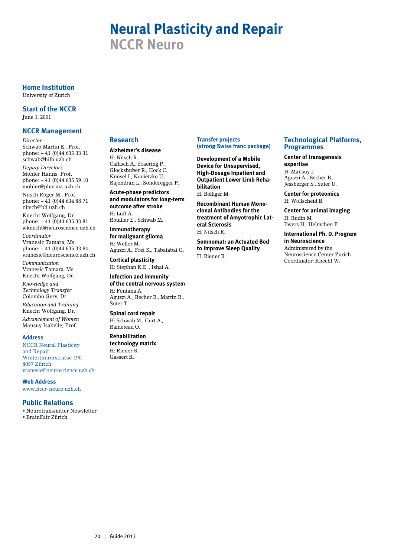# **Neural Plasticity and Repair NCCR Neuro**

**Home Institution** University of Zurich

**Start of the NCCR** June 1, 2001

# **NCCR Management**

*Director* Schwab Martin E., Prof. phone: + 41 (0)44 635 33 31 schwab@hifo.uzh.ch

*Deputy Directors* Möhler Hanns, Prof. phone: + 41 (0)44 635 59 10 mohler@pharma.uzh.ch

Nitsch Roger M., Prof. phone:  $+ 41 (0)44 634 88 71$ nitsch@bli.uzh.ch

Knecht Wolfgang, Dr. phone:  $+41(0)446353381$ wknecht@neuroscience.uzh.ch

*Coordinator* Vranesic Tamara, Ms. phone: + 41 (0)44 635 33 84 vranesic@neuroscience.uzh.ch

*Communication* Vranesic Tamara, Ms. Knecht Wolfgang, Dr.

*Knowledge and Technology Transfer* Colombo Gery, Dr.

*Education and Training* Knecht Wolfgang, Dr. *Advancement of Women* Mansuy Isabelle, Prof.

#### **Address**

NCCR Neural Plasticity and Repair Winterthurerstrasse 190 8057 Zürich vranesic@neuroscience.uzh.ch

#### **Web Address**

www.nccr-neuro.uzh.ch

# **Public Relations**

• Neurotransmitter Newsletter • BrainFair Zürich

# **Research**

# **Alzheimer's disease**

H: Nitsch R. Caflisch A., Fraering P., Glockshuber R., Hock C., Knüsel I., Konietzko U., Rajendran L., Sonderegger P.

**Acute-phase predictors and modulators for long-term outcome after stroke** H: Luft A.

Rouiller E., Schwab M.

**Immunotherapy for malignant glioma** H: Weller M.

Aguzzi A., Frei K., Tabatabai G. **Cortical plasticity**

H: Stephan K.E. , Ishai A.

**Infection and immunity of the central nervous system** H: Fontana A. Aguzzi A., Becher B., Martin R., Suter T.

**Spinal cord repair** H: Schwab M., Curt A., Raineteau O.

#### **Rehabilitation technology matrix**

H: Riener R. Gassert R.

# **Transfer projects (strong Swiss franc package)**

**Development of a Mobile Device for Unsupervised, High-Dosage Inpatient and Outpatient Lower Limb Rehabilitation** H: Bolliger M.

**Recombinant Human Monoclonal Antibodies for the treatment of Amyotrophic Lateral Sclerosis**

H: Nitsch R. **Somnomat: an Actuated Bed to Improve Sleep Quality**

H: Riener R.

# **Technological Platforms, Programmes**

# **Center of transgenesis expertise**

H: Mansuy I. Aguzzi A., Becher B., Jessberger S., Suter U.

**Center for proteomics** H: Wollscheid B.

**Center for animal imaging** H: Rudin M. Ewers H., Helmchen F.

**International Ph. D. Program in Neuroscience** Administered by the Neuroscience Center Zurich Coordinator: Knecht W.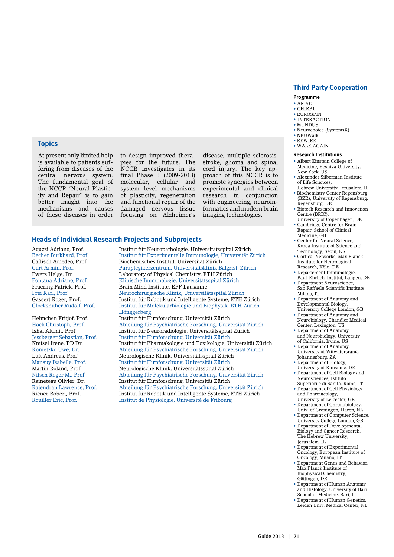# **Third Party Cooperation**

#### **Programme**

- • ARISE
- CHIRP1 • EUROSPIN
- INTERACTION
- MUNDUS
- Neurochoice (SystemsX)  $\bullet$  NEUWalk
- REWIRE
- WALK AGAIN

#### **Research Institutions**

- Albert Einstein College of Medicine, Yeshiva University, New York, US
- Alexander Silberman Institute of Life Sciences,
- Hebrew University, Jerusalem, IL • Biochemistry Center Regensburg (BZR), University of Regensburg,
- Regensburg, DE • Biotech Research and Innovation
- Centre (BRIC), University of Copenhagen, DK Cambridge Centre for Brain
- Repair, School of Clinical Medicine, GB
- Center for Neural Science, Korea Institute of Science and Technology, Seoul, KR
- Cortical Networks, Max Planck Institute for Neurological Research, Köln, DE
- Departement Immunologie, Paul-Ehrlich-Institut, Langen, DE
- Department Neuroscience, San Raffaele Scientific Institute, Milano, IT
- Department of Anatomy and Developmental Biology, University College London, GB
- Department of Anatomy and Neurobiology, Chandler Medical Center, Lexington, US
- Department of Anatomy and Neurobiology, University
- of California, Irvine, US • Department of Anatomy, University of Witwatersrand, Johannesburg, ZA
- Department of Biology, University of Konstanz, DE
- Department of Cell Biology and Neurosciences, Istituto
- Superiori e di Sanità, Rome, IT • Department of Cell Physiology and Pharmacology,
- University of Leicester, GB • Department of Chronobiology,
- Univ. of Groningen, Haren, NL • Department of Computer Science,
- University College London, GB • Department of Developmental Biology and Cancer Research, The Hebrew University,
- Jerusalem, IL • Department of Experimental Oncology, European Institute of
- Oncology, Milano, IT • Department Genes and Behavior, Max Planck Institute of Biophysical Chemistry, Göttingen, DE
- Department of Human Anatomy and Histology, University of Bari School of Medicine, Bari, IT
- Department of Human Genetics Leiden Univ. Medical Center, NL

# **Topics**

At present only limited help is available to patients suffering from diseases of the central nervous system. The fundamental goal of the NCCR "Neural Plasticity and Repair" is to gain better insight into the mechanisms and causes of these diseases in order

to design improved therapies for the future. The NCCR investigates in its final Phase 3 (2009-2013)<br>molecular, cellular and molecular, cellular and system level mechanisms of plasticity, regeneration and functional repair of the damaged nervous tissue focusing on Alzheimer's

disease, multiple sclerosis, stroke, glioma and spinal cord injury. The key approach of this NCCR is to promote synergies between experimental and clinical research in conjunction with engineering, neuroinformatics and modern brain imaging technologies.

#### **Heads of Individual Research Projects and Subprojects**

Aguzzi Adriano, Prof. Institut für Neuropathologie, Universitätsspital Zürich

Becher Burkhard, Prof. Institut für Experimentelle Immunologie, Universität Zürich Caflisch Amedeo, Prof. Biochemisches Institut, Universität Zürich Paraplegikerzentrum, Universitätsklinik Balgrist, Zürich Ewers Helge, Dr. Laboratory of Physical Chemistry, ETH Zürich Fontana Adriano, Prof. Klinische Immunologie, Universitätsspital Zürich Fraering Patrick, Prof. Brain Mind Institute, EPF Lausanne Frei Karl, Prof. Neurochirurgische Klinik, Universitätsspital Zürich<br>Gassert Roger. Prof. Neurochirurgische Klinik, Universitätsspital Zürich Gassert Roger, Prof. Institut für Robotik und Intelligente Systeme, ETH Zürich Institut für Molekularbiologie und Biophysik, ETH Zürich Hönggerberg Helmchen Fritjof, Prof. Institut für Hirnforschung, Universität Zürich Hock Christoph, Prof. Abteilung für Psychiatrische Forschung, Universität Zürich Ishai Alumit, Prof. Institut für Neuroradiologie, Universitätsspital Zürich Jessberger Sebastian, Prof. Institut für Hirnforschung, Universität Zürich Institut für Pharmakologie und Toxikologie, Universität Zürich Konietzko Uwe, Dr. Abteilung für Psychiatrische Forschung, Universität Zürich Luft Andreas, Prof. Neurologische Klinik, Universitätsspital Zürich Mansuy Isabelle, Prof. Institut für Hirnforschung, Universität Zürich Martin Roland, Prof. Neurologische Klinik, Universitätsspital Zürich Nitsch Roger M., Prof. Abteilung für Psychiatrische Forschung, Universität Zürich Raineteau Olivier, Dr. Institut für Hirnforschung, Universität Zürich Rajendran Lawrence, Prof. Abteilung für Psychiatrische Forschung, Universität Zürich Institut für Robotik und Intelligente Systeme, ETH Zürich Rouiller Eric, Prof. Institut de Physiologie, Université de Fribourg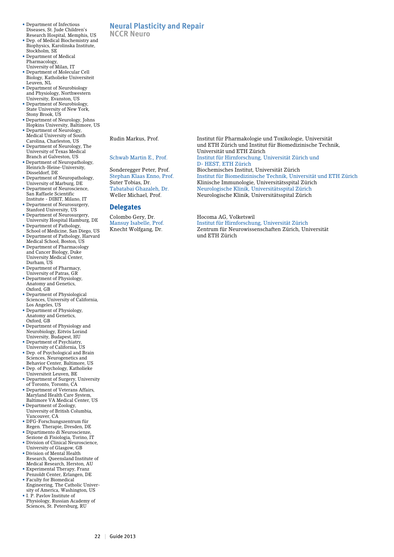- Department of Infectious Diseases, St. Jude Children's Research Hospital, Memphis, US
- Dep. of Medical Biochemistry and Biophysics, Karolinska Institute, Stockholm, SE
- Department of Medical Pharmacology, University of Milan, IT
- Department of Molecular Cell Biology, Katholieke Universiteit Leuven, NL
- Department of Neurobiology and Physiology, Northwestern University, Evanston, US
- Department of Neurobiology, State University of New York, Stony Brook, US
- Department of Neurology, Johns Hopkins University, Baltimore, US
- Department of Neurology, Medical University of South Carolina, Charleston, US
- Department of Neurology, The University of Texas Medical Branch at Galveston, US
- Department of Neuropathology, Heinrich-Heine-University, Düsseldorf, DE
- Department of Neuropathology, University of Marburg, DE
- Department of Neuroscience, San Raffaele Scientific Institute - DIBIT, Milano, IT
- Department of Neurosurgery, Stanford University, US
- Department of Neurosurgery, University Hospital Hamburg, DE
- Department of Pathology, School of Medicine, San Diego, US • Department of Pathology, Harvard
- Medical School, Boston, US • Department of Pharmacology and Cancer Biology, Duke University Medical Center, Durham, US
- Department of Pharmacy,
- University of Patras, GR • Department of Physiology, Anatomy and Genetics,
- Oxford, GB • Department of Physiological Sciences, University of California,
- Los Angeles, US • Department of Physiology, Anatomy and Genetics, Oxford, GB
- Department of Physiology and Neurobiology, Eötvös Loránd University, Budapest, HU
- Department of Psychiatry, University of California, US
- Dep. of Psychological and Brain Sciences, Neurogenetics and Behavior Center, Baltimore, US
- Dep. of Psychology, Katholieke Universiteit Leuven, BE
- Department of Surgery, University of Toronto, Toronto, CA
- Department of Veterans Affairs, Maryland Health Care System, Baltimore VA Medical Center, US
- Department of Zoology, University of British Columbia, Vancouver, CA
- DFG-Forschungszentrum für Regen. Therapie, Dresden, DE
- Dipartimento di Neuroscienze, Sezione di Fisiologia, Torino, IT
- Division of Clinical Neuroscience, University of Glasgow, GB
- Division of Mental Health Research, Queensland Institute of Medical Research, Herston, AU
- Experimental Therapy, Franz Penzoldt Center, Erlangen, DE
- Faculty for Biomedical Engineering, The Catholic University of America, Washington, US
- I. P. Pavlov Institute of Physiology, Russian Academy of Sciences, St. Petersburg, RU

# **Neural Plasticity and Repair**

**NCCR Neuro**

#### **Delegates**

Rudin Markus, Prof. Institut für Pharmakologie und Toxikologie, Universität und ETH Zürich und Institut für Biomedizinische Technik, Universität und ETH Zürich Schwab Martin E., Prof. Institut für Hirnforschung, Universität Zürich und D- HEST, ETH Zürich Sonderegger Peter, Prof. Biochemisches Institut, Universität Zürich Stephan Klaas Enno, Prof. Institut für Biomedizinische Technik, Universität und ETH Zürich Klinische Immunologie, Universitätsspital Zürich Tabatabai Ghazaleh, Dr. Neurologische Klinik, Universitätsspital Zürich Neurologische Klinik, Universitätsspital Zürich

Colombo Gery, Dr. Hocoma AG, Volketswil Mansuy Isabelle, Prof. Institut für Hirnforschung, Universität Zürich Zentrum für Neurowissenschaften Zürich, Universität und ETH Zürich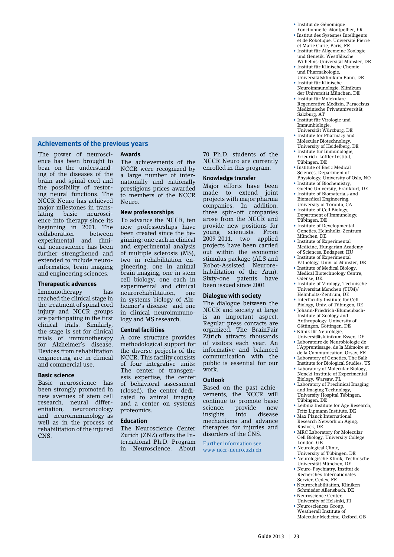### **Achievements of the previous years**

The power of neuroscience has been brought to bear on the understanding of the diseases of the brain and spinal cord and the possibility of restoring neural functions. The NCCR Neuro has achieved major milestones in translating basic neuroscience into therapy since its beginning in 2001. The<br>collaboration between collaboration experimental and clinical neuroscience has been further strengthened and extended to include neuroinformatics, brain imaging and engineering sciences.

#### **Therapeutic advances**

Immunotherapy has reached the clinical stage in the treatment of spinal cord injury and NCCR groups are participating in the first clinical trials. Similarly, the stage is set for clinical trials of immunotherapy for Alzheimer's disease. Devices from rehabilitation engineering are in clinical and commercial use.

#### **Basic science**

Basic neuroscience has been strongly promoted in new avenues of stem cell research, neural differ-<br>entiation, neurooncology neurooncology and neuroimmunology as well as in the process of rehabilitation of the injured CNS.

#### **Awards**

The achievements of the NCCR were recognized by a large number of internationally and nationally prestigious prices awarded to members of the NCCR Neuro.

#### **New professorships**

To advance the NCCR, ten new professorships have been created since the beginning: one each in clinical and experimental analysis of multiple sclerosis (MS), two in rehabilitation engineering, one in animal brain imaging, one in stem cell biology, one each in experimental and clinical neurorehabilitation, one in systems biology of Alzheimer's disease and one in clinical neuroimmunology and MS research.

#### **Central facilities**

A core structure provides methodological support for the diverse projects of the NCCR. This facility consists of four integrative units: The center of transgenesis expertise, the center of behavioral assessment (closed), the center dedicated to animal imaging and a center on systems proteomics.

#### **Education**

The Neuroscience Center Zurich (ZNZ) offers the International Ph.D. Program in Neuroscience. About

70 Ph.D. students of the NCCR Neuro are currently enrolled in this program.

#### **Knowledge transfer**

Major efforts have been made to extend joint projects with major pharma companies. In addition, three spin-off companies arose from the NCCR and provide new positions for young scientists. From 2009-2011, two applied projects have been carried out within the economic stimulus package (ALS and Robot-Assisted Neurorehabilitation of the Arm). Sixty-one patents have been issued since 2001.

#### **Dialogue with society**

The dialogue between the NCCR and society at large is an important aspect. Regular press contacts are organized. The BrainFair Zürich attracts thousands of visitors each year. An informative and balanced communication with the public is essential for our work.

#### **Outlook**

Based on the past achievements, the NCCR will continue to promote basic science, provide new<br>insights into disease insights into mechanisms and advance therapies for injuries and disorders of the CNS.

Further information see www.nccr-neuro.uzh.ch • Institut de Génomique Fonctionnelle, Montpellier, FR

- Institut des Systèmes Intelligents et de Robotique, Université Pierre
- et Marie Curie, Paris, FR • Institut für Allgemeine Zoologie und Genetik, Westfälische
- Wilhelms-Universität Münster, DE • Institut für Klinische Chemie und Pharmakologie,
- Universitätsklinikum Bonn, DE • Institut für Klinische
- Neuroimmunologie, Klinikum der Universität München, DE • Institut für Molekulare
- Regenerative Medizin, Paracelsus Medizinische Privatuniversität, Salzburg, AT
- Institut für Virologie und Immunbiologie, Universität Würzburg, DE
- Institute for Pharmacy and Molecular Biotechnology, University of Heidelberg, DE
- Institute für Immunologie, Friedrich-Löffler Institut,
- Tübingen, DE • Institute of Basic Medical Sciences, Department of Physiology, University of Oslo, NO
- Institute of Biochemistry, Goethe University, Frankfurt, DE • Institute of Biomaterials and
- Biomedical Engineering, University of Toronto, CA • Institute of Cell Biology,
- Department of Immunology, Tübingen, DE
- Institute of Developmental Genetics, Helmholtz-Zentrum München, DE
- Institute of Experimental Medicine, Hungarian Academy of Sciences, Budapest, HU
- Institute of Experimental Pathology, Univ. of Münster, DE • Institute of Medical Biology,
- Medical Biotechnology Centre, Odense, DK
- Institute of Virology, Technische Universität München (TUM)/ Helmholtz-Zentrum, DE
- Interfaculty Institute for Cell Biology, Univ. of Tübingen, DE
- Johann-Friedrich-Blumenbach-Institute of Zoology and Anthropology, University of
- Göttingen, Göttingen, DE • Klinik für Neurologie,
- Universitätsklinikum Essen, DE • Laboratoire de Neurobiologie de l'Apprentissage, de la Mémoire et
- de la Communication, Orsay, FR • Laboratory of Genetics, The Salk
- Institute for Biological Studies, US • Laboratory of Molecular Biology,
- Nencki Institute of Experimental Biology, Warsaw, PL
- Laboratory of Preclinical Imaging and Imaging Technology, University Hospital Tübingen, Tübingen, DE
- Leibniz Institute for Age Research,
- Fritz Lipmann Institute, DE • Max Planck International Research Network on Aging, Rostock, DE
- MRC Laboratory for Molecular Cell Biology, University College London, GB
- Neurological Clinic, University of Tübingen, DE
- Neurologische Klinik, Technische Universität München, DE
- Neuro-Psychiatry, Institut de Recherches Internationales Servier, Cedex, FR
- Neurorehabilitation, Kliniken Schmieder Allensbach, DE
- Neuroscience Center, University of Helsinki, FI
- Neurosciences Group, Weatherall Institute of Molecular Medicine, Oxford, GB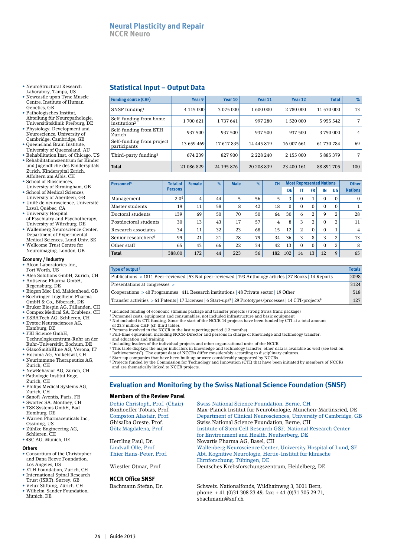- NeuroStructural Research
- Laboratory, Tampa, US • Newcastle upon Tyne Muscle Centre, Institute of Human Genetics, GB
- Pathologisches Institut, Abteilung für Neuropathologie, Universitätsklinik Freiburg, DE
- Physiology, Development and Neuroscience, University of
- Cambridge, Cambridge, GB • Queensland Brain Institute,
- University of Queensland, AU
- Rehabilitation Inst. of Chicago, US • Rehabilitationszentrum für Kinder und Jugendliche des Kinderspitals Zürich, Kinderspital Zürich, Affoltern am Albis, CH
- School of Biosciences,
- University of Birmingham, GB • School of Medical Sciences,
- University of Aberdeen, GB • Unité de neuroscience, Université
- Laval, Québec, CA • University Hospital of Psychiatry and Psychotherapy,
- University of Würzburg, DE • Wallenberg Neuroscience Center, Department of Experimental Medical Sciences, Lund Univ. SE
- Wellcome Trust Centre for Neuroimaging, London, GB

**Economy / Industry** • Alcon Laboratories Inc.,

- Fort Worth, US
- Alea Solutions GmbH, Zurich, CH • Antisense Pharma GmbH,
- Regensburg, DE
- Biogen Idec Ltd, Maidenhead, GB • Boehringer-Ingelheim Pharma GmbH & Co., Biberach, DE
- Bruker Biospin AG, Fällanden, CH
- Compex Medical SA, Ecublens, CH
- ESBATech AG, Schlieren, CH
- Evotec Neurosciences AG, Hamburg, DE • FBI Science GmbH,
- Technologiezentrum-Ruhr an der Ruhr-Universität, Bochum, DE • GlaxoSmithKline AG, Verona, IT
- Hocoma AG, Volketswil, CH
- Neurimmune Therapeutics AG, Zurich, CH
- NewBehavior AG, Zürich, CH • Pathologie Institut Enge, Zurich, CH
- Philips Medical Systems AG, Zurich, CH
- Sanofi-Aventis, Paris, FR
- Swortec SA, Monthey, CH
- TSE Systems GmbH, Bad Homburg, DE
- Warren Pharmaceuticals Inc., Ossining, US
- Zühlke Engineering AG, Schlieren, CH
- 4SC AG, Munich, DE

#### **Others**

- Consortium of the Christopher and Dana Reeve Foundation, Los Angeles, US
- ETH Foundation, Zurich, CH • International Spinal Research Trust (ISRT), Surrey, GB
- Velux Stiftung, Zürich, CH • Wilhelm-Sander Foundation,
- Munich, DE

# **Statistical Input – Output Data**

| <b>Funding source (CHF)</b>                        | Year 9     | Year 10       | Year 11       | Year 12    | <b>Total</b>  | $\%$ |
|----------------------------------------------------|------------|---------------|---------------|------------|---------------|------|
| SNSF funding $1$                                   | 4 115 000  | 3 075 000     | 1 600 000     | 2 780 000  | 11 570 000    | 13   |
| Self-funding from home<br>institution <sup>2</sup> | 1700 621   | 1 7 3 7 6 4 1 | 997 280       | 1 520 000  | 5 9 5 5 5 4 2 | ⇁    |
| Self-funding from ETH<br>Zurich                    | 937 500    |               |               | 937 500    | 3750000       | 4    |
| Self-funding from project<br>participants          | 13 659 469 | 17617835      | 14 445 819    | 16 007 661 | 61 730 784    | 69   |
| Third-party funding <sup>3</sup>                   | 674 239    | 827 900       | 2 2 2 2 2 4 0 | 2 155 000  | 5 885 379     | ⇁    |
| <b>Total</b>                                       | 21 086 829 | 24 195 876    | 20 208 839    | 23 400 161 | 88 891 705    | 100  |

| Personnel <sup>4</sup>          | <b>Total of</b>  | <b>Female</b> | $\%$ | <b>Male</b> | $\%$ | <b>CH</b> | <b>Most Represented Nations</b> |    |           |          |             | <b>Other</b>   |
|---------------------------------|------------------|---------------|------|-------------|------|-----------|---------------------------------|----|-----------|----------|-------------|----------------|
|                                 | <b>Persons</b>   |               |      |             |      |           | DE                              | IT | <b>FR</b> | IN       | US          | <b>Nations</b> |
| Management                      | 2.0 <sup>5</sup> | 4             | 44   | 5           | 56   | 5         | 3                               | 0  |           | $\Omega$ |             | 0              |
| Master students                 | 19               | 11            | 58   | 8           | 42   | 18        | 0                               | 0  | $\Omega$  | $\Omega$ | $\Omega$    |                |
| Doctoral students               | 139              | 69            | 50   | 70          | 50   | 64        | 30                              | 6  | 2         | 9        | ∍           | 28             |
| Postdoctoral students           | 30               | 13            | 43   | 17          | 57   | 4         | 8                               | 3  | 2         | $\Omega$ | 2           | 11             |
| Research associates             | 34               | 11            | 32   | 23          | 68   | 15        | 12                              | 2  | $\Omega$  | $\Omega$ |             | 4              |
| Senior researchers <sup>6</sup> | 99               | 21            | 21   | 78          | 79   | 34        | 36                              | 3  | 8         | 3        | 2           | 13             |
| Other staff                     | 65               | 43            | 66   | 22          | 34   | 42        | 13                              | 0  | $\Omega$  | $\Omega$ | 2           | 8              |
| <b>Total</b>                    | 388.00           | 172           | 44   | 223         | 56   | 182       | 102                             | 14 | 13        | 12       | $\mathbf Q$ | 65             |

| Type of output <sup>7</sup>                                                                                                        | <b>Totals</b> |
|------------------------------------------------------------------------------------------------------------------------------------|---------------|
| Publications > 1811 Peer-reviewed   53 Not peer-reviewed   193 Anthology articles   27 Books   14 Reports                          | 2098          |
| Presentations at congresses >                                                                                                      | 3124          |
| Cooperations $> 40$ Programmes   411 Research institutions   48 Private sector   19 Other                                          | 518           |
| Transfer activities > 61 Patents   17 Licenses   6 Start-ups <sup>8</sup>   29 Prototypes/processes   14 CTI-projects <sup>9</sup> | 127           |

 $^1$  Included funding of economic stimulus package and transfer projects (strong Swiss franc package)  $^2$  Personnel costs, equipment and consumables, not included infrastructure and basic equipment

- 3 Not included is CTI funding. Since the start of the NCCR 14 projects have been funded by CTI at a total amount of 23.3 million CHF (cf. third table).
- 
- 4 Persons involved in the NCCR in the last reporting period (12 months) 5 Full-time equivalent, including NCCR-Director and persons in charge of knowledge and technology transfer,
- and education and training 6 Including leaders of the individual projects and other organisational units of the NCCR
- 
- 7 This table displays the major indicators in knowledge and technology transfer; other data is available as well (see text on "achievements"). The output data of NCCRs differ considerably according to disciplinary cultures.
- 8 Start-up companies that have been built up or were considerably supported by NCCRs. 9 Projects funded by the Commission for Technology and Innovation (CTI) that have been initiated by members of NCCRs

and are thematically linked to NCCR projects.

# **Evaluation and Monitoring by the Swiss National Science Foundation (SNSF)**

#### **Members of the Review Panel**

| Dehio Christoph, Prof. (Chair) | Swiss National Science Foundation, Berne, CH                                                                                                                                                                                                  |
|--------------------------------|-----------------------------------------------------------------------------------------------------------------------------------------------------------------------------------------------------------------------------------------------|
| Bonhoeffer Tobias, Prof.       | Max-Planck Institut für Neurobiologie, München-Martinsried, DE                                                                                                                                                                                |
| Compston Alastair, Prof.       | Department of Clinical Neurosciences, University of Cambridge, GB                                                                                                                                                                             |
| Ghisalba Oreste, Prof.         | Swiss National Science Foundation, Berne, CH                                                                                                                                                                                                  |
| Götz Magdalena, Prof.          | Institute of Stem Cell Research GSF, National Research Center                                                                                                                                                                                 |
|                                | for Environment and Health, Neuherberg, DE                                                                                                                                                                                                    |
| Herrling Paul, Dr.             | Novartis Pharma AG, Basel, CH                                                                                                                                                                                                                 |
| Lindvall Olle, Prof.           | Wallenberg Neuroscience Center, University Hospital of Lund, SE                                                                                                                                                                               |
|                                | $\mathcal{L} \times \mathcal{L}$ . The state of the state of the state of the state of the state of the state of the state of the state of the state of the state of the state of the state of the state of the state of the state of the sta |

Thier Hans-Peter, Prof. Abt. Kognitive Neurologie, Hertie-Institut für klinische Hirnforschung, Tübingen, DE<br>Wiestler Otmar. Prof. Deutsches Krebsforschungsze

**NCCR Office SNSF**

Bachmann Stefan, Dr. Schweiz. Nationalfonds, Wildhainweg 3, 3001 Bern, phone: + 41 (0)31 308 23 49, fax: + 41 (0)31 305 29 71, sbachmann@snf.ch

Deutsches Krebsforschungszentrum, Heidelberg, DE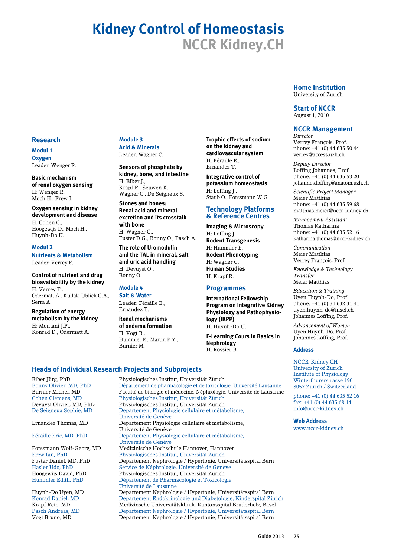# **Kidney Control of Homeostasis NCCR Kidney.CH**

# **Research**

# **Modul 1 Oxygen** Leader: Wenger R.

**Basic mechanism of renal oxygen sensing**  H: Wenger R. Moch H., Frew I.

**Oxygen sensing in kidney development and disease**  H: Cohen C., Hoogewijs D., Moch H., Huynh-Do U.

#### **Modul 2**

**Nutrients & Metabolism** Leader: Verrey F.

**Control of nutrient and drug bioavailability by the kidney** H: Verrey F., Odermatt A., Kullak-Ublick G.A., Serra A.

**Regulation of energy metabolism by the kidney** H: Montani J.P., Konrad D., Odermatt A.

#### **Module 3 Acid & Minerals**

Leader: Wagner C.

**Sensors of phosphate by kidney, bone, and intestine** H: Biber J., Krapf R., Seuwen K., Wagner C., De Seigneux S.

**Stones and bones: Renal acid and mineral excretion and its crosstalk with bone** H: Wagner C., Fuster D.G., Bonny O., Pasch A.

**The role of Uromodulin and the TAL in mineral, salt and uric acid handling** H: Devuyst O., Bonny O.

# **Module 4**

**Salt & Water** Leader: Féraille E., Ernandez T.

**Renal mechanisms of oedema formation** H: Vogt B.,

Hummler E., Martin P.Y., Burnier M.

**Trophic effects of sodium on the kidney and cardiovascular system**  H: Féraille E., Ernandez T.

**Integrative control of potassium homeostasis** H: Loffing J., Staub O., Forssmann W.G.

# **Technology Platforms & Reference Centres**

**Imaging & Microscopy** H: Loffing J. **Rodent Transgenesis** H: Hummler E. **Rodent Phenotyping** H: Wagner C. **Human Studies** H: Krapf R.

# **Programmes**

**International Fellowship Program on Integrative Kidney Physiology and Pathophysiology (IKPP)** H: Huynh-Do U.

**E-Learning Cours in Basics in Nephrology** H: Rossier B.

# **Heads of Individual Research Projects and Subprojects**

Biber Jürg, PhD Physiologisches Institut, Universität Zürich Bonny Olivier, MD, PhD Département de pharmacologie et de toxicologie, Université Lausanne<br>Burnier Michel, MD Faculté de biologie et médecine, Néphrologie, Université de Lausanne Faculté de biologie et médecine, Néphrologie, Université de Lausanne Cohen Clemens, MD Physiologisches Institut, Universität Zürich Devuyst Olivier, MD, PhD Physiologisches Institut, Universität Zürich Departement Physiologie cellulaire et métabolisme, Université de Genève Departement Physiologie cellulaire et métabolisme, Université de Genève Féraille Eric, MD, PhD Departement Physiologie cellulaire et métabolisme, Université de Genève Forssmann Wolf-Georg, MD Medizinische Hochschule Hannover, Hannover Frew Ian, PhD Physiologisches Institut, Universität Zürich Departement Nephrologie / Hypertonie, Universitätsspital Bern Hasler Udo, PhD Service de Néphrologie, Université de Genève Physiologisches Institut, Universität Zürich Hummler Edith, PhD Département de Pharmacologie et Toxicologie, Université de Lausanne Departement Nephrologie / Hypertonie, Universitätsspital Bern Konrad Daniel, MD Departement Endokrinologie und Diabetologie, Kinderspital Zürich Krapf Reto, MD Medizinsche Universitätsklinik, Kantonsspital Bruderholz, Basel<br>Pasch Andreas, MD Departement Nephrologie / Hypertonie, Universitätsspital Bern Pasch Andreas, MD Departement Nephrologie / Hypertonie, Universitätsspital Bern Vogt Bruno, MD Departement Nephrologie / Hypertonie, Universitätsspital Bern

#### **Home Institution** University of Zurich

**Start of NCCR** August 1, 2010

# **NCCR Management**

*Director* Verrey François, Prof. phone: +41 (0) 44 635 50 44 verrey@access.uzh.ch

*Deputy Director* Loffing Johannes, Prof. phone: +41 (0) 44 635 53 20 johannes.loffing@anatom.uzh.ch

*Scientific Project Manager*  Meier Matthias phone: +41 (0) 44 635 59 68 matthias.meier@nccr-kidney.ch

*Management Assistant*  Thomas Katharina phone: +41 (0) 44 635 52 16 katharina.thomas@nccr-kidney.ch

*Communication* Meier Matthias Verrey François, Prof.

*Knowledge & Technology Transfer* Meier Matthias

*Education & Training* Uyen Huynh-Do, Prof. phone: +41 (0) 31 632 31 41 uyen.huynh-do@insel.ch Johannes Loffing, Prof.

*Advancement of Women* Uyen Huynh-Do, Prof. Johannes Loffing, Prof.

#### **Address**

NCCR-Kidney.CH University of Zurich Institute of Physiology Winterthurerstrasse 190 8057 Zurich / Switzerland

phone: +41 (0) 44 635 52 16 fax: +41 (0) 44 635 68 14 info@nccr-kidney.ch

**Web Address** www.nccr-kidney.ch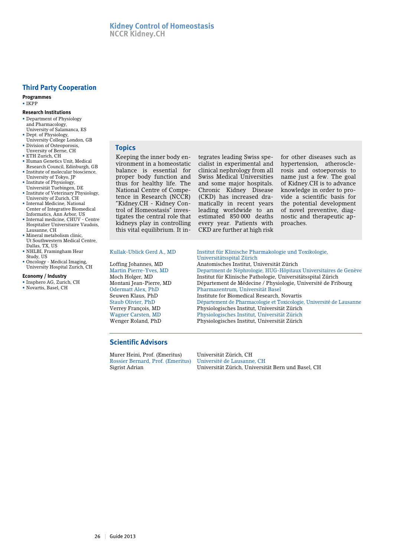# **Third Party Cooperation**

**Programmes** • IKPP

#### **Research Institutions**

- • Department of Physiology and Pharmacology, University of Salamanca, ES
- • Dept. of Physiology, University College London, GB
- Division of Osteoporosis, Unversity of Berne, CH
- ETH Zurich, CH
- Human Genetics Unit, Medical Research Council, Edinburgh, GB
- Institute of molecular bioscience, University of Tokyo, JP
- Institute of Physiology,
- Universität Tuebingen, DE • Institute of Veterinary Physiology, University of Zurich, CH
- • Internal Medicine, National Center of Integrative Biomedical Informatics, Ann Arbor, US
- • Internal medicine, CHUV Centre Hospitalier Universitaire Vaudois, Lausanne, CH
- • Mineral metabolism clinic, Ut Southwestern Medical Centre, Dallas, TX, US
- • NHLBI, Framingham Hear Study, US
- Oncology Medical Imaging, University Hospital Zurich, CH

#### **Economy / Industry**

- • Insphero AG, Zurich, CH
- • Novartis, Basel, CH

#### **Topics**

Keeping the inner body environment in a homeostatic balance is essential for proper body function and thus for healthy life. The National Centre of Competence in Research (NCCR) "Kidney.CH - Kidney Control of Homeostasis" investigates the central role that kidneys play in controlling this vital equilibrium. It integrates leading Swiss specialist in experimental and clinical nephrology from all Swiss Medical Universities and some major hospitals. Chronic Kidney Disease (CKD) has increased dramatically in recent years leading worldwide to an estimated 850 000 deaths every year. Patients with CKD are further at high risk for other diseases such as hypertension, atherosclerosis and ostoeporosis to name just a few. The goal of Kidney.CH is to advance knowledge in order to provide a scientific basis for the potential development of novel preventive, diagnostic and therapeutic approaches.

Kullak-Ublick Gerd A., MD Institut für Klinische Pharmakologie und Toxikologie, Universitätsspital Zürich Loffing Johannes, MD Anatomisches Institut, Universität Zürich Martin Pierre-Yves, MD Department de Néphrologie, HUG-Hôpitaux Universitaires de Genève Moch Holger, MD Institut für Klinische Pathologie, Universitätsspital Zürich Montani Jean-Pierre, MD Département de Médecine / Physiologie, Université de Fribourg Odermatt Alex, PhD Pharmazentrum, Universität Basel<br>
Seuwen Klaus, PhD Finstitute for Biomedical Research. Institute for Biomedical Research, Novartis Staub Olivier, PhD Département de Pharmacologie et Toxicologie, Université de Lausanne<br>Verrey François, MD Physiologisches Institut, Universität Zürich Verrey François, MD Physiologisches Institut, Universität Zürich Wagner Carsten, MD Physiologisches Institut, Universität Zürich Physiologisches Institut, Universität Zürich

# **Scientific Advisors**

Murer Heini, Prof. (Emeritus) Universität Zürich, CH Rossier Bernard, Prof. (Emeritus)

Sigrist Adrian Universität Zürich, Universität Bern und Basel, CH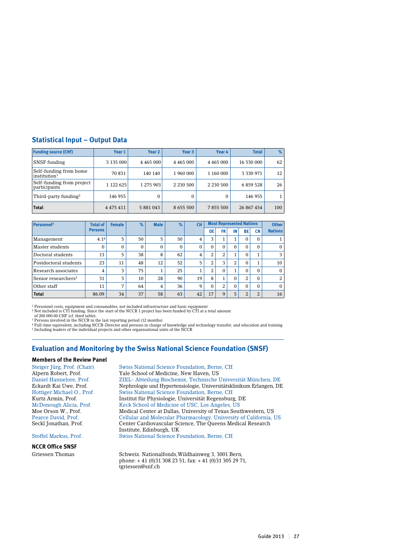# **Statistical Input – Output Data**

| <b>Funding source (CHF)</b>                        | Year 1        | Year 2        | Year 3        | Year 4        | <b>Total</b> | $\%$ |
|----------------------------------------------------|---------------|---------------|---------------|---------------|--------------|------|
| SNSF funding                                       | 3 135 000     | 4 4 6 5 0 0 0 | 4 4 6 5 0 0 0 | 4 4 6 5 0 0 0 | 16 530 000   | 62   |
| Self-funding from home<br>institution <sup>1</sup> | 70 831        | 140 140       | 1960000       | 1 160 000     | 3 3 3 9 7 1  | 12   |
| Self-funding from project<br>participants          | 1 122 625     | 1 275 903     | 2 2 3 0 5 0 0 | 2 2 3 0 5 0 0 | 6 859 528    | 26   |
| Third-party funding <sup>2</sup>                   | 146 955       | 0             | 0             | $\Omega$      | 146 955      |      |
| <b>Total</b>                                       | 4 4 7 5 4 1 1 | 5 881 043     | 8 6 5 5 5 0 0 | 7855500       | 26 867 454   | 100  |

| Personnel <sup>3</sup>          | <b>Total of</b>  | <b>Female</b> | $\%$     | <b>Male</b> | $\%$         | <b>CH</b>      |                | <b>Most Represented Nations</b> |          |           |                | <b>Other</b>   |
|---------------------------------|------------------|---------------|----------|-------------|--------------|----------------|----------------|---------------------------------|----------|-----------|----------------|----------------|
|                                 | <b>Persons</b>   |               |          |             |              |                | DE             | <b>FR</b>                       | IN       | <b>BE</b> | <b>CN</b>      | <b>Nations</b> |
| Management                      | 4.1 <sup>4</sup> | 5             | 50       | 5           | 50           | 4              | 3              |                                 | 1        | $\Omega$  | 0              |                |
| Master students                 | $\Omega$         | $\Omega$      | $\Omega$ | $\Omega$    | $\mathbf{0}$ | $\Omega$       | $\Omega$       |                                 | $\Omega$ | $\Omega$  | 0              | $\mathbf{0}$   |
| Doctoral students               | 13               | 5             | 38       | 8           | 62           | $\overline{4}$ | 2              | 2                               | T        | $\Omega$  |                | 3              |
| Postdoctoral students           | 23               | 11            | 48       | 12          | 52           | 5              | 2              | 3                               | 2        | $\Omega$  |                | 10             |
| Research associates             | 4                | 3             | 75       |             | 25           |                | $\overline{2}$ | 0                               | 1<br>T   | $\Omega$  | 0              | $\mathbf{0}$   |
| Senior researchers <sup>5</sup> | 31               | 3             | 10       | 28          | 90           | 19             | 8              |                                 | $\Omega$ | 2         | 0              | 2              |
| Other staff                     | 11               | 7             | 64       | 4           | 36           | 9              | $\Omega$       | 2                               | $\Omega$ | $\Omega$  | 0              | $\mathbf{0}$   |
| <b>Total</b>                    | 86.09            | 34            | 37       | 58          | 63           | 42             | 17             | 9                               | 5        | 2         | $\overline{2}$ | 16             |

<sup>1</sup> Personnel costs, equipment and consumables, not included infrastructure and basic equipment<br><sup>2</sup> Not included is CTI funding. Since the start of the NCCR 1 project has been funded by CTI at a total amount<br>- of 200 000.0

<sup>3</sup> Persons involved in the NCCR in the last reporting period (12 months)<br><sup>4</sup> Full-time equivalent, including NCCR-Director and persons in charge of knowledge and technology transfer, and education and training<br><sup>5</sup> Includi

# **Evaluation and Monitoring by the Swiss National Science Foundation (SNSF)**

#### **Members of the Review Panel**

# **NCCR Office SNSF**<br>Griessen Thomas

Steiger Jürg, Prof. (Chair) Swiss National Science Foundation, Berne, CH Alpern Robert, Prof. Yale School of Medicine, New Haven, US Daniel Hannelore, Prof. ZIEL- Abteilung Biochemie, Technische Universität München, DE Eckardt Kai Uwe, Prof. Nephrologie und Hypertensiologie, Universitätsklinikum Erlangen, DE<br>Hottiger Michael O., Prof. Swiss National Science Foundation, Berne, CH Swiss National Science Foundation, Berne, CH Kurtz Armin, Prof. Institut für Physiologie, Universität Regensburg, DE<br>McDonough Alicia, Prof. Keck School of Medicine of USC, Los Angeles, US McDonough Alicia, Prof. Keck School of Medicine of USC, Los Angeles, US<br>Moe Orson W., Prof. Medical Center at Dallas, University of Texas Sout Medical Center at Dallas, University of Texas Southwestern, US Pearce David, Prof. Cellular and Molecular Pharmacology, University of California, US<br>Seckl Jonathan, Prof. Center Cardiovascular Science, The Queens Medical Research Center Cardiovascular Science, The Queens Medical Research Institute, Edinburgh, UK Stoffel Markus, Prof. Swiss National Science Foundation, Berne, CH

> Schweiz. Nationalfonds, Wildhainweg 3, 3001 Bern, phone:  $+41$  (0)31 308 23 51, fax:  $+41$  (0)31 305 29 71, tgriessen@snf.ch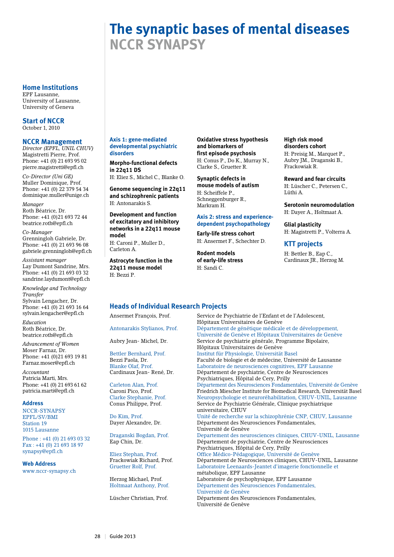#### **Home Institutions**

EPF Lausanne, University of Lausanne, University of Geneva

**Start of NCCR** October 1, 2010

#### **NCCR Management**

*Director (EPFL, UNIL CHUV)* Magistretti Pierre, Prof. Phone: +41 (0) 21 693 95 02 pierre.magistretti@epfl.ch

*Co-Director (Uni GE)* Muller Dominique, Prof. Phone: +41 (0) 22 379 54 34 dominique.muller@unige.ch

*Manager* Roth Béatrice, Dr. Phone: +41 (0)21 693 72 44 beatrice.roth@epfl.ch

*Co-Manager* Grenningloh Gabriele, Dr. Phone: +41 (0) 21 693 96 08 gabriele.grenningloh@epfl.ch

*Assistant manager* Lay Dumont Sandrine, Mrs. Phone: +41 (0) 21 693 03 32 sandrine.laydumont@epfl.ch

*Knowledge and Technology Transfer*  Sylvain Lengacher, Dr. Phone: +41 (0) 21 693 16 64 sylvain.lengacher@epfl.ch

*Education* Roth Béatrice, Dr. beatrice.roth@epfl.ch

*Advancement of Women*  Moser Farnaz, Dr. Phone: +41 (0)21 693 19 81 Farnaz.moser@epfl.ch

*Accountant* Patricia Marti, Mrs. Phone: +41 (0) 21 693 61 62 patricia.marti@epfl.ch

#### **Address**

NCCR-SYNAPSY EPFL/SV/BMI Station 19 1015 Lausanne

Phone : +41 (0) 21 693 03 32 Fax : +41 (0) 21 693 18 97 synapsy@epfl.ch

#### **Web Address**

www.nccr-synapsy.ch

#### **Axis 1: gene-mediated developmental psychiatric disorders**

**Morpho-functional defects in 22q11 DS**

H: Eliez S., Michel C., Blanke O.

**Genome sequencing in 22q11 and schizophrenic patients** H: Antonarakis S.

**Development and function of excitatory and inhibitory networks in a 22q11 mouse model** H: Caroni P., Muller D.,

Carleton A.

**Astrocyte function in the 22q11 mouse model** H: Bezzi P.

**Oxidative stress hypothesis and biomarkers of first episode psychosis**

H: Conus P., Do K., Murray N., Clarke S., Gruetter R.

**Synaptic defects in mouse models of autism** H: Scheiffele P., Schneggenburger R., Markram H.

#### **Axis 2: stress and experiencedependent psychopathology**

**Early-life stress cohort** H: Ansermet F., Schechter D.

**Rodent models of early-life stress** H: Sandi C.

**High risk mood disorders cohort** H: Preisig M., Marquet P.,

Aubry JM., Draganski B., Frackowiak R.

**Reward and fear circuits** H: Lüscher C., Petersen C., Lüthi A.

**Serotonin neuromodulation** H: Dayer A., Holtmaat A.

**Glial plasticity** H: Magistretti P., Volterra A.

**KTT projects**

H: Bettler B., Eap C., Cardinaux JR., Herzog M.

# **Heads of Individual Research Projects**

Ansermet François, Prof. Service de Psychiatrie de l'Enfant et de l'Adolescent, Hôpitaux Universitaires de Genève<br>Antonarakis Stylianos, Prof. Département de génétique médicale Département de génétique médicale et de développement, Université de Genève et Hôpitaux Universitaires de Genève Aubry Jean- Michel, Dr. Service de psychiatrie générale, Programme Bipolaire, Hôpitaux Universitaires de Genève Bettler Bernhard, Prof. Institut für Physiologie, Universität Basel Bezzi Paola, Dr. Faculté de biologie et de médecine, Université de Lausanne<br>Blanke Olaf, Prof. Laboratoire de neurosciences cognitives, EPF Lausanne Laboratoire de neurosciences cognitives, EPF Lausanne Cardinaux Jean- René, Dr. Département de psychiatrie, Centre de Neurosciences Psychiatriques, Hôpital de Cery, Prilly Carleton Alan, Prof. Département des Neurosciences Fondamentales, Université de Genève Caroni Pico, Prof. Friedrich Miescher Institute for Biomedical Research, Universität Basel Neuropsychologie et neuroréhabilitation, CHUV-UNIL, Lausanne Conus Philippe, Prof. Service de Psychiatrie Générale, Clinique psychiatrique universitaire, CHUV Unité de recherche sur la schizophrénie CNP, CHUV, Lausanne Dayer Alexandre, Dr. Département des Neurosciences Fondamentales, Université de Genève Draganski Bogdan, Prof. Departement des neurosciences cliniques, CHUV-UNIL, Lausanne Eap Chin, Dr. Département de psychiatrie, Centre de Neurosciences Psychiatriques, Hôpital de Cery, Prilly Eliez Stephan, Prof. <sup>Office</sup> Médico-Pédagogique, Université de Genève<br>Frackowiak Richard, Prof. Département de Neurosciences cliniques, CHUV-U Frackowiak Richard, Prof. Département de Neurosciences cliniques, CHUV-UNIL, Lausanne<br>Gruetter Rolf, Prof. Laboratoire Leenaards-Jeantet d'imagerie fonctionnelle et Laboratoire Leenaards-Jeantet d'imagerie fonctionnelle et métabolique, EPF Lausanne Herzog Michael, Prof. Laboratoire de psychophysique, EPF Lausanne Holtmaat Anthony, Prof. Département des Neurosciences Fondamentales, Université de Genève Département des Neurosciences Fondamentales, Université de Genève

# **The synaptic bases of mental diseases NCCR SYNAPSY**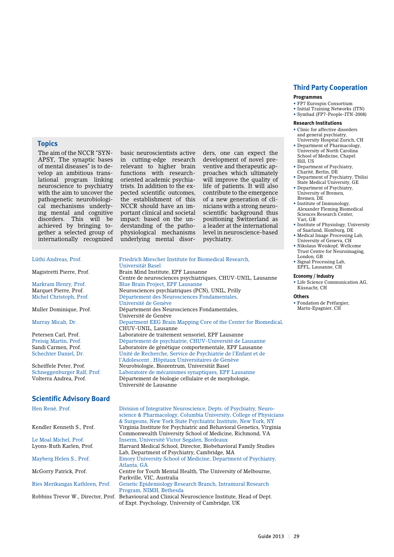# **Third Party Cooperation**

#### **Programmes**

- FP7 Eurospin Consortium
- Initial Training Networks (ITN) • Symbad (FP7-People-ITN-2008)

#### **Research Institutions**

- Clinic for affective disorders and general psychiatry,
- University Hospital Zurich, CH • Department of Pharmacology, University of North Carolina
- School of Medicine, Chapel Hill, US • Department of Psychiatry,
- Charité, Berlin, DE
- Department of Psychiatry, Tbilisi State Medical University, GE
- Department of Psychiatry, University of Bremen, Bremen, DE
- Institute of Immunology, Alexander Fleming Biomedical Sciences Research Center, Vari, GR
- Institute of Physiology, University of Saarland, Homburg, DE
- Medical Image Processing Lab, University of Geneva, CH
- Nikolaus Weiskopf, Wellcome Trust Centre for Neuroimaging, London, GB
- Signal Processing Lab, EPFL, Lausanne, CH

#### **Economy / Industry**

• Life Science Communication AG, Küsnacht, CH

#### **Others**

• Fondation de Préfargier, Marin-Epagnier, CH

# **Topics**

The aim of the NCCR "SYN-APSY, The synaptic bases of mental diseases" is to develop an ambitious translational program linking neuroscience to psychiatry with the aim to uncover the pathogenetic neurobiological mechanisms underlying mental and cognitive disorders. This will be achieved by bringing together a selected group of internationally recognized

#### Lüthi Andreas, Prof. Friedrich Miescher Institute for Biomedical Research,

Universität Basel

Markram Henry, Prof. Blue Brain Project, EPF Lausanne Marquet Pierre, Prof. Neurosciences psychiatriques (PCN), UNIL, Prilly

# **Scientific Advisory Board**

Hen René, Prof. Division of Integrative Neuroscience, Depts. of Psychiatry, Neuro science & Pharmacology, Columbia University, College of Physicians & Surgeons, New York State Psychiatric Institute, New York, NY Virginia Institute for Psychiatric and Behavioral Genetics, Virginia Commonwealth University School of Medicine, Richmond, VA Le Moal Michel, Prof. Inserm, Université Victor Segalen, Bordeaux Harvard Medical School, Director, Biobehavioral Family Studies Lab, Department of Psychiatry, Cambridge, MA<br>Mayberg Helen S., Prof. Emory University School of Medicine, Departme Emory University School of Medicine, Department of Psychiatry, Atlanta, GA McGorry Patrick, Prof. Centre for Youth Mental Health, The University of Melbourne, Parkville, VIC, Australia Ries Merikangas Kathleen, Prof. Genetic Epidemiology Research Branch, Intramural Research Program, NIMH, Bethesda<br>Robbins Trevor W., Director, Prof. Behavioural and Clinical N Behavioural and Clinical Neuroscience Institute, Head of Dept. of Expt. Psychology, University of Cambridge, UK

Michel Christoph, Prof. Département des Neurosciences Fondamentales, Université de Genève Muller Dominique, Prof. Département des Neurosciences Fondamentales, Université de Genève Murray Micah, Dr. Department EEG Brain Mapping Core of the Center for Biomedical, CHUV-UNIL, Lausanne Petersen Carl, Prof. Laboratoire de traitement sensoriel, EPF Lausanne Preisig Martin, Prof. Département de psychiatrie, CHUV-Université de Lausanne<br>Sandi Carmen, Prof. Laboratoire de génétique comportementale, EPF Lausanne Sandi Carmen, Prof.  $L$ aboratoire de génétique comportementale, EPF Lausanne<br>Schechter Daniel, Dr. Unité de Recherche, Service de Psychiatrie de l'Enfant et de Unité de Recherche, Service de Psychiatrie de l'Enfant et de l'Adolescent , Hôpitaux Universitaires de Genève<br>Scheiffele Peter, Prof. Neurobiologie, Biozentrum, Universität Basel Scheiffele Peter, Prof. Neurobiologie, Biozentrum, Universität Basel<br>Schneggenburger Ralf, Prof. Laboratoire de mécanismes synaptiques, EPF Laboratoire de mécanismes synaptiques, EPF Lausanne Volterra Andrea, Prof. Département de biologie cellulaire et de morphologie, Université de Lausanne

Centre de neurosciences psychiatriques, CHUV-UNIL, Lausanne

Brain Mind Institute, EPF Lausanne

basic neuroscientists active in cutting-edge research relevant to higher brain functions with researchoriented academic psychiatrists. In addition to the expected scientific outcomes, the establishment of this NCCR should have an important clinical and societal impact: based on the understanding of the pathophysiological mechanisms underlying mental disor-

psychiatry.

ders, one can expect the development of novel preventive and therapeutic approaches which ultimately will improve the quality of life of patients. It will also contribute to the emergence of a new generation of clinicians with a strong neuroscientific background thus positioning Switzerland as a leader at the international level in neuroscience-based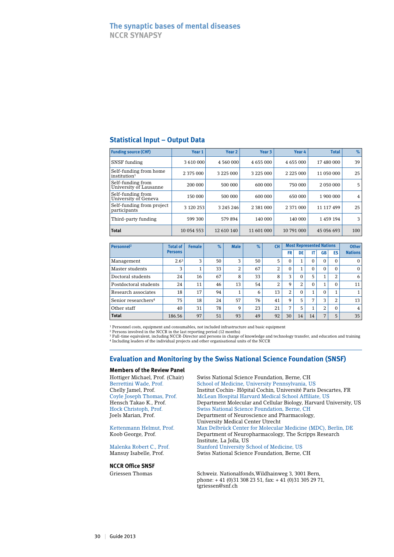# **The synaptic bases of mental diseases NCCR SYNAPSY**

# **Statistical Input – Output Data**

| <b>Funding source (CHF)</b>                        | Year <sub>1</sub> | Year <sub>2</sub> | Year 3        | Year 4        | <b>Total</b> | %   |
|----------------------------------------------------|-------------------|-------------------|---------------|---------------|--------------|-----|
| SNSF funding                                       | 3 610 000         | 4 560 000         | 4 655 000     | 4 655 000     | 17 480 000   | 39  |
| Self-funding from home<br>institution <sup>1</sup> | 2 375 000         | 3 2 2 5 0 0 0     | 3 2 2 5 0 0 0 | 2 2 2 5 0 0 0 | 11 050 000   | 25  |
| Self-funding from<br>University of Lausanne        | 200 000           | 500 000           | 600 000       | 750 000       | 2 050 000    | 5   |
| Self-funding from<br>University of Geneva          | 150 000           | 500 000           | 600 000       | 650 000       | 1 900 000    | 4   |
| Self-funding from project<br>participants          | 3 1 2 0 2 5 3     | 3 245 246         | 2 3 8 1 0 0 0 | 2 371 000     | 11 117 499   | 25  |
| Third-party funding                                | 599 300           | 579894            | 140 000       | 140 000       | 1 459 194    | 3   |
| <b>Total</b>                                       | 10 054 553        | 12 610 140        | 11 601 000    | 10 791 000    | 45 056 693   | 100 |

| Personnel <sup>2</sup>          | <b>Total of</b>  | <b>Female</b> | $\%$ | <b>Male</b> | $\%$ | CН |                | <b>Most Represented Nations</b> | <b>Other</b> |                          |           |                |
|---------------------------------|------------------|---------------|------|-------------|------|----|----------------|---------------------------------|--------------|--------------------------|-----------|----------------|
|                                 | <b>Persons</b>   |               |      |             |      |    | FR             | DE                              | IT           | <b>GB</b>                | <b>ES</b> | <b>Nations</b> |
| Management                      | 2.6 <sup>3</sup> | 3             | 50   | 3           | 50   | 5  | 0              | 1.                              | $\Omega$     | $\Omega$                 | $\Omega$  | $\Omega$       |
| Master students                 | 3                |               | 33   | 2           | 67   | 2  | 0              | 4.                              | $\Omega$     | $\Omega$                 | $\Omega$  | $\Omega$       |
| Doctoral students               | 24               | 16            | 67   | 8           | 33   | 8  | 3              | $\Omega$                        | 5            |                          | 2         | 6              |
| Postdoctoral students           | 24               | 11            | 46   | 13          | 54   | 2  | 9              | 2                               | $\Omega$     | $\overline{\phantom{a}}$ | $\Omega$  | 11             |
| Research associates             | 18               | 17            | 94   | 1           | 6    | 13 | 2              | $\Omega$                        |              | $\Omega$                 |           |                |
| Senior researchers <sup>4</sup> | 75               | 18            | 24   | 57          | 76   | 41 | 9              | 5                               | 7            | 3                        | 2         | 13             |
| Other staff                     | 40               | 31            | 78   | 9           | 23   | 21 | $\overline{ }$ | 5                               |              | 2                        | $\Omega$  | 4              |
| <b>Total</b>                    | 186.56           | 97            | 51   | 93          | 49   | 92 | 30             | 14                              | 14           | 7                        | 5         | 35             |

<sup>1</sup> Personnel costs, equipment and consumables, not included infrastructure and basic equipment

<sup>2</sup> Persons involved in the NCCR in the last reporting period (12 months)<br><sup>3 Full-time equivalent, including NCCR-Director and persons in charge of knowledge and technology transfer, and education and training<br><sup>4</sup> Includin</sup>

# **Evaluation and Monitoring by the Swiss National Science Foundation (SNSF)**

# **Members of the Review Panel**

#### **NCCR Office SNSF**

Hottiger Michael, Prof. (Chair) Swiss National Science Foundation, Berne, CH Berrettini Wade, Prof. School of Medicine, University Pennsylvania, US Chelly Jamel, Prof. Institut Cochin- Hôpital Cochin, Université Paris Descartes, FR Coyle Joseph Thomas, Prof. McLean Hospital Harvard Medical School Affiliate, US<br>Hensch Takao K., Prof. Department Molecular and Cellular Biology, Harvard U Hensch Takao K., Prof. Department Molecular and Cellular Biology, Harvard University, US<br>Hock Christoph, Prof. Swiss National Science Foundation, Berne, CH Swiss National Science Foundation, Berne, CH Joels Marian, Prof. Department of Neuroscience and Pharmacology, University Medical Center Utrecht Kettenmann Helmut, Prof. Max Delbrück Center for Molecular Medicine (MDC), Berlin, DE Koob George, Prof. Department of Neuropharmacology, The Scripps Research Institute, La Jolla, US<br>Malenka Robert C., Prof. Stanford University S Malenka Robert C., Prof. Stanford University School of Medicine, US Swiss National Science Foundation, Berne, CH

Griessen Thomas Schweiz. Nationalfonds, Wildhainweg 3, 3001 Bern, phone: + 41 (0)31 308 23 51, fax: + 41 (0)31 305 29 71, tgriessen@snf.ch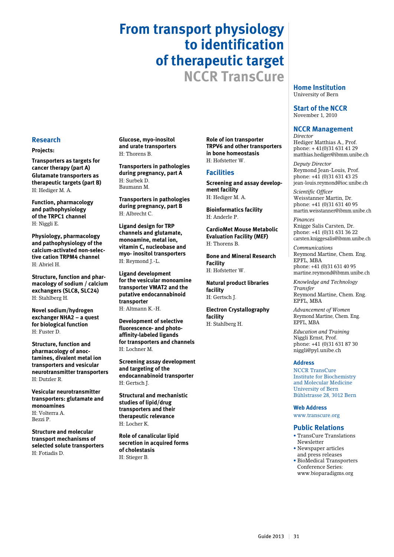# **From transport physiology to identification of therapeutic target NCCR TransCure**

**Home Institution** University of Bern

**Start of the NCCR** November 1, 2010

# **NCCR Management**

*Director* Hediger Matthias A., Prof. phone: + 41(0)31 631 41 29 matthias.hediger@ibmm.unibe.ch

*Deputy Director* Reymond Jean-Louis, Prof. phone: +41 (0)31 631 43 25 jean-louis.reymond@ioc.unibe.ch

*Scientific Officer* Weisstanner Martin, Dr. phone: +41 (0)31 631 40 95 martin.weisstanner@ibmm.unibe.ch

*Finances*  Knigge Salis Carsten, Dr. phone: +41 (0)31 631 36 22 carsten.kniggesalis@ibmm.unibe.ch

*Communications*  Reymond Martine, Chem. Eng. EPFL, MBA phone: +41 (0)31 631 40 95 martine.reymond@ibmm.unibe.ch

*Knowledge and Technology Transfer* Reymond Martine, Chem. Eng. EPFL, MBA

*Advancement of Women* Reymond Martine, Chem. Eng. EPFL, MBA

*Education and Training* Niggli Ernst, Prof. phone: +41 (0)31 631 87 30 niggli@pyl.unibe.ch

#### **Address**

NCCR TransCure Institute for Biochemistry and Molecular Medicine University of Bern Bühlstrasse 28, 3012 Bern

**Web Address**

www.transcure.org

#### **Public Relations**

- TransCure Translations Newsletter
- • Newspaper articles and press releases
- BioMedical Transporters Conference Series:
- www.bioparadigms.org

**Research**

#### **Projects:**

**Transporters as targets for cancer therapy (part A) Glutamate transporters as therapeutic targets (part B)**  H: Hediger M. A.

**Function, pharmacology and pathophysiology of the TRPC1 channel** H: Niggli E.

**Physiology, pharmacology and pathophysiology of the calcium-activated non-selective cation TRPM4 channel** H: Abriel H.

**Structure, function and pharmacology of sodium / calcium exchangers (SLC8, SLC24)** H: Stahlberg H.

**Novel sodium/hydrogen exchanger NHA2 – a quest for biological function** H: Fuster D.

**Structure, function and pharmacology of anoctamines, divalent metal ion transporters and vesicular neurotransmitter transporters** H: Dutzler R.

**Vesicular neurotransmitter transporters: glutamate and monoamines** H: Volterra A.

Bezzi P.

**Structure and molecular transport mechanisms of selected solute transporters** H: Fotiadis D.

**Glucose, myo-inositol and urate transporters** H: Thorens B.

**Transporters in pathologies during pregnancy, part A** H: Surbek D. Baumann M.

**Transporters in pathologies during pregnancy, part B** H: Albrecht C.

**Ligand design for TRP channels and glutamate, monoamine, metal ion, vitamin C, nucleobase and myo- inositol transporters** H: Reymond J.-L.

**Ligand development for the vesicular monoamine transporter VMAT2 and the putative endocannabinoid transporter** H: Altmann K.-H.

**Development of selective fluorescence- and photoaffinity-labeled ligands for transporters and channels** H: Lochner M.

**Screening assay development and targeting of the endocannabinoid transporter** H: Gertsch J.

**Structural and mechanistic studies of lipid/drug transporters and their therapeutic relevance** H: Locher K.

**Role of canalicular lipid secretion in acquired forms of cholestasis** H: Stieger B.

**Role of ion transporter TRPV6 and other transporters in bone homeostasis** H: Hofstetter W.

# **Facilities**

**Screening and assay development facility** H: Hediger M. A.

**Bioinformatics facility**  H: Anderle P.

**CardioMet Mouse Metabolic Evaluation Facility (MEF)** H: Thorens B.

**Bone and Mineral Research Facility** H: Hofstetter W.

**Natural product libraries facility**  H: Gertsch J.

**Electron Crystallography facility** H: Stahlberg H.

Guide 2013 | 31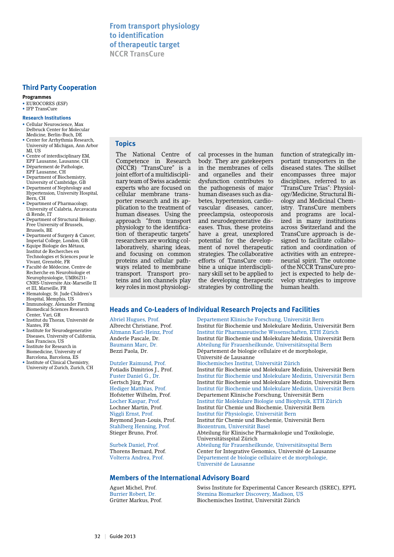# **Third Party Cooperation**

#### **Programmes**

• EUROCORES (ESF)

#### • IFP TransCure

#### **Research Institutions**

- Cellular Neuroscience, Max Delbruck Center for Molecular Medicine, Berlin-Buch, DE
- Center for Arrhythmia Research, University of Michigan, Ann Arbor MI, US
- Centre of interdisciplinary EM, EPF Lausanne, Lausanne, CH
- Département de Pathologie, EPF Lausanne, CH
- Department of Biochemistry, University of Cambridge, GB
- Department of Nephrology and Hypertension, University Hospital, Bern, CH
- Department of Pharmacology, University of Calabria, Arcavacata di Rende, IT
- Department of Structural Biology, Free University of Brussels, Brussels, BE
- Department of Surgery & Cancer, Imperial College, London, GB
- Equipe Biologie des Métaux, Institut de Recherches en Technologies et Sciences pour le Vivant, Grenoble, FR
- Faculté de Médecine, Centre de Recherche en Neurobiologie et Neurophysiologie, UMR6231- CNRS-Universite Aix-Marseille II et III, Marseille, FR
- Hematology, St. Jude Children's Hospital, Memphis, US
- Immunology, Alexander Fleming Biomedical Sciences Research Center, Vari, GR
- Institut du Thorax, Université de Nantes, FR • Institute for Neurodegenerative
- Diseases, University of California, San Francisco, US
- Institute for Research in Biomedicine, University of Barcelona, Barcelona, ES
- Institute of Clinical Chemistry, University of Zurich, Zurich, CH

# **Topics**

The National Centre of Competence in Research (NCCR) "TransCure" is a joint effort of a multidisciplinary team of Swiss academic experts who are focused on cellular membrane transporter research and its application to the treatment of human diseases. Using the approach "from transport physiology to the identification of therapeutic targets" researchers are working collaboratively, sharing ideas, and focusing on common proteins and cellular pathways related to membrane transport. Transport proteins and ion channels play key roles in most physiological processes in the human body. They are gatekeepers in the membranes of cells and organelles and their dysfunction contributes to the pathogenesis of major human diseases such as diabetes, hypertension, cardiovascular diseases, cancer, preeclampsia, osteoporosis and neurodegenerative diseases. Thus, these proteins have a great, unexplored potential for the development of novel therapeutic strategies. The collaborative efforts of TransCure combine a unique interdisciplinary skill set to be applied to the developing therapeutic strategies by controlling the function of strategically important transporters in the diseased states. The skillset encompasses three major disciplines, referred to as "TransCure Trias": Physiology/Medicine, Structural Biology and Medicinal Chemistry. TransCure members and programs are localized in many institutions across Switzerland and the TransCure approach is designed to facilitate collaboration and coordination of activities with an entrepreneurial spirit. The outcome of the NCCR TransCure project is expected to help develop strategies to improve human health.

# **Heads and Co-Leaders of Individual Research Projects and Facilities**

Abriel Hugues, Prof. Departement Klinische Forschung, Universität Bern Institut für Biochemie und Molekulare Medizin, Universität Bern Altmann Karl-Heinz, Prof Institut für Pharmazeutische Wissenschaften, ETH Zürich Anderle Pascale, Dr. Institut für Biochemie und Molekulare Medizin, Universität Bern Baumann Marc, Dr. Abteilung für Frauenheilkunde, Universitätsspital Bern Département de biologie cellulaire et de morphologie, Université de Lausanne Dutzler Raimund, Prof. Biochemisches Institut, Universität Zürich Institut für Biochemie und Molekulare Medizin, Universität Bern

Fuster Daniel G., Dr. Institut für Biochemie und Molekulare Medizin, Universität Bern Gertsch Jürg, Prof.<br>
Institut für Biochemie und Molekulare Medizin, Universität Bern<br>
Hediger Matthias Prof Fund Institut für Biochemie und Molekulare Medizin, Universität Bern Hediger Matthias, Prof. Institut für Biochemie und Molekulare Medizin, Universität Bern Hofstetter Wilhelm, Prof. Departement Klinische Forschung, Universität Bern Institut für Molekulare Biologie und Biophysik, ETH Zürich Lochner Martin, Prof. Institut für Chemie und Biochemie, Universität Bern Niggli Ernst, Prof. Institut für Physiologie, Universität Bern Institut für Chemie und Biochemie, Universität Bern Stahlberg Henning, Prof. Biozentrum, Universität Basel Abteilung für Klinische Pharmakologie und Toxikologie, Universitätsspital Zürich Surbek Daniel, Prof. Abteilung für Frauenheilkunde, Universitätsspital Bern Center for Integrative Genomics, Université de Lausanne Volterra Andrea, Prof. Département de biologie cellulaire et de morphologie, Université de Lausanne

# **Members of the International Advisory Board**

Aguet Michel, Prof. Swiss Institute for Experimental Cancer Research (ISREC), EPFL Burrier Robert, Dr. Stemina Biomarker Discovery, Madison, US<br>Grütter Markus. Prof. Biochemisches Institut. Universität Zürich Biochemisches Institut, Universität Zürich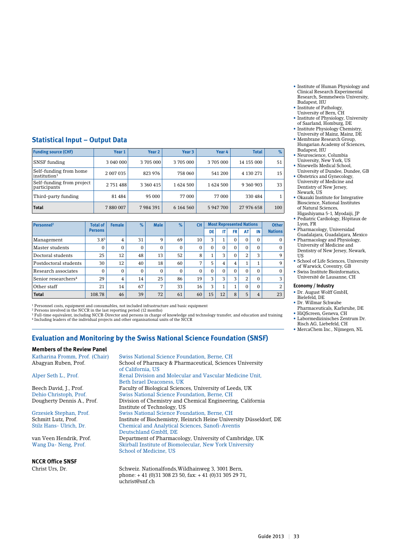- Institute of Human Physiology and Clinical Research Experimental Research, Semmelweis University, Budapest, HU
- Institute of Pathology, University of Bern, CH
- Institute of Physiology, University of Saarland, Homburg, DE • Institute Physiology Chemistry,
- University of Mainz, Mainz, DE
- Membrane Research Group, Hungarian Academy of Sciences, Budapest, HU
- Neuroscience, Columbia University, New York, US
- Ninewells Medical School, University of Dundee, Dundee, GB • Obstetrics and Gynecology,
- University of Medicine and Dentistry of New Jersey, Newark, US
- Okazaki Institute for Integrative Bioscience, National Institutes of Natural Sciences,
- Higashiyama 5-1, Myodaiji, JP • Pediatric Cardiology, Hôpitaux de Lyon, FR
- Pharmacology, Universidad Guadalajara, Guadalajara, Mexico
- Pharmacology and Physiology, University of Medicine and Dentistry of New Jersey, Newark, US
- School of Life Sciences, University of Warwick, Coventry, GB
- Swiss Institute Bioinformatics, Université de Lausanne, CH

#### **Economy / Industry**

- Dr. August Wolff GmbH, Bielefeld, DE
- Dr. Willmar Schwabe
- Pharmaceuticals, Karlsruhe, DE
- HiQScreen, Geneva, CH • Labormedizinisches Zentrum Dr.
- Risch AG, Liebefeld, CH • MercaChem Inc., Nijmegen, NL

# **Statistical Input – Output Data**

| <b>Funding source (CHF)</b>                        | Year 1    | Year <sub>2</sub> | Year 3    | Year 4   | <b>Total</b> | $\%$         |
|----------------------------------------------------|-----------|-------------------|-----------|----------|--------------|--------------|
| SNSF funding                                       | 3 040 000 | 3 705 000         | 3705000   | 3705000  | 14 155 000   | 51           |
| Self-funding from home<br>institution <sup>1</sup> | 2 007 035 | 823 976           | 758 060   | 541 200  | 4 130 271    | 15           |
| Self-funding from project<br>participants          | 2 751 488 | 3 3 6 4 4 1 5     | 1624 500  | 1624 500 | 9 360 903    | 33           |
| Third-party funding                                | 81 484    | 95 000            | 77 000    | 77 000   | 330 484      | $\mathbf{1}$ |
| <b>Total</b>                                       | 7880007   | 7984391           | 6 164 560 | 5947700  | 27 976 658   | 100          |

| Personnel <sup>2</sup>          | <b>Total of</b> | <b>Female</b>  | $\%$     | <b>Male</b>    | $\%$     | <b>CH</b>    |          |                | <b>Most Represented Nations</b> |          |          | <b>Other</b>   |
|---------------------------------|-----------------|----------------|----------|----------------|----------|--------------|----------|----------------|---------------------------------|----------|----------|----------------|
|                                 | <b>Persons</b>  |                |          |                |          |              | DE       |                | <b>FR</b>                       | AT       | IN       | <b>Nations</b> |
| Management                      | $3.8^{3}$       | $\overline{4}$ | 31       | 9              | 69       | 10           | 3        |                | $\Omega$                        | $\Omega$ | $\Omega$ | $\Omega$       |
| Master students                 | 0               | $\Omega$       | $\Omega$ | $\Omega$       | 0        | $\mathbf{0}$ | $\Omega$ | $\Omega$       | $\Omega$                        | $\Omega$ | $\Omega$ | $\mathbf{0}$   |
| Doctoral students               | 25              | 12             | 48       | 13             | 52       | 8            |          | 3              | 0                               | 2        | 3        | 9              |
| Postdoctoral students           | 30              | 12             | 40       | 18             | 60       | 7            | 5        | 4              | 4                               | 1        |          | 9              |
| Research associates             | 0               | $\Omega$       | $\Omega$ | $\Omega$       | $\Omega$ | $\mathbf{0}$ | $\Omega$ | $\Omega$       | $\Omega$                        | $\Omega$ | $\Omega$ | $\Omega$       |
| Senior researchers <sup>4</sup> | 29              | 4              | 14       | 25             | 86       | 19           | 3        | 3              | 3                               | 2        | 0        | 3              |
| Other staff                     | 21              | 14             | 67       | $\overline{7}$ | 33       | 16           | 3        | $\overline{ }$ | $\blacktriangleleft$            | $\Omega$ | $\Omega$ | 2              |
| <b>Total</b>                    | 108.78          | 46             | 39       | 72             | 61       | 60           | 15       | 12             | 8                               | 5        | 4        | 23             |

1 Personnel costs, equipment and consumables, not included infrastructure and basic equipment

2 Persons involved in the NCCR in the last reporting period (12 months)

<sup>3</sup> Full-time equivalent, including NCCR-Director and persons in charge of knowledge and technology transfer, and education and training<br><sup>4</sup> Including leaders of the individual projects and other organisational units of th

# **Evaluation and Monitoring by the Swiss National Science Foundation (SNSF)**

#### **Members of the Review Panel**

### **NCCR Office SNSF**

Katharina Fromm, Prof. (Chair) Swiss National Science Foundation, Berne, CH Abagyan Ruben, Prof. School of Pharmacy & Pharmaceutical, Sciences University of California, US Renal Division and Molecular and Vascular Medicine Unit, Beth Israel Deaconess, UK Beech David, J., Prof. Faculty of Biological Sciences, University of Leeds, UK<br>Dehio Christoph, Prof. Swiss National Science Foundation, Berne, CH Dehio Christoph, Prof. Swiss National Science Foundation, Berne, CH Division of Chemistry and Chemical Engineering, California Institute of Technology, US<br>Grzesiek Stephan, Prof. Swiss National Science Fou Grzesiek Stephan, Prof. Swiss National Science Foundation, Berne, CH Schmitt Lutz, Prof.<br>
Institute of Biochemistry, Heinrich Heine University Düsseldorf, DE<br>
Stilz Hans- Ulrich Dr Chemical and Analytical Sciences, Sanofi-Aventis Deutschland GmbH, DE<br>
van Veen Hendrik, Prof. Department of Pharmaco van Veen Hendrik, Prof. Department of Pharmacology, University of Cambridge, UK Wang Da- Neng, Prof. Skirball Institute of Biomolecular, New York University Skirball Institute of Biomolecular, New York University School of Medicine, US

Christ Urs, Dr. Schweiz. Nationalfonds,Wildhainweg 3, 3001 Bern, phone: + 41 (0)31 308 23 50, fax: + 41 (0)31 305 29 71, uchrist@snf.ch

Guide 2013 | 33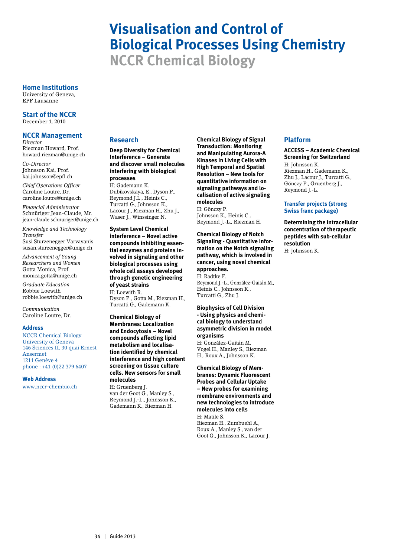# **Visualisation and Control of Biological Processes Using Chemistry NCCR Chemical Biology**

**Home Institutions**

University of Geneva, EPF Lausanne

**Start of the NCCR** December 1, 2010

#### **NCCR Management** *Director*

Riezman Howard, Prof. howard.riezman@unige.ch

*Co-Director* Johnsson Kai, Prof. kai.johnsson@epfl.ch

*Chief Operations Officer* Caroline Loutre, Dr. caroline.loutre@unige.ch

*Financial Administrator* Schnüriger Jean-Claude, Mr. jean-claude.schnuriger@unige.ch

*Knowledge and Technology Transfer* Susi Sturzenegger Varvayanis susan.sturzenegger@unige.ch

*Advancement of Young Researchers and Women* Gotta Monica, Prof. monica.gotta@unige.ch

*Graduate Education* Robbie Loewith robbie.loewith@unige.ch

*Communication* Caroline Loutre, Dr.

#### **Address**

NCCR Chemical Biology University of Geneva 146 Sciences II, 30 quai Ernest Ansermet 1211 Genève 4 phone : +41 (0)22 379 6407

**Web Address**

www.nccr-chembio.ch

# **Research**

**Deep Diversity for Chemical Interference – Generate and discover small molecules interfering with biological processes** 

H: Gademann K. Dubikovskaya, E., Dyson P., Reymond J.L., Heinis C., Turcatti G., Johnsson K., Lacour J., Riezman H., Zhu J., Waser J., Winssinger N.

**System Level Chemical interference – Novel active compounds inhibiting essential enzymes and proteins involved in signaling and other biological processes using whole cell assays developed through genetic engineering of yeast strains**  H: Loewith R. Dyson P., Gotta M., Riezman H., Turcatti G., Gademann K.

**Chemical Biology of Membranes: Localization and Endocytosis – Novel compounds affecting lipid metabolism and localisation identified by chemical interference and high content screening on tissue culture cells. New sensors for small molecules** 

H: Gruenberg J. van der Goot G., Manley S., Reymond J.-L., Johnsson K., Gademann K., Riezman H.

**Chemical Biology of Signal Transduction: Monitoring and Manipulating Aurora-A Kinases in Living Cells with High Temporal and Spatial Resolution – New tools for quantitative information on signaling pathways and localisation of active signaling molecules**  H: Gönczy P.

Johnsson K., Heinis C., Reymond J.-L., Riezman H.

**Chemical Biology of Notch Signaling - Quantitative information on the Notch signaling pathway, which is involved in cancer, using novel chemical approaches.** 

H: Radtke F. Reymond J.-L., González-Gaitán M., Heinis C., Johnsson K., Turcatti G., Zhu J.

**Biophysics of Cell Division - Using physics and chemical biology to understand asymmetric division in model organisms** H: González-Gaitán M.

Vogel H., Manley S., Riezman H., Roux A., Johnsson K.

**Chemical Biology of Membranes: Dynamic Fluorescent Probes and Cellular Uptake – New probes for examining membrane environments and new technologies to introduce molecules into cells** H: Matile S. Riezman H., Zumbuehl A.,

#### Roux A., Manley S., van der Goot G., Johnsson K., Lacour J.

# **Platform**

**ACCESS – Academic Chemical Screening for Switzerland**

H: Johnsson K. Riezman H., Gademann K., Zhu J., Lacour J., Turcatti G., Gönczy P., Gruenberg J., Reymond J.-L.

### **Transfer projects (strong Swiss franc package)**

**Determining the intracellular concentration of therapeutic peptides with sub-cellular resolution** H: Johnsson K.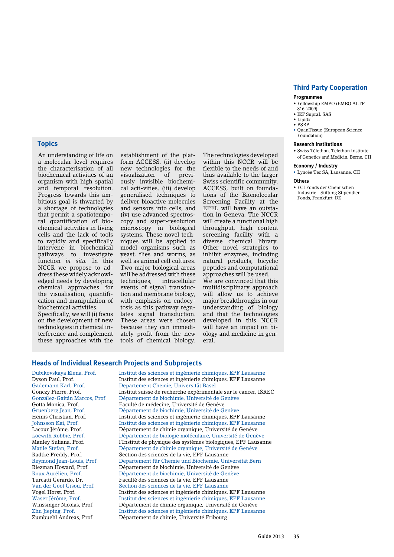# **Topics**

An understanding of life on a molecular level requires the characterisation of all biochemical activities of an organism with high spatial and temporal resolution. Progress towards this ambitious goal is thwarted by a shortage of technologies that permit a spatiotemporal quantification of biochemical activities in living cells and the lack of tools to rapidly and specifically intervene in biochemical pathways to investigate function *in situ.* In this NCCR we propose to address these widely acknowledged needs by developing chemical approaches for the visualisation, quantification and manipulation of biochemical activities.

Specifically, we will (i) focus on the development of new technologies in chemical interference and complement these approaches with the

establishment of the platform ACCESS, (ii) develop new technologies for the visualization of previously invisible biochemical acti-vities, (iii) develop generalised techniques to deliver bioactive molecules and sensors into cells, and (iv) use advanced spectroscopy and super-resolution microscopy in biological systems. These novel techniques will be applied to model organisms such as yeast, flies and worms, as well as animal cell cultures. Two major biological areas will be addressed with these techniques, intracellular events of signal transduction and membrane biology, with emphasis on endocytosis as this pathway regulates signal transduction. These areas were chosen because they can immediately profit from the new tools of chemical biology.

The technologies developed within this NCCR will be flexible to the needs of and thus available to the larger Swiss scientific community. ACCESS, built on foundations of the Biomolecular Screening Facility at the EPFL will have an outstation in Geneva. The NCCR will create a functional high throughput, high content screening facility with a diverse chemical library. Other novel strategies to inhibit enzymes, including natural products, bicyclic peptides and computational approaches will be used. We are convinced that this multidisciplinary approach

will allow us to achieve major breakthroughs in our understanding of biology and that the technologies developed in this NCCR will have an impact on biology and medicine in general.

### **Third Party Cooperation**

#### **Programmes**

- • Fellowship EMPO (EMBO ALTF 816-2009)
- $\bullet$  IEF SupraL SAS
- Lipidx
- • PSRP
- QuanTissue (European Science Foundation)

#### **Research Institutions**

• Swiss Téléthon, Telethon Institute of Genetics and Medicin, Berne, CH

#### **Economy / Industry**

• Lyncée Tec SA, Lausanne, CH

#### **Others**

• FCI Fonds der Chemischen Industrie - Stiftung Stipendien-Fonds, Frankfurt, DE

**Heads of Individual Research Projects and Subprojects**

Zumbuehl Andreas, Prof. Département de chimie, Université Fribourg

Dubikovskaya Elena, Prof. Institut des sciences et ingénierie chimiques, EPF Lausanne Institut des sciences et ingénierie chimiques, EPF Lausanne Gademann Karl, Prof. Departement Chemie, Universität Basel Gönczy Pierre, Prof.<br>
González-Gaitán Marcos Prof Département de biochimie Université de Genève Département de biochimie, Université de Genève Gotta Monica, Prof. Faculté de médecine, Université de Genève<br>Gruenberg Jean, Prof. Département de biochimie, Université de G Gruenberg Jean, Prof. Département de biochimie, Université de Genève Heinis Christian, Prof. Institut des sciences et ingénierie chimiques, EPF Lausanne<br>
Institut des sciences et ingénierie chimiques, EPF Lausanne Johnsson Kai, Prof. Institut des sciences et ingénierie chimiques, EPF Lausanne Département de chimie organique, Université de Genève Loewith Robbie, Prof. Département de biologie moléculaire, Université de Genève Manley Suliana, Prof. l'Institut de physique des systèmes biologiques, EPF Lausanne Matile Stefan, Prof. Département de chimie organique, Université de Genève Radtke Freddy, Prof. Section des sciences de la vie, EPF Lausanne Departement für Chemie und Biochemie, Universität Bern Riezman Howard, Prof. Département de biochimie, Université de Genève Département de biochimie, Université de Genève Turcatti Gerardo, Dr. Faculté des sciences de la vie, EPF Lausanne Van der Goot Gisou, Prof. Section des sciences de la vie, EPF Lausanne Vogel Horst, Prof. Institut des sciences et ingénierie chimiques, EPF Lausanne Waser Jérôme, Prof. Institut des sciences et ingénierie chimiques, EPF Lausanne<br>Winssinger Nicolas, Prof. Département de chimie organique, Université de Genève Winssinger Nicolas, Prof. Département de chimie organique, Université de Genève<br>Zhu Jieping, Prof. Institut des sciences et ingénierie chimiques, EPF Lausar Institut des sciences et ingénierie chimiques, EPF Lausanne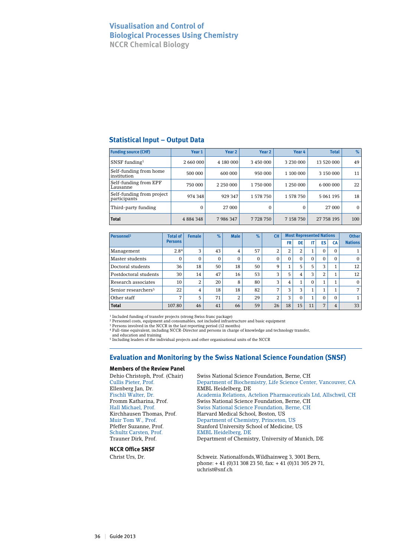# **Visualisation and Control of Biological Processes Using Chemistry NCCR Chemical Biology**

# **Statistical Input – Output Data**

| <b>Funding source (CHF)</b>               | Year 1        | Year 2        | Year <sub>2</sub> | Year 4    | <b>Total</b> | $\%$         |
|-------------------------------------------|---------------|---------------|-------------------|-----------|--------------|--------------|
| $SNSF$ funding <sup>1</sup>               | 2 660 000     | 4 180 000     | 3 450 000         | 3 230 000 | 13 520 000   | 49           |
| Self-funding from home<br>institution     | 500 000       | 600 000       | 950 000           | 1 100 000 | 3 150 000    | 11           |
| Self-funding from EPF<br>Lausanne         | 750 000       | 2 2 5 0 0 0 0 | 1750000           | 1 250 000 | 6 000 000    | 22           |
| Self-funding from project<br>participants | 974 348       | 929 347       | 1578750           | 1 578 750 | 5 061 195    | 18           |
| Third-party funding                       | 0             | 27 000        | 0                 | $\Omega$  | 27 000       | $\mathbf{0}$ |
| <b>Total</b>                              | 4 8 8 4 3 4 8 | 7986347       | 7728750           | 7 158 750 | 27 758 195   | 100          |

| Personnel <sup>2</sup>          | <b>Total of</b> | <b>Female</b> | $\%$         | <b>Male</b> | %        | CН       |          | <b>Most Represented Nations</b> | <b>Other</b> |          |          |                |
|---------------------------------|-----------------|---------------|--------------|-------------|----------|----------|----------|---------------------------------|--------------|----------|----------|----------------|
|                                 | <b>Persons</b>  |               |              |             |          |          | FR       | DE                              | IT           | ES       | CA       | <b>Nations</b> |
| Management                      | 2.84            | 3             | 43           | 4           | 57       | 2        | 2        | C<br>∠                          | 1            | $\Omega$ | $\Omega$ |                |
| Master students                 | $\Omega$        | $\Omega$      | $\mathbf{0}$ | 0           | $\Omega$ | $\Omega$ | $\Omega$ | $\Omega$                        | $\Omega$     | $\Omega$ | $\Omega$ | $\Omega$       |
| Doctoral students               | 36              | 18            | 50           | 18          | 50       | 9        |          | 5                               | 5            | 3        |          | 12             |
| Postdoctoral students           | 30              | 14            | 47           | 16          | 53       | 3        | 5        | 4                               | 3            | 2        |          | 12             |
| Research associates             | 10              | 2             | 20           | 8           | 80       | 3        | 4        | $\overline{ }$                  | $\Omega$     |          |          | $\Omega$       |
| Senior researchers <sup>5</sup> | 22              | 4             | 18           | 18          | 82       | 7        | 3        | 3                               | 1            |          |          | 7              |
| Other staff                     | $\overline{ }$  | 5             | 71           | 2           | 29       | 2        | 3        | $\Omega$                        | 1            | $\Omega$ | 0        |                |
| <b>Total</b>                    | 107.80          | 46            | 41           | 66          | 59       | 26       | 18       | 15                              | 11           | 7        | 4        | 33             |

1 Included funding of transfer projects (strong Swiss franc package) 2 Personnel costs, equipment and consumables, not included infrastructure and basic equipment

3 Persons involved in the NCCR in the last reporting period (12 months) 4 Full-time equivalent, including NCCR-Director and persons in charge of knowledge and technology transfer,

and education and training 5 Including leaders of the individual projects and other organisational units of the NCCR

# **Evaluation and Monitoring by the Swiss National Science Foundation (SNSF)**

#### **Members of the Review Panel**

Ellenberg Jan, Dr. EMBL Heidelberg, DE Schultz Carsten, Prof. EMBL Heidelberg, DE<br>
Trauner Dirk. Prof. Department of Chemis

**NCCR Office SNSF**

Dehio Christoph, Prof. (Chair) Swiss National Science Foundation, Berne, CH Cullis Pieter, Prof. Department of Biochemistry, Life Science Center, Vancouver, CA Fischli Walter, Dr. Academia Relations, Actelion Pharmaceuticals Ltd, Allschwil, CH Swiss National Science Foundation, Berne, CH Hall Michael, Prof. Swiss National Science Foundation, Berne, CH Kirchhausen Thomas, Prof. Harvard Medical School, Boston, US<br>Muir Tom W., Prof. Department of Chemistry, Princeton Department of Chemistry, Princeton, US Pfeffer Suzanne, Prof. Stanford University School of Medicine, US Department of Chemistry, University of Munich, DE

Christ Urs, Dr. Schweiz. Nationalfonds,Wildhainweg 3, 3001 Bern, phone: + 41 (0)31 308 23 50, fax: + 41 (0)31 305 29 71, uchrist@snf.ch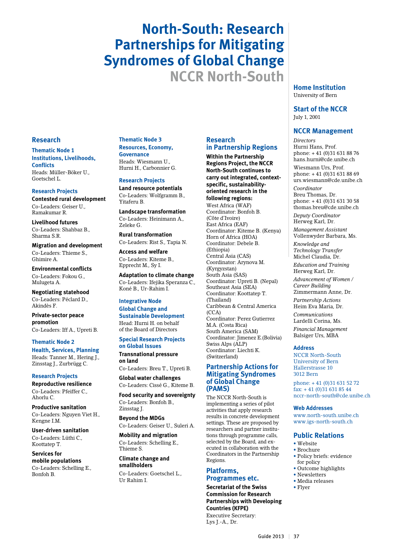# **North-South: Research Partnerships for Mitigating Syndromes of Global Change NCCR North-South**

#### **Research**

**Thematic Node 1 Institutions, Livelihoods, Conflicts** Heads: Müller-Böker U., Goetschel L.

#### **Research Projects**

**Contested rural development** Co-Leaders: Geiser U., Ramakumar R.

**Livelihood futures** Co-Leaders: Shahbaz B., Sharma S.R.

**Migration and development** Co-Leaders: Thieme S., Ghimire A.

**Environmental conflicts** Co-Leaders: Fokou G., Mulugeta A.

**Negotiating statehood** Co-Leaders: Péclard D., Akindès F.

**Private-sector peace promotion** Co-Leaders: Iff A., Upreti B.

**Thematic Node 2 Health, Services, Planning** Heads: Tanner M., Hering J., Zinsstag J., Zurbrügg C.

## **Research Projects**

**Reproductive resilience** Co-Leaders: Pfeiffer C., Ahorlu C.

**Productive sanitation** Co-Leaders: Nguyen Viet H., Kengne I.M.

**User-driven sanitation** Co-Leaders: Lüthi C., Koottatep T.

**Services for mobile populations** Co-Leaders: Schelling E., Bonfoh B.

**Thematic Node 3 Resources, Economy, Governance** Heads: Wiesmann U., Hurni H., Carbonnier G.

**Research Projects Land resource potentials** Co-Leaders: Wolfgramm B., Yitaferu B.

**Landscape transformation** Co-Leaders: Heinimann A., Zeleke G.

**Rural transformation** Co-Leaders: Rist S., Tapia N.

**Access and welfare** Co-Leaders: Kiteme B., Epprecht M., Sy I.

**Adaptation to climate change** Co-Leaders: Ifejika Speranza C., Koné B., Ur-Rahim I.

**Integrative Node Global Change and Sustainable Development** Head: Hurni H. on behalf of the Board of Directors

#### **Special Research Projects on Global Issues**

**Transnational pressure on land** Co-Leaders: Breu T., Upreti B.

**Global water challenges** Co-Leaders: Cissé G., Kiteme B.

**Food security and sovereignty** Co-Leaders: Bonfoh B., Zinsstag J.

**Beyond the MDGs** Co-Leaders: Geiser U., Suleri A.

**Mobility and migration** Co-Leaders: Schelling E., Thieme S.

**Climate change and smallholders** Co-Leaders: Goetschel L., Ur Rahim I.

# **Research in Partnership Regions**

**Within the Partnership Regions Project, the NCCR North-South continues to carry out integrated, contextspecific, sustainabilityoriented research in the following regions:** West Africa (WAF) Coordinator: Bonfoh B. (Côte d'Ivoire) East Africa (EAF) Coordinator: Kiteme B. (Kenya) Horn of Africa (HOA) Coordinator: Debele B. (Ethiopia) Central Asia (CAS) Coordinator: Arynova M. (Kyrgyzstan) South Asia (SAS) Coordinator: Upreti B. (Nepal) Southeast Asia (SEA) Coordinator: Koottatep T. (Thailand) Caribbean & Central America  $(CCA)$ Coordinator: Perez Gutierrez M.A. (Costa Rica) South America (SAM) Coordinator: Jimenez E.(Bolivia) Swiss Alps (ALP) Coordinator: Liechti K. (Switzerland)

## **Partnership Actions for Mitigating Syndromes of Global Change (PAMS)**

The NCCR North-South is implementing a series of pilot activities that apply research results in concrete development settings. These are proposed by researchers and partner institutions through programme calls, selected by the Board, and executed in collaboration with the Coordinators in the Partnership Regions.

# **Platforms, Programmes etc.**

**Secretariat of the Swiss Commission for Research Partnerships with Developing Countries (KFPE)** Executive Secretary: Lys J.-A., Dr.

**Home Institution** University of Bern

**Start of the NCCR** July 1, 2001

#### **NCCR Management**

*Directors* Hurni Hans, Prof. phone: + 41 (0)31 631 88 76 hans.hurni@cde.unibe.ch Wiesmann Urs, Prof. phone: + 41 (0)31 631 88 69 urs.wiesmann@cde.unibe.ch *Coordinator* Breu Thomas, Dr. phone: + 41 (0)31 631 30 58 thomas.breu@cde.unibe.ch *Deputy Coordinator* Herweg Karl, Dr. *Management Assistant* Vollenwyder Barbara, Ms. *Knowledge and Technology Transfer* Michel Claudia, Dr. *Education and Training*  Herweg Karl, Dr. *Advancement of Women / Career Building* Zimmermann Anne, Dr. *Partnership Actions* Heim Eva Maria, Dr. *Communications* Lardelli Corina, Ms. *Financial Management* Balsiger Urs, MBA

#### **Address**

NCCR North-South University of Bern Hallerstrasse 10 3012 Bern

phone: + 41 (0)31 631 52 72 fax: + 41 (0)31 631 85 44 nccr-north-south@cde.unibe.ch

#### **Web Addresses**

www.north-south.unibe.ch www.igs-north-south.ch

#### **Public Relations**

- • Website
- • Brochure
- • Policy briefs: evidence for policy
- Outcome highlights
- • Newsletters • Media releases
- Flyer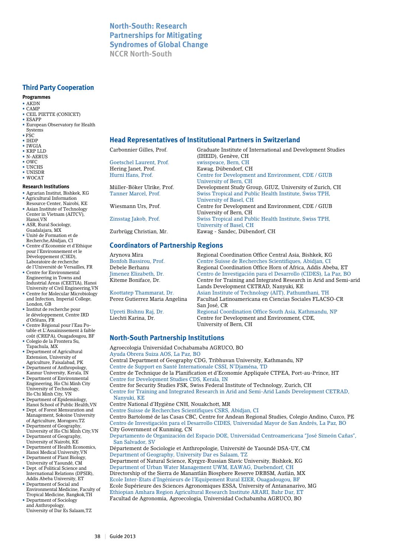# **North-South: Research Partnerships for Mitigating Syndromes of Global Change NCCR North-South**

# **Third Party Cooperation**

## **Programmes**

- AKDN
- CAMP • CEIL PIETTE (CONICET)
- ESAPP
- European Observatory for Health
- **Systems** • FSC
- IHDP
- IWGIA
- KRP LLD • N-AERUS
- OWC
- UNCHS
- UNISDR
- WOCAT

#### **Research Institutions**

- Agrarian Institut, Bishkek, KG • Agricultural Information
- Resource Center, Nairobi, KE
- Asian Institute of Technology Center in Vietnam (AITCV), Hanoi,VN
- ASR, Rural Sociology, Guadalajara, MX
- Unité de Formation et de Recherche,Abidjan, CI
- Centre d'Economie et d'Ethique pour l'Environnement et le Développement (C3ED), Laboratoire de recherche de l'Université de Versailles, FR
- Centre for Environmental Engineering in Towns and Industrial Areas (CEETIA), Hanoi University of Civil Engineering,VN
- Centre for Molecular Microbiology and Infection, Imperial College, London, GB
- Institut de recherche pour le développement, Centre IRD d'Orléans, FR
- Centre Régional pour l'Eau Potable et L'Assainissement à faible coût (CREPA), Ouagadougou, BF
- Colegio de la Frontera Su, Tapachula, MX
- Department of Agricultural Extension, University of Agriculture, Faisalabad, PK
- Department of Anthropology, Kannur University, Kerala, IN
- Department of Environmental Engineering, Ho Chi Minh City University of Technology, Ho Chi Minh City, VN
- Department of Epidemiology,
- Dept. of Forest Mensuration and Management, Sokoine University of Agriculture, Morogoro,TZ
- Department of Geography, University of Ho Chi Minh City,VN
- Department of Geography, University of Nairobi, KE
- Department of Health Economics, Hanoi Medical University,VN
- University of Yaoundé, CM
- International Relations (DPSIR), Addis Abeba University, ET
- Environmental Medicine, Faculty of Tropical Medicine, Bangkok,TH • Department of Sociology
- and Anthropology, University of Dar Es Salaam,TZ

#### **Head Representatives of Institutional Partners in Switzerland**

Goetschel Laurent, Prof. swisspeace, Bern, CH Hering Janet, Prof. Eawag, Dübendorf, CH

# **Coordinators of Partnership Regions**

- 
- Hanoi School of Public Health,VN
- 
- 
- 
- 
- Department of Plant Biology,
- Dept. of Political Science and
- Department of Social and
	-

Carbonnier Gilles, Prof. Graduate Institute of International and Development Studies (IHEID), Genève, CH Hurni Hans, Prof. Centre for Development and Environment, CDE / GIUB University of Bern, CH Müller-Böker Ulrike, Prof. Development Study Group, GIUZ, University of Zurich, CH<br>Tanner Marcel, Prof. Swiss Tropical and Public Health Institute, Swiss TPH. Swiss Tropical and Public Health Institute, Swiss TPH, University of Basel, CH Centre for Development and Environment, CDE / GIUB University of Bern, CH Zinsstag Jakob, Prof. Swiss Tropical and Public Health Institute, Swiss TPH, University of Basel, CH<br>
Zurbrügg Christian, Mr.<br>
Eawag - Sandec, Düben Eawag - Sandec, Dübendorf, CH

Arynova Mira Regional Coordination Office Central Asia, Bishkek, KG Bonfoh Bassirou, Prof. Centre Suisse de Recherches Scientifiques, Abidjan, CI<br>
Regional Coordination Office Horn of Africa. Addis Abe Regional Coordination Office Horn of Africa, Addis Abeba, ET Jimenez Elizabeth, Dr. Centro de Investigación para el Desarrollo (CIDES), La Paz, BO Centre for Training and Integrated Research in Arid and Semi-arid Lands Development CETRAD, Nanyuki, KE Koottatep Thammarat, Dr. Asian Institute of Technology (AIT), Pathumthani, TH<br>Perez Gutierrez Maria Angelina Facultad Latinoamericana en Ciencias Sociales FLACS Facultad Latinoamericana en Ciencias Sociales FLACSO-CR San José, CR Upreti Bishnu Raj, Dr. Regional Coordination Office South Asia, Kathmandu, NP<br>Liechti Karina, Dr. Centre for Development and Environment, CDE, Centre for Development and Environment, CDE, University of Bern, CH

# **North-South Partnership Institutions**

Agroecologia Universidad Cochabamaba AGRUCO, BO Ayuda Obrera Suiza AOS, La Paz, BO Central Department of Geography CDG, Tribhuvan University, Kathmandu, NP Centre de Support en Santé Internationale CSSI, N'Djaména, TD Centre de Technique de la Planification et d'Economie Appliquée CTPEA, Port-au-Prince, HT Centre for Development Studies CDS, Kerala, IN Centre for Security Studies FSK, Swiss Federal Institute of Technology, Zurich, CH Centre for Training and Integrated Research in Arid and Semi-Arid Lands Development CETRAD, Nanyuki, KE Centre National d'Hygiène CNH, Nouakchott, MR Centre Suisse de Recherches Scientifiques CSRS, Abidjan, CI Centro Bartolomé de las Casas CBC, Centre for Andean Regional Studies, Colegio Andino, Cuzco, PE Centro de Investigación para el Desarrollo CIDES, Universidad Mayor de San Andrés, La Paz, BO City Government of Kunming, CN Departamento de Organización del Espacio DOE, Universidad Centroamericana "José Simeón Cañas", San Salvador, SV Département de Sociologie et Anthropologie, Université de Yaoundé DSA-UY, CM Department of Geography, University Dar es Salaam, TZ Department of Natural Science, Kyrgyz-Russian Slavic University, Bishkek, KG Department of Urban Water Management UWM, EAWAG, Duebendorf, CH Directorship of the Sierra de Manantlán Biosphere Reserve DRBSM, Autlán, MX Ecole Inter-Etats d'Ingénieurs de l'Equipement Rural EIER, Ouagadougou, BF Ecole Supérieure des Sciences Agronomiques ESSA, University of Antananarivo, MG Ethiopian Amhara Region Agricultural Research Institute ARARI, Bahr Dar, ET Facultad de Agronomia, Agroecologia, Universidad Cochabamba AGRUCO, BO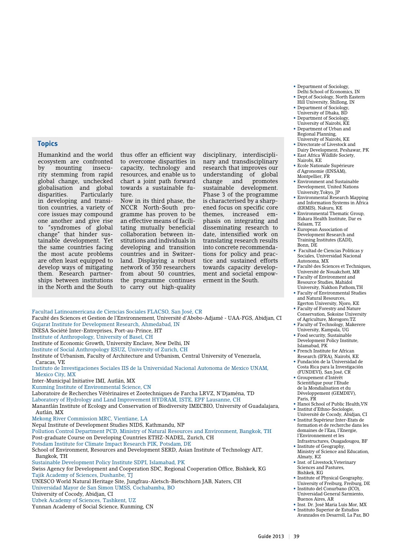**Topics**

Humankind and the world ecosystem are confronted by mounting insecurity stemming from rapid global change, unchecked globalisation and global disparities. Particularly in developing and transition countries, a variety of core issues may compound one another and give rise to "syndromes of global change" that hinder sustainable development. Yet the same countries facing the most acute problems are often least equipped to develop ways of mitigating them. Research partnerships between institutions in the North and the South

thus offer an efficient way to overcome disparities in capacity, technology and resources, and enable us to chart a joint path forward towards a sustainable future.

Now in its third phase, the NCCR North-South programme has proven to be an effective means of facilitating mutually beneficial collaboration between institutions and individuals in developing and transition countries and in Switzerland. Displaying a robust network of 350 researchers from about 50 countries, the programme continues to carry out high-quality

disciplinary, interdisciplinary and transdisciplinary research that improves our understanding<br>change and change and promotes sustainable development. Phase 3 of the programme is characterised by a sharpened focus on specific core themes, increased emphasis on integrating and disseminating research to date, intensified work on translating research results into concrete recommendations for policy and practice and sustained efforts towards capacity development and societal empowerment in the South.

• Department of Sociology, Delhi School of Economics, IN • Dept.of Sociology, North Eastern

- Hill University, Shillong, IN • Department of Sociology,
- University of Dhaka, BD • Department of Sociology, University of Nairobi, KE
- Department of Urban and Regional Planning,
- University of Nairobi, KE • Directorate of Livestock and
- Dairy Development, Peshawar, PK • East Africa Wildlife Society,
- Nairobi, KE • Ecole Nationale Supérieure d'Agronomie (ENSAM), Montpellier, FR
- Environment and Sustainable Development, United Nations University,Tokyo, JP
- Environmental Research Mapping and Information Systems in Africa (ERMIS), Nakuru, KE
- Environmental Thematic Group, Ifakara Health Institute, Dar es Salaam, TZ
- European Association of Development Research and Training Institutes (EADI), Bonn, DE
- Facultad de Ciencias Politicas y Sociales, Universidad Nacional Autonoma, MX
- Faculté des Sciences et Techniques, Université de Nouakchott, MR
- Faculty of Environment and Resource Studies, Mahidol University, Nakhon Pathom,TH
- Faculty of Environmental Studies and Natural Resources, Egerton University, Njoro, KE
- Faculty of Forestry and Nature Conservation, Sokoine University of Agriculture, Morogoro,TZ
- Faculty of Technology, Makerere
- University, Kampala, UG
- Food security, Sustainable Development Policy Institute, Islamabad, PK
- French Institute for African Research (IFRA), Nairobi, KE
- Fundación de la Universidad de Costa Rica para la Investigación (FUNDEVI), San José, CR
- Groupement d'Intérêt Scientifique pour l'Etude de la Mondialisation et du Développement (GEMDEV), Paris, FR
- Hanoi School of Public Health,VN • Institut d'Ethno-Sociologie, Université de Cocody, Abidjan, CI
- Institut Supérieur Inter-Etats de formation et de recherche dans les domaines de l'Eau, l'Energie, l'Environnement et les
- Infrastructures, Ouagadougou, BF • Institute of Geography, Ministry of Science and Education,
- Almaty, KZ • Inst. of Livestock,Veterinary
- Sciences and Pastures, Bishkek, KG
- Institute of Physical Geography, University of Freiburg, Freiburg, DE
- Instituto del Conurbano (ICO), Universidad General Sarmiento, Buenos Aires, AR
- Inst. Dr. José Maria Luis Mor, MX • Instituto Superior de Estudios
- Avanzados en Desarroll, La Paz, BO

Faculté des Sciences et Gestion de l'Environnement, Université d'Abobo-Adjamé - UAA-FGS, Abidjan, CI Gujarat Institute for Development Research, Ahmedabad, IN INESA Société Inter-Entreprises, Port-au-Prince, HT

Facultad Latinoamericana de Ciencias Sociales FLACSO, San José, CR

- Institute of Anthropology, University of Basel, CH
- Institute of Economic Growth, University Enclave, New Delhi, IN
- Institute of Social Anthropology ESUZ, University of Zurich, CH

Institute of Urbanism, Faculty of Architecture and Urbanism, Central University of Venezuela, Caracas, VE

- Instituto de Investigaciones Sociales IIS de la Universidad Nacional Autonoma de Mexico UNAM, Mexico City, MX
- Inter-Municipal Initiative IMI, Autlán, MX
- Kunming Institute of Environmental Science, CN

Laboratoire de Recherches Vétérinaires et Zootechniques de Farcha LRVZ, N'Djaména, TD

- Laboratory of Hydrology and Land Improvement HYDRAM, ISTE, EPF Lausanne, CH
- Manantlán Institute of Ecology and Conservation of Biodiversity IMECBIO, University of Guadalajara, Autlán, MX
- Mekong River Commission MRC, Vientiane, LA

Nepal Institute of Development Studies NIDS, Kathmandu, NP

Pollution Control Department PCD, Ministry of Natural Resources and Environment, Bangkok, TH Post-graduate Course on Developing Countries ETHZ-NADEL, Zurich, CH

Potsdam Institute for Climate Impact Research PIK, Potsdam, DE

School of Environment, Resources and Development SERD, Asian Institute of Technology AIT, Bangkok, TH

Sustainable Development Policy Institute SDPI, Islamabad, PK

Swiss Agency for Development and Cooperation SDC, Regional Cooperation Office, Bishkek, KG Tajik Academy of Sciences, Dushanbe, TJ

UNESCO World Natural Heritage Site, Jungfrau-Aletsch-Bietschhorn JAB, Naters, CH

- Universidad Mayor de San Simon UMSS, Cochabamba, BO
- University of Cocody, Abidjan, CI

Uzbek Academy of Sciences, Tashkent, UZ

Yunnan Academy of Social Science, Kunming, CN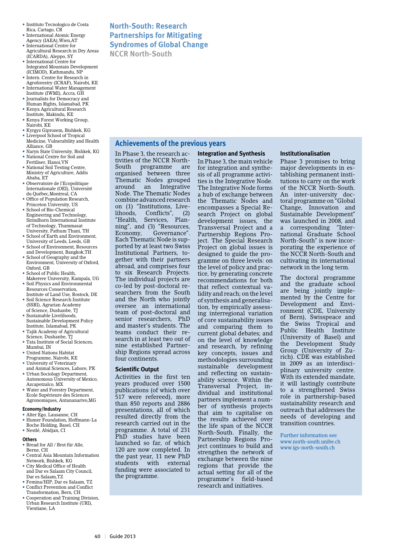- Instituto Tecnologico de Costa Rica, Cartago, CR
- International Atomic Energy Agency (IAEA),Wien,AT
- International Centre for Agricultural Research in Dry Areas
- (ICARDA), Aleppo, SY • International Centre for Integrated Mountain Development
- (ICIMOD), Kathmandu, NP • Intern. Centre for Research in
- Agroforestry (ICRAF), Nairobi, KE • International Water Management
- Institute (IWMI), Accra, GH • Journalists for Democracy and
- Human Rights, Islamabad, PK • Kenya Agricultural Research
- Institute, Makindu, KE • Kenya Forest Working Group,
- Nairobi, KE
- Kyrgyz Giprozem, Bishkek, KG • Liverpool School of Tropical
- Medicine, Vulnerability and Health Alliance, GB
- Naryn State University, Bishkek, KG • National Centre for Soil and
- Fertiliser, Hanoi,VN • National Soil Testing Centre, Ministry of Agriculture, Addis Ababa, ET
- Observatoire de l'Ecopolitique Internationale (OEI), Université du Québec,Montreal, CA
- Office of Population Research, Princeton University, US
- School of Bio-Chemical Engineering and Technology, Sirindhorn International Institute of Technology, Thammasat University, Pathum Thani, TH
- School of Earth and Environment, University of Leeds, Leeds, GB
- School of Environment, Resources and Development, Bangkok,TH
- School of Geography and the Environment, University of Oxford, Oxford, GB
- School of Public Health. Makerere University, Kampala, UG
- Soil Physics and Environmental Resources Conservation, Institute of Land Use, Rostock, DE
- Soil Science Research Institute (SSRI), Agrarian Academy of Science, Dushanbe, TJ
- Sustainable Livelihoods, Sustainable Development Policy Institute, Islamabad, PK
- Tajik Academy of Agricultural Science, Dushanbe, TI
- Tata Institute of Social Sciences, Mumbai, IN
- United Nations Habitat Programme, Nairobi, KE
- University of Veterinary and Animal Sciences, Lahore, PK
- Urban Sociology Department, Autonomous University of Mexico, Azcapotzalco, MX
- Water and Forestry Department, Ecole Supérieure des Sciences Agronomiques, Antananarivo,MG

## **Economy/Industry**

- Alter Ego, Lausanne, CH • Humer Foundation, Hoffmann-La
- Roche Holding, Basel, CH • Nestlé, Abidjan, CI

#### **Others**

- Bread for All / Brot für Alle, Berne, CH
- Central Asia Mountain Information Network, Bishkek, KG
- City Medical Office of Health and Dar es Salaam City Council, Dar es Salaam, TZ
- Femina/HIP, Dar es Salaam, TZ • Conflict Prevention and Conflict Transformation, Bern, CH
- Cooperation and Training Division,
- Urban Research Institute (URI), Vientiane, LA

# **North-South: Research Partnerships for Mitigating Syndromes of Global Change**

**NCCR North-South**

# **Achievements of the previous years**

In Phase 3, the research activities of the NCCR North-South programme are organised between three Thematic Nodes grouped around an Integrative Node. The Thematic Nodes combine advanced research on (1) "Institutions, Live-<br>lihoods, Conflicts", (2) lihoods, Conflicts", (2) "Health, Services, Planning", and (3) "Resources, Economy, Governance". Each Thematic Node is supported by at least two Swiss Institutional Partners, together with their partners abroad, and comprises four to six Research Projects. The individual projects are co-led by post-doctoral researchers from the South and the North who jointly oversee an international team of post-doctoral and senior researchers, PhD and master's students. The teams conduct their research in at least two out of nine established Partnership Regions spread across four continents.

# **Scientific Output**

Activities in the first ten years produced over 1500 publications (of which over 517 were refereed), more than 850 reports and 2886 presentations, all of which resulted directly from the research carried out in the programme. A total of 231 PhD studies have been launched so far, of which 120 are now completed. In the past year, 11 new PhD students with external funding were associated to the programme.

# **Integration and Synthesis**

In Phase 3, the main vehicle for integration and synthesis of all programme activities is the Integrative Node. The Integrative Node forms a hub of exchange between the Thematic Nodes and encompasses a Special Research Project on global development issues, the Transversal Project and a Partnership Regions Project. The Special Research Project on global issues is designed to guide the programme on three levels: on the level of policy and practice, by generating concrete recommendations for both that reflect contextual validity and reach; on the level of synthesis and generalisation, by empirically assessing interregional variation of core sustainability issues and comparing them to current global debates; and on the level of knowledge and research, by refining key concepts, issues and methodologies surrounding sustainable development and reflecting on sustainability science. Within the Transversal Project, individual and institutional partners implement a number of synthesis projects that aim to capitalise on the results achieved over the life span of the NCCR North-South. Finally, the Partnership Regions Project continues to build and strengthen the network of exchange between the nine regions that provide the actual setting for all of the programme's field-based research and initiatives.

#### **Institutionalisation**

Phase 3 promises to bring major developments in establishing permanent institutions to carry on the work of the NCCR North-South. An inter-university doctoral programme on "Global Change, Innovation and Sustainable Development" was launched in 2008, and a corresponding "International Graduate School North-South" is now incorporating the experience of the NCCR North-South and cultivating its international network in the long term.

The doctoral programme and the graduate school are being jointly implemented by the Centre for Development and Environment (CDE, University of Bern), Swisspeace and the Swiss Tropical and Public Health Institute (University of Basel) and the Development Study Group (University of Zurich). CDE was established in 2009 as an interdisciplinary university centre. With its extended mandate, it will lastingly contribute to a strengthened Swiss role in partnership-based sustainability research and outreach that addresses the needs of developing and transition countries.

Further information see www.north-south.unibe.ch www.jgs-north-south.ch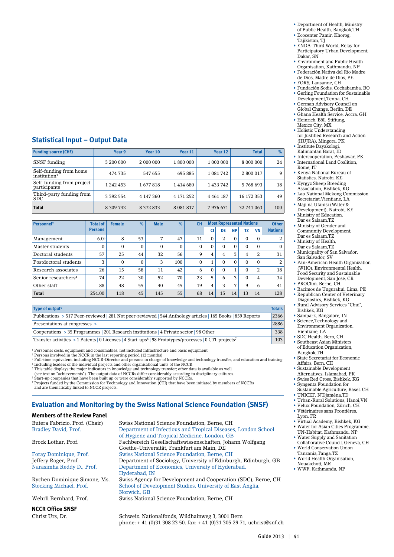# **Statistical Input – Output Data**

| <b>Funding source (CHF)</b>                        | Year 9        | Year 10       | Year 11       | Year 12       | <b>Total</b> | $\%$ |
|----------------------------------------------------|---------------|---------------|---------------|---------------|--------------|------|
| <b>SNSF</b> funding                                | 3 200 000     | 2 000 000     | 1 800 000     | 1 000 000     | 8 000 000    | 24   |
| Self-funding from home<br>institution <sup>1</sup> | 474 735       | 547 655       | 695 885       | 1081742       | 2 800 017    | 9    |
| Self-funding from project<br>participants          | 1 242 453     | 1677818       | 1414 680      | 1433742       | 5768693      | 18   |
| Third-party funding from<br> SDC                   | 3 3 9 2 5 5 4 | 4 147 360     | 4 171 252     | 4 4 6 1 1 8 7 | 16 172 353   | 49   |
| <b>Total</b>                                       | 8 309 742     | 8 3 7 2 8 3 3 | 8 0 8 1 8 1 7 | 7976671       | 32 741 063   | 100  |

| Personnel <sup>2</sup>          | <b>Total of</b>  | <b>Female</b> | $\%$         | <b>Male</b>  | $\%$ | <b>CH</b> |          | <b>Most Represented Nations</b> |              |          |          | <b>Other</b>   |
|---------------------------------|------------------|---------------|--------------|--------------|------|-----------|----------|---------------------------------|--------------|----------|----------|----------------|
|                                 | <b>Persons</b>   |               |              |              |      |           | CI       | DE                              | <b>NP</b>    | TZ       | VN       | <b>Nations</b> |
| Management                      | 6.0 <sup>3</sup> | 8             | 53           | 7            | 47   | 11        | $\Omega$ | 2                               | $\Omega$     | $\Omega$ | $\Omega$ | 2              |
| Master students                 | 0                | $\Omega$      | $\mathbf{0}$ | $\mathbf{0}$ | 0    | $\Omega$  | $\Omega$ | $\Omega$                        | $\Omega$     | $\Omega$ | $\Omega$ | $\Omega$       |
| Doctoral students               | 57               | 25            | 44           | 32           | 56   | 9         | 4        | 4                               | 3            | 4        | 2        | 31             |
| Postdoctoral students           | 3                | $\mathbf{0}$  | $\mathbf{0}$ | 3            | 100  | $\Omega$  | 1        | $\Omega$                        | $\Omega$     | $\Omega$ | $\Omega$ | 2              |
| Research associates             | 26               | 15            | 58           | 11           | 42   | 6         | $\Omega$ | $\Omega$                        | $\mathbf{1}$ | $\Omega$ | 2        | 18             |
| Senior researchers <sup>4</sup> | 74               | 22            | 30           | 52           | 70   | 23        | 5        | 6                               | 3            | $\Omega$ | 4        | 34             |
| Other staff                     | 88               | 48            | 55           | 40           | 45   | 19        | 4        | 3                               | 7            | 9        | 6        | 41             |
| <b>Total</b>                    | 254.00           | 118           | 45           | 145          | 55   | 68        | 14       | 15                              | 14           | 13       | 14       | 128            |

| Type of output <sup>5</sup>                                                                                                     | <b>Totals</b> |
|---------------------------------------------------------------------------------------------------------------------------------|---------------|
| Publications > 517 Peer-reviewed 281 Not peer-reviewed 544 Anthology articles 165 Books 859 Reports                             | 2366          |
| Presentations at congresses >                                                                                                   | 2886          |
| Cooperations > 35 Programmes 201 Research institutions 4 Private sector 98 Other                                                | 338           |
| Transfer activities > 1 Patents   0 Licenses   4 Start-ups <sup>6</sup>   98 Prototypes/processes   0 CTI-projects <sup>7</sup> | 103           |

1 Personnel costs, equipment and consumables, not included infrastructure and basic equipment

<sup>2</sup> Persons involved in the NCCR in the last reporting period (12 months)<br><sup>3</sup> Full-time equivalent, including NCCR-Director and persons in charge of knowledge and technology transfer, and education and training

<sup>4</sup> Including leaders of the individual projects and other organisational units of the NCCR<br><sup>5</sup> This table displays the major indicators in knowledge and technology transfer; other data is available as well<br>(see text on "a

6 Start-up companies that have been built up or were considerably supported by NCCRs. 7 Projects funded by the Commission for Technology and Innovation (CTI) that have been initiated by members of NCCRs

# **Evaluation and Monitoring by the Swiss National Science Foundation (SNSF)**

## **Members of the Review Panel**

| Butera Fabrizio, Prof. (Chair) | Swiss National Science Foundation, Berne, CH                    |
|--------------------------------|-----------------------------------------------------------------|
| Bradley David, Prof.           | Department of Infectious and Tropical Diseases, London School   |
|                                | of Hygiene and Tropical Medicine, London, GB                    |
| Brock Lothar, Prof.            | Fachbereich Gesellschaftswissenschaften, Johann Wolfgang        |
|                                | Goethe-Universität. Frankfurt am Main. DE                       |
| Foray Dominique, Prof.         | Swiss National Science Foundation, Berne, CH                    |
| Jeffery Roger, Prof.           | Department of Sociology, University of Edinburgh, Edinburgh, GB |
| Narasimha Reddy D., Prof.      | Department of Economics, University of Hyderabad,               |
|                                | Hyderabad, IN                                                   |
| Rychen Dominique Simone, Ms.   | Swiss Agency for Development and Cooperation (SDC), Berne, CH   |
| Stocking Michael, Prof.        | School of Development Studies, University of East Anglia,       |
|                                | Norwich, GB                                                     |
| Wehrli Bernhard, Prof.         | Swiss National Science Foundation, Berne, CH                    |
| <b>NCCR Office SNSF</b>        |                                                                 |
| Christ Urs. Dr.                | Schweiz. Nationalfonds, Wildhainweg 3, 3001 Bern                |

• Department of Health, Ministry

- of Public Health, Bangkok,TH • Ecocenter Pamir, Khorog,
- Tajikistan, TJ • ENDA-Third World, Relay for
- Participatory Urban Development, Dakar<sup>5</sup>SN • Environment and Public Health
- Organisation, Kathmandu, NP • Federación Nativa del Río Madre
- de Dios, Madre de Dios, PE • FORS, Lausanne, CH
- Fundación Sodis, Cochabamba, BO • Gerling Foundation for Sustainable
- Development,Tenna, CH • German Advisory Council on
- Global Change, Berlin, DE
- Ghana Health Service, Accra, GH • Heinrich-Böll-Stiftung,

Mexico City, MX • Holistic Understanding for Justified Research and Action

- (HUJRA), Mingora, PK • Institute Dayakologi,
- Kalimantan Barat, ID
- Intercooperation, Peshawar, PK • International Land Coalition,
- Rome, IT • Kenya National Bureau of
- Statistics, Nairobi, KE • Kyrgyz Sheep Breeding
- Association, Bishkek, KG • Lao National Mekong Commission Secretariat,Vientiane, LA
- Maji na Ufanisi (Water &
- Development), Nairobi, KE • Ministry of Education,
- Dar es Salaam,TZ • Ministry of Gender and
- Community Development, Dar es Salaam,TZ
- Ministry of Health,
- Dar es Salaam,TZ • Municipality of San Salvador, San Salvador, SV
- Pan-American Health Organization (WHO), Environmental Health, Food Security and Sustainable Development, San José, CR
- PROClim, Berne, CH
- Racimos de Ungurahui, Lima, PE • Republican Center of Veterinary
- Diagnostics, Bishkek, KG • Rural Advisory Services "Chui", Bishkek, KG
- Sampark, Bangalore, IN • Science,Technology and Environment Organization, Vientiane, LA
- SDC Health, Bern, CH • Southeast Asian Ministers of Education Organization,
- Bangkok,TH • State Secretariat for Economic
- Affairs, Bern, CH • Sustainable Development
- Alternatives, Islamabad, PK • Swiss Red Cross, Bishkek, KG
- Syngenta Foundation for Sustainable Agriculture, Basel, CH • UNICEF, N'Djaména,TD
- Urban-Rural Solutions, Hanoi,VN
- Velux Foundation, Zürich, CH
- Vétérinaires sans Frontières, Lyon, FR
- Virtual Academy, Bishkek, KG • Water for Asian Cities Programme,
- UN-Habitat, Kathmandu, NP • Water Supply and Sanitation
- Collaborative Council, Geneva, CH • World Conservation Union
- Tanzania,Tanga,TZ • World Health Organisation,
- Nouakchott, MR
- WWF, Kathmandu, NP

phone: + 41 (0)31 308 23 50, fax: + 41 (0)31 305 29 71, uchrist@snf.ch

and are thematically linked to NCCR projects.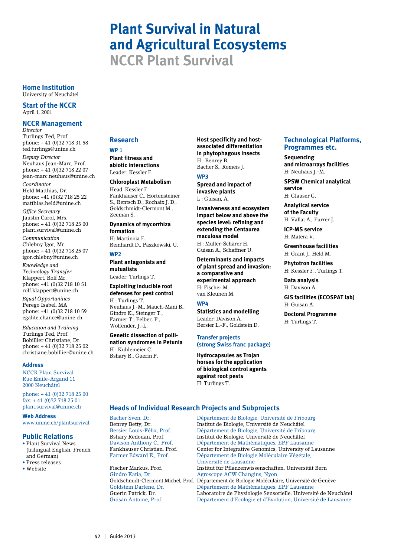# **Plant Survival in Natural and Agricultural Ecosystems**

**NCCR Plant Survival**

**Home Institution** University of Neuchâtel

**Start of the NCCR** April 1, 2001

# **NCCR Management**

*Director* Turlings Ted, Prof. phone: + 41 (0)32 718 31 58 ted.turlings@unine.ch

*Deputy Director* Neuhaus Jean-Marc, Prof. phone: + 41 (0)32 718 22 07 jean-marc.neuhaus@unine.ch

*Coordinator* Held Matthias, Dr. phone: +41 (0)32 718 25 22 matthias.held@unine.ch

*Office Secretary* Jauslin Carol, Mrs. phone: + 41 (0)32 718 25 00 plant.survival@unine.ch

*Communication*  Chlebny Igor, Mr. phone: + 41 (0)32 718 25 07 igor.chlebny@unine.ch

*Knowledge and Technology Transfer* Klappert, Rolf Mr. phone: +41 (0)32 718 10 51

rolf.klappert@unine.ch *Equal Opportunities* Perego Isabel, MA phone: +41 (0)32 718 10 59 egalite.chance@unine.ch

*Education and Training* Turlings Ted, Prof. Bobillier Christiane, Dr. phone: + 41 (0)32 718 25 02 christiane.bobillier@unine.ch

#### **Address**

NCCR Plant Survival Rue Emile-Argand 11 2000 Neuchâtel

phone: + 41 (0)32 718 25 00 fax: + 41 (0)32 718 25 01 plant.survival@unine.ch

**Web Address**

www.unine.ch/plantsurvival

## **Public Relations**

- • Plant Survival News (trilingual English, French and German) • Press releases
- • Website

#### **Research**

#### **WP 1**

**Plant fitness and abiotic interactions** Leader: Kessler F.

**Chloroplast Metabolism** Head: Kessler F. Fankhauser C., Hörtensteiner S., Rentsch D., Rochaix J. D., Goldschmidt-Clermont M., Zeeman S.

#### **Dynamics of mycorrhiza formation**

H: Martinoia E. Reinhardt D., Paszkowski, U.

#### **WP2**

**Plant antagonists and mutualists**

Leader: Turlings T.

#### **Exploiting inducible root defenses for pest control** H : Turlings T.

Neuhaus J.-M., Mauch-Mani B., Gindro K., Steinger T., Farmer T., Felber, F., Wolfender, J.-L.

**Genetic dissection of pollination syndromes in Petunia** H : Kuhlemeier C. Bshary R., Guerin P.

#### **Host specificity and hostassociated differentiation in phytophagous insects** H : Benrey B. Bacher S., Romeis J.

**WP3** 

**Spread and impact of invasive plants** L : Guisan, A.

**Invasiveness and ecosystem impact below and above the species level: refining and extending the Centaurea maculosa model** H : Müller-Schärer H. Guisan A., Schaffner U.

**Determinants and impacts of plant spread and invasion: a comparative and experimental approach** H: Fischer M. van Kleunen M.

#### **WP4**

**Statistics and modelling** Leader: Davison A. Bersier L.-F., Goldstein D.

#### **Transfer projects (strong Swiss franc package)**

**Hydrocapsules as Trojan horses for the application of biological control agents against root pests** H: Turlings T.

## **Technological Platforms, Programmes etc.**

**Sequencing and microarrays facilities** H: Neuhaus J.-M.

**SPSW Chemical analytical service** H: Glauser G.

**Analytical service of the Faculty** H: Vallat A., Furrer J.

**ICP-MS service** H: Matera V.

**Greenhouse facilities** H: Grant L. Held M.

**Phytotron facilities** H: Kessler F., Turlings T.

**Data analysis** H: Davison A.

**GIS facilities (ECOSPAT lab)** H: Guisan A.

**Doctoral Programme** H: Turlings T.

# **Heads of Individual Research Projects and Subprojects**

Bacher Sven, Dr. Département de Biologie, Université de Fribourg<br>Benrev Betty. Dr. Missilian de Biologie, Université de Neuchâtel Benrey Betty, Dr. Institut de Biologie, Université de Neuchâtel<br>Bersier Louis-Félix, Prof. Département de Biologie, Université de Fribe Département de Biologie, Université de Fribourg Bshary Redouan, Prof. Institut de Biologie, Université de Neuchâtel<br>Département de Mathématiques, EPF Lausar Davison Anthony C., Prof. Département de Mathématiques, EPF Lausanne<br>Fankhauser Christian, Prof. Center for Integrative Genomics, University of L Fankhauser Christian, Prof. Center for Integrative Genomics, University of Lausanne<br>Farmer Edward E., Prof. Département de Biologie Moléculaire Végétale. Département de Biologie Moléculaire Végétale, Université de Lausanne Fischer Markus, Prof. Institut für Pflanzenwissenschaften, Universität Bern<br>Gindro Katia Dr. – Agenscope ACW Changins, Nyon Agroscope ACW Changins, Nyon Goldschmidt-Clermont Michel, Prof. Département de Biologie Moléculaire, Université de Genève Département de Mathématiques, EPF Lausanne Guerin Patrick, Dr. Laboratoire de Physiologie Sensorielle, Université de Neuchâtel Guisan Antoine, Prof. Departement d'Ecologie et d'Evolution, Université de Lausanne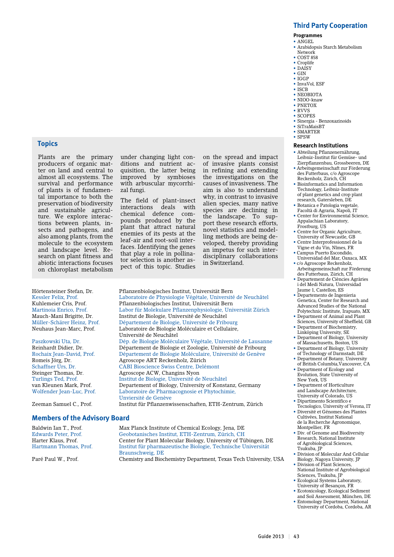#### **Third Party Cooperation**

**Programmes**

- ANGEL • Arabidopsis Starch Metabolism
- Network
- COST 858
- Croplife
- DAISY
- GIN
- IGGP
- InvaVol, ESF • ISCB
- NEOBIOTA
- NIOO-knaw
- PNETOX
- RVVS • SCOPES
- Sinergia Benzoxazinoids
- SiTraMaisBT
- SMARTER
- SPSW

#### **Research Institutions**

- Abteilung Pflanzenernährung, Leibniz-Institut für Gemüse- und Zierpflanzenbau, Grossbeeren, DE
- Arbeitsgemeinschaft zur Förderung des Futterbaus, c/o Agroscope
- Reckenholz, Zürich, CH • Bioinformatics and Information Technology, Leibniz-Institute of plant genetics and crop plant research, Gatersleben, DE
- Botanica e Patologia vegetale, Facoltà di Agraria, Napoli, IT
- Center for Environmental Science, Appalachian Laboratory, Frostburg, US
- Centre for Organic Agriculture, University of Newcastle, GB
- Centre Interprofessionnel de la
- Vigne et du Vin, Nîmes, FR • Campus Puerto Escondido,
- Universidad del Mar, Oaxaca, MX • c/o Agroscope Reckenholz, Arbeitsgemeinschaft zur Förderung
- des Futterbaus, Zürich, CH • Departement de Ciències Agràries
- i del Medi Natura, Universidad Jaume 1, Castellon, ES
- Departemento de Ingenieria Genetica, Center for Research and Advanced Studies of the National Polytechnic Institute, Irapuato, MX • Department of Animal and Plant
- Sciences, University of Sheffield, GB • Department of Biochemistry,
- Linköping University, SE
- Department of Biology, University of Massachusetts, Boston, US • Department of Biology, University
- of Technology of Darmstadt, DE • Department of Botany, University
- of British Columbia,Vancouver, CA • Department of Ecology and
- Evolution, State University of New York, US
- Department of Horticulture and Landscape Architecture, University of Colorado, US • Dipartimento Scientifico e
- Tecnologico, University of Verona, IT • Diversité et Génomes des Plantes
- Cultivées, Institut National de la Recherche Agronomique, Montpellier, FR
- Div. of Genome and Biodiversity Research, National Institute of Agrobiological Sciences, Tsukuba, JP
- Division of Molecular And Cellular Biology, Nagoya University, JP
- Division of Plant Sciences, National Institute of Agrobiological Sciences, Tsukuba, JP
- Ecological Systems Laboratory, University of Besançon, FR
- Ecotoxicology, Ecological Sediment and Soil Assessment, München, DE
- Entomology Department, National University of Cordoba, Cordoba, AR

# **Topics**

Plants are the primary producers of organic matter on land and central to almost all ecosystems. The survival and performance of plants is of fundamental importance to both the preservation of biodiversity and sustainable agriculture. We explore interactions between plants, insects and pathogens, and also among plants, from the molecule to the ecosystem and landscape level. Research on plant fitness and abiotic interactions focuses on chloroplast metabolism

under changing light conditions and nutrient acquisition, the latter being improved by symbioses with arbuscular mycorrhizal fungi.

The field of plant-insect interactions deals with chemical defence compounds produced by the plant that attract natural enemies of its pests at the leaf-air and root-soil interfaces. Identifying the genes that play a role in pollinator selection is another aspect of this topic. Studies

of invasive plants consist in refining and extending the investigations on the causes of invasiveness. The aim is also to understand why, in contrast to invasive alien species, many native species are declining in the landscape. To support these research efforts, novel statistics and modelling methods are being developed, thereby providing an impetus for such interdisciplinary collaborations in Switzerland.

on the spread and impact

Hörtensteiner Stefan, Dr. Pflanzenbiologisches Institut, Universität Bern Kessler Felix, Prof. (Laboratoire de Physiologie Végétale, Université de Neuchâtel Kuhlemeier Cris. Prof. (Physiologisches Institut. Universität Bern Kuhlemeier Cris, Prof. Pflanzenbiologisches Institut, Universität Bern Martinoia Enrico, Prof. Labor für Molekulare Pflanzenphysiologie, Universität Zürich Mauch-Mani Brigitte, Dr. Institut de Biologie, Université de Neuchâtel Müller-Schärer Heinz, Prof. Département de Biologie, Université de Fribourg<br>Neuhaus Jean-Marc, Prof. Laboratoire de Biologie Moléculaire et Cellulaire, Laboratoire de Biologie Moléculaire et Cellulaire, Université de Neuchâtel Paszkowski Uta, Dr. Dép. de Biologie Moléculaire Végétale, Université de Lausanne Reinhardt Didier, Dr. Département de Biologie et Zoologie, Université de Fribourg Rochaix Jean-David, Prof. Département de Biologie Moléculaire, Université de Genève<br>Romeis Jörg, Dr. Agroscope ART Reckenholz, Zürich Romeis Jörg, Dr. Agroscope ART Reckenholz, Zürich Schaffner Urs, Dr. CABI Bioscience Swiss Centre, Delémont<br>Steinger Thomas, Dr. Agroscope ACW, Changins Nyon Steinger Thomas, Dr. Agroscope ACW, Changins Nyon Turlings Ted. Prof. Institut de Biologie, Université de Turlings Ted, Prof. Institut de Biologie, Université de Neuchâtel Departement of Biology, University of Konstanz, Germany Wolfender Jean-Luc, Prof. Laboratoire de Pharmacognosie et Phytochimie, Unviersité de Genève<br>
Zeeman Samuel C., Prof. Institut für Pflanzenw

Institut für Pflanzenwissenschaften, ETH-Zentrum, Zürich

#### **Members of the Advisory Board**

Baldwin Ian T., Prof. Max Planck Institute of Chemical Ecology, Jena, DE Edwards Peter, Prof. Geobotanisches Institut, ETH-Zentrum, Zürich, CH Harter Klaus, Prof. Center for Plant Molecular Biology, University of Tübingen, DE Hartmann Thomas, Prof. Institut für pharmazeutische Biologie, Technische Universität Braunschweig, DE<br>Paré Paul W., Prof. 6 (Chemistry and Biochemistry) Chemistry and Biochemistry Department, Texas Tech University, USA

Guide 2013 | 43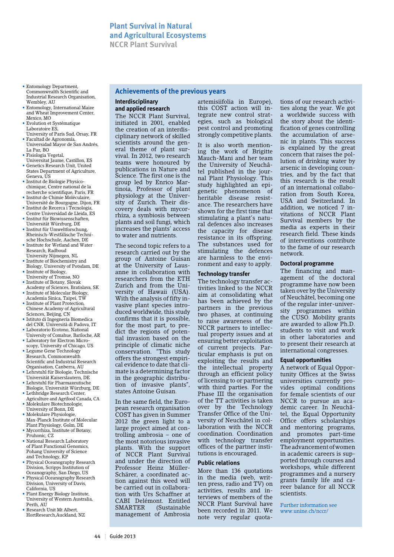- Entomology Department, Commonwealth Scientific and Industrial Research Organisation, Wembley, AU
- Entomology, International Maize and Wheat Improvement Center, Mexico, MO
- Evolution et Systématique Laboratoire ES,
- University of Paris Sud, Orsay, FR • Facultad de Agronomía,
- Universidad Mayor de San Andrés, La Paz, BO
- Fisiologia Vegetal,
- Universitat Jaume, Castillon, ES • Genetics Research Unit, United States Department of Agriculture, Geneva, US
- Institut de Biologie Physicochimique, Centre national de la recherche scientifique, Paris, FR
- Institut de Chimie Moléculaire, Université de Bourgogne, Dijon, FR
- Institut de Recerca i Tecnologia,
- Centre Universidad de Lleida, ES • Institut für Biowissenschaften,
- Universität Würzburg, DE • Institut für Umweltforschung, Rheinisch-Westfälische Technische Hochschule, Aachen, DE
- Institute for Wetland and Water Research, Radboud University Nijmegen, NL
- Institute of Biochemistry and Biology, University of Potsdam, DE
- Institute of Biology, University of Tromsø, NO
- Institute of Botany, Slovak Academy of Sciences, Bratislava, SK
- Institute of Molecular Biology, Academia Sinica, Taipei, TW
- Institute of Plant Protection Chinese Academy of Agricultural Sciences, Beijing, CN
- Istituto di Ingegneria Biomedica del CNR, Università di Padova, IT • Laboratorio Ecotono, National
- University of Comahue, Bariloche, AR • Laboratory for Electron Micro-
- scopy, University of Chicago, US • Legume Gene Technology Research, Commonwealth Scientific and Industrial Research
- Organisation, Canberra, AU • Lehrstuhl für Biologie, Technische Universität Kaiserslautern, DE
- Lehrstuhl für Pharmazeutische
- Biologie, Universität Würzburg, DE • Lethbridge Research Center,
- Agriculture and Agrifood Canada, CA • Molekulare Biotechnologie,
- University of Bonn, DE • Molekulare Physiologie,
- Max-Planck Institute of Molecular Plant Physiology, Golm, DE • Mycorrhiza, Institute of Botany,
- Pruhonic, CZ
- National Research Laboratory of Plant Functional Genomics, Pohang University of Science and Technology, KP
- Physical Oceanography Research Division, Scripps Institution of Oceanography, San Diego, US
- Physical Oceanography Research Division, University of Davis, California, US
- Plant Energy Biology Institute, University of Western Australia, Perth, AU
- Research Unit Mt Albert, HortResearch,Auckland, NZ

# **Achievements of the previous years**

#### **Interdisciplinary and applied research**

The NCCR Plant Survival, initiated in 2001, enabled the creation of an interdisciplinary network of skilled scientists around the general theme of plant survival. In 2012, two research teams were honoured by publications in Nature and Science. The first one is the group led by Enrico Martinoia, Professor of plant physiology at the University of Zurich. Their discovery deals with mycorrhiza, a symbiosis between plants and soil fungi, which increases the plants' access to water and nutrients.

The second topic refers to a research carried out by the group of Antoine Guisan at the University of Lausanne in collaboration with researchers from the ETH Zurich and from the University of Hawaii (USA). With the analysis of fifty invasive plant species introduced worldwide, this study confirms that it is possible, for the most part, to predict the regions of potential invasion based on the principle of climatic niche conservation. "This study offers the strongest empirical evidence to date that climate is a determining factor in the geographic distribution of invasive plants", states Antoine Guisan.

In the same field, the European research organisation COST has given in Summer 2012 the green light to a large project aimed at controlling ambrosia – one of the most notorious invasive plants. With the support of NCCR Plant Survival and under the direction of Professor Heinz Müller-Schärer, a coordinated action against this weed will be carried out in collaboration with Urs Schaffner at CABI Delémont. Entitled<br>SMARTER (Sustainable (Sustainable management of Ambrosia

artemisiifolia in Europe), this COST action will integrate new control strategies, such as biological pest control and promoting strongly competitive plants.

It is also worth mentioning the work of Brigitte Mauch-Mani and her team the University of Neuchâtel published in the journal Plant Physiology. This study highlighted an epigenetic phenomenon of heritable disease resistance. The researchers have shown for the first time that stimulating a plant's natural defences also increases the capacity for disease resistance in its offspring. The substances used for stimulating the defences are harmless to the environment and easy to apply.

#### **Technology transfer**

The technology transfer activities linked to the NCCR aim at consolidating what has been achieved by the partners in the previous two phases, at continuing to raise awareness of the NCCR partners to intellectual property issues and at ensuring better exploitation of current projects. Particular emphasis is put on exploiting the results and the intellectual property through an efficient policy of licensing to or partnering with third parties. For the Phase III the organisation of the TT activities is taken over by the Technology Transfer Office of the University of Neuchâtel in collaboration with the NCCR coordination. Coordination with technology transfer offices of the partner institutions is encouraged.

#### **Public relations**

More than 136 quotations in the media (web, written press, radio and TV) on activities, results and interviews of members of the NCCR Plant Survival have been recorded in 2011. We note very regular quotations of our research activities along the year. We got a worldwide success with the story about the identification of genes controlling the accumulation of arsenic in plants. This success is explained by the great concern that raises the pollution of drinking water by arsenic in developing countries, and by the fact that this research is the result of an international collaboration from South Korea, USA and Switzerland. In addition, we noticed 7 invitations of NCCR Plant Survival members by the media as experts in their research field. These kinds of interventions contribute to the fame of our research network.

#### **Doctoral programme**

The financing and management of the doctoral programme have now been taken over by the University of Neuchâtel, becoming one of the regular inter-university programmes within the CUSO. Mobility grants are awarded to allow Ph.D. students to visit and work in other laboratories and to present their research at international congresses.

#### **Equal opportunities**

A network of Equal Opportunity Offices at the Swiss universities currently provides optimal conditions for female scientists of our NCCR to pursue an academic career. In Neuchâtel, the Equal Opportunity Office offers scholarships and mentoring programs, and promotes part-time employment opportunities. The advancement of women in academic careers is supported through courses and workshops, while different programmes and a nursery grants family life and career balance for all NCCR scientists.

Further information see www.unine.ch/nccr/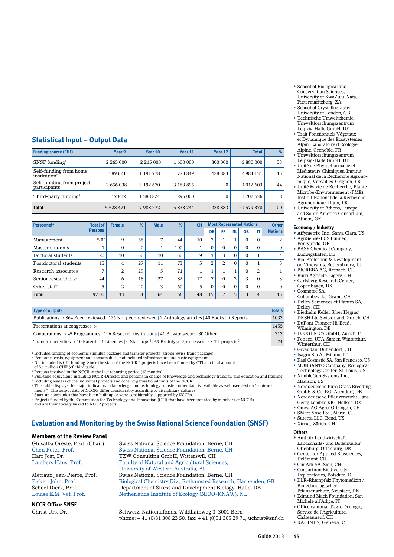- School of Biological and Conservation Sciences, University of KwaZulu-Nata, Pietermaritzburg, ZA • School of Crystallography,
- University of London, GB • Technische Umweltchemie,
- Umweltforschungszentrum Leipzig-Halle GmbH, DE • Trait Fonctionnels Végétaux
- et Dynamique des Ecosystèmes Alpin, Laboratoire d'Ecologie Alpine, Grenoble, FR
- Umweltforschungszentrum Leipzig-Halle GmbH, DE
- Unité de Phytopharmacie et Médiateurs Chimiques, Institut National de la Recherche Agronomique, Versailles-Grignon, FR
- Unité Mixte de Recherche, Plante-Microbe-Environnement (PME), Institut National de la Recherche Agronomique, Dijon, FR
- University of Athens, Europe
- and South America Consortium, Athens, GR

#### **Economy / Industry**

- **•** Affymetrix, Inc., Santa Clara, US AgriSense-BCS Limited,
- Pontypridd, GB • BASF Chemical Company,
- Ludwigshafen, DE • Bio-Protection & Development on Vineyards, Bettembourg, LU
- BIOREBA AG, Reinach, CH
- Burri Agricide, Ligerz, CH
- Carlsberg Research Center, Copenhagen, DK
- Cosmotec SA, Collombey-Le-Grand, CH
- Delley Semences et Plantes SA, Delley, CH
- Diethelm Keller Siber Hegner DKSH Ltd Switzerland, Zurich, CH • DuPont-Pioneer Hi-Bred,
- Wilmington, DE
- ECOGENICS GmbH, Zurich, CH • Fenaco, UFA-Samen Winterthur, Winterthur, CH
- Givaudan, Dübendorf, CH
- Isagro S.p.A., Milano, IT
- Kael Cosmetic SA, San Francisco, US • MONSANTO Company, Ecological
- Technology Center, St. Louis, US • NimbleGen Systems Inc.,
- Madison, US • Norddeutsche Euro Grass Breeding
- GmbH & Co. KG, Asendorf, DE • Norddeutsche Pflanzenzucht Han Georg Lembke KIG, Holtsee, DE
- Omya AG Agro, Oftringen, CH
- SMart Nose Ltd., Marin, CH
- Suterra LLC, Bend, US
- Xirrus, Zürich. CH

# **Others**

- **•** Amt für Landwirtschaft, Landschafts- und Bodenkultur Offenburg, Offenburg, DE
- Center for Applied Biosciences Delémont, CH
- CimArk SA, Sion, CH • Consortium Biodiversity
- Exploratories, Potsdam, DE • DLR-Rheinpfalz Phytomedizin / Biotechnologischer
- Pflanzenschutz, Neustadt, DE • Edmund Mach Foundation, San
- Michele all'Adige, IT • Office cantonal d'agro-écologie,
- Service de l'Agriculture, Châteauneuf, CH
- RACINES, Geneva, CH

# **Statistical Input – Output Data**

| <b>Funding source (CHF)</b>                        | Year 9       | Year 10       | Year 11   | Year 12       | <b>Total</b>  | $\frac{9}{6}$ |
|----------------------------------------------------|--------------|---------------|-----------|---------------|---------------|---------------|
| SNSF funding $1$                                   | 2 265 000    | 2 2 1 5 0 0 0 | 1 600 000 | 800 000       | 6 880 000     | 33            |
| Self-funding from home<br>institution <sup>2</sup> | 589 621      | 1 191 778     | 773 849   | 428 883       | 2 984 131     | 15            |
| Self-funding from project<br>participants          | 2 656 038    | 3 192 670     | 3 163 895 | $\Omega$      | 9 0 1 2 6 0 3 | 44            |
| Third-party funding <sup>3</sup>                   | 17812        | 1 388 824     | 296 000   | $\Omega$      | 1702636       | 8             |
| <b>Total</b>                                       | 5 5 28 4 7 1 | 7988272       | 5 833 744 | 1 2 2 8 8 8 3 | 20 579 370    | 100           |

| Personnel <sup>4</sup>          | <b>Total of</b><br><b>Female</b> |    | $\%$         | <b>Male</b> | $\%$ | <b>CH</b> |          |                | <b>Most Represented Nations</b> |           |                | <b>Other</b>   |
|---------------------------------|----------------------------------|----|--------------|-------------|------|-----------|----------|----------------|---------------------------------|-----------|----------------|----------------|
|                                 | <b>Persons</b>                   |    |              |             |      |           | DE       | <b>FR</b>      | <b>NL</b>                       | <b>GB</b> | IT             | <b>Nations</b> |
| Management                      | 5.0 <sup>5</sup>                 | 9  | 56           | 7           | 44   | 10        | 2        | T              | 1                               | $\Omega$  | $\Omega$       | 2              |
| Master students                 | T                                | 0  | $\mathbf{0}$ |             | 100  | 4<br>T    | $\Omega$ | 0              | $\Omega$                        | $\Omega$  | $\Omega$       | $\mathbf{0}$   |
| Doctoral students               | 20                               | 10 | 50           | 10          | 50   | 9         | 3        | З              | $\Omega$                        | $\Omega$  |                | $\overline{4}$ |
| Postdoctoral students           | 15                               | 4  | 27           | 11          | 73   | 5         | 2        | $\overline{2}$ | $\Omega$                        | $\Omega$  |                | 5              |
| Research associates             | 7                                | 2  | 29           | 5           | 71   | 1         |          |                | 1                               | $\Omega$  | 2              | 1              |
| Senior researchers <sup>6</sup> | 44                               | 6  | 18           | 27          | 82   | 17        | 7        | 0              | 3                               | 3         | $\Omega$       | 3              |
| Other staff                     | 5                                | 2  | 40           | 3           | 60   | 5         | $\Omega$ | 0              | $\Omega$                        | $\Omega$  | $\Omega$       | $\Omega$       |
| <b>Total</b>                    | 97.00                            | 33 | 34           | 64          | 66   | 48        | 15       | 7              | 5                               | 3         | $\overline{4}$ | 15             |

| Type of output <sup>7</sup>                                                                                                      | <b>Totals</b> |
|----------------------------------------------------------------------------------------------------------------------------------|---------------|
| Publications > 864 Peer-reviewed   126 Not peer-reviewed   2 Anthology articles   40 Books   0 Reports                           | 1032          |
| Presentations at congresses >                                                                                                    | 1455          |
| Cooperations > 45 Programmes   196 Research institutions   41 Private sector   30 Other                                          | 312           |
| Transfer activities > 10 Patents   1 Licenses   0 Start-ups <sup>8</sup>   59 Prototypes/processes   4 CTI-projects <sup>9</sup> | 74            |

1 Included funding of economic stimulus package and transfer projects (strong Swiss franc package)

2 Personnel costs, equipment and consumables, not included infrastructure and basic equipment 3 Not included is CTI funding. Since the start of the NCCR 4 projects have been funded by CTI at a total amount of 5.1 million CHF (cf. third table).

4 Persons involved in the NCCR in the last reporting period (12 months)<br><sup>5</sup> Full-time equivalent, including NCCR-Director and persons in charge of knowledge and technology transfer, and education and training<br><sup>6</sup> Including

7 This table displays the major indicators in knowledge and technology transfer; other data is available as well (see text on "achievements"). The output data of NCCRs differ considerably according to disciplinary cultures. 8 Start-up companies that have been built up or were considerably supported by NCCRs.

9 Projects funded by the Commission for Technology and Innovation (CTI) that have been initiated by members of NCCRs

and are thematically linked to NCCR projects.

# **Evaluation and Monitoring by the Swiss National Science Foundation (SNSF)**

# **Members of the Review Panel**

**NCCR Office SNSF**

Ghisalba Oreste, Prof. (Chair) Swiss National Science Foundation, Berne, CH<br>Chen Peter. Prof. Swiss National Science Foundation, Berne, CH Swiss National Science Foundation, Berne, CH Harr Jost, Dr. TZW Consulting GmbH, Witterswil, CH Faculty of Natural and Agricultural Sciences, University of Western Australia, AU<br>Métraux Jean-Pierre, Prof. Swiss National Science Foundation, Métraux Jean-Pierre, Prof. Swiss National Science Foundation, Berne, CH Biological Chemistry Div., Rothamsted Research, Harpenden, GB Scheel Dierk, Prof. Department of Stress and Development Biology, Halle, DE Louise E.M. Vet, Prof. Netherlands Institute of Ecology (NIOO-KNAW), NL

Christ Urs, Dr. Schweiz. Nationalfonds, Wildhainweg 3, 3001 Bern phone:  $+ 41$  (0)31 308 23 50, fax:  $+ 41$  (0)31 305 29 71, uchrist@snf.ch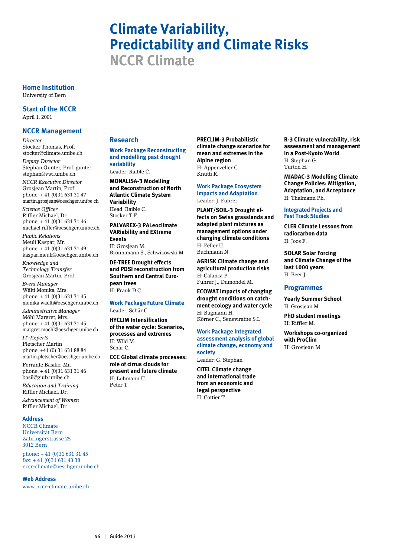# **Climate Variability, Predictability and Climate Risks NCCR Climate**

**Home Institution** University of Bern

**Start of the NCCR** April 1, 2001

#### **NCCR Management**

*Director* Stocker Thomas, Prof. stocker@climate.unibe.ch

*Deputy Director* Stephan Gunter, Prof. gunter. stephan@vwi.unibe.ch

*NCCR Executive Director* Grosjean Martin, Prof. phone: + 41 (0)31 631 31 47 martin.grosjean@oeschger.unibe.ch

*Science Officer* Riffler Michael, Dr. phone: + 41 (0)31 631 31 46 michael.riffler@oeschger.unibe.ch

*Public Relations* Meuli Kaspar, Mr. phone: + 41 (0)31 631 31 49 kaspar.meuli@oeschger.unibe.ch

*Knowledge and Technology Transfer* Grosjean Martin, Prof.

*Event Manager* Wälti Monika, Mrs. phone: + 41 (0)31 631 31 45 monika.waelti@oeschger.unibe.ch

*Administrative Manager* Möhl Margret, Mrs. phone: + 41 (0)31 631 31 45 margret.moehl@oeschger.unibe.ch *IT-Experts* Pletscher Martin phone: +41 (0) 31 631 88 84

martin.pletscher@oeschger.unibe.ch Ferrante Basilio, Mr. phone: + 41 (0)31 631 31 46 basil@giub.unibe.ch

*Education and Training* Riffler Michael, Dr.

*Advancement of Women* Riffler Michael, Dr.

#### **Address**

NCCR Climate Universität Bern Zähringerstrasse 25 3012 Bern

phone: + 41 (0)31 631 31 45  $\int \text{d} x$ : + 41 (0) 31 631 43 38 nccr-climate@oeschger.unibe.ch

**Web Address** www.nccr-climate.unibe.ch

# **Research**

**Work Package Reconstructing and modelling past drought variability**

Leader: Raible C.

**MONALISA-3 Modelling and Reconstruction of North Atlantic Climate System Variability** Head: Raible C. Stocker T.F.

**PALVAREX-3 PALeoclimate VARiability and EXtreme Events**

H: Grosjean M. Brönnimann S., Schwikowski M.

**DE-TREE Drought effects and PDSI reconstruction from Southern and Central European trees** H: Frank D.C.

#### **Work Package Future Climate** Leader: Schär C.

**HYCLIM Intensification of the water cycle: Scenarios, processes and extremes** H: Wild M. Schär C.

**CCC Global climate processes: role of cirrus clouds for present and future climate** H: Lohmann U. Peter T.

**PRECLIM-3 Probabilistic climate change scenarios for mean and extremes in the Alpine region** H: Appenzeller C. Knutti R.

#### **Work Package Ecosystem Impacts and Adaptation** Leader: J. Fuhrer

**PLANT/SOIL-3 Drought effects on Swiss grasslands and adapted plant mixtures as management options under changing climate conditions** H: Feller U. Buchmann N.

**AGRISK Climate change and agricultural production risks** H: Calanca P. Fuhrer J., Dumondel M.

**ECOWAT Impacts of changing drought conditions on catchment ecology and water cycle** H: Bugmann H. Körner C., Seneviratne S.I.

**Work Package Integrated assessment analysis of global climate change, economy and society** Leader: G. Stephan

**CITEL Climate change and international trade from an economic and legal perspective** H: Cottier T.

**R-3 Climate vulnerability, risk assessment and management in a Post-Kyoto World** H: Stephan G. Turton H.

**MIADAC-3 Modelling Climate Change Policies: Mitigation, Adaptation, and Acceptance** H: Thalmann Ph.

#### **Integrated Projects and Fast Track Studies**

**CLER Climate Lessons from radiocarbon data** H: Joos F.

**SOLAR Solar Forcing and Climate Change of the last 1000 years** H: Beer J.

#### **Programmes**

**Yearly Summer School** H: Grosjean M.

**PhD student meetings** H: Riffler M.

**Workshops co-organized with ProClim** H: Grosjean M.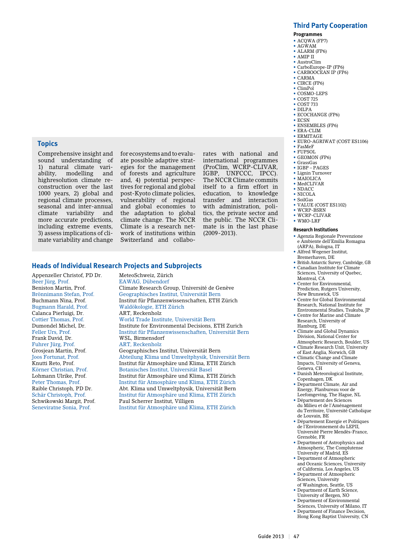## **Third Party Cooperation**

**Programmes**

- ACQWA (FP7)
- AGWAM • ALARM (FP6)
- AMIP II
- AustroClim
- CarboEurope-IP (FP6)
- CARBOOCEAN IP (FP6)
- CARMA • CIRCE (FP6)
- ClimPol
- COSMO-LEPS
- COST 725
- COST 733
- DILPA
- ECOCHANGE (FP6)
- ECSN • ENSEMBLES (FP6)
- ERA-CLIM
- ERMITAGE
- EURO-AGRIWAT (COST ES1106)
- FasMeF
- FUPSOL • GEOMON (FP6)
- 
- GrassGas • IGBP – PAGES
- Lignin Turnover
- MAIOLICA
- MedCLIVAR
- NDACC • NICOLA
- SoilGas
- VALUE (COST ES1102)
- WCRP-BSRN
- WCRP-CLIVAR
- WMO-LRF

#### **Research Institutions**

- Agenzia Regionale Prevenzione e Ambiente dell'Emilia Romagna (ARPA), Bologna, IT
- Alfred Wegener Institut, Bremerhaven, DE
- British Antarctic Survey, Cambridge, GB Canadian Institute for Climate
- Sciences, University of Quebec, Montreal, CA
- Center for Environmental. Prediction, Rutgers University, New Brunswick, US
- Centre for Global Environmental Research, National Institute for Environmental Studies, Tsukuba, JP
- Centre for Marine and Climate Research, University of Hamburg, DE
- Climate and Global Dynamics Division, National Center for
- Atmospheric Research, Boulder, US • Climate Research Unit, University of East Anglia, Norwich, GB
- Climatic Change and Climate Impacts, University of Geneva, Geneva, CH
- Danish Meteorological Institute, Copenhagen, DK
- Department Climate, Air and Energy, Planbureau voor de Leefomgeving, The Hague, NL
- Département des Sciences du Milieu et de l'Aménagement du Territoire, Université Catholique
- de Louvain, BE • Département Energie et Politiques de l'Environnement du LEPII, Université Pierre Mendès-France, Grenoble, FR
- Department of Astrophysics and Atmospheric, The Complutense University of Madrid, ES
- Department of Atmospheric and Oceanic Sciences, University
- of California, Los Angeles, US • Department of Atmospheric Sciences, University
- of Washington, Seattle, US • Department of Earth Science,
- University of Bergen, NO • Department of Environmental
- Sciences, University of Milano, IT • Department of Finance Decision,
- Hong Kong Baptist University, CN

# **Topics**

Comprehensive insight and sound understanding of 1) natural climate vari-<br>ability. modelling and modelling and highresolution climate reconstruction over the last 1000 years, 2) global and regional climate processes, seasonal and inter-annual<br>climate variability and variability and more accurate predictions, including extreme events, 3) assess implications of climate variability and change for ecosystems and to evaluate possible adaptive strategies for the management of forests and agriculture and, 4) potential perspectives for regional and global post-Kyoto climate policies, vulnerability of regional and global economies to the adaptation to global climate change. The NCCR Climate is a research network of institutions within Switzerland and collabo-

rates with national and international programmes (ProClim, WCRP-CLIVAR, IGBP, UNFCCC, IPCC). The NCCR Climate commits itself to a firm effort in education, to knowledge transfer and interaction with administration, politics, the private sector and the public. The NCCR Climate is in the last phase (2009-2013).

#### **Heads of Individual Research Projects and Subprojects**

Appenzeller Christof, PD Dr. MeteoSchweiz, Zürich Beer Jürg, Prof. EAWAG, Dübendorf Calanca Pierluigi, Dr.<br>Cottier Thomas, Prof. Fuhrer Jürg, Prof.<br>Grosjean Martin, Prof.

Beniston Martin, Prof. Climate Research Group, Université de Genève Brönnimann Stefan, Prof. Geographisches Institut, Universität Bern Buchmann Nina, Prof. Institut für Pflanzenwissenschaften, ETH Zürich Waldökologie, ETH Zürich<br>ART. Reckenholz Cottier Thomas, Prof. World Trade Institute, Universität Bern Dumondel Michel, Dr. Institute for Environmental Decisions, ETH Zurich Feller Urs, Prof. Institut für Pflanzenwissenschaften, Universität Bern WSL, Birmensdorf<br>ART. Reckenholz Grosjean Martin, Prof. Geographisches Institut, Universität Bern Abteilung Klima und Umweltphysik, Universität Bern Knutti Reto, Prof. Institut für Atmosphäre und Klima, ETH Zürich Körner Christian, Prof. Botanisches Institut, Universität Basel<br>
Lohmann Ulrike. Prof. Institut für Atmosphäre und Klima. ET Institut für Atmosphäre und Klima, ETH Zürich Peter Thomas, Prof. Institut für Atmosphäre und Klima, ETH Zürich Raible Christoph, PD Dr. Abt. Klima und Umweltphysik, Universität Bern Schär Christoph, Prof. Institut für Atmosphäre und Klima, ETH Zürich Schwikowski Margit, Prof. Paul Scherrer Institut, Villigen<br>Seneviratne Sonia, Prof. Paul Scherrer Atmosphäre und Kl Institut für Atmosphäre und Klima, ETH Zürich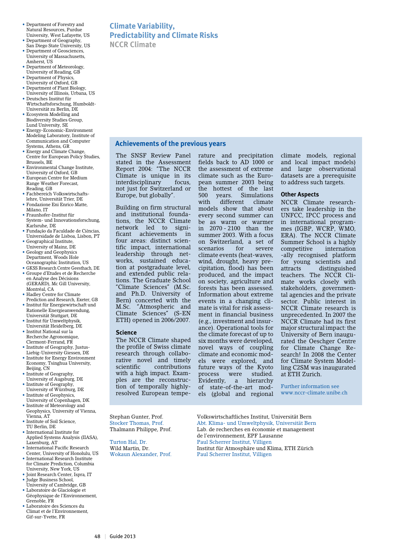- Department of Forestry and Natural Resources, Purdue University, West Lafayette, US
- Department of Geography, San Diego State University, US • Department of Geosciences.
- University of Massachusetts, Amherst, US • Department of Meteorology,
- University of Reading, GB • Department of Physics
- University of Oxford, GB
- Department of Plant Biology, University of Illinois, Urbana, US
- Deutsches Institut für Wirtschaftsforschung, Humboldt-Universität zu Berlin, DE
- Ecosystem Modelling and Biodiversity Studies Group, Lund University, SE
- Energy-Economic-Environment Modeling Laboratory, Institute of Communication and Computer Systems, Athens, GR
- Energy and Climate Change, Centre for European Policy Studies, Brussels, BE
- Environmental Change Institute, University of Oxford, GB • European Centre for Medium
- Range Weather Forecast, Reading, GB
- Fachbereich Volkswirtschaftslehre, Universität Trier, DE • Fondazione Eni Enrico Matte,
- Milano, IT • Fraunhofer-Institut für
- System- und Innovationsforschung, Karlsruhe, DE
- Fundação da Faculdade de Ciências, Universidade de Lisboa, Lisbon, PT
- Geographical Institute, University of Mainz, DE
- Geology and Geophysics Department, Woods Hole Oceanographic Institution, US
- GKSS Research Centre Geesthach, DE • Groupe d'Etudes et de Recherche en Analyse des Décisions (GERARD), Mc Gill University,
- Montréal, CA • Hadley Centre for Climate
- Prediction and Research, Exeter, GB • Institut für Energiewirtschaft und Rationelle Energieanwendung, Universität Stuttgart, DE
- Institut für Umweltphysik, Universität Heidelberg, DE
- Institut National sur la Recherche Agronomique, Clermont-Ferrand, FR
- Institute of Geography, Justus-
- Liebig-University Giessen, DE • Institute for Energy Environment Economy, Tsinghua University, Beijing, CN
- Institute of Geography, University of Augsburg, DE
- Institute of Geography, University of Würzburg, DE
- Institute of Geophysics,
- University of Copenhagen, DK • Institute of Meteorology and Geophysics, University of Vienna,
- Vienna, AT • Institute of Soil Science,
- TU Berlin, DE • International Institute for Applied Systems Analysis (IIASA),
- Laxenburg, AT • International Pacific Research
- Center, University of Honolulu, US • International Research Institute for Climate Prediction, Columbia
- University, New York, US • Joint Research Center, Ispra, IT
- Judge Business School, University of Cambridge, GB
- Laboratoire de Glaciologie et Géophysique de l'Environnement, Grenoble, FR
- Laboratoire des Sciences du Climat et de l'Environnement, Gif-sur-Yvette, FR

# **Climate Variability, Predictability and Climate Risks NCCR Climate**

# **Achievements of the previous years**

The SNSF Review Panel stated in the Assessment Report 2004: "The NCCR Climate is unique in its interdisciplinary focus, not just for Switzerland or Europe, but globally".

Building on firm structural and institutional foundations, the NCCR Climate network led to significant achievements in four areas: distinct scientific impact, international leadership through networks, sustained education at postgraduate level, and extended public relations. The Graduate School "Climate Sciences" (M.Sc. and Ph.D. University of Bern) concerted with the M.Sc. "Atmospheric and Climate Sciences" (S-EN ETH) opened in 2006/2007.

#### **Science**

The NCCR Climate shaped the profile of Swiss climate research through collaborative novel and timely<br>scientific contributions contributions with a high impact. Examples are the reconstruction of temporally highlyresolved European tempe-

Wokaun Alexander, Prof. Paul Scherrer Institut, Villigen

rature and precipitation fields back to AD 1000 or the assessment of extreme climate such as the European summer 2003 being the hottest of the last<br>500 years. Simulations Simulations. with different climate models show that about every second summer can be as warm or warmer in 2070 - 2100 than the summer 2003. With a focus on Switzerland, a set of scenarios for severe climate events (heat-waves, wind, drought, heavy precipitation, flood) has been produced, and the impact on society, agriculture and forests has been assessed. Information about extreme events in a changing climate is vital for risk assessment in financial business (e.g., investment and insurance). Operational tools for the climate forecast of up to six months were developed, novel ways of coupling climate and economic models were explored, and future ways of the Kyoto process were studied. Evidently, a hierarchy of state-of-the-art models (global and regional

climate models, regional and local impact models) and large observational datasets are a prerequisite to address such targets.

## **Other Aspects**

NCCR Climate researchers take leadership in the UNFCC, IPCC process and in international programmes (IGBP, WCRP, WMO, ERA). The NCCR Climate Summer School is a highly<br>competitive internation competitive -ally recognised platform for young scientists and attracts distinguished teachers. The NCCR Climate works closely with stakeholders, governmental agencies and the private sector. Public interest in NCCR Climate research is unprecedented. In 2007 the NCCR Climate had its first major structural impact: the University of Bern inaugurated the Oeschger Centre for Climate Change Research! In 2008 the Center for Climate System Modelling C2SM was inaugurated at ETH Zurich.

Further information see www.nccr-climate.unibe.ch

Stephan Gunter, Prof. Volkswirtschaftliches Institut, Universität Bern Abt. Klima- und Umweltphysik, Universität Bern Thalmann Philippe, Prof. Lab. de recherches en économie et management de l'environnement, EPF Lausanne Turton Hal, Dr.<br>
Wild Martin Dr. Paul Scherrer Institut, Villigen<br>
Paul Scherrer Institut für Atmosphäre und Kl Institut für Atmosphäre und Klima, ETH Zürich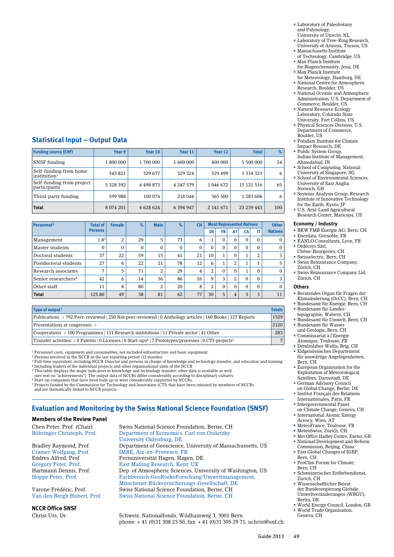#### **Statistical Input – Output Data**

| <b>Funding source (CHF)</b>                        | Year 9       | Year 10       | Year 11   | Year 12   | <b>Total</b> | %   |
|----------------------------------------------------|--------------|---------------|-----------|-----------|--------------|-----|
| <b>SNSF</b> funding                                | 1 800 000    | 1700 000      | 1 600 000 | 400 000   | 5 500 000    | 24  |
| Self-funding from home<br>institution <sup>1</sup> | 345 821      | 329 677       | 329 324   | 329 499   | 1 334 321    | 6   |
| Self-funding from project<br>participants          | 5 3 28 3 9 2 | 4 4 9 8 8 7 3 | 4 247 579 | 1 046 672 | 15 121 516   | 65  |
| Third-party funding                                | 599 988      | 100 074       | 218 044   | 365 500   | 1 283 606    | 6   |
| <b>Total</b>                                       | 8 0 74 201   | 6 628 624     | 6 394 947 | 2 141 671 | 23 239 443   | 100 |

| Personnel <sup>2</sup>          | <b>Total of</b>  | <b>Female</b> | $\%$     | <b>Male</b> | $\%$         | <b>CH</b>      |    |           |                | <b>Most Represented Nations</b> |          | <b>Other</b>   |
|---------------------------------|------------------|---------------|----------|-------------|--------------|----------------|----|-----------|----------------|---------------------------------|----------|----------------|
|                                 | <b>Persons</b>   |               |          |             |              |                | DE | <b>FR</b> | AT             | <b>CA</b>                       | IT       | <b>Nations</b> |
| Management                      | 1.8 <sup>3</sup> | 2             | 29       | 5           | 71           | 6              | 1  |           | $\Omega$       | $\Omega$                        | $\Omega$ | $\Omega$       |
| Master students                 | $\Omega$         | $\Omega$      | $\Omega$ | 0           | $\mathbf{0}$ | 0              | 0  |           | $\Omega$       | $\Omega$                        | $\Omega$ | $\mathbf{0}$   |
| Doctoral students               | 37               | 22            | 59       | 15          | 41           | 21             | 10 |           | $\Omega$       |                                 | 2        | 3              |
| Postdoctoral students           | 27               | 6             | 22       | 21          | 78           | 12             | 6  |           | 2              |                                 |          | 5              |
| Research associates             | $\overline{ }$   | 5             | 71       | 2           | 29           | $\overline{4}$ | 2  | $\Omega$  | $\Omega$       |                                 | $\Omega$ | $\mathbf{0}$   |
| Senior researchers <sup>4</sup> | 42               | 6             | 14       | 36          | 86           | 26             | 9  | 3         | $\overline{2}$ | $\Omega$                        | $\Omega$ | 3              |
| Other staff                     | 11               | 8             | 80       | 2           | 20           | 8              | 2  | $\Omega$  | $\Omega$       | $\Omega$                        | $\Omega$ | $\Omega$       |
| <b>Total</b>                    | 125.80           | 49            | 38       | 81          | 62           | 77             | 30 | 5         | $\overline{4}$ | 3                               | 3        | 11             |

| Type of output <sup>5</sup>                                                                                                    | <b>Totals</b> |
|--------------------------------------------------------------------------------------------------------------------------------|---------------|
| Publications > 792 Peer-reviewed   250 Not peer-reviewed   0 Anthology articles   160 Books   127 Reports                      | 1329          |
| Presentations at congresses >                                                                                                  | 2120          |
| $\sim$ Cooperations > 100 Programmes   131 Research institutions   11 Private sector   41 Other                                | 283           |
| Transfer activities > 0 Patents   0 Licenses   0 Start-ups <sup>6</sup>   7 Prototypes/processes   0 CTI-projects <sup>7</sup> | 7             |

<sup>1</sup> Personnel costs, equipment and consumables, not included infrastructure and basic equipment

<sup>2</sup> Persons involved in the NCCR in the last reporting period (12 months)<br><sup>3</sup> Full-time equivalent, including NCCR-Director and persons in charge of knowledge and technology transfer, and education and training<br><sup>4</sup> Includi

5 This table displays the major indicators in knowledge and technology transfer; other data is available as well (see text on "achievements"). The output data of NCCRs differ considerably according to disciplinary cultures.

6 Start-up companies that have been built up or were considerably supported by NCCRs. 7 Projects funded by the Commission for Technology and Innovation (CTI) that have been initiated by members of NCCRs

and are thematically linked to NCCR projects.

# **Evaluation and Monitoring by the Swiss National Science Foundation (SNSF)**

#### **Members of the Review Panel**

**NCCR Office SNSF**

Chen Peter, Prof. (Chair) Swiss National Science Foundation, Berne, CH Department of Economics, Carl von Ossietzky University Oldenburg, DE Bradley Raymond, Prof. Department of Geoscience, University of Massachussetts, US<br>Cramer Wolfgang, Prof. MBE, Aix-en-Provence, FR Cramer Wolfgang, Prof. IMBE, Aix-en-Provence, FR<br>
Endres Alfred, Prof. Fernuniversität Hagen, Hage Fernuniversität Hagen, Hagen, DE Gregory Peter, Prof. East Malling Research, Kent, UK Hartmann Dennis, Prof. Dep. of Atmospheric Sciences, University of Washington, US Höppe Peter, Prof. Fachbereich GeoRisikoForschung/Umweltmanagement, Münchener Rückversicherungs-Gesellschaft, DE Varone Frédéric, Prof. Swiss National Science Foundation, Berne, CH Swiss National Science Foundation, Berne, CH

Christ Urs, Dr. Schweiz. Nationalfonds, Wildhainweg 3, 3001 Bern phone: + 41 (0)31 308 23 50, fax: + 41 (0)31 305 29 71, uchrist@snf.ch

- Laboratory of Paleobotany and Palynology, University of Utrecht, NL
- Laboratory of Tree-Ring Research, University of Arizona, Tucson, US
- Massachusetts Institute
- of Technology, Cambridge, US • Max Planck Institute for Biogeochemistry, Jena, DE
- Max Planck Institute
- for Meteorology, Hamburg, DE • National Centre for Atmospheric Research, Boulder, US
- National Oceanic and Atmospheric Administration, U.S. Department of
- Commerce, Boulder, US • Natural Resource Ecology Laboratory, Colorado State
- University, Fort Collins, US • Physical Sciences Division, U.S. Department of Commerce, Boulder, US
- Potsdam Institute for Climate Impact Research, DE
- Public System Group, Indian Institute of Management, Ahmedabad, IN
- School of Computing, National University of Singapore, SG
- School of Environmental Sciences, University of East Anglia, Norwich, GB
- Systems Analysis Group, Research Institute of Innovative Technology for the Earth, Kyoto, JP
- U.S. Arid-Land Agricultural Research Center, Maricopa, US

#### **Economy / Industry**

- BKW FMB Energie AG, Bern, CH
- Enerdata, Grenoble, FR
- KANLO Consultants, Lyon, FR
- Ordecsys Sàrl, Chêne-Bourgeries, CH • Swisselectric, Bern, CH
- Swiss Reinsurance Company, Zürich, CH
- Swiss Reinsurance Company Ltd, Zürich, CH

#### **Others**

- Beratendes Organ für Fragen der Klimaänderung (OcCC), Bern, CH
- Bundesamt für Energie, Bern, CH • Bundesamt für Landes-
- topographie, Wabern, CH • Bundesamt für Umwelt, Bern, CH
- Bundesamt für Wasser und Geologie, Bern, CH
- Commissariat à l'Energie Atomique, Toulouse, FR
- Dendrolabor Wallis, Brig, CH • Eidgenössisches Departement
- für auswärtige Angelegenheiten, Bern, CH • European Organisation for the
- Exploitation of Meteorological Satellites, Darmstadt, DE • German Advisory Council
- on Global Change, Berlin, DE • Institut Français des Relations
- Internationales, Paris, FR • Intergovernmental Panel
- on Climate Change, Geneva, CH • International Atomic Energy
- Acency, Wien, AT
- MeteoFrance, Toulouse, FR
- MeteoSwiss, Zürich, CH • Met Office Hadley Centre, Exeter, GB
- National Development and Reform
- Commission, Beijing, China • Past Global Changes of IGBP,
- Bern, CH • ProClim Forum for Climate,
- Bern, CH • Schweizerischer Erdbebendienst,
- Zurich, CH • Wissenschaftlicher Beirat der Bundesregierung Globale Umweltveränderungen (WBGU), Berlin, DE
- World Energy Council, London, GB
- World Trade Organisation, Geneva, CH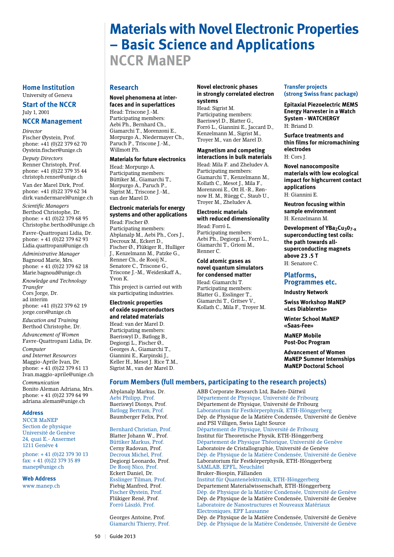# **Materials with Novel Electronic Properties – Basic Science and Applications NCCR MaNEP**

#### **Home Institution** University of Geneva

**Start of the NCCR** July 1, 2001

# **NCCR Management**

*Director* Fischer Øystein, Prof. phone: +41 (0)22 379 62 70 Oystein.fischer@unige.ch

*Deputy Directors* Renner Christoph, Prof. phone: +41 (0)22 379 35 44 christoph.renner@unige.ch

Van der Marel Dirk, Prof. phone: +41 (0)22 379 62 34 dirk.vandermarel@unige.ch

*Scientific Managers* Berthod Christophe, Dr. phone: + 41 (0)22 379 68 95 Christophe.berthod@unige.ch

Favre-Quattropani Lidia, Dr. phone: + 41 (0)22 379 62 93 Lidia.quattropani@unige.ch

*Administrative Manager* Bagnoud Marie, Mrs. phone: + 41 (0)22 379 62 18 Marie.bagnoud@unige.ch

*Knowledge and Technology Transfer* Cors Jorge, Dr. ad interim

phone: +41 (0)22 379 62 19 jorge.cors@unige.ch

*Education and Training* Berthod Christophe, Dr.

*Advancement of Women* Favre-Quattropani Lidia, Dr.

*Computer and Internet Resources* Maggio-Aprile Ivan, Dr. phone: + 41 (0)22 379 61 13 Ivan.maggio-aprile@unige.ch

*Communication* Bonito Aleman Adriana, Mrs. phone: + 41 (0)22 379 64 99 adriana.aleman@unige.ch

#### **Address**

NCCR MaNEP Section de physique Université de Genève 24, quai E.- Ansermet 1211 Genève 4

phone: + 41 (0)22 379 30 13 fax: + 41 (0)22 379 35 89 manep@unige.ch

**Web Address**

www.manep.ch

## **Research**

#### **Novel phenomena at interfaces and in superlattices**

Head: Triscone J.-M. Participating members: Aebi Ph., Bernhard Ch., Giamarchi T., Morenzoni E., Morpurgo A., Niedermayer Ch., Paruch P., Triscone J.-M., Willmott Ph.

#### **Materials for future electronics**

Head: Morpurgo A. Participating members: Büttiker M., Giamarchi T., Morpurgo A., Paruch P., Sigrist M., Triscone J.-M., van der Marel D.

#### **Electronic materials for energy systems and other applications** Head: Fischer Ø.

Participating members: Abplanalp M., Aebi Ph., Cors J., Decroux M., Eckert D., Fischer Ø., Flükiger R., Hulliger J., Kenzelmann M., Patzke G., Renner Ch., de Rooij N., Senatore C., Triscone G. Triscone J.-M., Weidenkaff A., Yvon K.

This project is carried out with six participating industries.

#### **Electronic properties of oxide superconductors and related materials**

Head: van der Marel D. Participating members: Baeriswyl D., Batlogg B., Degiorgi L., Fischer Ø., Georges A., Giamarchi T., Giannini E., Karpinski J., Keller H., Mesot J. Rice T.M., Sigrist M., van der Marel D.

#### **Novel electronic phases in strongly correlated electron systems**

Head: Sigrist M. Participating members: Baeriswyl D., Blatter G., Forró L., Giannini E., Jaccard D., Kenzelmann M., Sigrist M., Troyer M., van der Marel D.

#### **Magnetism and competing interactions in bulk materials**

Head: Mila F. and Zheludev A. Participating members: Giamarchi T., Kenzelmann M., Kollath C., Mesot J., Mila F., Morenzoni E., Ott H.-R., Rønnow H. M., Rüegg C., Staub U., Troyer M., Zheludev A.

#### **Electronic materials with reduced dimensionality**

Head: Forró L. Participating members: Aebi Ph., Degiorgi L., Forró L., Giamarchi T., Grioni M., Renner C.

#### **Cold atomic gases as novel quantum simulators for condensed matter** Head: Giamarchi T. Participating members:

Blatter G., Esslinger T., Giamarchi T., Gritsev V., Kollath C., Mila F., Troyer M.

#### **Transfer projects (strong Swiss franc package)**

**Epitaxial Piezoelectric MEMS Energy Harvester in a Watch System - WATCHERGY** H: Briand D.

**Surface treatments and thin films for micromachining electrodes** H: Cors J.

**Novel nanocomposite materials with low ecological impact for highcurrent contact applications** H: Giannini E.

**Neutron focusing within sample environment** H: Kenzelmann M.

**Development of YBa<sub>2</sub>Cu<sub>3</sub>0<sub>7-x</sub> superconducting test coils: the path towards allsuperconducting magnets above 23 .5 T** H: Senatore C.

## **Platforms, Programmes etc.**

**Industry Network**

**Swiss Workshop MaNEP «Les Diablerets»**

**Winter School MaNEP** 

**«Saas-Fee»**

**MaNEP Mobile Post-Doc Program**

**Advancement of Women MaNEP Summer Internships MaNEP Doctoral School**

#### **Forum Members (full members, participating to the research projects)**

Abplanalp Markus, Dr. ABB Corporate Research Ltd, Baden-Dättwil Département de Physique, Université de Fribourg Baeriswyl Dionys, Prof. Département de Physique, Université de Fribourg Batlogg Bertram, Prof. Laboratorium für Festkörperphysik, ETH-Hönggerberg Dép. de Physique de la Matière Condensée, Université de Genève and PSI Villigen, Swiss Light Source<br>Bernhard Christian, Prof. Département de Physique, Universit Département de Physique, Université de Fribourg Blatter Johann W., Prof. Institut für Theoretische Physik, ETH-Hönggerberg Büttiker Markus, Prof. Département de Physique Théorique, Université de Genève Cerny Radovan, Prof. Laboratoire de Cristallographie, Université de Genève Decroux Michel, Prof. Dép. de Physique de la Matière Condensée, Université de Genève Laboratorium für Festkörperphysik, ETH-Hönggerberg De Rooij Nico, Prof. SAMLAB, EPFL, Neuchâtel Eckert Daniel, Dr. Bruker-Biospin, Fällanden Institut für Quantenelektronik, ETH-Hönggerberg Fiebig Manfred, Prof. Departement Materialwissenschaft, ETH-Hönggerberg Fischer Øystein, Prof. Dép. de Physique de la Matière Condensée, Université de Genève Dép. de Physique de la Matière Condensée, Université de Genève Forró László, Prof. Laboratoire de Nanostructures et Nouveaux Matériaux Electroniques, EPF Lausanne

Georges Antoine, Prof. Dép. de Physique de la Matière Condensée, Université de Genève<br>Giamarchi Thierry, Prof. Dép. de Physique de la Matière Condensée, Université de Genève Dép. de Physique de la Matière Condensée, Université de Genève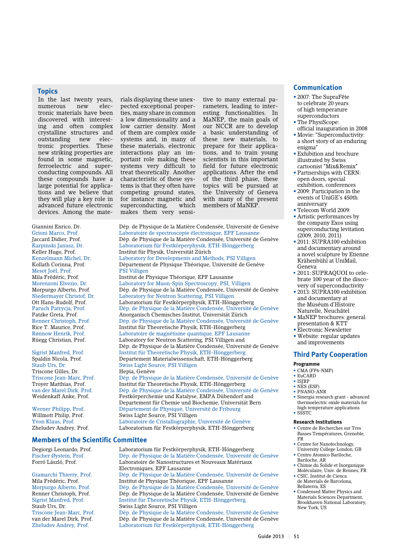#### **Topics**

In the last twenty years,<br>numerous new elecnumerous tronic materials have been discovered with interesting and often complex crystalline structures and outstanding new electronic properties. These new striking properties are found in some magnetic, ferroelectric and superconducting compounds. All these compounds have a large potential for applications and we believe that they will play a key role in advanced future electronic devices. Among the mate-

Mesot Joël, Prof.<br>Mila Frédéric, Prof.

Triscone Gilles, Dr.<br>Triscone Jean-Marc. Prof.

# **Members of the Scientific Committee**

rials displaying these unexpected exceptional properties, many share in common a low dimensionality and a low carrier density. Most of them are complex oxide systems and, in many of these materials, electronic interactions play an important role making these systems very difficult to treat theoretically. Another characteristic of these systems is that they often have competing ground states, for instance magnetic and superconducting, which makes them very sensi-

tive to many external parameters, leading to interesting functionalities. In MaNEP, the main goals of our NCCR are to develop a basic understanding of these new materials, to prepare for their applications, and to train young scientists in this important field for future electronic applications. After the end of the third phase, these topics will be pursued at the University of Geneva with many of the present members of MaNEP.

Giannini Enrico, Dr. Dép. de Physique de la Matière Condensée, Université de Genève Grioni Marco, Prof. Laboratoire de spectroscopie électronique, EPF Lausanne Jaccard Didier, Prof. Dép. de Physique de la Matière Condensée, Université de Genève<br>Rarpinski Janusz, Dr. Physique de la Matière Condensée, Université de Genève Laboratorium für Festkörperphysik, ETH-Hönggerberg Keller Hugo, Prof. Institut für Physik, Universität Zürich Kenzelmann Michel, Dr. Laboratory for Developments and Methods, PSI Villigen Kollath Corinna, Prof. Département de Physique Théorique, Université de Gen Département de Physique Théorique, Université de Genève<br>PSI Villigen Mila Frédéric, Prof. Institut de Physique Théorique, EPF Lausanne Morenzoni Elvezio, Dr. Laboratory for Muon-Spin Spectroscopy, PSI, Villigen Morpurgo Alberto, Prof. Dép. de Physique de la Matière Condensée, Université de Genève<br>Niedermayer Christof, Dr. Laboratory for Neutron Scattering, PSI Villigen Laboratory for Neutron Scattering, PSI Villigen Ott Hans-Rudolf, Prof. Laboratorium für Festkörperphysik, ETH-Hönggerberg Dép. de Physique de la Matière Condensée, Université de Genève Patzke Greta, Prof. Anorganisch Chemisches Institut, Universität Zürich Dép. de Physique de la Matière Condensée, Université de Genève Rice T. Maurice, Prof. Institut für Theoretische Physik, ETH-Hönggerberg Rønnow Henrik, Prof. Laboratoire de magnétisme quantique, EPF Lausanne Laboratory for Neutron Scattering, PSI Villigen and Dép. de Physique de la Matière Condensée, Université de Genève<br>Sigrist Manfred, Prof. [Institut für Theoretische Physik, ETH-Hönggerberg Sigrist Manfred, Prof. Institut für Theoretische Physik, ETH-Hönggerberg Departement Materialwissenschaft, ETH-Hönggerberg Staub Urs, Dr. Swiss Light Source, PSI Villigen Dép. de Physique de la Matière Condensée, Université de Genève Troyer Matthias, Prof. Institut für Theoretische Physik, ETH-Hönggerberg<br>
van der Marel Dirk. Prof. Dép. de Physique de la Matière Condensée. Universi Dép. de Physique de la Matière Condensée, Université de Genève Weidenkaff Anke, Prof. Festkörperchemie und Katalyse, EMPA Dübendorf and Departement für Chemie und Biochemie, Universität Bern Werner Philipp, Prof. Département de Physique, Université de Fribourg Willmott Philip, Prof. Swiss Light Source, PSI Villigen Yvon Klaus, Prof. Laboratoire de Cristallographie, Université de Genève

Zheludev Andrey, Prof. Laboratorium für Festkörperphysik, ETH-Hönggerberg

Degiorgi Leonardo, Prof. Laboratorium für Festkörperphysik, ETH-Hönggerberg Fischer Øystein, Prof. Dép. de Physique de la Matière Condensée, Université de Genève<br>Forró László. Prof. Laboratoire de Nanostructures et Nouveaux Matériaux Laboratoire de Nanostructures et Nouveaux Matériaux Electroniques, EPF Lausanne<br>Giamarchi Thierry. Prof. Dép. de Physique de la Matièr Giamarchi Thierry, Prof. Dép. de Physique de la Matière Condensée, Université de Genève<br>Mila Frédéric, Prof. 1996 Institut de Physique Théorique, EPF Lausanne Mila Frédéric, Prof. Institut de Physique Théorique, EPF Lausanne Dép. de Physique de la Matière Condensée, Université de Genève Renner Christoph, Prof. Dép. de Physique de la Matière Condensée, Université de Genève Sigrist Manfred, Prof. Institut für Theoretische Physik, ETH-Hönggerberg, Staub Urs, Dr. Swiss Light Source, PSI Villigen<br>Triscone Jean-Marc, Prof. Dép. de Physique de la Matière ( Triscone Jean-Marc, Prof. Dép. de Physique de la Matière Condensée, Université de Genève Dép. de Physique de la Matière Condensée, Université de Genève Zheludev Andrey, Prof. Laboratorium für Festkörperphysik, ETH-Hönggerberg

#### **Communication**

- 2007: The SupraFête to celebrate 20 years of high temperature superconductors
- The PhysiScope: official inauguration in 2008
- Movie: "Superconductivity: a short story of an enduring enigma"
- Exhibition and brochure illustrated by Swiss cartoonist "Mix&Remix"
- Partnerships with CERN: open doors, special exhibition, conferences
- 2009: Participation in the events of UniGE's 450th anniversary
- Telecom World 2009:
- Artistic performances by the company Exos using superconducting levitation  $(2009, 2010, 2011)$
- 2011: SUPRA100 exhibition and documentary around a novel sculpture by Etienne Krähenbühl at UniMail, Geneva
- 2011: SUPRAQUOI to celebrate 100 year of the discovery of superconductivity
- 2013: SUPRA100 exhibition and documentary at the Muséum d'Histoire Naturelle, Neuchâtel
- MaNEP brochures: general presentation & KTT
- Electronic Newsletter
- Website: regular updates and improvements

# **Third Party Cooperation**

#### **Programme**

- CMA (FP6-NMP)
- $\bullet$  EuCARD  $\cdot$  ISIRP
- 
- NES (ESF) • PNANO-ANR
- Sinergia research grant advanced thermoelectric oxide materials for high temperature applications
- SSSTC

#### **Research Institutions**

• Centre de Recherches sur Tres Basses Températures, Grenoble, FR

- Centre for Nanotechnology, University College London, GB
- Centro Atomico Bariloche,
- Bariloche, AR • Chimie du Solide et Inorganique
- Moléculaire, Univ. de Rennes, FR • CSIC, Institut de Cienca
- de Materials de Barcelona, Bellaterra, ES
- Condensed Matter Physics and Materials Sciences Department, Brookhaven National Laboratory, New York, US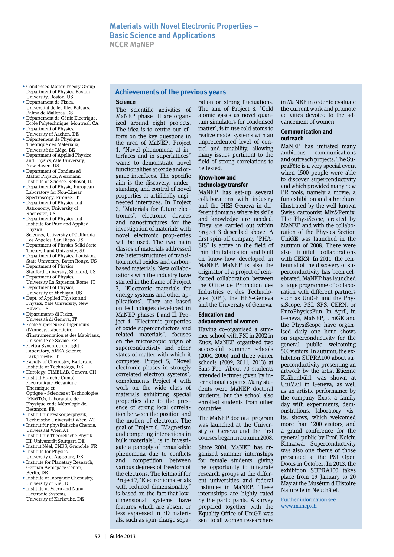- Condensed Matter Theory Group Department of Physics, Boston University, Boston, US
- Departament de Fisica, Universitat de les Illes Balears, Palma de Mallorca, ES
- Département de Génie Électrique, Ecole Polytechnique, Montreal, CA
- Department of Physics University of Aachen, DE
- Département de Physique Thèorique des Matériaux, Université de Liège, BE
- Department of Applied Physics and Physics,Yale University, New Haven, US
- Department of Condensed Matter Physics,Weizmann Institute of Science, Rehovot, IL
- Department of Physic, European Laboratory for Non-Linear Spectroscopy, Firenze, IT
- Department of Physics and Astronomy, University of Rochester, US
- Department of Physics and Institute for Pure and Applied Physical
- Sciences, University of California Los Angeles, San Diego, US
- Department of Physics Solid State Theory, Lund University, SE
- Department of Physics, Louisiana State University, Baton Rouge, US
- Department of Physics, Stanford University, Stanford, US • Department of Physics,
- University La Sapienza, Rome, IT • Department of Physics,
- University of Michigan, US • Dept. of Applied Physics and
- Physics, Yale University, New Haven, US
- Dipartimento di Fisica, Università di Genova, IT
- Ecole Superieure d'Ingénieurs d'Annecy, Laboratoire d'instrumentation et des Matériaux,
- Université de Savoie, FR • Elettra Synchrotron Light Laboratory, AREA Science
- Park,Trieste, IT • Faculty of Chemistry, Karlsruhe Institute of Technology, DE
- Horology, TIMELAB, Geneva, CH • Institut Franche Comté Electronique Mécanique Thermique et Optique - Sciences et Technologies (FEMTO), Laboratoire de
- Physique et de Métrologie de, Besançon, FR • Institut für Festkörperphysik,
- Technische Universität Wien, AT • Institut für physikalische Chemie, Universität Wien,AT
- Institut für Theoretische Physik III, Universität Stuttgart, DE
- Institut Néel, CNRS, Grenoble, FR • Institute for Physics,
- University of Augsburg, DE • Institute for Planetary Research, German Aerospace Center, Berlin, DE
- Institute of Inorganic Chemistry, University of Kiel, DE
- Institute of Micro and Nano Electronic Systems, University of Karlsruhe, DE

#### **Achievements of the previous years**

#### **Science**

The scientific activities of MaNEP phase III are organized around eight projects. The idea is to centre our efforts on the key questions in the area of MaNEP. Project 1, "Novel phenomena at interfaces and in superlattices" wants to demonstrate novel functionalities at oxide and organic interfaces. The specific aim is the discovery, understanding, and control of novel properties at artificially engineered interfaces. In Project 2, "Materials for future electronics", electronic devices and nanostructures for the investigation of materials with novel electronic prop-erties will be used. The two main classes of materials addressed are heterostructures of transition metal oxides and carbonbased materials. New collaborations with the industry have started in the frame of Project 3, "Electronic materials for energy systems and other applications". They are based on technologies developed in MaNEP phases I and II. Project 4, "Electronic properties of oxide superconductors and related materials", focuses on the microscopic origin of superconductivity and other states of matter with which it competes. Project 5, "Novel electronic phases in strongly correlated electron systems", complements Project 4 with work on the wide class of materials exhibiting special properties due to the presence of strong local correlation between the position and the motion of electrons. The goal of Project 6, "Magnetism and competing interactions in bulk materials", is to investigate a panoply of remarkable phenomena due to conflicts and competition between various degrees of freedom of the electrons. The leitmotif for Project 7, "Electronic materials with reduced dimensionality" is based on the fact that lowdimensional systems have features which are absent or less expressed in 3D materials, such as spin-charge separation or strong fluctuations. The aim of Project 8, "Cold atomic gases as novel quantum simulators for condensed matter", is to use cold atoms to realize model systems with an unprecedented level of control and tunability, allowing many issues pertinent to the field of strong correlations to be tested.

#### **Know-how and technology transfer**

MaNEP has set-up several collaborations with industry and the HES-Geneva in different domains where its skills and knowledge are needed. They are carried out within project 3 described above. A first spin-off company "PHA-SIS" is active in the field of thin film fabrication and built on know-how developed in MaNEP. MaNEP is also the originator of a project of reinforced collaboration between the Office de Promotion des Industries et des Technologies (OPI), the HES-Geneva and the University of Geneva.

#### **Education and advancement of women**

Having co-organised a summer school with PSI in 2002 in Zuoz, MaNEP organized two successful summer schools (2004, 2006) and three winter schools (2009, 2011, 2013) at Saas-Fee. About 70 students attended lectures given by international experts. Many students were MaNEP doctoral students, but the school also enrolled students from other countries.

The MaNEP doctoral program was launched at the University of Geneva and the first courses began in autumn 2008.

Since 2004, MaNEP has organized summer internships for female students, giving the opportunity to integrate research groups at the different universities and federal institutes in MaNEP. These internships are highly rated by the participants. A survey prepared together with the Equality Office of UniGE was sent to all women researchers

in MaNEP in order to evaluate the current work and promote activities devoted to the advancement of women.

#### **Communication and outreach**

MaNEP has initiated many<br>ambitious communications communications and outreach projects. The SupraFête is a very special event when 1500 people were able to discover superconductivity and which provided many new PR tools, namely a movie, a fun exhibition and a brochure illustrated by the well-known Swiss cartoonist Mix&Remix. The PhysiScope, created by MaNEP and with the collaboration of the Physics Section UniGE was launched in the autumn of 2008. There were also fruitful collaborations with CERN. In 2011, the centennial of the discovery of superconductivity has been celebrated. MaNEP has launched a large programme of collaboration with different partners such as UniGE and the PhysiScope, PSI, SPS, CERN, or EuroPhysicsFun. In April, in Geneva, MaNEP, UniGE and the PhysiScope have organised daily one hour shows on superconductivity for the general public welcoming 500 visitors. In autumn, the exhibition SUPRA100 about superconductivity presenting an artwork by the artist Etienne Krähenbühl, was shown at UniMail in Geneva, as well as an artistic performance by the company Exos, a family day with experiments, demonstrations, laboratory visits, shows, which welcomed more than 1200 visitors, and a grand conference for the general public by Prof. Koichi Kitazawa. Superconductivity was also one theme of those presented at the PSI Open Doors in October. In 2013, the exhibition SUPRA100 takes place from 19 January to 20 May at the Muséum d'Histoire Naturelle in Neuchâtel.

Further information see www.manep.ch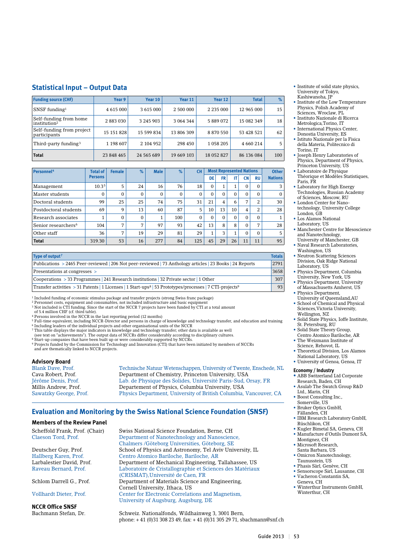#### **Statistical Input – Output Data**

| <b>Funding source (CHF)</b>                        | Year 9     | Year 10       | Year 11    | Year 12       | <b>Total</b> | $\%$ |
|----------------------------------------------------|------------|---------------|------------|---------------|--------------|------|
| $SNSF$ funding <sup>1</sup>                        | 4 615 000  | 3 6 1 5 0 0 0 | 2 500 000  | 2 2 3 5 0 0 0 | 12 965 000   | 15   |
| Self-funding from home<br>institution <sup>2</sup> | 2 883 030  | 3 245 903     | 3 064 344  | 5889072       | 15 082 349   | 18   |
| Self-funding from project<br>participants          | 15 151 828 | 15 599 834    | 13 806 309 | 8 870 550     | 53 428 521   | 62   |
| Third-party funding <sup>3</sup>                   | 1 198 607  | 2 104 952     | 298 450    | 1058205       | 4 660 214    | 5    |
| <b>Total</b>                                       | 23 848 465 | 24 565 689    | 19 669 103 | 18 052 827    | 86 136 084   | 100  |

| Personnel <sup>4</sup>          | <b>Total of</b>   | <b>Female</b>  | $\%$           | <b>Male</b> | $\%$         | <b>CH</b>    |          |                      | <b>Most Represented Nations</b> |           |                | <b>Other</b>   |
|---------------------------------|-------------------|----------------|----------------|-------------|--------------|--------------|----------|----------------------|---------------------------------|-----------|----------------|----------------|
|                                 | <b>Persons</b>    |                |                |             |              |              | DE       | FR                   | IT                              | <b>CN</b> | <b>RU</b>      | <b>Nations</b> |
| Management                      | 10.3 <sup>5</sup> | 5              | 24             | 16          | 76           | 18           | $\Omega$ | $\overline{a}$<br>Ŧ. | 1                               | $\Omega$  | $\Omega$       | 3              |
| Master students                 | $\Omega$          | $\Omega$       | $\Omega$       | 0           | $\mathbf{0}$ | $\mathbf{0}$ | 0        | 0                    | $\Omega$                        | $\Omega$  | $\Omega$       | $\mathbf{0}$   |
| Doctoral students               | 99                | 25             | 25             | 74          | 75           | 31           | 21       | 4                    | 6                               | 7         | 2              | 30             |
| Postdoctoral students           | 69                | 9              | 13             | 60          | 87           | 5            | 10       | 13                   | 10                              | 4         | 2              | 28             |
| Research associates             |                   | $\Omega$       | $\Omega$       | 1           | 100          | $\mathbf{0}$ | $\Omega$ | 0                    | $\Omega$                        | $\Omega$  | $\Omega$       | 1              |
| Senior researchers <sup>6</sup> | 104               | $\overline{ }$ | $\overline{7}$ | 97          | 93           | 42           | 13       | 8                    | 8                               | $\Omega$  | $\overline{ }$ | 28             |
| Other staff                     | 36                | 7              | 19             | 29          | 81           | 29           | 1        | 3                    | 1                               | $\Omega$  | $\Omega$       | 5              |
| <b>Total</b>                    | 319.30            | 53             | 16             | 277         | 84           | 125          | 45       | 29                   | 26                              | 11        | 11             | 95             |

| Type of output <sup>7</sup>                                                                                                      | <b>Totals</b> |
|----------------------------------------------------------------------------------------------------------------------------------|---------------|
| Publications > 2465 Peer-reviewed   206 Not peer-reviewed   73 Anthology articles   23 Books   24 Reports                        | 2791          |
| Presentations at congresses >                                                                                                    | 3658          |
| $\sim$ Cooperations > 33 Programmes 241 Research institutions 23 Private sector 1 Other                                          | 307           |
| Transfer activities > 31 Patents   1 Licenses   1 Start-ups <sup>8</sup>   53 Prototypes/processes   7 CTI-projects <sup>9</sup> | 93            |

<sup>1</sup> Included funding of economic stimulus package and transfer projects (strong Swiss franc package)<br><sup>2</sup> Personnel costs, equipment and consumables, not included infrastructure and basic equipment<br><sup>3</sup> Not included is CTI f

of 5.4 million CHF (cf. third table).

4 Persons involved in the NCCR in the last reporting period (12 months) 5 Full-time equivalent, including NCCR-Director and persons in charge of knowledge and technology transfer, and education and training

- <sup>6</sup> Including leaders of the individual projects and other organisational units of the NCCR<br>7 This table displays the major indicators in knowledge and technology transfer; other data is available as well<br>(see text on "ach
- 

Start-up companies that have been built up or were considerably supported by NCCRs.

9 Projects funded by the Commission for Technology and Innovation (CTI) that have been initiated by members of NCCRs and are thematically linked to NCCR projects.

# **Advisory Board**

Technische Natuur Wetenschappen, University of Twente, Enschede, NL Cava Robert, Prof. Department of Chemistry, Princeton University, USA Jérôme Denis, Prof. Lab. de Physique des Solides, Université Paris-Sud, Orsay, FR Millis Andrew, Prof. Departement of Physics, Columbia University, USA<br>Sawatzky George, Prof. Physics Department, University of British Columbia, Physics Department, University of British Columbia, Vancouver, CA

#### **Evaluation and Monitoring by the Swiss National Science Foundation (SNSF)**

#### **Members of the Review Panel**

**NCCR Office SNSF**

Scheffold Frank, Prof. (Chair) Swiss National Science Foundation, Berne, CH<br>Claeson Tord. Prof. Department of Nanotechnology and Nanoscien Department of Nanotechnology and Nanoscience, Chalmers /Göteborg Universities, Göteborg, SE Deutscher Guy, Prof. School of Physics and Astronomy, Tel Aviv University, IL Hallberg Karen, Prof. Centro Atomico Bariloche, Bariloche, AR Department of Mechanical Engineering, Tallahassee, US Raveau Bernard, Prof. Laboratoire de Cristallographie et Sciences des Matériaux (CRISMAT), Université de Caen, FR<br>Schlom Darrell G., Prof. Department of Materials Science an Department of Materials Science and Engineering, Cornell University, Ithaca, US Vollhardt Dieter, Prof. Center for Electronic Correlations and Magnetism, University of Augsburg, Augsburg, DE

Bachmann Stefan, Dr. Schweiz. Nationalfonds, Wildhainweg 3, 3001 Bern, phone: + 41 (0)31 308 23 49, fax: + 41 (0)31 305 29 71, sbachmann@snf.ch

- Institute of solid state physics, University of Tokyo, Kashiwanoha, IP
- Institute of the Low Temperature Physics, Polish Academy of Sciences, Wroclaw, PL
- Instituto Nazionale di Ricerca Metrologica,Torino, IT
- International Physics Center Donostia University, ES
- Istituto Nazionale per la Fisica della Materia, Politecnico di Torino, IT
- Joseph Henry Laboratories of Physics, Department of Physics, Princeton University, US
- Laboratoire de Physique Théorique et Modèles Statistiques, Paris, FR
- Laboratory for High Energy Technologies, Russian Academy of Sciences, Moscow, RU
- London Center for Nanotechnology, University College
- London, GB • Los Alamos National
- Laboratory, US
- Manchester Centre for Mesoscience and Nanotechnology, University of Manchester, GB
- Naval Research Laboratories, Washington, US
- Neutron Scattering Sciences Division, Oak Ridge National Laboratory, US
- Physics Department, Columbia University, New York, US
- Physics Department, University of Massachusetts Amherst, US • Physics Department,
- University of Queensland,AU • School of Chemical and Physical
- Sciences,Victoria University, Wellington, NZ • Solid State Physics, Ioffe Institute,
- St. Petersburg, RU
- Solid State Theory Group, Centro Atomico Bariloche, AR • The Weizmann Institute of
- Science, Rehovot, IL
- Theoretical Division, Los Alamos National Laboratory, US
- University of Genoa, Genoa, IT

#### **Economy / Industry**

- **•** ABB Switzerland Ltd Corporate Research, Baden, CH
- Asulab The Swatch Group R&D Ltd., Marin, CH
- Boost Consulting Inc., Somerville, US
- Bruker Optics GmbH, Fällanden, CH
- IBM Research Laboratory GmbH, Rüschlikon, CH
- Kugler Bimetal SA, Geneva, CH • Manufacture d'Outils Dumont SA,
- Montignez, CH • Microsoft Research,
- Santa Barbara, US
- Omicron Nanotechnology, Taunusstein, US
- Phasis Sàrl, Genève, CH
- Sensorscope Sàrl, Lausanne, CH • Vacheron Constantin SA,
- Geneva, CH • Winterthur Instruments GmbH,
- Winterthur, CH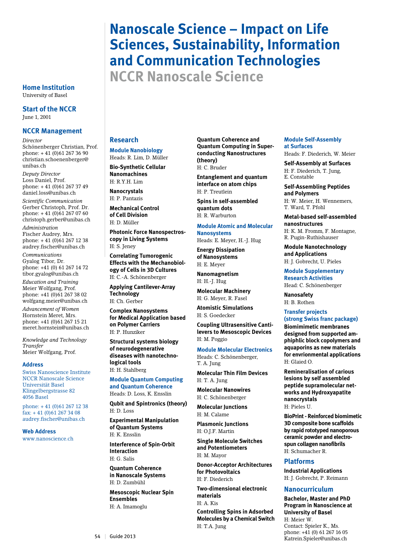# **Nanoscale Science – Impact on Life Sciences, Sustainability, Information and Communication Technologies NCCR Nanoscale Science**

#### **Home Institution** University of Basel

**Start of the NCCR** June 1, 2001

## **NCCR Management**

*Director*

Schönenberger Christian, Prof. phone: + 41 (0)61 267 36 90 christian.schoenenberger@ unibas.ch *Deputy Director* 

Loss Daniel, Prof. phone: + 41 (0)61 267 37 49 daniel.loss@unibas.ch

*Scientific Communication* Gerber Christoph, Prof. Dr. phone: + 41 (0)61 267 07 60 christoph.gerber@unibas.ch *Administration*

Fischer Audrey, Mrs. phone: + 41 (0)61 267 12 38 audrey.fischer@unibas.ch

*Communications* Gyalog Tibor, Dr. phone: +41 (0) 61 267 14 72 tibor.gyalog@unibas.ch *Education and Training* Meier Wolfgang, Prof. phone: +41 (0)61 267 38 02 wolfgang.meier@unibas.ch

*Advancement of Women* Hornstein Meret, Mrs. phone: +41 (0)61 267 15 21 meret.hornstein@unibas.ch

*Knowledge and Technology Transfer* Meier Wolfgang, Prof.

#### **Address**

Swiss Nanoscience Institute NCCR Nanoscale Science Universität Basel Klingelbergstrasse 82 4056 Basel

phone: + 41 (0)61 267 12 38 fax: + 41 (0)61 267 34 08 audrey.fischer@unibas.ch

**Web Address** www.nanoscience.ch

# **Research**

#### **Module Nanobiology**  Heads: R. Lim, D. Müller

**Bio-Synthetic Cellular Nanomachines** 

H: R.Y.H. Lim **Nanocrystals**

H: P. Pantazis **Mechanical Control** 

**of Cell Division** H: D. Müller

**Photonic Force Nanospectroscopy in Living Systems**  H: S. Jeney

**Correlating Tumorogenic Effects with the Mechanobiology of Cells in 3D Cultures** 

H: C.-A. Schönenberger **Applying Cantilever-Array Technology**  H: Ch. Gerber

**Complex Nanosystems for Medical Application based on Polymer Carriers**  H: P. Hunziker

**Structural systems biology of neurodegenerative diseases with nanotechnological tools**

H: H. Stahlberg **Module Quantum Computing** 

**and Quantum Coherence**  Heads: D. Loss, K. Ensslin

**Qubit and Spintronics (theory)**  H: D. Loss

**Experimental Manipulation of Quantum Systems**  H: K. Ensslin

**Interference of Spin-Orbit Interaction**  H: G. Salis

**Quantum Coherence in Nanoscale Systems**  H: D. Zumbühl

**Mesoscopic Nuclear Spin Ensembles**  H: A. Imamoglu

**Quantum Coherence and Quantum Computing in Superconducting Nanostructures (theory)**  H: C. Bruder

**Entanglement and quantum interface on atom chips** H: P. Treutlein

**Spins in self-assembled quantum dots** H: R. Warburton

# **Module Atomic and Molecular**

**Nanosystems**  Heads: E. Meyer, H.-J. Hug

**Energy Dissipation of Nanosystems**  H: E. Meyer

**Nanomagnetism**  H: H.-J. Hug

**Molecular Machinery**  H: G. Meyer, R. Fasel

**Atomistic Simulations**  H: S. Goedecker

**Coupling Ultrasensitive Cantilevers to Mesoscopic Devices**  H: M. Poggio

#### **Module Molecular Electronics**

T. A. Jung **Molecular Thin Film Devices**  H: T. A. Jung

Heads: C. Schönenberger,

**Molecular Nanowires** H: C. Schönenberger

**Molecular Junctions**

H: M. Calame **Plasmonic Junctions**  H: O.J.F. Martin

**Single Molecule Switches and Potentiometers**  H: M. Mayor

**Donor-Acceptor Architectures for Photovoltaics**  H: F. Diederich

**Two-dimensional electronic materials** 

H: A. Kis

**Controlling Spins in Adsorbed Molecules by a Chemical Switch**

H: T.A. Jung

#### **Module Self-Assembly at Surfaces**

Heads: F. Diederich, W. Meier

**Self-Assembly at Surfaces**  H: F. Diederich, T. Jung, E. Constable

**Self-Assembling Peptides and Polymers**  H: W. Meier, H. Wennemers,

T. Ward, T. Pfohl

**Metal-based self-assembled nanostructures** 

H: K. M. Fromm, F. Montagne, R. Pugin-Ruthishauser

**Module Nanotechnology and Applications** 

H: J. Gobrecht, U. Pieles

**Module Supplementary Research Activities**  Head: C. Schönenberger

**Nanosafety**  H: B. Rothen

#### **Transfer projects (strong Swiss franc package)**

**Biomimimetic membranes designed from supported amphiphlic block copolymers and aquaporins as new materials for envrionmental applications** H: Glaied O.

**Remineralisation of carious lesions by self assembled peptide supramolecular networks and Hydroxyapatite nanocrystals** H: Pieles U.

**BioPrint - Reinforced biomimetic 3D composite bone scaffolds by rapid rototyped nanoporous ceramic powder and electrospun collagen nanofibrils** H: Schumacher R.

# **Platforms**

**Industrial Applications** H: J. Gobrecht, P. Reimann

# **Nanocurriculum**

**Bachelor, Master and PhD Program in Nanoscience at University of Basel**

H: Meier W. Contact: Spieler K., Ms. phone: +41 (0) 61 267 16 05 Figure 2013<br>
Katrein.Spieler@unibas.ch 54 | Guide 2013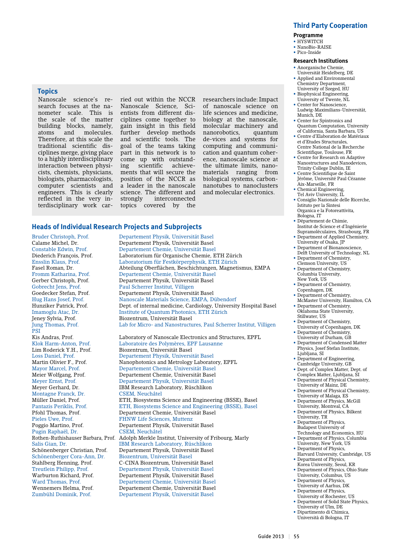# **Third Party Cooperation**

#### **Programme**

- HYSWITCH
- NanoBio-RAISE • Pico-Inside

# **Research Institutions**

#### • Anorganische Chemie,

- Universität Heidelberg, DE • Applied and Environmental
- Chemistry Department, University of Szeged, HU
- Biophysical Engineering, University of Twente, NL
- Center for Nanoscience.
- Ludwig-Maximilians-Universität, Munich, DE
- Center for Spintronics and Quantum Computation, University of California, Santa Barbara, US
- Centre d'Elaboration de Matériaux et d'Etudes Structurales, Centre National de la Recherche Scientifique, Toulouse, FR
- Centre for Research on Adaptive Nanostructures and Nanodevices, Trinity College Dublin, IE
- Centre Scientifique de Saint Jérôme, Université Paul Cézanne Aix-Marseille, FR
- Chemical Engineering,
- Tel Aviv University, IL • Consiglio Nazionale delle Ricerche, Istituto per la Sintesi Organica e la Fotoreattivita,
- Bologna, IT • Département de Chimie,
- Institut de Science et d'Ingénierie Supramoléculaires, Strasbourg, FR • Department of Applied Chemistry,
- University of Osaka, JP
- Department of Bionanoscience, Delft University of Technology, NL • Department of Chemistry,
- Clemson University, US
- Department of Chemistry, Columbia University, New York, US
- Department of Chemistry, Copenhagen, DK
- Department of Chemistry, McMaster University, Hamilton, CA
- Department of Chemistry, Oklahoma State University, Stillwater, US
- Department of Chemistry, University of Copenhagen, DK
- Department of Chemistry, University of Durham, GB
- Department of Condensed Matter Physics, Josef Stefan Institute, Ljubljana, SI
- Department of Engineering,
- Cambridge University, GB • Dept. of Complex Matter, Dept. of
- Complex Matter, Ljubljana, SI • Department of Physical Chemistry,
- University of Mainz, DE • Department of Physical Chemistry,
- University of Malaga, ES
- Department of Physics, McGill University, Montreal, CA
- Department of Physics, Bilkent University, TR
- Department of Physics, Budapest University of Technology and Economics, HU
- Department of Physics, Columbia University, New York, US
- Department of Physics, Harvard University, Cambridge, US
- Department of Physics, Korea University, Seoul, KR
- Department of Physics, Ohio State University, Columbus, US
- Department of Physics University of Aarhus, DK
- Department of Physics University of Rochester, US
- Department of Solid State Physics, University of Ulm, DE
- Dipartimento di Chimica, Università di Bologna, IT

# **Topics**

Nanoscale science's research focuses at the nanometer scale. This is the scale of the matter building blocks, namely, atoms and molecules. Therefore, at this scale the traditional scientific disciplines merge, giving place to a highly interdisciplinary interaction between physicists, chemists, physicians, biologists, pharmacologists, computer scientists and engineers. This is clearly reflected in the very interdisciplinary work carried out within the NCCR Nanoscale Science, Scientists from different disciplines come together to gain insight in this field further develop methods and scientific tools. The goal of the teams taking part in this network is to come up with outstand-<br>ing scientific achieveing scientific ments that will secure the position of the NCCR as a leader in the nanoscale science. The different and<br>strongly interconnected interconnected topics covered by the

researchers include: Impact of nanoscale science on life sciences and medicine, biology at the nanoscale, molecular machinery and nanorobotics, quantum de-vices and systems for computing and communication and quantum coherence, nanoscale science at the ultimate limits, nanomaterials ranging from biological systems, carbonnanotubes to nanoclusters and molecular electronics.

# **Heads of Individual Research Projects and Subprojects**

Gobrecht Jens, Prof.<br>
Paul Scherrer Institut, Villigen<br>
Goedecker Stefan, Prof.<br>
Pepartement Physik, Universit PSI Montagne Franck, Dr.<br>Müller Daniel Prof Pieles Uwe, Prof. FHNW Life Sciences, Muttenz Pugin Raphaël, Dr. Schönenberger Cora-Ann, Dr. Biozentrum, Universität Basel

Bruder Christoph, Prof. Departement Physik, Universität Basel Calame Michel, Dr. Departement Physik, Universität Basel Constable Edwin, Prof. Departement Chemie, Universität Basel Diederich François, Prof. Laboratorium für Organische Chemie, ETH Zürich Ensslin Klaus, Prof. Laboratorium für Festkörperphysik, ETH Zürich Abteilung Oberflächen, Beschichtungen, Magnetismus, EMPA Fromm Katharina, Prof. Departement Chemie, Universität Basel Gerber Christoph, Prof. Departement Physik, Universität Basel Goedecker Stefan, Prof. Departement Physik, Universität Basel<br>Hug Hans Josef, Prof. Nanoscale Materials Science, EMPA, D Nanoscale Materials Science, EMPA, Dübendorf Hunziker Patrick, Prof. Dept. of internal medicine, Cardiology, University Hospital Basel Imamoglu Atac, Dr. Institute of Quantum Photonics, ETH Zürich Biozentrum, Universität Basel Jung Thomas, Prof. Lab for Micro- and Nanostructures, Paul Scherrer Institut, Villigen Kis Andras, Prof. Laboratory of Nanoscale Electronics and Structures, EPFL<br>Klok Harm-Anton, Prof. Laboratoire des Polymères, EPF Lausanne Klok Harm-Anton, Prof. Laboratoire des Polymères, EPF Lausanne Biozentrum, Universität Basel Loss Daniel, Prof. Departement Physik, Universität Basel Nanophotonics and Metrology Laboratory, EPFL Mayor Marcel, Prof. Departement Chemie, Universität Basel Meier Wolfgang, Prof. Departement Chemie, Universität Basel Meyer Ernst, Prof. Departement Physik, Universität Basel IBM Research Laboratory, Rüschlikon<br>CSEM, Neuchâtel ETH, Biosystems Science and Engineering (BSSE), Basel Pantazis Periklis, Prof. ETH, Biosystems Science and Engineering (BSSE), Basel Departement Chemie, Universität Basel Departement Physik, Universität Basel<br>CSEM Neuchâtel Rothen-Ruthishauser Barbara, Prof. Adolph Merkle Institut, University of Fribourg, Marly IBM Research Laboratory, Rüschlikon Schönenberger Christian, Prof. Departement Physik, Universität Basel Stahlberg Henning, Prof. C-CINA Biozentrum, Universität Basel Treutlein Philipp, Prof. Departement Physik, Universität Basel Warburton Richard, Prof. Departement Physik, Universität Basel Ward Thomas, Prof. Departement Chemie, Universität Basel Departement Chemie, Universität Basel Zumbühl Dominik, Prof. Departement Physik, Universität Basel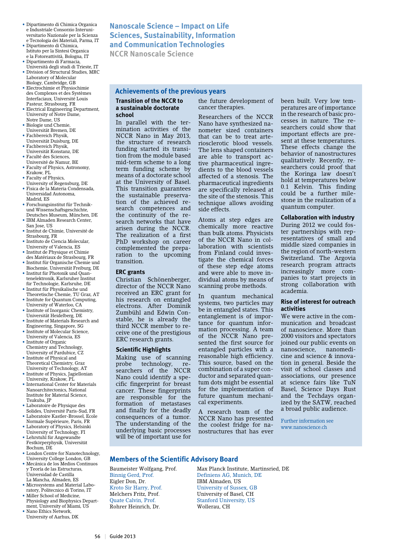- Dipartimento di Chimica Organica e Industriale Consorzio Interuniversitario Nazionale per la Scienza e Tecnologia dei Materiali, Parma, IT
- Dipartimento di Chimica, Istituto per la Sintesi Organica e la Fotoreattività, Bologna, IT
- Dipartimento di Farmacia, Università degli studi di Trieste, IT
- Division of Structural Studies, MRC Laboratory of Molecular Biology, Cambridge, GB
- Electrochimie et Physiochimie des Complexes et des Systèmes Interfaciaux, Université Louis Pasteur, Strasbourg, FR
- Electrical Engineering Department, University of Notre Dame, Notre Dame, US
- Biologie und Chemie, Universität Bremen, DE
- Fachbereich Physik,
- Universität Duisburg, DE • Fachbereich Physik,
- Universität Konstanz, DE • Faculté des Sciences,
- Université de Namur, BE • Faculty of Physics, Astronomy,
- Krakow, PL • Faculty of Physics,
- University of Regensburg, DE • Fisica de la Materia Condensada, Universidad Autonoma,
- Madrid, ES • Forschungsinstitut für Technik-
- und Wissenschaftsgeschichte, Deutsches Museum, München, DE • IBM Almaden Research Center,
- San Jose, US
- Institut de Chimie, Université de Strasbourg, FR • Instituto de Ciencia Molecular,
- University of Valencia, ES
- Institut de Physique et Chimie des Matériaux de Strasbourg, FR • Institut für Organische Chemie und
- Biochemie, Universität Freiburg, DE • Institut für Photonik und Quan-
- tenelektronik, Karlsruher Institut für Technologie, Karlsruhe, DE • Institut für Physikalische und
- Theoretische Chemie, TU Graz, AT • Institute for Quantum Computing,
- University of Waterloo, CA • Institute of Inorganic Chemistry,
- Universität Heidelberg, DE • Institute of Materials Research and Engineering, Singapore, SG
- Institute of Molecular Science, University of Valencia, ES
- Institute of Organic Chemistry and Technology, University of Pardubice, CZ
- Institute of Physical and Theoretical Chemistry, Graz University of Technology, AT
- Institute of Physics, Jagiellonian University, Krakow, PL
- International Center for Materials Nanoarchitectonics, National Institute for Material Science, Tsukuba, JP
- Laboratoire de Physique des Solides, Université Paris-Sud, FR
- Laboratoire Kastler-Brossel, Ecole Normale Supérieure, Paris, FR
- Laboratory of Physics, Helsinki University of Technology, FI
- Lehrstuhl für Angewandte Festkörperphysik, Universität Bochum, DE
- London Centre for Nanotechnology, University College London, GB
- Mecánica de los Medios Continuos y Teoría de las Estructuras, Universidad de Castilla La Mancha, Almaden, ES
- Microsystems and Material Laboratory, Politecnico di Torino, IT
- Miller School of Medicine, Physiology and Biophysics Department, University of Miami, US
- Nano Ethics Network, University of Aarhus, DK

# **Nanoscale Science – Impact on Life Sciences, Sustainability, Information and Communication Technologies**

**NCCR Nanoscale Science**

# **Achievements of the previous years**

#### **Transition of the NCCR to a sustainable doctorate school**

In parallel with the termination activities of the NCCR Nano in May 2013, the structure of research funding started its transition from the module based mid-term scheme to a long term funding scheme by means of a doctorate school at the University of Basel. This transition guarantees the sustainable preservation of the achieved research competences and the continuity of the research networks that have arisen during the NCCR. The realization of a first PhD workshop on career complemented the preparation to the upcoming transition.

#### **ERC grants**

Christian Schönenberger, director of the NCCR Nano received an ERC grant for his research on entangled electrons. After Dominik Zumbühl and Edwin Constable, he is already the third NCCR member to receive one of the prestigious ERC research grants.

#### **Scientific Highlights**

Making use of scanning probe technology, researchers of the NCCR Nano could identify a specific fingerprint for breast cancer. These fingerprints are responsible for the formation of metastases and finally for the deadly consequences of a tumor. The understanding of the underlying basic processes will be of important use for

#### the future development of cancer therapies.

Researchers of the NCCR Nano have synthesized nanometer sized containers that can be to treat arteriosclerotic blood vessels. The lens shaped containers are able to transport active pharmaceutical ingredients to the blood vessels affected of a stenosis. The pharmaceutical ingredients are specifically released at the site of the stenosis. This technique allows avoiding side effects.

Atoms at step edges are chemically more reactive than bulk atoms. Physicists of the NCCR Nano in collaboration with scientists from Finland could investigate the chemical forces of these step edge atoms and were able to move individual atoms by means of scanning probe methods.

In quantum mechanical systems, two particles may be in entangled states. This entanglement is of importance for quantum information processing. A team of the NCCR Nano presented the first source for entangled particles with a reasonable high efficiency. This source, based on the combination of a super conductor and separated quantum dots might be essential for the implementation of future quantum mechanical experiments.

A research team of the NCCR Nano has presented the coolest fridge for nanostructures that has ever been built. Very low temperatures are of importance in the research of basic processes in nature. The researchers could show that important effects are present at these temperatures. These effects change the behavior of nanostructures qualitatively. Recently, researchers could proof that the Koringa law doesn't hold at temperatures below 0.1 Kelvin. This finding could be a further milestone in the realization of a quantum computer.

#### **Collaboration with industry** During 2012 we could foster partnerships with representatives of small and middle sized companies in the region of north-western Switzerland. The Argovia research program attracts increasingly more companies to start projects in strong collaboration with academia.

#### **Rise of interest for outreach activities**

We were active in the communication and broadcast of nanoscience. More than 2000 visitors and spectators joined our public events on nanoscience, nanomedicine and science & innovation in general. Beside the visit of school classes and associations, our presence at science fairs like TuN Basel, Science Days Rust and the Techdays organized by the SATW, reached a broad public audience.

Further information see www.nanoscience.ch

# **Members of the Scientific Advisory Board**

Eigler Don, Dr.<br>Kroto Sir Harry, Prof. Melchers Fritz, Prof. University of Basel, CH Quate Calvin, Prof. Stanford University, US Rohrer Heinrich, Dr. Wollerau, CH

Baumeister Wolfgang, Prof. Max Planck Institute, Martinsried, DE Definiens AG, Munich, DE<br>IBM Almaden IJS University of Sussex, GB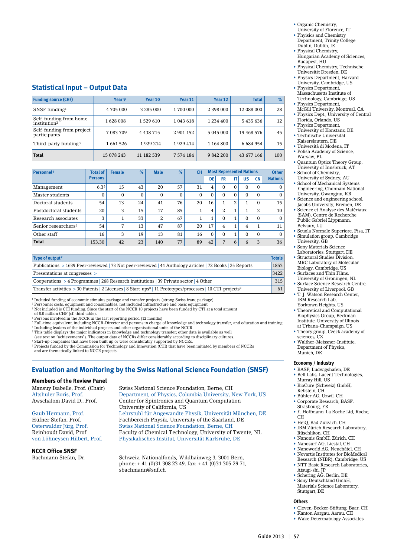- Organic Chemistry, University of Florence, IT
- Phyisics and Chemistry Department, Trinity College
- Dublin, Dublin, IE • Physical Chemistry,
- Hungarian Academy of Sciences, Budapest, HU
- Physical Chemistry, Technische Universität Dresden, DE
- Physics Department, Harvard University, Cambridge, US
- Physics Department, Massachusetts Institute of
- Technology, Cambridge, US • Physics Department,
- McGill University, Montreal, CA • Physics Dept., University of Central
- Florida, Orlando, US • Physics Department,
- University of Konstanz, DE • Technische Universität
- Kaiserslautern, DE
- Università di Modena, IT • Polish Academy of Science, Warsaw, PL
- Quantum Optics Theory Group, University of Innsbruck, AT
- School of Chemistry, University of Sydney, AU • School of Mechanical Systems
- Engineering, Chonnam National University, Gwangjuu, KR • Science and engineering school,
- Jacobs University, Bremen, DE • Science et Analyse des Matériaux
- (SAM), Centre de Recherche Public Gabriel Lippmann, Belvaux, LU
- Scuola Normale Superiore, Pisa, IT • Simulation group, Cambridge
- University, GB Sony Materials Science Laboratories, Stuttgart, DE
- Structural Studies Division MRC Laboratory of Molecular Biology, Cambridge, US
- Surfaces and Thin Films, University of Groningen, NL
- Surface Science Research Centre, University of Liverpool, GB
- T. J. Watson Research Center, IBM Research Lab,
- Yorktown Heights, US • Theoretical and Computational Biophysics Group, Beckman Institute, University of Illinois
- at Urbana-Champaign, US • Theory group, Czeck academy of sciences, CZ
- Walther-Meissner-Institute, Department of Physics, Munich, DE

#### **Economy / Industry**

- **•** BASF, Ludwigshafen, DE • Bell Labs, Lucent Technologies,
- Murray Hill, US • BioCure (Schweiz) GmbH,
- Rebstein, CH • Bühler AG, Uzwil, CH
- Corporate Research, BASF, Strasbourg, FR
- F. Hoffmann-La Roche Ltd, Roche,  $CH$
- HeiQ, Bad Zurzach, CH • IBM Zürich Research Laboratory,
- Rüschlikon, CH • Nanonis GmbH, Zürich, CH
- Nanosurf AG, Liestal, CH
- Nanoworld AG, Neuchâtel, CH • Novartis Institutes for BioMedical
- Research (NIBR), Cambridge, US • NTT Basic Research Laboratories, Atsugi-shi, JP
- Schering AG, Berlin, DE • Sony Deutschland GmbH,
- Materials Science Laboratory, Stuttgart, DE

# **Others**

- Cleven-Becker-Stiftung, Baar, CH
- Kanton Aargau, Aarau, CH
- Wake Determatology Associates

## **Statistical Input – Output Data**

| <b>Funding source (CHF)</b>                        | Year 9     | Year 10     | Year 11       | Year 12       | <b>Total</b>  | %   |
|----------------------------------------------------|------------|-------------|---------------|---------------|---------------|-----|
| SNSF funding $1$                                   | 4 705 000  | 3 285 000   | 1700 000      | 2 398 000     | 12 088 000    | 28  |
| Self-funding from home<br>institution <sup>2</sup> | 1628 008   | 1 5 29 6 10 | 1 043 618     | 1 2 3 4 4 0 0 | 5435636       | 12  |
| Self-funding from project<br>participants          | 7 083 709  | 4 4 38 7 15 | 2 901 152     | 5 045 000     | 19 468 576    | 45  |
| Third-party funding <sup>3</sup>                   | 1661526    | 1929 214    | 1929 414      | 1 164 800     | 6 6 8 4 9 5 4 | 15  |
| <b>Total</b>                                       | 15 078 243 | 11 182 539  | 7 5 7 4 1 8 4 | 9 842 200     | 43 677 166    | 100 |

| <b>Personnel4</b>               | <b>Total of</b>  | <b>Female</b>  | $\%$     | <b>Male</b>  | %            | <b>CH</b> |                      |                | <b>Most Represented Nations</b> |                |           | <b>Other</b>   |
|---------------------------------|------------------|----------------|----------|--------------|--------------|-----------|----------------------|----------------|---------------------------------|----------------|-----------|----------------|
|                                 | <b>Persons</b>   |                |          |              |              |           | DE                   | <b>FR</b>      | IT                              | <b>US</b>      | <b>CN</b> | <b>Nations</b> |
| Management                      | 6.3 <sup>5</sup> | 15             | 43       | 20           | 57           | 31        | 4                    | 0              | $\Omega$                        | $\Omega$       | $\Omega$  | $\Omega$       |
| Master students                 | $\Omega$         | 0              | $\Omega$ | $\mathbf{0}$ | $\mathbf{0}$ | $\Omega$  | $\Omega$             | 0              | $\Omega$                        | $\Omega$       | $\Omega$  | $\mathbf{0}$   |
| Doctoral students               | 54               | 13             | 24       | 41           | 76           | 20        | 16                   |                | 2                               | л.             | $\Omega$  | 15             |
| Postdoctoral students           | 20               | 3              | 15       | 17           | 85           | 1         | 4                    | $\overline{2}$ | 1                               | $\mathbf{1}$   | 2         | 10             |
| Research associates             | 3                |                | 33       | 2            | 67           | 4         | $\blacktriangleleft$ | 0              | 1                               | $\Omega$       | $\Omega$  | $\Omega$       |
| Senior researchers <sup>6</sup> | 54               | $\overline{ }$ | 13       | 47           | 87           | 20        | 17                   | 4              | 1                               | $\overline{4}$ |           | 11             |
| Other staff                     | 16               | 3              | 19       | 13           | 81           | 16        | $\Omega$             | 0              | 1                               | $\Omega$       | $\Omega$  | $\Omega$       |
| <b>Total</b>                    | 153.30           | 42             | 23       | 140          | 77           | 89        | 42                   | 7              | 6                               | 6              | 3         | 36             |

| Type of output <sup>7</sup>                                                                                                       | <b>Totals</b> |
|-----------------------------------------------------------------------------------------------------------------------------------|---------------|
| Publications > 1639 Peer-reviewed   73 Not peer-reviewed   44 Anthology articles   72 Books   25 Reports                          | 1853          |
| Presentations at congresses >                                                                                                     | 3422          |
| $\sim$ Cooperations $>$ 4 Programmes 268 Research institutions 29 Private sector 4 Other                                          | 315           |
| Transfer activities > 30 Patents   2 Licenses   8 Start-ups <sup>8</sup>   11 Prototypes/processes   10 CTI-projects <sup>9</sup> | 61            |

<sup>1</sup> Included funding of economic stimulus package and transfer projects (strong Swiss franc package)<br><sup>2</sup> Personnel costs, equipment and consumables, not included infrastructure and basic equipment<br><sup>3</sup> Not included is CTI f

4 Persons involved in the NCCR in the last reporting period (12 months) 5 Full-time equivalent, including NCCR-Director and persons in charge of knowledge and technology transfer, and education and training

<sup>6</sup> Including leaders of the individual projects and other organisational units of the NCCR<br><sup>7</sup> This table displays the major indicators in knowledge and technology transfer; other data is available as well<br>(see text on "a

Start-up companies that have been built up or were considerably supported by NCCRs.

9 Projects funded by the Commission for Technology and Innovation (CTI) that have been initiated by members of NCCRs and are thematically linked to NCCR projects.

# **Evaluation and Monitoring by the Swiss National Science Foundation (SNSF)**

#### **Members of the Review Panel**

#### **NCCR Office SNSF**

Mansuy Isabelle, Prof. (Chair) Swiss National Science Foundation, Berne, CH<br>Altshuler Boris, Prof. (Chair) Department, of Physics, Columbia University, P Altshuler Boris, Prof. Department, of Physics, Columbia University, New York, US<br>Awschalom David D., Prof. Center for Spintronics and Quantum Computation Center for Spintronics and Quantum Computation University of California, US Gaub Hermann, Prof. Lehrstuhl für Angewandte Physik, Universität München, DE<br>
Hüfner Stefan, Prof. Fachbereich Physik, University of the Saarland, DE Fachbereich Physik, University of the Saarland, DE Osterwalder Jürg, Prof. Swiss National Science Foundation, Berne, CH Reinhoudt David, Prof. Faculty of Chemical Technology, University of Twente, NL<br>von Löhneysen Hilbert, Prof. Physikalisches Institut, Universität Karlsruhe, DE Physikalisches Institut, Universität Karlsruhe, DE

Bachmann Stefan, Dr. Schweiz. Nationalfonds, Wildhainweg 3, 3001 Bern, phone: + 41 (0)31 308 23 49, fax: + 41 (0)31 305 29 71, sbachmann@snf.ch

Guide 2013 | 57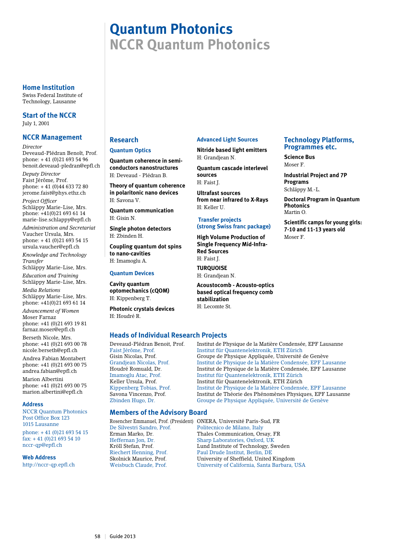# **Quantum Photonics NCCR Quantum Photonics**

#### **Home Institution**

Swiss Federal Institute of Technology, Lausanne

**Start of the NCCR** July 1, 2001

# **NCCR Management**

*Director*

Deveaud-Plédran Benoît, Prof. phone: + 41 (0)21 693 54 96 benoit.deveaud-pledran@epfl.ch *Deputy Director* Faist Jérôme, Prof.

phone: + 41 (0)44 633 72 80 jerome.faist@phys.ethz.ch

*Project Officer* Schläppy Marie-Lise, Mrs. phone: +41(0)21 693 61 14 marie-lise.schlappy@epfl.ch *Administration and Secretariat* Vaucher Ursula, Mrs.

phone: + 41 (0)21 693 54 15 ursula.vaucher@epfl.ch

*Knowledge and Technology Transfer*

Schläppy Marie-Lise, Mrs.

*Education and Training* Schläppy Marie-Lise, Mrs. *Media Relations*

Schläppy Marie-Lise, Mrs. phone: +41(0)21 693 61 14

*Advancement of Women* Moser Farnaz phone: +41 (0)21 693 19 81 farnaz.moser@epfl.ch Berseth Nicole, Mrs. phone: +41 (0)21 693 00 78 nicole.berseth@epfl.ch

Andrea Fabian Montabert phone: +41 (0)21 693 00 75 andrea.fabian@epfl.ch

Marion Albertini phone: +41 (0)21 693 00 75 marion.albertini@epfl.ch

#### **Address**

NCCR Quantum Photonics Post Office Box 123 1015 Lausanne

phone: + 41 (0)21 693 54 15  $\int \frac{1}{2}$  fax: +41 (0) 21 693 54 10 nccr-qp@epfl.ch

#### **Web Address**

http://nccr-qp.epfl.ch

# **Research**

#### **Quantum Optics**

**Quantum coherence in semiconductors nanostructures** H: Deveaud - Plédran B.

**Theory of quantum coherence in polaritonic nano devices** H: Savona V.

**Quantum communication** H: Gisin N.

**Single photon detectors** H: Zbinden H.

**Coupling quantum dot spins to nano-cavities** H: Imamoglu A.

#### **Quantum Devices**

**Cavity quantum optomechanics (cQOM)** H: Kippenberg T.

**Photonic crystals devices** H: Houdré R.

# **Heads of Individual Research Projects**

# **Members of the Advisory Board**

#### **Advanced Light Sources**

**Nitride based light emitters** H: Grandjean N.

**Quantum cascade interlevel sources** H: Faist J.

**Ultrafast sources from near infrared to X-Rays** H: Keller U.

#### **Transfer projects (strong Swiss franc package)**

**High Volume Production of Single Frequency Mid-Infra-Red Sources** H: Faist J.

**TURQUOISE** H: Grandjean N.

**Acoustocomb - Acousto-optics based optical frequency comb stabilization**

H: Lecomte St.

#### **Technology Platforms, Programmes etc.**

**Science Bus** Moser F.

**Industrial Project and 7P Programs** Schläppy M.-L.

**Doctoral Program in Quantum Photonics** Martin O.

**Scientific camps for young girls: 7-10 and 11-13 years old** Moser F.

Deveaud-Plédran Benoit, Prof. Institut de Physique de la Matière Condensée, EPF Lausanne Institut für Quantenelektronik, ETH Zürich Gisin Nicolas, Prof. Croupe de Physique Appliquée, Université de Genève<br>Grandiean Nicolas, Prof. Container de la Matière Condensée, EPF La Institut de Physique de la Matière Condensée, EPF Lausanne Houdré Romuald, Dr. Institut de Physique de la Matière Condensée, EPF Lausanne Institut für Quantenelektronik, ETH Zürich Keller Ursula, Prof. Institut für Quantenelektronik, ETH Zürich Kippenberg Tobias, Prof. Institut de Physique de la Matière Condense Kippenberg Tobias, Prof. Institut de Physique de la Matière Condensée, EPF Lausanne<br>Savona Vincenzo. Prof. Institut de Théorie des Phénomènes Physiques. EPF Lausann Institut de Théorie des Phénomènes Physiques, EPF Lausanne Zbinden Hugo, Dr. Groupe de Physique Appliquée, Université de Genève

Rosencher Emmanuel, Prof. (President) ONERA, Université Paris-Sud, FR Politecnico de Milano, Italy Erman Marko, Dr. Thales Communication, Orsay, FR Heffernan Jon, Dr. Sharp Laboratories, Oxford, UK Kröll Stefan, Prof. Lund Institute of Technology, Sweden Riechert Henning, Prof. Paul Drude Institut, Berlin, DE<br>Skolnick Maurice, Prof. Physics University of Sheffield, United University of Sheffield, United Kingdom Weisbuch Claude, Prof. University of California, Santa Barbara, USA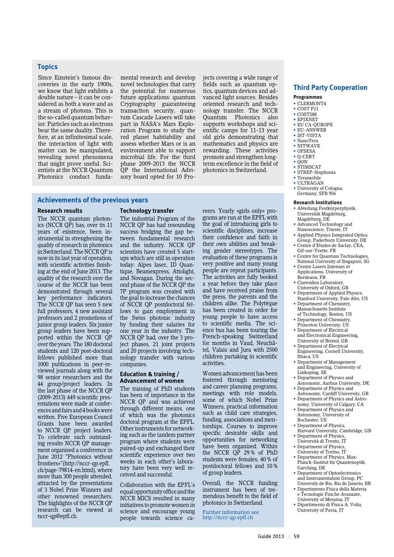#### **Topics**

Since Einstein's famous discoveries in the early 1900s, we know that light exhibits a double nature – it can be considered as both a wave and as a stream of photons. This is the so-called quantum behavior. Particles such as electrons bear the same duality. Therefore, at an infinitesimal scale, the interaction of light with matter can be manipulated, revealing novel phenomena that might prove useful. Scientists at the NCCR Quantum Photonics conduct fundamental research and develop novel technologies that carry the potential for numerous future applications: quantum Cryptography guaranteeing transaction security, quantum Cascade Lasers will take part in NASA's Mars Exploration Program to study the red planet habitability and assess whether Mars or is an environment able to support microbial life. For the third phase 2009-2013 the NCCR QP the International Advisory board opted for 10 Pro-

jects covering a wide range of fields such as quantum optics, quantum devices and advanced light sources. Besides oriented research and technology transfer. The NCCR Quantum Photonics also supports workshops and scientific camps for 11-13 year old girls demonstrating that mathematics and physics are rewarding. These activities promote and strengthen longterm excellence in the field of photonics in Switzerland.

#### **Achievements of the previous years**

#### **Research results**

The NCCR quantum photonics (NCCR QP) has, over its 11 years of existence, been instrumental in strenghening the quality of research in photonics in Switzerland. The NCCR QP is now in its last year of operation, with scientific activities finishing at the end of June 2013. The quality of the research over the course of the NCCR has been demonstrated through several key performance indicators. The NCCR QP has seen 5 new full professors, 4 new assistant professors and 2 promotions of junior group leaders. Six junior group leaders have been supported within the NCCR QP over the years. The 180 doctoral students and 120 post-doctoral fellows published more than 1000 publications in peer-reviewed journals along with the 98 senior researchers and the 44 group/project leaders. In the last phase of the NCCR QP (2009-2013) 449 scientific presentations were made at conferences and fairs and 4 books were written. Five European Council Grants have been awarded to NCCR QP project leaders. To celebrate such outstanding results NCCR QP management organised a conference in June 2012 "Photonics without frontiers»"(http://nccr-qp.epfl. ch/page-79814-en.html), where more than 300 people attended, attracted by the presentations of 3 Nobel Prize Winners and other renowned researchers. The highlights of the NCCR QP research can be viewed at nccr-qp@epfl.ch.

#### **Technology transfer**

The industrial Program of the NCCR QP has had resounding success bridging the gap between fundamental research and the industry. NCCR QP scientists have created 5 startups which are still in operation today: Alpes laser, ID Quantique, Beamexpress, Attolight, and Novagan. During the second phase of the NCCR QP the 7P program was created with the goal to increase the chances of NCCR QP postdoctoral fellows to gain employment in the Swiss photonic industry by funding their salaries for one year in the industry. The NCCR QP had, over the 3 project phases, 21 joint projects and 20 projects involving technology transfer with various companies.

#### **Education & training / Advancement of women**

The training of PhD students has been of importance in the NCCR QP and was achieved through different means, one of which was the photonics doctoral program at the EPFL. Other instruments for networking such as the tandem partner program where students were paired-up and exchanged their scientific experience over two weeks in each other's laboratory have been very well received and successful.

Collaboration with the EPFL's equal opportunity office and the NCCR MICS resulted in many initiatives to promote women in science and encourage young people towards science careers. Yearly «girls only» programs are run at the EPFL with the goal of introducing girls to scientific disciplines, increase their confidence and faith in their own abilities and breaking gender stereotypes. The evaluation of these programs is very positive and many young people are repeat participants. The activities are fully booked a year before they take place and have received praise from the press, the parents and the children alike. The Polytèque has been created in order for young people to have access to scientific media. The science bus has been touring the French-speaking Switzerland for months in Vaud, Neuchâtel, Valais and Jura with 2500 children partaking in scientific activities.

Women advancement has been fostered through mentoring and career planning programs, meetings with role models, some of which Nobel Prize Winners, practical information such as child care strategies, funding, associations and mentorships. Courses to improve specific desirable skills and opportunities for networking have been organized. Within the NCCR QP 29 % of PhD students were females, 40 % of postdoctoral fellows and 10 % of group leaders.

Overall, the NCCR funding instrument has been of tremendous benefit to the field of photonics in Switzerland.

Further information see http://nccr-qp.epfl.ch

#### **Third Party Cooperation**

#### **Programmes**

- CLERMONT4
- COST P21
- COST288 • EPIXNET
- EU CA-QUROPE
- EU-ANSWER
- IST-VISTA
- NanoTera
- NITWAVE
- OFSESA
- Q-CERT
- $\cdot$  OON
	- STIMSCAT • STREP-Sinphonia
	-
- Teramobile  $\bullet$  ULTRAGAN
- University of Cologna,
- Germany, SFB 956

#### **Research Institutions**

- Abteilung Festkörperphysik, Universität Magdeburg, Magdeburg, DE
- Advanced Technology and Nanoscience, Trieste, IT
- Applied Physics Integrated Optics Group, Paderborn University, DE
- Centre d'Etudes de Saclay, CEA, Gif-sur-Yvette, FR
- Centre for Quantum Technologies, National University of Singapore, SG
- Centre Lasers Intenses et Applications, University of Bordeaux, FR
- Clarendon Laboratory, University of Oxford, GB
- Department of Applied Physics, Stanford University, Palo Alto, US
- Department of Chemistry, Massachusetts Institute of Technology, Boston, US
- Department of Chemistry, Princeton University, US
- Department of Electrical and Electronical Engineering, University of Bristol, GB
- Department of Electrical Engineering, Cornell University, Ithaca, US
- Department of Management and Engineering, University of Linkoping, SE
- Department of Physics and
- Astronomy, Aarhus University, DK • Department of Physics and Astronomy, Cardiff University, GB
- Department of Physics and Astronomy, University of Calgary, CA
- Department of Physics and Astronomy, University of Rochester, US
- Department of Physics,
- Harvard University, Cambridge, GB • Department of Physics,
- Università di Trento, IT
- Department of Physics, University of Torino, IT
- Department of Physics, Max-Planck-Institut für Quantenoptik, Garching, DE
- Department of Optoelectronics and Instrumentation Group, PC University de Rio, Rio de Janerio, BR
- Dipartimento Fisica della Materia e Tecnologie Fisiche Avanzate,
- University of Messina, IT • Dipartimento di Fisica A. Volta,
- University of Pavia, IT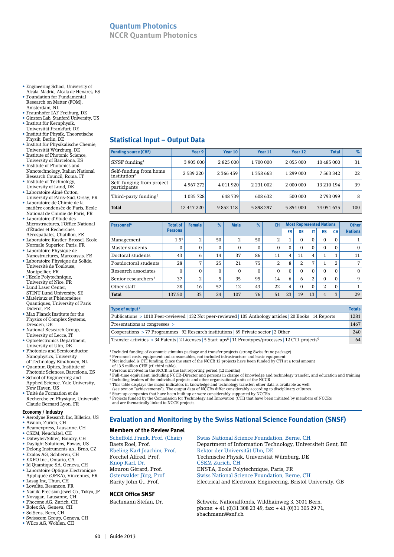**NCCR Quantum Photonics**

- Engineering School, University of Alcala-Madrid, Alcala de Henares, ES
- Foundation for Fundamental Research on Matter (FOM),
- Amsterdam, NL • Fraunhofer IAF Freiburg, DE
- Ginzton Lab, Stanford University, US
- Institut für Kernphysik,
- Universität Frankfurt, DE • Institut für Physik, Theoretische Physik, Berlin, DE
- Institut für Physikalische Chemie, Universität Würzburg, DE
- Institute of Photonic Science, University of Barcelona, ES
- Institute of Photonics and Nanotechnology, Italian National
- Research Council, Roma, IT • Institute of Technology,
- University of Lund, DK • Laboratoire Aimé Cotton,
- University of Paris-Sud, Orsay, FR • Laboratoire de Chimie de la
- matière condensée de Paris, Ecole National de Chimie de Paris, FR • Laboratoire d'Etude des
- Microstructures, l'Office National d'Études et Recherches Aérospatiales, Chatillon, FR
- Laboratoire Kastler-Brossel, Ecole Normale Superior, Paris, FR
- Laboratoire Physique de Nanostructures, Marcoussis, FR
- Laboratoire Physique du Solide, Université de Toulouse, Montpellier, FR
- l'Ecole Polytechnique, University of Nice, FR
- Lund Laser Center,
- STINT Lund University, SE • Matériaux et Phénomènes Quantiques, University of Paris
- Diderot, FR • Max Planck Institute for the Physics of Complex Systems,
- Dresden, DE • National Research Group,
- University of Lecce, IT • Optoelectronics Department, University of Ulm, DE
- Photonics and Semiconductor Nanophysics, University
- of Technology Eindhoven, NL • Quantum Optics, Institute of
- Photonic Sciences, Barcelona, ES • School of Engineering and Applied Science, Yale University,
- New Haven, US • Unité de Formation et de Recherche en Physique, Université
- Claude Bernard Lyon, FR

#### **Economy / Industry**

- Aerodyne Research Inc, Billerica, US
- Avalon, Zurich, CH
- Beamexpress, Lausanne, CH • CSEM, Neuchâtel, CH
- Dätwyler/Silitec, Boudry, CH
- Daylight Solutions, Poway, US
- Delong Instruments a.s., Brno, CZ
- Exalos AG, Schlieren, CH • EXFO Inc., Ontario, CA
- Id Quantique SA, Geneva, CH
- Laboratoire Optique Electronique Appliquée (OPEA), Vincennes, FR
- Lasag Inc, Thun, CH
- Lovalite, Besancon, FR
- Namiki Precision Jewel Co., Tokyo, JP
- Novagan, Lausanne, CH
- Phocone AG, Zurich, CH
- Rolex SA, Geneva, CH • SolSens, Bern, CH
- Swisscom Group, Geneva, CH
- Wilco AG, Wohlen, CH

# **Statistical Input – Output Data**

| <b>Funding source (CHF)</b>                             | Year 9        | Year 10   | Year 11       | Year 12   | <b>Total</b>  | $\%$ |
|---------------------------------------------------------|---------------|-----------|---------------|-----------|---------------|------|
| $SNSF$ funding <sup>1</sup>                             | 3 905 000     | 2 825 000 | 1700 000      | 2 055 000 | 10 485 000    | 31   |
| Self-funding from home<br>$\sin$ stitution <sup>2</sup> | 2 539 220     | 2 366 459 | 1 358 663     | 1 299 000 | 7 5 6 3 3 4 2 | 22   |
| Self-funging from project<br>participants               | 4 967 272     | 4 011 920 | 2 2 3 1 0 0 2 | 2 000 000 | 13 210 194    | 39   |
| Third-party funding <sup>3</sup>                        | 1 0 3 5 7 2 8 | 648739    | 608 632       | 500 000   | 2793099       | 8    |
| <b>Total</b>                                            | 12 447 220    | 9 852 118 | 5 898 297     | 5 854 000 | 34 051 635    | 100  |

| Personnel <sup>4</sup>          | <b>Total of</b>  | <b>Female</b> | $\%$         | <b>Male</b>    | $\%$ | <b>CH</b> |           |          | <b>Most Represented Nations</b> |          |           | <b>Other</b>   |
|---------------------------------|------------------|---------------|--------------|----------------|------|-----------|-----------|----------|---------------------------------|----------|-----------|----------------|
|                                 | <b>Persons</b>   |               |              |                |      |           | <b>FR</b> | DE       | IT                              | ES       | <b>CA</b> | <b>Nations</b> |
| Management                      | 1.5 <sup>5</sup> | 2             | 50           | $\overline{2}$ | 50   | 2         | 4<br>T    | $\Omega$ | $\Omega$                        | $\Omega$ | $\Omega$  |                |
| Master students                 | 0                | $\Omega$      | $\mathbf{0}$ | $\mathbf{0}$   | 0    | $\Omega$  | $\Omega$  | $\Omega$ | $\Omega$                        | $\Omega$ | $\Omega$  | $\Omega$       |
| Doctoral students               | 43               | 6             | 14           | 37             | 86   | 11        | 4         | 11       | 4                               |          |           | 11             |
| Postdoctoral students           | 28               | ⇁             | 25           | 21             | 75   | 2         | 8         | 2        | 7                               |          | 2         | ⇁              |
| Research associates             | $\Omega$         | $\Omega$      | $\Omega$     | $\Omega$       | 0    | $\Omega$  | $\Omega$  | $\Omega$ | $\Omega$                        | $\Omega$ | $\Omega$  | $\Omega$       |
| Senior researchers <sup>6</sup> | 37               | 2             | 5            | 35             | 95   | 14        | 6         | 6        | 2                               | $\Omega$ | $\Omega$  | 9              |
| Other staff                     | 28               | 16            | 57           | 12             | 43   | 22        | 4         | $\Omega$ | $\Omega$                        | 2        | $\Omega$  |                |
| <b>Total</b>                    | 137.50           | 33            | 24           | 107            | 76   | 51        | 23        | 19       | 13                              | 4        | 3         | 29             |

| Type of output <sup>7</sup>                                                                                                       | <b>Totals</b> |
|-----------------------------------------------------------------------------------------------------------------------------------|---------------|
| Publications > 1010 Peer-reviewed   132 Not peer-reviewed   105 Anthology articles   20 Books   14 Reports                        | 1281          |
| Presentations at congresses >                                                                                                     | 1467          |
| Cooperations > 77 Programmes   92 Research institutions   69 Private sector   2 Other                                             | 240           |
| Transfer activities > 34 Patents   2 Licenses   5 Start-ups <sup>8</sup>   11 Prototypes/processes   12 CTI-projects <sup>9</sup> | 64            |

<sup>1</sup> Included funding of economic stimulus package and transfer projects (strong Swiss franc package)<br><sup>2</sup> Personnel costs, equipment and consumables, not included infrastructure and basic equipment<br><sup>3</sup> Not included is CTI

<sup>4</sup> Persons involved in the NCCR in the last reporting period (12 months)<br><sup>5</sup> Full-time equivalent, including NCCR-Director and persons in charge of knowledge and technology transfer, and education and training 6 Including leaders of the individual projects and other organisational units of the NCCR 7 This table displays the major indicators in knowledge and technology transfer; other data is available as well

(see text on "achievements"). The output data of NCCRs differ considerably according to disciplinary cultures.

<sup>8</sup> Start-up companies that have been built up or were considerably supported by NCCRs.<br><sup>9</sup> Projects funded by the Commission for Technology and Innovation (CTI) that have been initiated by members of NCCRs<br> and are thema

# **Evaluation and Monitoring by the Swiss National Science Foundation (SNSF)**

#### **Members of the Review Panel**

Knop Karl, Dr. CSEM Zurich, CH

#### **NCCR Office SNSF**

Scheffold Frank, Prof. (Chair) Swiss National Science Foundation, Berne, CH<br>Baets Roel. Prof. Department of Information Technology. Univer Department of Information Technology, Universiteit Gent, BE Ebeling Karl Joachim, Prof. Rektor der Universität Ulm, DE Technische Physik, Universität Würzburg, DE Mourou Gérard, Prof. ENSTA, Ecole Polytechnique, Paris, FR Swiss National Science Foundation, Berne, CH Rarity John G., Prof. Electrical and Electronic Engineering, Bristol University, GB

Bachmann Stefan, Dr. Schweiz. Nationalfonds, Wildhainweg 3, 3001 Bern, phone: + 41 (0)31 308 23 49, fax: + 41 (0)31 305 29 71, sbachmann@snf.ch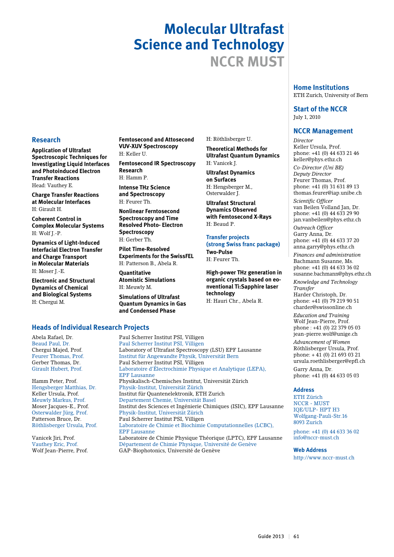# **Molecular Ultrafast Science and Technology NCCR MUST**

H: Röthlisberger U. **Theoretical Methods for Ultrafast Quantum Dynamics**

**Ultrafast Dynamics on Surfaces** H: Hengsberger M., Osterwalder I. **Ultrafast Structural Dynamics Observed with Femtosecond X-Rays**

H: Vanicek J.

H: Beaud P.

**Two-Pulse** H: Feurer Th.

**technology**

H: Hauri Chr., Abela R.

**Transfer projects** 

**(strong Swiss franc package)** 

**High-power THz generation in organic crystals based on eonventional Ti:Sapphire laser** 

#### **Home Institutions** ETH Zurich, University of Bern

#### **Start of the NCCR** July 1, 2010

## **NCCR Management**

*Director* Keller Ursula, Prof. phone: +41 (0) 44 633 21 46 keller@phys.ethz.ch

*Co-Director (Uni BE) Deputy Director* Feurer Thomas, Prof. phone: +41 (0) 31 631 89 13 thomas.feurer@iap.unibe.ch

*Scientific Officer* van Beilen Volland Jan, Dr. phone: +41 (0) 44 633 29 90 jan.vanbeilen@phys.ethz.ch

*Outreach Officer* Garry Anna, Dr. phone: +41 (0) 44 633 37 20 anna.garry@phys.ethz.ch

*Finances and administration* Bachmann Susanne, Ms. phone: +41 (0) 44 633 36 02 susanne.bachmann@phys.ethz.ch

*Knowledge and Technology Transfer* Harder Christoph, Dr.

phone: +41 (0) 79 219 90 51 charder@swissonline.ch

*Education and Training* Wolf Jean-Pierre, Prof. phone : +41 (0) 22 379 05 03 jean-pierre.wolf@unige.ch

*Advancement of Women* Röthlisberger Ursula, Prof. phone: + 41 (0) 21 693 03 21 ursula.roethlisberger@epfl.ch Garry Anna, Dr.

phone: +41 (0) 44 633 05 03

#### **Address**

ETH Zürich NCCR - MUST IQE/ULP- HPT H3 Wolfgang-Pauli-Str.16 8093 Zurich

phone: +41 (0) 44 633 36 02 info@nccr-must.ch

**Web Address** http://www.nccr-must.ch

# **Research**

**Application of Ultrafast Spectroscopic Techniques for Investigating Liquid Interfaces and Photoinduced Electron Transfer Reactions** Head: Vauthey E.

**Charge Transfer Reactions at Molecular Interfaces**  H: Girault H.

**Coherent Control in Complex Molecular Systems** H: Wolf J.-P.

**Dynamics of Light-Induced Interfacial Electron Transfer and Charge Transport in Molecular Materials** H: Moser J.-E.

**Electronic and Structural Dynamics of Chemical and Biological Systems** H: Chergui M.

**Femtosecond and Attosecond VUV-XUV Spectroscopy** H: Keller U.

**Femtosecond IR Spectroscopy Research** H: Hamm P.

**Intense THz Science and Spectroscopy** H: Feurer Th.

**Nonlinear Ferntosecond Spectroscopy and Time Resolved Photo- Electron Spectroscopy**  H: Gerber Th.

**Pilot Time-Resolved Experiments for the SwissFEL** H: Patterson B., Abela R.

**Quantitative Atomistic Simulations** H: Meuwly M.

**Simulations of Ultrafast Quantum Dynamics in Gas and Condensed Phase**

# **Heads of Individual Research Projects**

Wolf Jean-Pierre, Prof. GAP-Biophotonics, Université de Genève

Abela Rafael, Dr. Paul Scherrer Institut PSI, Villigen Paul Scherrer Institut PSI, Villigen Chergui Majed, Prof. Laboratory of Ultrafast Spectroscopy (LSU) EPF Lausanne Feurer Thomas, Prof. Institut für Angewandte Physik, Universität Bern Paul Scherrer Institut PSI, Villigen Girault Hubert, Prof. Laboratoire d'électrochimie Physique et Analytique (LEPA), EPF Lausanne Physikalisch-Chemisches Institut, Universität Zürich Hengsberger Matthias, Dr. Physik-Institut, Universität Zürich Institut für Quantenelektronik, ETH Zurich Meuwly Markus, Prof. Departement Chemie, Universität Basel Moser Jacques-E., Prof. Institut des Sciences et Ingénierie Chimiques (ISIC), EPF Lausanne Physik-Institut, Universität Zürich Patterson Bruce, Dr. Paul Scherrer Institut PSI, Villigen Laboratoire de Chimie et Biochimie Computationnelles (LCBC), EPF Lausanne<br>
Vanicek Jiri, Prof.<br>
Laboratoire de Vanicek Jiri, Prof. Laboratoire de Chimie Physique Théorique (LPTC), EPF Lausanne<br>Vauthey Eric. Prof. Département de Chimie Physique. Université de Genève Département de Chimie Physique, Université de Genève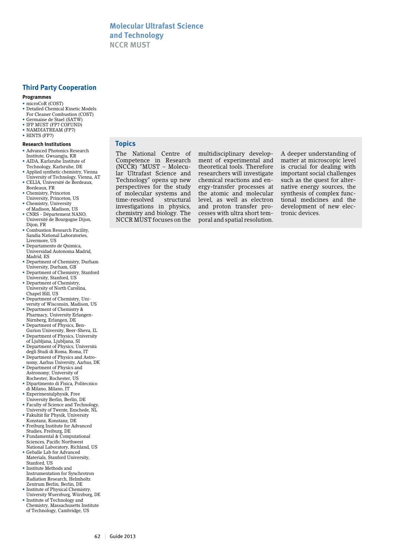## **Third Party Cooperation**

#### **Programmes**

- microCoR (COST)
- Detailed Chemical Kinetic Models For Cleaner Combustion (COST)
- • Germaine de Stael (SATW)
- IFP MUST (FP7 COFUND)
- NAMDIATREAM (FP7)
- HINTS (FP7)

#### **Research Institutions**

- • Advanced Photonics Research Institute, Gwuangju, KR
- • AIDA, Karlsruhe Institute of Technology, Karlsruhe, DE
- • Applied synthetic chemistry, Vienna
- University of Technology, Vienna, AT • CELIA, Université de Bordeaux, Bordeaux, FR
- • Chemistry, Princeton University, Princeton, US
- • Chemistry, University
- of Madison, Madison, US • CNRS - Département NANO,
- Université de Bourgogne Dijon, Dijon, FR
- • Combustion Research Facility, Sandia National Laboratories, Livermore, US • Departamento de Quimica,
- Universidad Autonoma Madrid, Madrid, ES
- • Department of Chemistry, Durham University, Durham, GB
- • Department of Chemistry, Stanford University, Stanford, US
- Department of Chemistry University of North Carolina, Chapel Hill, US
- Department of Chemistry, University of Wisconsin, Madison, US
- • Department of Chemistry & Pharmacy, University Erlangen-
- Nürnberg, Erlangen, DE • Department of Physics, Ben-
- Gurion University, Beer-Sheva, IL • Department of Physics, University
- of Ljubljana, Ljubljana, SI • Department of Physics, Università
- degli Studi di Roma, Roma, IT • Department of Physics and Astro-
- nomy, Aarhus University, Aarhus, DK • Department of Physics and
- Astronomy, University of Rochester, Rochester, US
- • Dipartimento di Fisica, Politecnico di Milano, Milano, IT
- Experimentalphysik, Free
- University Berlin, Berlin, DE
- • Faculty of Science and Technology, University of Twente, Enschede, NL
- • Fakultät für Physik, University Konstanz, Konstanz, DE
- Freiburg Institute for Advanced Studies, Freiburg, DE
- Fundamental & Computational Sciences, Pacific Northwest National Laboratory, Richland, US
- • Geballe Lab for Advanced Materials, Stanford University, Stanford, US
- Institute Methods and Instrumentation for Synchrotron Radiation Research, Helmholtz Zentrum Berlin, Berlin, DE
- Institute of Physical Chemistry, University Wuerzburg, Würzburg, DE • Institute of Technology and
- Chemistry, Massachusetts Institute of Technology, Cambridge, US

## **Topics**

The National Centre of Competence in Research (NCCR) "MUST – Molecular Ultrafast Science and Technology" opens up new perspectives for the study of molecular systems and time-resolved structural investigations in physics, chemistry and biology. The NCCR MUST focuses on the

multidisciplinary development of experimental and theoretical tools. Therefore researchers will investigate chemical reactions and energy-transfer processes at the atomic and molecular level, as well as electron and proton transfer processes with ultra short temporal and spatial resolution.

A deeper understanding of matter at microscopic level is crucial for dealing with important social challenges such as the quest for alternative energy sources, the synthesis of complex functional medicines and the development of new electronic devices.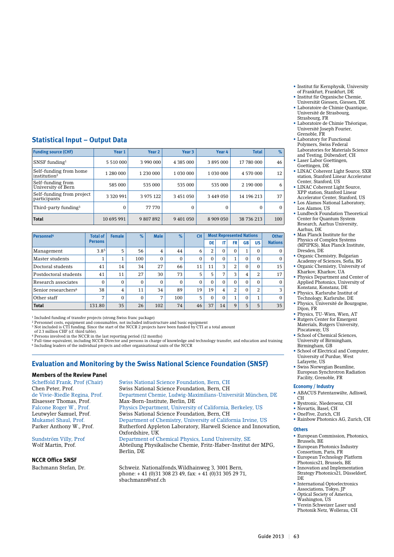- • Institut für Kernphysik, University of Frankfurt, Frankfurt, DE
- Institut für Organische Chemie, Universität Giessen, Giessen, DE
- • Laboratoire de Chimie Quantique, Université de Strasbourg, Strasbourg, FR

• Laboratoire de Chimie Théorique, Université Joseph Fourier, Grenoble, FR

- • Laboratory for Functional Polymers, Swiss Federal Laboratories for Materials Science and Testing, Dübendorf, CH
- Laser Labor Goettingen,
- Goettingen, DE • LINAC Coherent Light Source, SXR station, Stanford Linear Accelerator Center, Stanford, US
- LINAC Coherent Light Source, XPP station, Stanford Linear
- Accelerator Center, Stanford, US • Los Alamos National Laboratory, Los Alamos, US
- Lundbeck Foundation Theoretical Center for Quantum System Research, Aarhus University, Aarhus, DK
- Max Planck Institute for the Physics of Complex Systems (MPIPKS), Max Planck Institute, Dresden, DE
- • Organic Chemistry, Bulgarian Academy of Sciences, Sofia, BG Organic Chemistry, University of
- Kharkov, Kharkov, UA • Physics Department and Center of
- Applied Photonics, University of Konstanz, Konstanz, DE • Physics, Karlsruhe Institut of
- Technology, Karlsruhe, DE • Physics, Université de Bourgogne,
- Dijon, FR • Physics, TU-Wien, Wien, AT
- • Rutgers Center for Emergent Materials, Rutgers University,
- Piscataway, US • School of Chemical Sciences, University of Birmingham, Birmingham, GB
- School of Electrical and Computer, University of Purdue, West Lafayette, US
- • Swiss Norwegian Beamline, European Synchrotron Radiation Facility, Grenoble, FR

#### **Economy / Industry**

- • ABACUS Patentanwälte, Adliswil, CH
- Bystronic, Niederoenz, CH
- Novartis, Basel, CH
- • OneFive, Zurich, CH
- • Rainbow Photonics AG, Zurich, CH

# **Others**

- • European Commission, Photonics, Brussels, BE
- • European Photonics Industry Consortium, Paris, FR • European Technology Platform
- Photonics21, Brussels, BE
- Innovation and Implementation Strategy Photonics21, Düsseldorf, DE
- International Optoelectronics Associations, Tokyo, JP
- Optical Society of America, Washington, US
- • Verein Schweizer Laser und Photonik Netz, Wollerau, CH

# **Statistical Input – Output Data**

| <b>Funding source (CHF)</b>                        | Year 1        | Year <sub>2</sub> | Year 3          | Year 4          | <b>Total</b> | $\%$         |
|----------------------------------------------------|---------------|-------------------|-----------------|-----------------|--------------|--------------|
| SNSF funding $1$                                   | 5 5 10 000    | 3 990 000         | 4 3 8 5 0 0 0   | 3895000         | 17 780 000   | 46           |
| Self-funding from home<br>institution <sup>2</sup> | 1 280 000     | 1 2 3 0 0 0 0     | 1 0 3 0 0 0 0 0 | 1 0 3 0 0 0 0 0 | 4 570 000    | 12           |
| Self-funding from<br>University of Bern            | 585 000       | 535 000           | 535 000         | 535 000         | 2 190 000    | 6            |
| Self-funding from project<br>participants          | 3 3 2 0 9 9 1 | 3 975 122         | 3 451 050       | 3 449 050       | 14 196 213   | 37           |
| Third-party funding <sup>3</sup>                   | 0             | 77 770            | $\Omega$        | 0               | $\Omega$     | $\mathbf{0}$ |
| <b>Total</b>                                       | 10 695 991    | 9 807 892         | 9 401 050       | 8 909 050       | 38 736 213   | 100          |

| <b>Personnel4</b>               | <b>Total of</b> | <b>Female</b> | $\%$     | <b>Male</b> | $\%$     | <b>CH</b> |          |    | <b>Most Represented Nations</b> |                            |           | <b>Other</b>   |
|---------------------------------|-----------------|---------------|----------|-------------|----------|-----------|----------|----|---------------------------------|----------------------------|-----------|----------------|
|                                 | <b>Persons</b>  |               |          |             |          |           | DE       | IT | FR                              | <b>GB</b>                  | <b>US</b> | <b>Nations</b> |
| Management                      | 3.85            | 5             | 56       | 4           | 44       | 6         | 2        | 0  | $\mathbf{0}$                    | $\blacktriangleleft$<br>Ŧ. | $\Omega$  | $\mathbf{0}$   |
| Master students                 | T               |               | 100      | $\Omega$    | $\Omega$ | $\Omega$  | $\Omega$ | 0  | 1                               | $\Omega$                   | $\Omega$  | $\Omega$       |
| Doctoral students               | 41              | 14            | 34       | 27          | 66       | 11        | 11       | 3  | 2                               | $\Omega$                   | $\Omega$  | 15             |
| Postdoctoral students           | 41              | 11            | 27       | 30          | 73       | 5         | 5        | 7  | 3                               | 4                          | 2         | 17             |
| Research associates             | $\Omega$        | 0             | $\Omega$ | $\Omega$    | $\Omega$ | $\Omega$  | $\Omega$ | 0  | $\Omega$                        | $\Omega$                   | $\Omega$  | $\Omega$       |
| Senior researchers <sup>6</sup> | 38              | 4             | 11       | 34          | 89       | 19        | 19       | 4  | 2                               | $\Omega$                   | 2         | 3              |
| Other staff                     | ⇁               | 0             | $\Omega$ | 7           | 100      | 5         | $\Omega$ | 0  | 1                               | $\Omega$                   |           | $\Omega$       |
| <b>Total</b>                    | 131.80          | 35            | 26       | 102         | 74       | 46        | 37       | 14 | 9                               | 5                          | 5         | 35             |

1 Included funding of transfer projects (strong Swiss franc package)

2 Personnel costs, equipment and consumables, not included infrastructure and basic equipment 3 Not included is CTI funding. Since the start of the NCCR 2 projects have been funded by CTI at a total amount

of 2.3 million CHF (cf. third table). 4 Persons involved in the NCCR in the last reporting period (12 months)

<sup>5</sup> Full-time equivalent, including NCCR-Director and persons in charge of knowledge and technology transfer, and education and training<br><sup>6</sup> Including leaders of the individual projects and other organisational units of th

# **Evaluation and Monitoring by the Swiss National Science Foundation (SNSF)**

# **Members of the Review Panel**

# **NCCR Office SNSF**

Scheffold Frank, Prof (Chair) Swiss National Science Foundation, Bern, CH<br>
Chen Peter Prof Swiss National Science Foundation Bern, CH Swiss National Science Foundation, Bern, CH de Vivie-Riedle Regina, Prof. Department Chemie, Ludwig-Maximilians-Universität München, DE Max-Born-Institute, Berlin, DE Falcone Roger W., Prof. Physics Department, University of California, Berkeley, US Leutwyler Samuel, Prof. Swiss National Science Foundation, Bern, CH Mukamel Shaul, Prof. Department of Chemistry, University of California Irvine, US Rutherford Appleton Laboratory, Harwell Science and Innovation, Oxfordshire, UK<br>Sundström Villy, Prof Bepartment of C Department of Chemical Physics, Lund University, SE Wolf Martin, Prof. Abteilung Physikalische Chemie, Fritz-Haber-Institut der MPG, Berlin, DE

Bachmann Stefan, Dr. Schweiz. Nationalfonds,Wildhainweg 3, 3001 Bern, phone: + 41 (0)31 308 23 49, fax: + 41 (0)31 305 29 71, sbachmann@snf.ch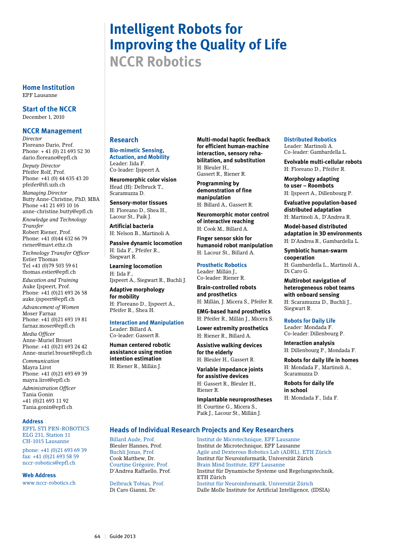# **Intelligent Robots for Improving the Quality of Life NCCR Robotics**

**Home Institution** EPF Lausanne

**Start of the NCCR**

December 1, 2010

## **NCCR Management**

*Director* Floreano Dario, Prof. Phone: + 41 (0) 21 693 52 30 dario.floreano@epfl.ch

*Deputy Director* Pfeifer Rolf, Prof. Phone: +41 (0) 44 635 43 20 pfeifer@ifi.uzh.ch

*Managing Director* Butty Anne-Christine, PhD, MBA Phone +41 21 693 10 16 anne-christine.butty@epfl.ch

*Knowledge and Technology Transfer* Robert Riener, Prof.

Phone: +41 (0)44 632 66 79 riener@mavt.ethz.ch

*Technology Transfer Officer* Estier Thomas Tel +41 (0)79 503 59 61 thomas.estier@epfl.ch

*Education and Training* Auke Ijspeert, Prof. Phone: +41 (0)21 693 26 58 auke.ijspeert@epfl.ch

*Advancement of Women* Moser Farnaz Phone: +41 (0)21 693 19 81

farnaz.moser@epfl.ch *Media Officer* Anne-Muriel Brouet

Phone: +41 (0)21 693 24 42 Anne-muriel.brouet@epfl.ch *Communication*

Mayra Lirot Phone: +41 (0)21 693 69 39 mayra.lirot@epfl.ch

*Administration Officer* Tania Gonin +41 (0)21 693 11 92 Tania.gonin@epfl.ch

#### **Address**

EPFL STI PRN-ROBOTICS ELG 231, Station 11 CH-1015 Lausanne

phone: +41 (0)21 693 69 39 fax: +41 (0)21 693 58 59 nccr-robotics@epfl.ch

#### **Web Address**

www.nccr-robotics.ch

# **Research**

**Bio-mimetic Sensing, Actuation, and Mobility** Leader: Iida F. Co-leader: Ijspeert A.

**Neuromorphic color vision** Head (H): Delbruck T., Scaramuzza D.

**Sensory-motor tissues** H: Floreano D., Shea H., Lacour St., Paik J.

**Artificial bacteria** H: Nelson B., Martinoli A.

**Passive dynamic locomotion** H: Iida F., Pfeifer R., Siegwart R.

**Learning locomotion**  H: Iida F., Ijspeert A., Siegwart R., Buchli J.

**Adaptive morphology for mobility** H: Floreano D., Ijspeert A.,

Pfeifer R., Shea H.

**Interaction and Manipulation** Leader: Billard A.

Co-leader: Gassert R. **Human centered robotic assistance using motion intention estimation** 

H: Riener R., Millán J.

**Multi-modal haptic feedback for efficient human-machine interaction, sensory rehabilitation, and substitution**  H: Bleuler H., Gassert R., Riener R.

**Programming by demonstration of fine manipulation**  H: Billard A., Gassert R.

**Neuromorphic motor control of interactive reaching**

H: Cook M., Billard A. **Finger sensor skin for** 

**humanoid robot manipulation** H: Lacour St., Billard A.

#### **Prosthetic Robotics**

Leader: Millán J., Co-leader: Riener R.

**Brain-controlled robots and prosthetics**  H: Millán, J. Micera S., Pfeifer R.

**EMG-based hand prosthetics** H: Pfeifer R., Millán J., Micera S.

**Lower extremity prosthetics**  H: Riener R., Billard A.

**Assistive walking devices for the elderly** H: Bleuler H., Gassert R.

**Variable impedance joints for assistive devices**  H: Gassert R., Bleuler H., Riener R.

**Implantable neuroprostheses** H: Courtine G., Micera S., Paik J., Lacour St., Millán J.

#### **Distributed Robotics** Leader: Martinoli A.

Co-leader: Gambardella L.

**Evolvable multi-cellular robots**  H: Floreano D., Pfeifer R.

**Morphology adapting to user – Roombots** H: Ijspeert A., Dillenbourg P.

**Evaluative population-based distributed adaptation**  H: Martinoli A., D'Andrea R.

**Model-based distributed adaptation in 3D environments**  H: D'Andrea R., Gambardella L.

**Symbiotic human-swarm cooperation** H: Gambardella L., Martinoli A., Di Caro G.

**Multirobot navigation of heterogeneous robot teams with onboard sensing** H: Scaramuzza D., Buchli J.,

Siegwart R.

#### **Robots for Daily Life**

Leader: Mondada F. Co-leader: Dillenbourg P.

**Interaction analysis**  H: Dillenbourg P., Mondada F.

**Robots for daily life in homes** H: Mondada F., Martinoli A., Scaramuzza D.

**Robots for daily life in school** H: Mondada F., Iida F.

# **Heads of Individual Research Projects and Key Researchers**

Billard Aude, Prof. Institut de Microtechnique, EPF Lausanne Bleuler Hannes, Prof. Institut de Microtechnique, EPF Lausanne Buchli Jonas, Prof. Agile and Dexterous Robotics Lab (ADRL), ETH Zürich Cook Matthew, Dr. Institut für Neuroinformatik, Universität Zürich Brain Mind Institute, EPF Lausanne D'Andrea Raffaello, Prof. Institut für Dynamische Systeme und Regelungstechnik, ETH Zürich Institut für Neuroinformatik, Universität Zürich Di Caro Gianni, Dr. Dalle Molle Institute for Artificial Intelligence, (IDSIA)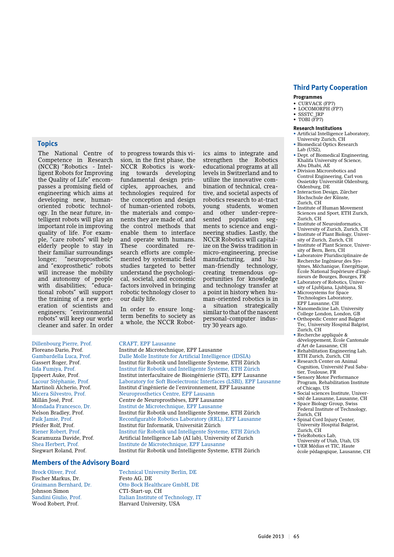#### **Topics**

The National Centre of Competence in Research (NCCR) "Robotics - Intelligent Robots for Improving the Quality of Life" encompasses a promising field of engineering which aims at developing new, humanoriented robotic technology. In the near future, intelligent robots will play an important role in improving quality of life. For example, "care robots" will help elderly people to stay in their familiar surroundings longer; "neuroprosthetic" and "exoprosthetic" robots will increase the mobility and autonomy of people with disabilities; "educational robots" will support the training of a new generation of scientists and engineers; "environmental robots" will keep our world cleaner and safer. In order

to progress towards this vision, in the first phase, the NCCR Robotics is working towards developing fundamental design principles, approaches, and technologies required for the conception and design of human-oriented robots, the materials and components they are made of, and the control methods that enable them to interface and operate with humans. These coordinated research efforts are complemented by systematic field studies targeted to better understand the psychological, societal, and economic factors involved in bringing robotic technology closer to our daily life.

In order to ensure longterm benefits to society as a whole, the NCCR Robot-

strengthen the Robotics educational programs at all levels in Switzerland and to utilize the innovative combination of technical, creative, and societal aspects of robotics research to at-tract young students, women and other under-represented population segments to science and engineering studies. Lastly, the NCCR Robotics will capitalize on the Swiss tradition in micro-engineering, precise manufacturing, and human-friendly technology, creating tremendous opportunities for knowledge and technology transfer at a point in history when human-oriented robotics is in a situation strategically similar to that of the nascent personal-computer indus-

Dillenbourg Pierre, Prof. CRAFT, EPF Lausanne Floreano Dario, Prof. Institut de Microtechnique, EPF Lausanne Riener Robert, Prof. Institut für Robotik und Intelligente Systeme, ETH Zürich Scaramuzza Davide, Prof. Artificial Intelligence Lab (AI lab), University of Zurich<br>Shea Herbert. Prof. Institute de Microtechnique. EPF Lausanne Siegwart Roland, Prof. Institut für Robotik und Intelligente Systeme, ETH Zürich

#### **Members of the Advisory Board**

Fischer Markus, Dr. Festo AG, DE Johnson Simon CTI-Start-up, CH

Brock Oliver, Prof. Technical University Berlin, DE Graimann Bernhard, Dr. Otto Bock Healthcare GmbH, DE Sandini Giulio, Prof. Italian Institute of Technology, IT Harvard University, USA

Institute de Microtechnique, EPF Lausanne

# ics aims to integrate and

try 30 years ago.

Gambardella Luca, Prof. Dalle Molle Institute for Artificial Intelligence (IDSIA)<br>Gassert Roger, Prof. 1991 Institut für Robotik und Intelligente Systeme, ETH Zü Institut für Robotik und Intelligente Systeme, ETH Zürich Iida Fumiya, Prof. Institut für Robotik und Intelligente Systeme, ETH Zürich Ijspeert Auke, Prof. Institut interfacultaire de Bioingénierie (STI), EPF Lausanne Laboratory for Soft Bioelectronic Interfaces (LSBI), EPF Lausanne Martinoli Alcherio, Prof. Institut d'ingénierie de l'environnement, EPF Lausanne<br>Micera Silvestro, Prof. Neuroprosthetics Centre, EPF Lausann Neuroprosthetics Centre, EPF Lausann Millán José, Prof. Centre de Neuroprosthèses, EPF Lausanne Mondada Francesco, Dr. Institut de Microtechnique, EPF Lausanne Institut für Robotik und Intelligente Systeme, ETH Zürich Paik Jamie, Prof. Reconfigurable Robotics Laboratory (RRL), EPF Lausanne Institut für Informatik, Universität Zürich

Zurich, CH • TeleRobotics Lab, University of Utah, Utah, US

• UER Médias et TIC, Haute école pédagogique, Lausanne, CH

**Third Party Cooperation**

#### **Programmes**

- CURVACE (FP7)
- LOCOMORPH (FP7) • SSSTC\_IRP
- TOBI (FP7)

#### **Research Institutions**

- Artificial Intelligence Laboratory, University Zurich, CH
- • Biomedical Optics Research Lab (USZ),
- • Dept. of Biomedical Engineering, Khalifa University of Science, Abu Dhabi, AE
- • Division Microrobotics and Control Engineering, Carl von Ossietzky Universität Oldenburg, Oldenburg, DE
- • Interaction Design, Zürcher Hochschule der Künste, Zurich, CH
- Institute of Human Movement Sciences and Sport, ETH Zurich, Zurich, CH
- Institute of Neuroinformatics University of Zurich, Zurich, CH
- Institute of Plant Biology, University of Zurich, Zurich, CH
- • Institute of Plant Science, University of Bern, Bern, CH
- • Laboratoire Pluridisciplinaire de Recherche Ingénieur des Systèmes, Méchanique, Énergétique, École National Supérieure d'Ingénieurs de Bourges, Bourges, FR
- Laboratory of Robotics, University of Ljubljana, Ljubljana, Sl
- • Microsystems for Space Technologies Laboratory, EPF Lausanne, CH
- Nanomedicine Lab, University College London, London, GB
- Orthopedic Center and Balgrist Tec, University Hospital Balgrist, Zurich, CH
- • Recherche appliquée & développement, Ecole Cantonale d'Art de Lausanne, CH
- • Rehabilitation Engineering Lab, ETH Zurich, Zurich, CH
- Research Center on Animal Cognition, Université Paul Sabatier, Toulouse, FR
- Sensory Motor Performance Program, Rehabilitation Institute
- of Chicago, US • Social sciences Institute, Univer-
- sité de Lausanne, Lausanne, CH • Space Biology Group, Swiss
- Federal Institute of Technology, Zurich, CH
- • Spinal Cord Injury Center, University Hospital Balgrist,
-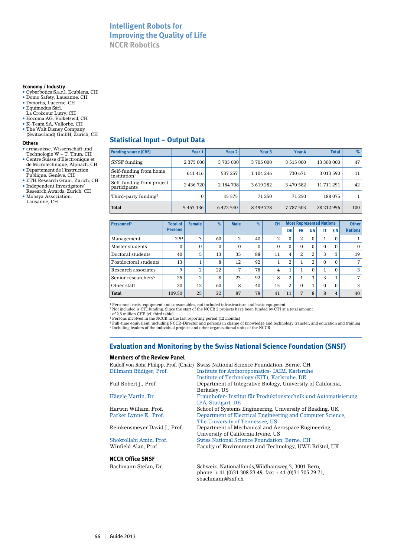# **Intelligent Robots for Improving the Quality of Life NCCR Robotics**

#### **Economy / Industry**

- • Cyberbotics S.a.r.l, Ecublens, CH
- • Domo Safety, Lausanne, CH
- • Dynortis, Lucerne, CH • Equimodus Sàrl,
- La Croix sur Lutry, CH
- Hocoma AG, Volketswil, CH
- • K-Team SA, Vallorbe, CH
- The Walt Disney Company (Switzerland) GmbH, Zurich, CH

#### **Others**

- armasuisse, Wissenschaft und Technologie W + T, Thun, CH
- • Centre Suisse d'Electronique et de Microtechnique, Alpnach, CH
- • Département de l'instruction Publique, Genève, CH
- ETH Research Grant, Zurich, CH
- Independent Investigators' Research Awards, Zurich, CH
- • Mobsya Association, Lausanne, CH

# **Statistical Input – Output Data**

| <b>Funding source (CHF)</b>                        | Year 1    | Year 2    | Year 3       | Year 4        | <b>Total</b> | $\%$ |
|----------------------------------------------------|-----------|-----------|--------------|---------------|--------------|------|
| SNSF funding                                       | 2 375 000 | 3705000   | 3705000      | 3 5 1 5 0 0 0 | 13 300 000   | 47   |
| Self-funding from home<br>institution <sup>1</sup> | 641416    | 537 257   | 1 104 246    | 730 671       | 3 013 590    | 11   |
| Self-funding from project<br>participants          | 2 436 720 | 2 184 708 | 3 6 19 2 8 2 | 3 470 582     | 11 711 291   | 42   |
| Third-party funding <sup>2</sup>                   | $\Omega$  | 45 575    | 71 250       | 71 250        | 188 075      |      |
| <b>Total</b>                                       | 5 453 136 | 6 472 540 | 8 499 778    | 7 787 503     | 28 212 956   | 100  |

| Personnel <sup>3</sup>          | <b>Total of</b> | <b>Female</b> | $\%$         | <b>Male</b>  | $\%$         | <b>CH</b> |                |                      | <b>Most Represented Nations</b> |          |           | <b>Other</b>   |
|---------------------------------|-----------------|---------------|--------------|--------------|--------------|-----------|----------------|----------------------|---------------------------------|----------|-----------|----------------|
|                                 | <b>Persons</b>  |               |              |              |              |           | DE             | <b>FR</b>            | US                              | IT       | <b>CN</b> | <b>Nations</b> |
| Management                      | 2.54            | 3             | 60           | 2            | 40           | 2         | $\Omega$       | 2                    | 0                               | 1        | $\Omega$  |                |
| Master students                 | $\mathbf{0}$    | $\mathbf{0}$  | $\mathbf{0}$ | $\mathbf{0}$ | $\mathbf{0}$ | $\Omega$  | $\Omega$       | $\Omega$             | $\Omega$                        | $\Omega$ | $\Omega$  | $\mathbf{0}$   |
| Doctoral students               | 40              | 5             | 13           | 35           | 88           | 11        | 4              | 2                    | 2                               | 3        | 3         | 19             |
| Postdoctoral students           | 13              |               | 8            | 12           | 92           | T.        | $\overline{2}$ |                      | 2                               | $\Omega$ | $\Omega$  | 7              |
| Research associates             | 9               | 2             | 22           | 7            | 78           | 4         | 4              | $\blacktriangleleft$ | 0                               | 1        | $\Omega$  | 3              |
| Senior researchers <sup>5</sup> | 25              | 2             | 8            | 23           | 92           | 8         | 2              |                      | 3                               | 3        |           | 7              |
| Other staff                     | 20              | 12            | 60           | 8            | 40           | 15        | $\overline{2}$ | $\Omega$             | 1                               | $\Omega$ | $\Omega$  | 3              |
| <b>Total</b>                    | 109.50          | 25            | 22           | 87           | 78           | 41        | 11             | 7                    | 8                               | 8        | 4         | 40             |

<sup>1</sup> Personnel costs, equipment and consumables, not included infrastructure and basic equipment<br><sup>2</sup> Not included is CTI funding. Since the start of the NCCR 2 projects have been funded by CTI at a total amount<br><sup>3</sup> Dersons 5 Including leaders of the individual projects and other organisational units of the NCCR

# **Evaluation and Monitoring by the Swiss National Science Foundation (SNSF)**

#### **Members of the Review Panel**

| Rudolf von Rohr Philipp, Prof. (Chair)<br>Dillmann Rüdiger, Prof. | Swiss National Science Foundation, Berne, CH<br><b>Institute for Anthoropomatics- IAIM, Karlsruhe</b> |
|-------------------------------------------------------------------|-------------------------------------------------------------------------------------------------------|
|                                                                   | Institute of Technology (KIT), Karlsruhe, DE                                                          |
| Full Robert J., Prof.                                             | Department of Integrative Biology, University of California,<br>Berkeley, US                          |
| Hägele Martin, Dr.                                                | Fraunhofer-Institut für Produktionstechnik und Automatisierung<br>IPA, Stuttgart, DE                  |
| Harwin William, Prof.                                             | School of Systems Engineering, University of Reading, UK                                              |
| Parker Lynne E., Prof.                                            | Department of Electrical Engineering and Computer Science,<br>The University of Tennessee, US         |
| Reinkensmeyer David J., Prof.                                     | Department of Mechanical and Aerospace Engineering,<br>University of California Irvine, US            |
| Shokrollahi Amin, Prof.                                           | Swiss National Science Foundation, Berne, CH                                                          |
| Winfield Alan, Prof.                                              | Faculty of Environment and Technology, UWE Bristol, UK                                                |
| <b>NCCR Office SNSF</b>                                           |                                                                                                       |
| Bachmann Stefan, Dr.                                              | Schweiz. Nationalfonds. Wildhainweg 3, 3001 Bern.                                                     |

 phone: + 41 (0)31 308 23 49, fax: + 41 (0)31 305 29 71, sbachmann@snf.ch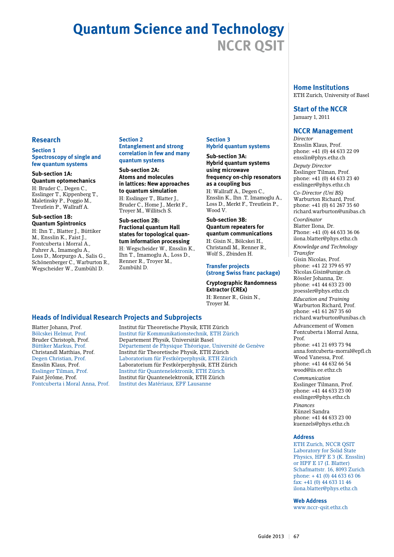# **Quantum Science and Technology NCCR QSIT**

#### **Research**

#### **Section 1 Spectroscopy of single and few quantum systems**

#### **Sub-section 1A:**

**Quantum optomechanics** H: Bruder C., Degen C., Esslinger T., Kippenberg T., Maletinsky P., Poggio M., Treutlein P., Wallraff A.

#### **Sub-section 1B: Quantum Spintronics**

H: Ihn T., Blatter J., Büttiker M., Ensslin K., Faist J., Fontcuberta i Morral A., Fuhrer A., Imamoglu A., Loss D., Morpurgo A., Salis G., Schönenberger C., Warburton R., Wegscheider W., Zumbühl D.

#### **Section 2**

#### **Entanglement and strong correlation in few and many quantum systems**

**Sub-section 2A: Atoms and molecules in lattices: New approaches to quantum simulation** H: Esslinger T., Blatter J., Bruder C., Home J., Merkt F., Troyer M., Willitsch S.

#### **Sub-section 2B: Fractional quantum Hall states for topological quantum information processing** H: Wegscheider W., Ensslin K., Ihn T., Imamoglu A., Loss D., Renner R., Troyer M., Zumbühl D.

# **Section 3 Hybrid quantum systems**

**Sub-section 3A: Hybrid quantum systems using microwave frequency on-chip resonators as a coupling bus** H: Wallraff A., Degen C., Ensslin K., Ihn .T, Imamoglu A., Loss D., Merkt F., Treutlein P., Wood V.

#### **Sub-section 3B: Quantum repeaters for quantum communications** H: Gisin N., Bölcskei H.,

Christandl M., Renner R., Wolf S., Zbinden H.

#### **Transfer projects (strong Swiss franc package)**

**Cryptographic Randomness Extractor (CREx)** H: Renner R., Gisin N.,

Troyer M.

# **Heads of Individual Research Projects and Subprojects**

Blatter Johann, Prof. Institut für Theoretische Physik, ETH Zürich Bölcskei Helmut, Prof. Institut für Kommunikationstechnik, ETH Zürich Bruder Christoph, Prof. Departement Physik, Universität Basel Département de Physique Théorique, Université de Genève Christandl Matthias, Prof. Institut für Theoretische Physik, ETH Zürich Degen Christian, Prof. Laboratorium für Festkörperphysik, ETH Zürich Ensslin Klaus, Prof. Laboratorium für Festkörperphysik, ETH Zürich Esslinger Tilman, Prof. Institut für Quantenelektronik, ETH Zürich Faist Jérôme, Prof. Institut für Quantenelektronik, ETH Zürich Institut des Matériaux, EPF Lausanne

# **Home Institutions**

ETH Zurich, University of Basel

#### **Start of the NCCR** January 1, 2011

# **NCCR Management** *Director* Ensslin Klaus, Prof.

phone: +41 (0) 44 633 22 09 ensslin@phys.ethz.ch

*Deputy Director* Esslinger Tilman, Prof. phone: +41 (0) 44 633 23 40 esslinger@phys.ethz.ch

*Co-Director (Uni BS)* Warburton Richard, Prof. phone: +41 (0) 61 267 35 60 richard.warburton@unibas.ch

*Coordinator* Blatter Ilona, Dr. Phone: +41 (0) 44 633 36 06 ilona.blatter@phys.ethz.ch *Knowledge and Technology Transfer* Gisin Nicolas, Prof. phone: +41 22 379 65 97 Nicolas.Gisin@unige.ch Rössler Johanna, Dr. phone: +41 44 633 23 00 jroessler@phys.ethz.ch

*Education and Training* Warburton Richard, Prof. phone: +41 61 267 35 60 richard.warburton@unibas.ch

Advancement of Women Fontcuberta i Morral Anna, Prof.

phone: +41 21 693 73 94 anna.fontcuberta-morral@epfl.ch Wood Vanessa, Prof. phone: +41 44 632 66 54 wood@iis.ee.ethz.ch

*Communication* Esslinger Tilmann, Prof. phone: +41 44 633 23 00 esslinger@phys.ethz.ch

*Finances* Künzel Sandra phone: +41 44 633 23 00 kuenzels@phys.ethz.ch

#### **Address**

ETH Zurich, NCCR QSIT Laboratory for Solid State Physics, HPF E 3 (K. Ensslin) or HPF E 17 (I. Blatter) Schafmattstr. 16, 8093 Zurich phone: + 41 (0) 44 633 63 06 fax: +41 (0) 44 633 11 46 ilona.blatter@phys.ethz.ch

**Web Address**

www.nccr-qsit.ethz.ch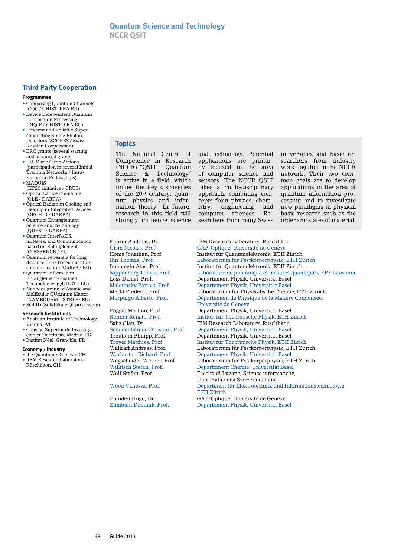# **Third Party Cooperation**

#### **Programmes**

- Composing Quantum Channels
- (CQC / CHIST-ERA EU) • Device Independent Quantum Information Processing (DIQIP / CHIST-ERA EU)
- Efficient and Reliable Superconducting Single Photon Detectors (SCOPES / Swiss-Russian Cooperation)
- ERC grants (several starting and advanced grants)
- EU-Marie Curie Actions (participation in several Initial Training Networks / Intra-European Fellowships)
- $\bullet$  MAQUIS
- (HP2C initiative / CRUS) • Optical Lattice Emulators (OLE / DARPA)
- Optical Radiation Cooling and Heating in Integrated Devices (ORCHID / DARPA)
- Quantum Entanglement Science and Technology (QUEST / DARPA)
- Quantum InterfacES SENsors, and Communication based on Entanglement (Q-ESSENCE / EU)
- Quantum repeaters for long distance fibre-based quantum communication (QuReP / EU)
- Quantum Information Entanglement-Enabled Technologies (QUIE2T / EU)
- Nanodesigning of Atomic and MolEcular QUAntum Matter (NAMEQUAM – STREP/ EU) • SOLID (Solid State QI processing)
- **Research Institutions**
- Austrian Institute of Technology,
- Vienna, AT • Consejo Superior de Investiga-
- ciones Científicas, Madrid, ES
- Institut Néel, Grenoble, FR

#### **Economy / Industry**

• ID Quantique, Geneva, CH • IBM Research Laboratory, Rüschlikon, CH

# **Topics**

The National Centre of Competence in Research (NCCR) "QSIT – Quantum Science & Technology" is active in a field, which unites the key discoveries of the 20<sup>th</sup> century: quantum physics and information theory. In future, research in this field will strongly influence science

and technology. Potential applications are primarily focused in the area of computer science and sensors. The NCCR QSIT takes a multi-disciplinary approach, combining concepts from physics, chemistry, engineering and computer sciences. Researchers from many Swiss

universities and basic researchers from industry work together in the NCCR network. Their two common goals are to develop applications in the area of quantum information processing and to investigate new paradigms in physical basic research such as the order and states of material.

Fuhrer Andreas, Dr. IBM Research Laboratory, Rüschlikon<br>Gisin Nicolas. Prof. GAP-Optique, Université de Genève

GAP-Optique, Université de Genève Home Jonathan, Prof. Institut für Quantenelektronik, ETH Zürich Laboratorium für Festkörperphysik, ETH Zürich Imamoglu Atac, Prof. Institut für Quantenelektronik, ETH Zürich Kippenberg Tobias, Prof. Laboratoire de photonique et mesures quantiques, EPF Lausanne Departement Physik, Universität Basel Maletinsky Patrick, Prof. Departement Physik, Universität Basel Merkt Frédéric, Prof. Laboratorium für Physikalische Chemie, ETH Zürich Morpurgo Alberto, Prof. Département de Physique de la Matière Condensée, Université de Genève Departement Physik, Universität Basel Renner Renato, Prof. Institut für Theoretische Physik, ETH Zürich Salis Gian, Dr. IBM Research Laboratory, Rüschlikon Schönenberger Christian, Prof. Departement Physik, Universität Base Schönenberger Christian, Prof. Departement Physik, Universität Basel Departement Physik, Universität Basel Troyer Matthias, Prof. Institut für Theoretische Physik, ETH Zürich Wallraff Andreas, Prof. Laboratorium für Festkörperphysik, ETH Zürich Warburton Richard, Prof. Departement Physik, Universität Basel Laboratorium für Festkörperphysik, ETH Zürich Willitsch Stefan, Prof. Departement Chemie, Universität Basel<br>Wolf Stefan, Prof. Prof. Pacoltà di Lugano, Scienze informatiche Facoltà di Lugano, Scienze informatiche, Università della Svizzera italiana Department für Elektrotechnik und Informationstechnologie, ETH Zürich Zbinden Hugo, Dr. GAP-Optique, Université de Genève Departement Physik, Universität Basel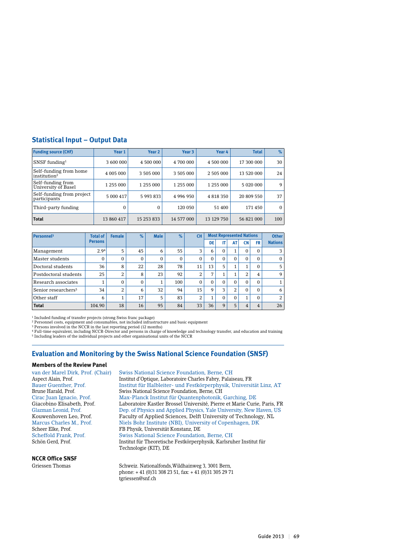# **Statistical Input – Output Data**

| <b>Funding source (CHF)</b>                        | Year 1     | Year <sub>2</sub> | Year <sub>3</sub> | Year 4       | Total       | $\%$     |
|----------------------------------------------------|------------|-------------------|-------------------|--------------|-------------|----------|
| SNSF funding $1$                                   | 3 600 000  | 4 500 000         | 4 700 000         | 4 500 000    | 17 300 000  | 30       |
| Self-funding from home<br>institution <sup>2</sup> | 4 005 000  | 3 505 000         | 3 505 000         | 2 505 000    | 13 520 000  | 24       |
| Self-funding from<br>University of Basel           | 1 255 000  | 1 255 000         | 1 255 000         | 1 255 000    | 5 0 20 0 00 | 9        |
| Self-funding from project<br>participants          | 5 000 417  | 5 993 833         | 4 996 950         | 4 8 18 3 5 0 | 20 809 550  | 37       |
| Third-party funding                                | $\Omega$   | $\Omega$          | 120 050           | 51 400       | 171450      | $\Omega$ |
| <b>Total</b>                                       | 13 860 417 | 15 253 833        | 14 577 000        | 13 129 750   | 56 821 000  | 100      |

| Personnel <sup>3</sup>          | <b>Total of</b> | <b>Female</b> | $\%$         | <b>Male</b> | $\%$         | <b>CH</b> | <b>Most Represented Nations</b> |              |                | <b>Other</b> |          |                |
|---------------------------------|-----------------|---------------|--------------|-------------|--------------|-----------|---------------------------------|--------------|----------------|--------------|----------|----------------|
|                                 | <b>Persons</b>  |               |              |             |              |           | DE                              |              | AT             | CΝ           | FR       | <b>Nations</b> |
| Management                      | 2.94            | 5             | 45           | 6           | 55           | 3         | 6                               | $\Omega$     | 1              | 0            | 0        |                |
| Master students                 | $\Omega$        | 0             | $\Omega$     | $\Omega$    | $\mathbf{0}$ | $\Omega$  | $\Omega$                        | $\Omega$     | $\Omega$       | $\Omega$     | 0        | $\Omega$       |
| Doctoral students               | 36              | 8             | 22           | 28          | 78           | 11        | 13                              | 5            | 1              |              | 0        | 5              |
| Postdoctoral students           | 25              | 2             | 8            | 23          | 92           | 2         | 7                               |              | $\overline{ }$ | 2            | 4        | 9              |
| Research associates             |                 |               | $\mathbf{0}$ |             | 100          | 0         | $\Omega$                        | $\Omega$     | $\Omega$       | $\Omega$     | $\Omega$ |                |
| Senior researchers <sup>5</sup> | 34              | 2             | 6            | 32          | 94           | 15        | 9                               | 3            | 2              | $\Omega$     | $\Omega$ | 6              |
| Other staff                     | 6               |               | 17           | 5           | 83           | 2         |                                 | $\Omega$     | $\Omega$       | 1            | 0        | 2              |
| <b>Total</b>                    | 104.90          | 18            | 16           | 95          | 84           | 33        | 36                              | $\mathbf{Q}$ | 5              | 4            | 4        | 26             |

1 Included funding of transfer projects (strong Swiss franc package)

<sup>2</sup> Personnel costs, equipment and consumables, not included infrastructure and basic equipment<br><sup>3</sup> Persons involved in the NCCR in the last reporting period (12 months)<br><sup>4</sup> Full-time equivalent, including NCCR-Director an

#### **Evaluation and Monitoring by the Swiss National Science Foundation (SNSF)**

#### **Members of the Review Panel**

**NCCR Office SNSF**

van der Marel Dirk, Prof. (Chair) Swiss National Science Foundation, Berne, CH Aspect Alain, Prof. Institut d'Optique, Laboratoire Charles Fabry, Palaiseau, FR Institut für Halbleiter- und Festkörperphysik, Universität Linz, AT Brune Harald, Prof. Swiss National Science Foundation, Berne, CH<br>Cirac Juan Ignacio. Prof. Max-Planck Institut für Quantenphotonik. Cirac Juan Ignacio, Prof. Max-Planck Institut für Quantenphotonik, Garching, DE Giacobino Elisabeth, Prof. Laboratoire Kastler Brossel Université, Pierre et Marie Curie, Paris, FR<br>Glazman Leonid, Prof. Dep. of Physics and Applied Physics, Yale University, New Haven, US Glazman Leonid, Prof. Dep. of Physics and Applied Physics, Yale University, New Haven, US<br>Kouwenhoven Leo, Prof. Faculty of Applied Sciences, Delft University of Technology, NL Kouwenhoven Leo, Prof. Faculty of Applied Sciences, Delft University of Technology, NL<br>Marcus Charles M., Prof. Niels Bohr Institute (NBI), University of Copenhagen, DK Marcus Charles M., Prof. Niels Bohr Institute (NBI), University of Copenhagen, DK<br>Scheer Elke, Prof. FB Physik, Universität Konstanz, DE FB Physik, Universität Konstanz, DE Scheffold Frank, Prof. Swiss National Science Foundation, Berne, CH Schön Gerd, Prof. Institut für Theoretische Festkörperphysik, Karlsruher Institut für Technologie (KIT), DE

Griessen Thomas Schweiz. Nationalfonds, Wildhainweg 3, 3001 Bern, phone: + 41 (0)31 308 23 51, fax: + 41 (0)31 305 29 71 tgriessen@snf.ch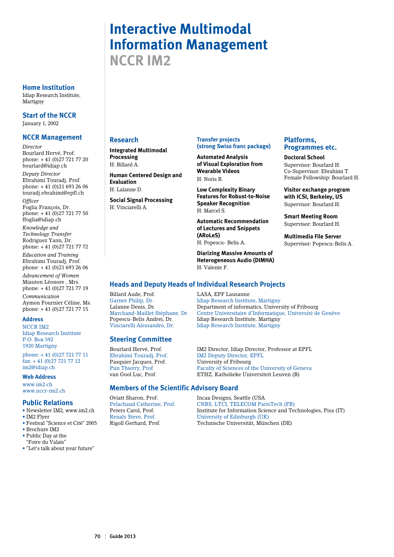# **Interactive Multimodal Information Management NCCR IM2**

#### **Home Institution**

Idiap Research Institute, Martigny

**Start of the NCCR**

January 1, 2002

# **NCCR Management**

*Director*

Bourlard Hervé, Prof. phone: + 41 (0)27 721 77 20 bourlard@idiap.ch *Deputy Director* Ebrahimi Touradj, Prof. phone: + 41 (0)21 693 26 06 touradj.ebrahimi@epfl.ch

*Officer* 

Foglia François, Dr. phone: + 41 (0)27 721 77 50 ffoglia@idiap.ch

*Knowledge and Technology Transfer* Rodriguez Yann, Dr. phone: + 41 (0)27 721 77 72

*Education and Training* Ebrahimi Touradj, Prof. phone: + 41 (0)21 693 26 06

*Advancement of Women* Miauton Léonore , Mrs. phone: + 41 (0)27 721 77 19 *Communication* Aymon Fournier Céline, Ms. phone: + 41 (0)27 721 77 15

#### **Address**

NCCR IM2 Idiap Research Institute P.O. Box 592 1920 Martigny

phone: + 41 (0)27 721 77 11 fax: + 41 (0)27 721 77 12 im2@idiap.ch

#### **Web Address**

www.im2.ch www.nccr-im2.ch

#### **Public Relations**

- • Newsletter IM2, www.im2.ch
- IM2 Flyer
- • Festival "Science et Cité" 2005
- Brochure IM2 • Public Day at the
- "Foire du Valais"
- • "Let's talk about your future"

## **Research**

**Integrated Multimodal Processing** H: Billard A.

**Human Centered Design and Evaluation** H: Lalanne D.

**Social Signal Processing** H: Vinciarelli A.

## **Transfer projects (strong Swiss franc package)**

**Automated Analysis of Visual Exploration from Wearable Videos** H: Noris B.

**Low Complexity Binary Features for Robust-to-Noise Speaker Recognition** H: Marcel S.

**Automatic Recommendation of Lectures and Snippets (ARoLeS)** H: Popescu- Belis A.

**Diarizing Massive Amounts of Heterogeneous Audio (DIMHA)** H: Valente F.

#### **Platforms, Programmes etc.**

**Doctoral School** Supervisor: Bourlard H. Co-Supervisor: Ebrahimi T. Female Fellowship: Bourlard H.

**Visitor exchange program with ICSI, Berkeley, US** Supervisor: Bourlard H.

**Smart Meeting Room** Supervisor: Bourlard H.

**Multimedia File Server** Supervisor: Popescu-Belis A.

# **Heads and Deputy Heads of Individual Research Projects**

Billard Aude, Prof. LASA, EPF Lausanne

# **Steering Committee**

Pasquier Jacques, Prof. University of Fribourg<br>Pun Thierry, Prof. Faculty of Sciences of

# **Members of the Scientific Advisory Board**

Garner Philip, Dr. Idiap Research Institute, Martigny Lalanne Denis, Dr. Department of informatics, University of Fribourg<br>Marchand-Maillet Stéphane, Dr. Centre Universitaire d'Informatique, Université de Marchand-Maillet Stéphane, Dr. Centre Universitaire d'Informatique, Université de Genève Popescu-Belis Andrei, Dr. Idiap Research Institute, Martigny Idiap Research Institute, Martigny

Bourlard Hervé, Prof. M2 Director, Idiap Director, Professor at EPFL Ebrahimi Touradj, Prof. IM2 Deputy Director, EPFL Pun Thierry, Prof.<br>
Faculty of Sciences of the University of Geneva<br>
FRIZ, Katholieke Universiteit Leuven (B) ETHZ, Katholieke Universiteit Leuven (B)

Oviatt Sharon, Prof. Incaa Designs, Seattle (USA Pelachaud Catherine, Prof. CNRS, LTCI, TELECOM ParisTech (FR)<br>Peters Carol, Prof. Institute for Information Science and Te Peters Carol, Prof. Institute for Information Science and Technologies, Pisa (IT) Renals Steve, Prof. University of Edinburgh (UK) Technische Universität, München (DE)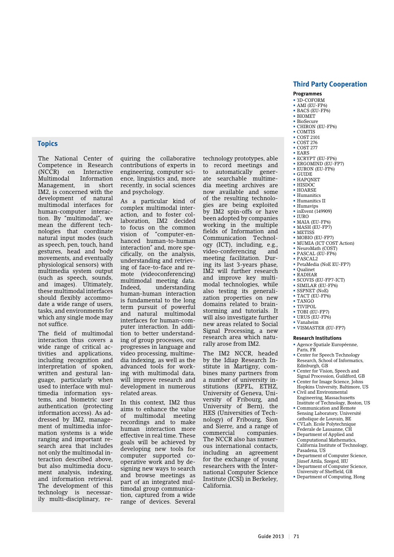#### **Third Party Cooperation**

#### **Programmes**

- 3D-COFORM
- AMI (EU-FP6) • BACS (EU-FP6)
- $\bullet$  BIOMET
- BioSecure
- CHIRON (EU-FP6)
- COMTIS
- COST 2101 • COST 276
- COST 277
- EARS
- ECRYPT (EU-FP6)
- ERGOMIND (EU-FP7)
- EURON (EU-FP6)
- GUIDE
- HAPQNET
- HISDOC
- HOARSE • Humanitics
- Humanitics II
- Humavips
- inEvent (149909)
- $\bullet$  IHRO
- MAIA (EU-FP6) • MASH (EU-FP7)
- METISS
- MOBIO (EU-FP7)
- MUMIA (ICT COST Action)
- NeuroMath (COST)
- PASCAL (EU-FP6)
- $\bullet$  PASCAL<sub>2</sub>
- PetaMedia (NoE EU-FP7) • Qualinet
- RADHAR
- SCOVIS (EU-FP7-ICT)
- SIMILAR (EU-FP6)
- SSPNET (NoE)
- TACT (EU-FP6)
- TANGO
- TIVIPOL • TOBI (EU-FP7)
- URUS (EU-FP6)
- Vanaheim
- VISMASTER (EU-FP7)

#### **Research Institutions**

- Agence Spatiale Européenne, Paris, FR
- Center for Speech Technology Research, School of Informatics, Edinburgh, GB
- Center for Vision, Speech and Signal Procession, Guildford, GB
- Center for Image Science, Johns
- Hopkins University, Baltimore, US • Civil and Environmental
- Engineering, Massachusetts Institute of Technology, Boston, US • Communication and Remote
- Sensing Laboratory, Université
- catholique de Louvain, BE • CVLab, Ecole Polytechnique
- Federale de Lausanne, CH • Department of Applied and
- Computational Mathematics, California Institute of Technology, Pasadena, US
- Department of Computer Science, József Attila, Szeged, HU Department of Computer Science.
- University of Sheffield, GB
- Department of Computing, Hong

#### **Topics**

The National Center of Competence in Research (NCCR) on Interactive Multimodal Information Management, in short IM2, is concerned with the development of natural multimodal interfaces for human-computer interaction. By "multimodal", we mean the different technologies that coordinate natural input modes (such as speech, pen, touch, hand gestures, head and body movements, and eventually physiological sensors) with multimedia system output (such as speech, sounds, and images). Ultimately, these multimodal interfaces should flexibly accommodate a wide range of users, tasks, and environments for which any single mode may not suffice.

The field of multimodal interaction thus covers a wide range of critical activities and applications, including recognition and interpretation of spoken, written and gestural language, particularly when used to interface with multimedia information systems, and biometric user authentication (protecting information access). As addressed by IM2, management of multimedia information systems is a wide ranging and important research area that includes not only the multimodal interaction described above, but also multimedia document analysis, indexing, and information retrieval. The development of this technology is necessarily multi-disciplinary, requiring the collaborative contributions of experts in engineering, computer science, linguistics and, more recently, in social sciences and psychology.

As a particular kind of complex multimodal interaction, and to foster collaboration, IM2 decided to focus on the common vision of "computer-enhanced human-to-human interaction" and, more specifically, on the analysis, understanding and retrieving of face-to-face and remote (videoconferencing) multimodal meeting data. Indeed, understanding human-human interaction is fundamental to the long term pursuit of powerful and natural multimodal interfaces for human-computer interaction. In addition to better understanding of group processes, our progresses in language and video processing, multimedia indexing, as well as the advanced tools for working with multimodal data, will improve research and development in numerous related areas.

In this context, IM2 thus aims to enhance the value<br>of multimodal meeting of multimodal recordings and to make human interaction more effective in real time. These goals will be achieved by developing new tools for computer supported cooperative work and by designing new ways to search and browse meetings as part of an integrated multimodal group communication, captured from a wide range of devices. Several

to automatically generate searchable multimedia meeting archives are now available and some of the resulting technologies are being exploited by IM2 spin-offs or have been adopted by companies working in the multiple fields of Information and Communication Technology (ICT), including, e.g., video-conferencing and meeting facilitation. During its last 3-years phase, IM2 will further research and improve key multimodal technologies, while also testing its generalization properties on new domains related to brainstorming and tutorials. It will also investigate further new areas related to Social Signal Processing, a new research area which naturally arose from IM2.

technology prototypes, able to record meetings and

The IM2 NCCR, headed by the Idiap Research Institute in Martigny, combines many partners from a number of university institutions (EPFL, ETHZ, University of Geneva, University of Fribourg, and University of Bern), the HES (Universities of Technology) of Fribourg, Sion and Sierre, and a range of commercial companies. The NCCR also has numerous international contacts, including an agreement for the exchange of young researchers with the International Computer Science Institute (ICSI) in Berkeley, California.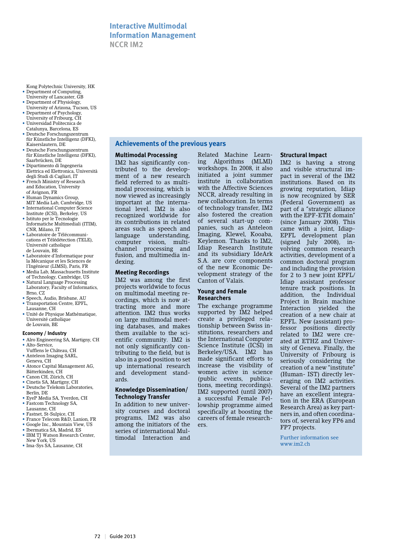# **Interactive Multimodal Information Management NCCR IM2**

- Kong Polytechnic University, HK • Department of Computing,
- University of Lancaster, GB • Department of Physiology,
- University of Arizona, Tucson, US • Department of Psychology,
- University of Fribourg, CH • Universidad Politecnica de
- Catalunya, Barcelona, ES • Deutsche Forschungszentrum
- für Künstliche Intelligenz (DFKI), Kaiserslautern, DE
- Deutsche Forschungszentrum für Künstliche Intelligenz (DFKI), Saarbrücken, DE
- Dipartimento di Ingegneria Elettrica ed Elettronica, Università degli Studi di Cagliari, IT
- French Ministry of Research and Education, University of Avignon, FR
- Human Dynamics Group MIT Media Lab, Cambridge, US
- International Computer Science Institute (ICSI), Berkeley, US
- Istituto per le Tecnologie Informatiche Multimediali (ITIM),
- CNR, Milano, IT • Laboratoire de Télécommunications et Télédétection (TELE), Université catholique
- de Louvain, BE • Laboratoire d'Informatique pour la Mécanique et les Sciences de
- l'Ingénieur (LIMSI), Paris, FR • Media Lab, Massachusetts Institute of Technology, Cambridge, US
- Natural Language Processing Laboratory, Faculty of Informatics, Brno, CZ
- Speech, Audio, Brisbane, AU • Transportation Centre, EPFL.
- Lausanne, CH • Unité de Physique Mathématique,
- Université catholique de Louvain, BE

#### **Economy / Industry**

- Alro Engineering SA, Martigny, CH
- Alto-Service, Vufflens le Château, CH
- Anteleon Imaging SARL, Geneva, CH
- Atonce Capital Management AG, Bätterkinden, CH
- Canon CH, Zürich, CH
- Cinetis SA, Martigny, CH • Deutsche Telekom Laboratories, Berlin, DE
- EveP Media SA, Yverdon, CH • Fastcom Technology SA,
- Lausanne, CH
- Fastnet, St-Sulpice, CH • France Telecom R&D, Lanion, FR
- Google Inc., Mountain View, US
- Ibermatica SA, Madrid, ES
- IBM TI Watson Research Center.
- New York, US • Ima-Sys SA, Lausanne, CH

# **Achievements of the previous years**

#### **Multimodal Processing**

IM2 has significantly contributed to the development of a new research field referred to as multimodal processing, which is now viewed as increasingly important at the international level. IM2 is also recognized worldwide for its contributions in related areas such as speech and language understanding, computer vision, multichannel processing and fusion, and multimedia indexing.

#### **Meeting Recordings**

IM2 was among the first projects worldwide to focus on multimodal meeting recordings, which is now attracting more and more attention. IM2 thus works on large multimodal meeting databases, and makes them available to the scientific community. IM2 is not only significantly contributing to the field, but is also in a good position to set up international research and development standards.

#### **Knowledge Dissemination/ Technology Transfer**

In addition to new university courses and doctoral programs, IM2 was also among the initiators of the series of international Multimodal Interaction and

Related Machine Learning Algorithms (MLMI) workshops. In 2008, it also initiated a joint summer institute in collaboration with the Affective Sciences NCCR, already resulting in new collaboration. In terms of technology transfer, IM2 also fostered the creation of several start-up companies, such as Anteleon Imaging, Klewel, Kooaba, Keylemon. Thanks to IM2, Idiap Research Institute and its subsidiary IdeArk S.A. are core components of the new Economic Development strategy of the Canton of Valais.

#### **Young and Female Researchers**

The exchange programme supported by IM2 helped create a privileged relationship between Swiss institutions, researchers and the International Computer Science Institute (ICSI) in Berkeley/USA. IM2 has made significant efforts to increase the visibility of women active in science (public events, publications, meeting recordings). IM2 supported (until 2007) a successful Female Fellowship programme aimed specifically at boosting the careers of female researchers.

#### **Structural Impact**

IM2 is having a strong and visible structural impact in several of the IM2 institutions. Based on its growing reputation, Idiap is now recognized by SER (Federal Government) as part of a "strategic alliance with the EPF-ETH domain" (since January 2008). This came with a joint. Idiap-EPFL development plan (signed July 2008), involving common research activities, development of a common doctoral program and including the provision for 2 to 3 new joint EPFL/ Idiap assistant professor tenure track positions. In addition, the Individual Project in Brain machine Interaction yielded the creation of a new chair at EPFL. New (assistant) professor positions directly related to IM2 were created at ETHZ and University of Geneva. Finally, the University of Fribourg is seriously considering the creation of a new "institute" (Human- IST) directly leveraging on IM2 activities. Several of the IM2 partners have an excellent integration in the ERA (European Research Area) as key partners in, and often coordinators of, several key FP6 and FP7 projects.

Further information see www.im2.ch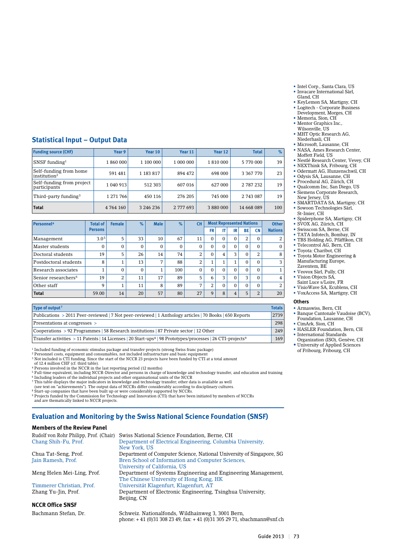- Intel Corp., Santa Clara, US • Invacare International Sàrl, Gland, CH
- KeyLemon SA, Martigny, CH • Logitech - Corporate Business Development, Morges, CH
- Memoria, Sion, CH
- Mentor Graphics Inc., Wilsonville, US
- MHT Optic Research AG, Niederhasli, CH
- Microsoft, Lausanne, CH
- NASA, Ames Research Center, Moffett Field, US
- Nestlé Research Center, Vevey, CH
- NEXThink SA, Fribourg, CH • Odermatt AG, Hunzenschwil, CH
- Odysis SA, Lausanne, CH
- Procedural AG, Zürich, CH
- Qualcomm Inc, San Diego, US • Siemens Corporate Research,
- New Jersey, US • SMARTDATA SA, Martigny, CH • Sowoon Technologies Sàrl,
- St-Imier, CH • Spiderphone SA, Martigny, CH
- SVOX AG, Zürich, CH
- Swisscom SA, Berne, CH
- TATA Infotech, Bombay, IN • TBS Holding AG, Pfäffikon, CH
- Telecontrol AG, Bern, CH
- Toyota: Charibot, CH
- Toyota Motor Engineering & Manufacturing Europe, Zaventem, BE
- Veovox Sàrl, Pully, CH • Vision Objects SA,
- Saint Luce s/Loire, FR
- VisioWave SA, Ecublens, CH
- VoxAccess SA, Martigny, CH

#### **Others**

- Armaswiss, Bern, CH • Banque Cantonale Vaudoise (BCV), Foundation, Lausanne, CH
- CimArk, Sion, CH
- HASLER Foundation, Bern, CH • International Standards
- Organization (ISO), Genève, CH • University of Applied Sciences

of Fribourg, Fribourg, CH

#### **Statistical Input – Output Data**

| <b>Funding source (CHF)</b>                        | Year 9    | Year 10   | Year 11   | Year 12   | <b>Total</b> | %   |
|----------------------------------------------------|-----------|-----------|-----------|-----------|--------------|-----|
| $SNSF$ funding <sup>1</sup>                        | 1860000   | 1 100 000 | 1 000 000 | 1810000   | 5 770 000    | 39  |
| Self-funding from home<br>institution <sup>2</sup> | 591 481   | 1 183 817 | 894 472   | 698 000   | 3 367 770    | 23  |
| Self-funding from project<br>participants          | 1 040 913 | 512 303   | 607 016   | 627 000   | 2 787 232    | 19  |
| Third-party funding <sup>3</sup>                   | 1 271 766 | 450 116   | 276 205   | 745 000   | 2 743 087    | 19  |
| <b>Total</b>                                       | 4 764 160 | 3 246 236 | 2 777 693 | 3 880 000 | 14 668 089   | 100 |

| Personnel <sup>4</sup>          | <b>Total of</b>  | <b>Female</b> | $\%$     | <b>Male</b> | $\%$     | <b>CH</b>      |              | <b>Most Represented Nations</b> |                |           |                | <b>Other</b>   |
|---------------------------------|------------------|---------------|----------|-------------|----------|----------------|--------------|---------------------------------|----------------|-----------|----------------|----------------|
|                                 | <b>Persons</b>   |               |          |             |          |                | <b>FR</b>    | IT                              | IR             | <b>BE</b> | <b>CN</b>      | <b>Nations</b> |
| Management                      | 3.0 <sup>5</sup> | 5             | 33       | 10          | 67       | 11             | $\Omega$     | $\Omega$                        | $\Omega$       | 2         | $\Omega$       | 2              |
| Master students                 | $\Omega$         | 0             | $\Omega$ | $\Omega$    | $\Omega$ | 0              | $\Omega$     | $\Omega$                        | $\Omega$       | $\Omega$  | $\Omega$       | $\Omega$       |
| Doctoral students               | 19               | 5             | 26       | 14          | 74       | $\overline{2}$ | $\Omega$     | 4                               | 3              | $\Omega$  | 2              | 8              |
| Postdoctoral students           | 8                | л.            | 13       | 7           | 88       | 2              | $\mathbf{1}$ |                                 | $\mathbf{1}$   | $\Omega$  | $\Omega$       | 3              |
| Research associates             |                  | 0             | $\Omega$ | 1           | 100      | $\Omega$       | $\Omega$     | $\Omega$                        | $\Omega$       | $\Omega$  | $\Omega$       |                |
| Senior researchers <sup>6</sup> | 19               | 2             | 11       | 17          | 89       | 5              | 6            | <b>D</b>                        | $\Omega$       | 3         | $\Omega$       | $\overline{4}$ |
| Other staff                     | q                |               | 11       | 8           | 89       | 7              | 2            | $\Omega$                        | $\Omega$       | $\Omega$  | $\Omega$       | 2              |
| <b>Total</b>                    | 59.00            | 14            | 20       | 57          | 80       | 27             | 9            | 8                               | $\overline{4}$ | 5         | $\overline{2}$ | 20             |

| Type of output <sup>7</sup>                                                                                                         | <b>Totals</b> |
|-------------------------------------------------------------------------------------------------------------------------------------|---------------|
| Publications > 2011 Peer-reviewed   7 Not peer-reviewed   1 Anthology articles   70 Books   650 Reports                             | 2739          |
| Presentations at congresses >                                                                                                       | 298           |
| $\sim$ Cooperations > 92 Programmes   58 Research institutions   87 Private sector   12 Other                                       | 249           |
| Transfer activities > 11 Patents   14 Licenses   20 Start-ups <sup>8</sup>   98 Prototypes/processes   26 CTI-projects <sup>9</sup> | 169           |

1 Included funding of economic stimulus package and transfer projects (strong Swiss franc package)

<sup>2</sup> Personnel costs, equipment and consumables, not included infrastructure and basic equipment<br><sup>3</sup> Not included is CTI funding. Since the start of the NCCR 23 projects have been funded by CTI at a total amount

of 12.4 million CHF (cf. third table).

<sup>4</sup> Persons involved in the NCCR in the last reporting period (12 months)

<sup>5</sup> Full-time equivalent, including NCCR-Director and persons in charge of knowledge and technology transfer, and education and training<br><sup>6</sup> Including leaders of the individual projects and other organisational units of th

8 Start-up companies that have been built up or were considerably supported by NCCRs. 9 Projects funded by the Commission for Technology and Innovation (CTI) that have been initiated by members of NCCRs

and are thematically linked to NCCR projects.

## **Evaluation and Monitoring by the Swiss National Science Foundation (SNSF)**

#### **Members of the Review Panel**

| Rudolf von Rohr Philipp, Prof. (Chair) | Swiss National Science Foundation, Berne, CH                         |
|----------------------------------------|----------------------------------------------------------------------|
| Chang Shih-Fu, Prof.                   | Department of Electrical Engineering, Columbia University,           |
|                                        | New York, US                                                         |
| Chua Tat-Seng, Prof.                   | Department of Computer Science, National University of Singapore, SG |
| Jain Ramesh, Prof.                     | Bren School of Information and Computer Sciences,                    |
|                                        | University of California, US                                         |
| Meng Helen Mei-Ling, Prof.             | Department of Systems Engineering and Engineering Management.        |
|                                        | The Chinese University of Hong Kong, HK                              |
| Timmerer Christian, Prof.              | Universität Klagenfurt, Klagenfurt, AT                               |
| Zhang Yu-Jin, Prof.                    | Department of Electronic Engineering, Tsinghua University,           |
|                                        | Beijing, CN                                                          |
| <b>NCCR Office SNSF</b>                |                                                                      |
| Bachmann Stefan, Dr.                   | Schweiz. Nationalfonds, Wildhainweg 3, 3001 Bern,                    |

phone: + 41 (0)31 308 23 49, fax: + 41 (0)31 305 29 71, sbachmann@snf.ch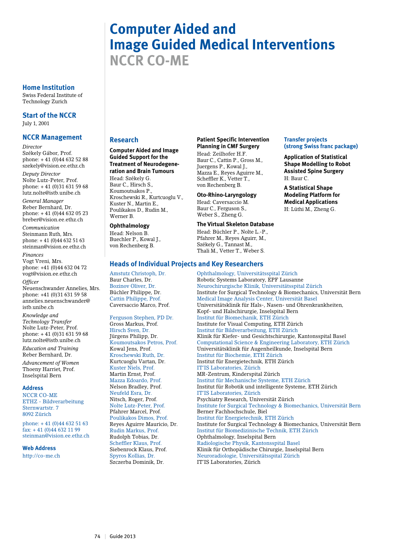## **Computer Aided and Image Guided Medical Interventions NCCR CO-ME**

#### **Home Institution**

Swiss Federal Institute of Technology Zurich

**Start of the NCCR** July 1, 2001

#### **NCCR Management**

*Director*

Székely Gábor, Prof. phone: + 41 (0)44 632 52 88 szekely@vision.ee.ethz.ch

*Deputy Director* Nolte Lutz-Peter, Prof. phone: + 41 (0)31 631 59 68 lutz.nolte@istb.unibe.ch

*General Manager* Reber Bernhard, Dr. phone: + 41 (0)44 632 05 23 breber@vision.ee.ethz.ch

*Communication* Steinmann Ruth, Mrs. phone: + 41 (0)44 632 51 63 steinman@vision.ee.ethz.ch

*Finances* Vogt Vreni, Mrs. phone: +41 (0)44 632 04 72 vogt@vision.ee.ethz.ch

*Officer* Neuenschwander Annelies, Mrs. phone: +41 (0)31 631 59 58 annelies.neuenschwander@ isth unibe ch

*Knowledge and Technology Transfer* Nolte Lutz-Peter, Prof. phone: + 41 (0)31 631 59 68 lutz.nolte@istb.unibe.ch

*Education and Training* Reber Bernhard, Dr.

*Advancement of Women* Thoeny Harriet, Prof. Inselspital Bern

#### **Address**

NCCR CO-ME ETHZ - Bildverarbeitung Sternwartstr. 7 8092 Zürich

phone: + 41 (0)44 632 51 63 fax: + 41 (0)44 632 11 99 steinman@vision.ee.ethz.ch

**Web Address**

http://co-me.ch

#### **Research**

#### **Computer Aided and Image Guided Support for the Treatment of Neurodegene-**

**ration and Brain Tumours** Head: Székely G. Baur C., Hirsch S., Koumoutsakos P., Kroschewski R., Kurtcuoglu V., Kuster N., Martin E., Poulikakos D., Rudin M., Werner B.

#### **Ophthalmology**

Head: Nelson B. Buechler P., Kowal J., von Rechenberg B.

#### **Patient Specific Intervention Planning in CMF Surgery**

Head: Zeilhofer H.F. Baur C., Cattin P., Gross M., Juergens P., Kowal J., Mazza E., Reyes Aguirre M., Scheffler K., Vetter T., von Rechenberg B.

#### **Oto-Rhino-Laryngology**

Head: Caversaccio M. Baur C., Ferguson S., Weber S., Zheng G.

#### **The Virtual Skeleton Database**

Head: Büchler P., Nolte L.-P., Pfahrer M., Reyes Aguirr, M., Székely G., Tannast M., Thali M., Vetter T., Weber S.

**Heads of Individual Projects and Key Researchers**

#### **Transfer projects (strong Swiss franc package)**

**Application of Statistical Shape Modelling to Robot Assisted Spine Surgery** H: Baur C.

**A Statistical Shape Modeling Platform for Medical Applications** H: Lüthi M., Zheng G.

Amstutz Christoph, Dr. Ophthalmology, Universitätsspital Zürich Baur Charles, Dr. Robotic Systems Laboratory, EPF Lausanne Bozinov Oliver, Dr. Neurochirurgische Klinik, Universitätsspital Zürich<br>Büchler Philippe, Dr. Institute for Surgical Technology & Biomechanics, U Institute for Surgical Technology & Biomechanics, Universität Bern Cattin Philippe, Prof. Medical Image Analysis Center, Universität Basel Caversaccio Marco, Prof. Universitätsklinik für Hals-, Nasen- und Ohrenkrankheiten, Kopf- und Halschirurgie, Inselspital Bern Ferguson Stephen, PD Dr. Institut für Biomechanik, ETH Zürich Institute for Visual Computing, ETH Zürich Hirsch Sven, Dr. Institut für Bildverarbeitung, ETH Zürich Klinik für Kiefer- und Gesichtschirurgie, Kantonsspital Basel Koumoutsakos Petros, Prof. Computational Science & Engineering Laboratory, ETH Zürich Kowal Jens, Prof. Universitätsklinik für Augenheilkunde, Inselspital Bern Kroschewski Ruth, Dr. Institut für Biochemie, ETH Zürich Kurtcuoglu Vartan, Dr. Institut für Energietechnik, ETH Zürich Kuster Niels, Prof. IT'IS Laboratories, Zürich Martin Ernst, Prof. MR-Zentrum, Kinderspital Zürich Mazza Edoardo, Prof. Institut für Mechanische Systeme, ETH Zürich Institut für Robotik und intelligente Systeme, ETH Zürich Neufeld Esra, Dr. IT'IS Laboratories, Zürich Nitsch, Roger, Prof. Psychiatry Research, Universität Zürich<br>Nolte Lutz-Peter. Prof. Published Surgical Technology & Bion Institute for Surgical Technology & Biomechanics, Universität Bern Pfahrer Marcel, Prof. Berner Fachhochschule, Biel Institut für Energietechnik, ETH Zürich Reyes Aguirre Mauricio, Dr. Institute for Surgical Technology & Biomechanics, Universität Bern Rudin Markus, Prof. Institut für Biomedizinische Technik, ETH Zürich Ophthalmology, Inselspital Bern Scheffler Klaus, Prof. Radiologische Physik, Kantonsspital Basel Siebenrock Klaus, Prof. Klinik für Orthopädische Chirurgie, Inselspital Bern Neuroradiologie, Universitätsspital Zürich Szczerba Dominik, Dr. IT'IS Laboratories, Zürich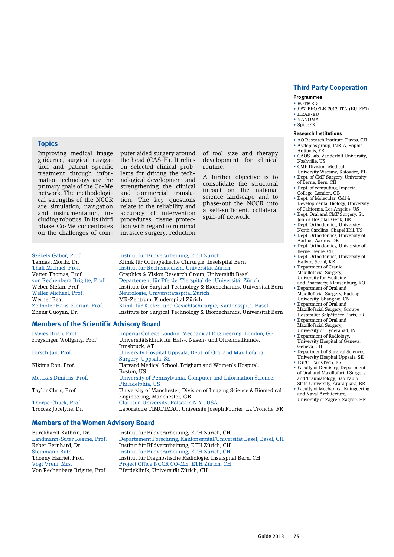#### **Programmes**

- • BOTMED
- • FP7-PEOPLE-2012-ITN (EU-FP7) • HEAR-EU
- NANOMA
- SpineFX

#### **Research Institutions**

- AO Research Institute, Davos, CH • Asclepios group, INRIA, Sophia
- Antipolis, FR CAOS Lab, Vanderbilt University,
- Nashville, US
- CMF Division, Medical University Warsaw, Katowice, PL
- Dept. of CMF Surgery, University of Berne, Bern, CH
- Dept. of computing, Imperial College, London, GB
- • Dept. of Molecular, Cell & Developmental Biology, University of California, Los Angeles, US
- Dept. Oral and CMF Surgery, St. John's Hospital, Genk, BE
- • Dept. Orthodontics, University North Carolina, Chapel Hill, US
- • Dept. Orthodontics, University of
- Aarhus, Aarhus, DK • Dept. Orthodontics, University of
- Berne, Berne, CH • Dept. Orthodontics, University of Hallym, Seoul, KR
- Department of Cranio-Maxillofacial Surgery, University for Medicine
- and Pharmacy, Klausenburg, RO • Department of Oral and Maxillofacial Surgery, Fudong University, Shanghai, CN
- Department of Oral and Maxillofacial Surgery, Groupe
- Hospitalier Salpêtrière Paris, FR • Department of Oral and
- Maxillofacial Surgery, University of Hyderabad, IN
- Department of Radiology, University Hospital of Geneva, Geneva, CH
- Department of Surgical Sciences, University Hospital Uppsala, SE • ESPCI ParisTech, FR
- Faculty of Dentistry, Department of Oral and Maxillofacial Surgery and Traumatology, Sao Paulo State University, Araraquara, BR
- Faculty of Mechanical Eningeering and Naval Architecture, University of Zagreb, Zagreb, HR

#### **Topics**

Improving medical image guidance, surgical navigation and patient specific treatment through information technology are the primary goals of the Co-Me network. The methodological strengths of the NCCR are simulation, navigation and instrumentation, including robotics. In its third phase Co-Me concentrates on the challenges of com-

the head (CAS-H). It relies on selected clinical problems for driving the technological development and strengthening the clinical and commercial translation. The key questions relate to the reliability and accuracy of intervention procedures, tissue protection with regard to minimal invasive surgery, reduction

puter aided surgery around

Institut für Rechtsmedizin, Universität Zürich

Klinik für Kiefer- und Gesichtschirurgie, Kantonsspital Basel

development for clinical routine. A further objective is to

of tool size and therapy

consolidate the structural impact on the national science landscape and to phase-out the NCCR into a self-sufficient, collateral spin-off network.

Székely Gabor, Prof. Institut für Bildverarbeitung, ETH Zürich Tannast Moritz, Dr. Klinik für Orthopädische Chirurgie, Inselspital Bern Vetter Thomas, Prof. Graphics & Vision Research Group, Universität Basel von Rechenberg Brigitte, Prof. Departement für Pferde, Tierspital der Universität Zürich<br>Weber Stefan, Prof. 1997. Institute for Surgical Technology & Biomechanics, Univers Weber Stefan, Prof. Institute for Surgical Technology & Biomechanics, Universität Bern Weller Michael, Prof. Neurologie, Universitätsspital Zürich Werner Beat MR-Zentrum, Kinderspital Zürich<br>Zeilhofer Hans-Florian, Prof. Klinik für Kiefer- und Gesichtschin Zheng Guoyan, Dr. Institute for Surgical Technology & Biomechanics, Universität Bern

#### **Members of the Scientific Advisory Board**

| Davies Brian, Prof.        | Imperial College London, Mechanical Engineering, London, GB        |
|----------------------------|--------------------------------------------------------------------|
| Freysinger Wolfgang, Prof. | Universitätsklinik für Hals-, Nasen- und Ohrenheilkunde,           |
|                            | Innsbruck. AT                                                      |
| Hirsch Jan, Prof.          | University Hospital Uppsala, Dept. of Oral and Maxillofacial       |
|                            | Surgery, Uppsala, SE                                               |
| Kikinis Ron, Prof.         | Harvard Medical School, Brigham and Women's Hospital,              |
|                            | Boston, US                                                         |
| Metaxas Dimitris, Prof.    | University of Pennsylvania, Computer and Information Science,      |
|                            | Philadelphia, US                                                   |
| Taylor Chris, Prof.        | University of Manchester, Division of Imaging Science & Biomedical |
|                            | Engineering, Manchester, GB                                        |
| Thorpe Chuck, Prof.        | Clarkson University, Potsdam N.Y., USA                             |
| Troccaz Jocelyne, Dr.      | Laboratoire TIMC/IMAG, Université Joseph Fourier, La Tronche, FR   |
|                            |                                                                    |

#### **Members of the Women Advisory Board**

Burckhardt Kathrin, Dr. Institut für Bildverarbeitung, ETH Zürich, CH Departement Forschung, Kantonsspital/Universität Basel, Basel, CH Reber Bernhard, Dr. Institut für Bildverarbeitung, ETH Zürich, CH Steinmann Ruth Institut für Bildverarbeitung, ETH Zürich, CH Institut für Diagnostische Radiologie, Inselspital Bern, CH Vogt Vreni, Mrs. Project Office NCCR CO-ME, ETH Zürich, CH Pferdeklinik, Universität Zürich, CH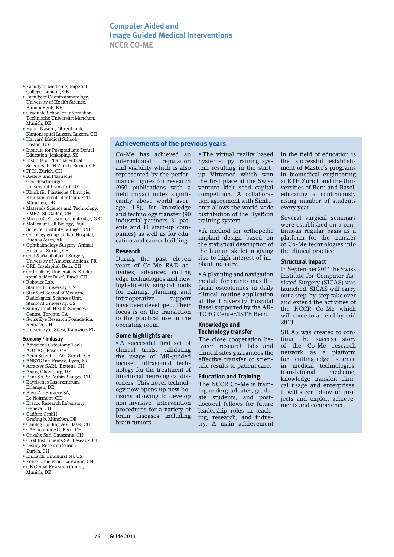## **Computer Aided and Image Guided Medical Interventions NCCR CO-ME**

**Achievements of the previous years**

- Faculty of Medicine, Imperial College, London, GB
- Faculty of Odontostomatology, University of Health Science, Phnom Penh, KH
- • Graduate School of Information, Technische Universität München, Munich, DE
- Hals-, Nasen-, Ohrenklinik
- Kantonsspital Luzern, Luzern, CH • Harvard Medical School,
- Boston, US
- Institute for Postgraduate Dental Education, Jönköping, SE
- • Institute of Pharmaceutical Sciences, ETH Zürich, Zurich, CH
- IT'IS, Zurich, CH
- Kiefer- und Plastische Gesichtschirurgie, Universität Frankfurt, DE
- Klinik für Plastische Chirurgie, Klinikum rechts der Isar der TU München, DE
- Materials Science and Technology, EMPA, St. Gallen, CH
- Microsoft Research, Cambridge, GB • Molecular Cell Biology, Paul
- Scherrer Institute, Villigen, CH • Oncology group, Italian Hospital, Buenos Aires, AR
- • Ophthalmology Surgery, Animal Hospital, Zurich, CH
- • Oral & Macillofacial Surgery,
- University of Amiens, Amiens, FR • ORL, Inselspital, Bern, CH
- • Orthopädie, Universitäts-Kinderspital beider Basel, Basel, CH
- Robotics Lab, Stanford University, US
- Stanford School of Medicine, Radiological Sciences Unit, Stanford University, US
- Sunnybrook Health Sciences Centre, Toronto, CA
- Swiss Eye Research Foundation, Reinach, CH
- University of Silesi, Katowice, PL

#### **Economy / Industry**

- • Advanced Osteotomy Tools AOT AG, Basel, CH
- • Aeon Scientific AG, Zurich, CH
- ANSYS Inc. France, Lyon, FR • Atracsys SARL, Bottens, CH
- • Axios, Oldenburg, DE
- • Baur SA, St-Aubin-Sauges, CH
- • Bayrisches Laserzentrum, Erlangen, DE
- Bien-Air Surgery SA,
- Le Noirmont, CH • Bracco Research Laboratory,
- Geneva, CH • Cadfem GmbH,
- 
- Grafing b. München, DE • Camlog Holding AG, Basel, CH
- • CAScination AG, Bern, CH
- Crisalix Sarl, Lausanne, CH
- CSM Instruments SA, Peseaux, CH • Disney Research Zurich,
- Zurich, CH
- • EnHatch, Lindhurst NJ, US • Force Dimension, Lausanne, CH
- • GE Global Research Center, Munich, DE

Co-Me has achieved an international reputation and visibility which is also represented by the performance figures for research (950 publications with a field impact index significantly above world average: 1.8), for knowledge and technology transfer (90 industrial partners, 31 patents and 11 start-up companies) as well as for education and career building.

#### **Research**

During the past eleven years of Co-Me R&D activities, advanced cutting edge technologies and new high-fidelity surgical tools for training, planning, and intraoperative support have been developed. Their focus is on the translation to the practical use in the operating room.

#### **Some highlights are:**

• A successful first set of clinical trials, validating the usage of MR-guided focused ultrasound technology for the treatment of functional neurological disorders. This novel technology now opens up new horizons allowing to develop non-invasive intervention procedures for a variety of brain diseases including brain tumors.

• The virtual reality based hysteroscopy training system resulting in the startup Virtamed which won the first place at the Swiss venture kick seed capital competition. A collaboration agreement with Simbionix allows the world-wide distribution of the HystSim training system.

• A method for orthopedic implant design based on the statistical description of the human skeleton giving rise to high interest of implant industry.

• A planning and navigation module for cranio-maxillofacial osteotomies in daily clinical routine application at the University Hospital Basel supported by the AR-TORG Center/ISTB Bern.

#### **Knowledge and Technology transfer**

The close cooperation between research labs and clinical sites guarantees the effective transfer of scientific results to patient care.

#### **Education and Training**

The NCCR Co-Me is training undergraduates, graduate students, and postdoctoral fellows for future leadership roles in teaching, research, and industry. A main achievement in the field of education is the successful establishment of Master's programs in biomedical engineering at ETH Zürich and the Universities of Bern and Basel, educating a continuously rising number of students every year.

Several surgical seminars were established on a continuous regular basis as a platform for the transfer of Co-Me technologies into the clinical practice.

#### **Structural Impact**

In September 2011 the Swiss Institute for Computer Assisted Surgery (SICAS) was launched. SICAS will carry out a step-by-step take over and extend the activities of the NCCR Co-Me which will come to an end by mid 2013.

SICAS was created to continue the success story of the Co-Me research network as a platform for cutting-edge science in medical technologies, translational knowledge transfer, clinical usage and enterprises. It will steer follow-up projects and exploit achievements and competence.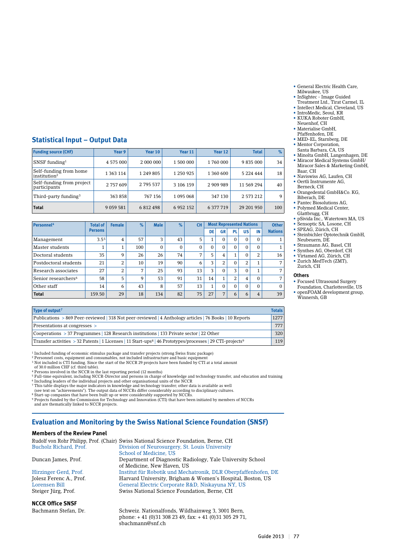- General Electric Health Care, Milwaukee, US
- InSightec Image Guided
- Treatment Ltd., Tirat Carmel, IL
- Intellect Medical, Cleveland, US
- • IntroMedic, Seoul, KR • KUKA Roboter GmbH, Neuenhof, CH
- Materialise GmbH.
- Pfaffenhofen, DE
- • MED-EL, Starnberg, DE
- Mentor Corporation, Santa Barbara, CA, US
- Minolta GmbH, Langenhagen, DE • Miracor Medical Systems GmbH/
- Miracor Sales & Marketing GmbH, Baar, CH • Naviswiss AG, Laufen, CH
- Oertli Instrumente AG,
- Berneck, CH • Orangedental GmbH&Co. KG, Biberach, DE
- Pantec Biosolutions AG,
- Polymed Medical Center, Glattbrugg, CH
- pSivida Inc., Watertown MA, US
- Sensoptic SA, Losone, CH
- • SPEAG, Zürich, CH • Steinbichler Optotechnik GmbH, Neubeuern, DE
- • Straumann AG, Basel, CH
- • Synthes AG, Oberdorf, CH
- • Virtamed AG, Zürich, CH
- • Zurich MedTech (ZMT), Zurich, CH

#### **Others**

- • Focused Ultrasound Surgery Foundation, Charlottesville, US
- openFOAM development group, Winnersh, GB

#### **Statistical Input – Output Data**

| <b>Funding source (CHF)</b>                        | Year 9        | Year 10   | Year 11       | Year 12   | <b>Total</b>  | $\%$ |
|----------------------------------------------------|---------------|-----------|---------------|-----------|---------------|------|
| SNSF funding $1$                                   | 4 575 000     | 2 000 000 | 1 500 000     | 1760000   | 9 835 000     | 34   |
| Self-funding from home<br>institution <sup>2</sup> | 1 363 114     | 1 249 805 | 1 250 925     | 1 360 600 | 5 2 2 4 4 4 4 | 18   |
| Self-funding from project<br>participants          | 2 757 609     | 2 795 537 | 3 106 159     | 2 909 989 | 11 569 294    | 40   |
| Third-party funding <sup>3</sup>                   | 363 858       | 767 156   | 1 095 068     | 347 130   | 2 573 212     | 9    |
| <b>Total</b>                                       | 9 0 5 9 5 8 1 | 6 812 498 | 6 9 5 2 1 5 2 | 6 377 719 | 29 201 950    | 100  |

| Personnel <sup>4</sup>          | <b>Total of</b>  | <b>Female</b>  | $\%$           | <b>Male</b>  | $\%$ | <b>CH</b>    |          | <b>Most Represented Nations</b> |          |           | <b>Other</b>   |                 |
|---------------------------------|------------------|----------------|----------------|--------------|------|--------------|----------|---------------------------------|----------|-----------|----------------|-----------------|
|                                 | <b>Persons</b>   |                |                |              |      |              | DE       | GR                              | PL       | <b>US</b> | IN             | <b>Nations</b>  |
| Management                      | 3.5 <sup>5</sup> | 4              | 57             | 3            | 43   | 5            | 1        | 0                               | 0        | $\Omega$  | $\Omega$       |                 |
| Master students                 |                  |                | 100            | $\mathbf{0}$ | 0    | $\mathbf{0}$ | $\Omega$ | 0                               | $\Omega$ | $\Omega$  | $\Omega$       | 1               |
| Doctoral students               | 35               | 9              | 26             | 26           | 74   | 7            | 5        | 4                               | 1        | $\Omega$  | 2              | 16              |
| Postdoctoral students           | 21               | $\overline{2}$ | 10             | 19           | 90   | 6            | 3        | 2                               | $\Omega$ | 2         |                | $7\overline{ }$ |
| Research associates             | 27               | ר<br>∠         | $\overline{7}$ | 25           | 93   | 13           | 3        | $\Omega$                        | 3        | $\Omega$  | $\overline{ }$ | $\overline{7}$  |
| Senior researchers <sup>6</sup> | 58               | 5              | 9              | 53           | 91   | 31           | 14       | 1                               | 2        | 4         | $\Omega$       | $\overline{7}$  |
| Other staff                     | 14               | 6              | 43             | 8            | 57   | 13           | 1        | $\Omega$                        | $\Omega$ | $\Omega$  | $\Omega$       | $\Omega$        |
| <b>Total</b>                    | 159.50           | 29             | 18             | 134          | 82   | 75           | 27       | $\overline{ }$                  | 6        | 6         | 4              | 39              |

| Type of output <sup>7</sup>                                                                                                        | <b>Totals</b> |
|------------------------------------------------------------------------------------------------------------------------------------|---------------|
| Publications > 869 Peer-reviewed 318 Not peer-reviewed 4 Anthology articles 76 Books 10 Reports                                    | 1277          |
| Presentations at congresses >                                                                                                      | 777           |
| Cooperations > 37 Programmes   128 Research institutions   133 Private sector   22 Other                                           | 320           |
| Transfer activities > 32 Patents   1 Licenses   11 Start-ups <sup>8</sup>   46 Prototypes/processes   29 CTI-projects <sup>9</sup> | 119           |

<sup>1</sup> Included funding of economic stimulus package and transfer projects (strong Swiss franc package)

<sup>2</sup> Personnel costs, equipment and consumables, not included infrastructure and basic equipment<br><sup>3</sup> Not included is CTI funding. Since the start of the NCCR 29 projects have been funded by CTI at a total amount of 30.0 million CHF (cf. third table).

4 Persons involved in the NCCR in the last reporting period (12 months)<br><sup>5</sup> Full-time equivalent, including NCCR-Director and persons in charge of knowledge and technology transfer, and education and training<br><sup>6</sup> Including

7 This table displays the major indicators in knowledge and technology transfer; other data is available as well (see text on "achievements"). The output data of NCCRs differ considerably according to disciplinary cultures.

8 Start-up companies that have been built up or were considerably supported by NCCRs. 9 Projects funded by the Commission for Technology and Innovation (CTI) that have been initiated by members of NCCRs and are thematically linked to NCCR projects.

## **Evaluation and Monitoring by the Swiss National Science Foundation (SNSF)**

#### **Members of the Review Panel**

|                         | Rudolf von Rohr Philipp, Prof. (Chair) Swiss National Science Foundation, Berne, CH |
|-------------------------|-------------------------------------------------------------------------------------|
| Bucholz Richard, Prof.  | Division of Neurosurgery, St. Louis University                                      |
|                         | School of Medicine. US                                                              |
| Duncan James, Prof.     | Department of Diagnostic Radiology, Yale University School                          |
|                         | of Medicine, New Haven, US                                                          |
| Hirzinger Gerd, Prof.   | Institut für Robotik und Mechatronik, DLR Oberpfaffenhofen, DE                      |
| Jolesz Ferenc A., Prof. | Harvard University, Brigham & Women's Hospital, Boston, US                          |
| Lorensen Bill           | General Electric Corporate R&D, Niskayuna NY, US                                    |
| Steiger Jürg, Prof.     | Swiss National Science Foundation, Berne, CH                                        |
|                         |                                                                                     |

**NCCR Office SNSF**

Bachmann Stefan, Dr. Schweiz. Nationalfonds, Wildhainweg 3, 3001 Bern, phone: + 41 (0)31 308 23 49, fax: + 41 (0)31 305 29 71, sbachmann@snf.ch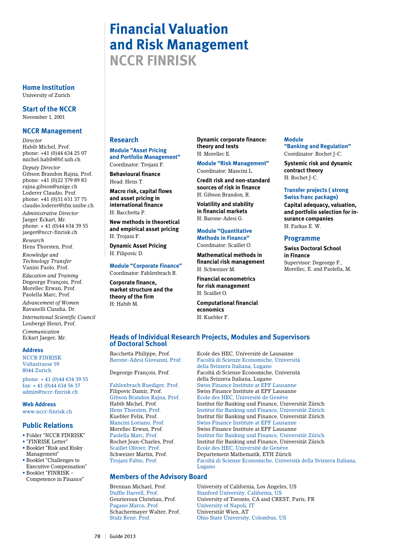## **Financial Valuation and Risk Management NCCR FINRISK**

**Home Institution** University of Zurich

**Start of the NCCR** November 1, 2001

#### **NCCR Management**

*Director* Habib Michel, Prof. phone: +41 (0)44 634 25 07 michel.habib@bf.uzh.ch

*Deputy Director* Gibson Brandon Rajna, Prof. phone: +41 (0)22 379 89 83 rajna.gibson@unige.ch Loderer Claudio, Prof. phone: +41 (0)31 631 37 75 claudio.loderer@ifm.unibe.ch *Administrative Director*

Jaeger Eckart, Mr. phone: + 41 (0)44 634 39 55 jaeger@nccr-finrisk.ch

*Research* Hens Thorsten, Prof.

*Knowledge and Technology Transfer* Vanini Paolo, Prof.

*Education and Training* Degeorge François, Prof. Morellec Erwan, Prof. Paolella Marc, Prof. *Advancement of Women* Ravanelli Claudia, Dr.

*International Scientific Council* Loubergé Henri, Prof. *Communication* Eckart Jaeger, Mr.

#### **Address**

NCCR FINRISK Voltastrasse 59 8044 Zurich

phone: + 41 (0)44 634 39 55 fax: + 41 (0)44 634 56 37 admin@nccr-finrisk.ch

**Web Address**

www.nccr-finrisk.ch

### **Public Relations**

- • Folder "NCCR FINRISK"
- • "FINRISK Letter"
- • Booklet "Risk and Risky Management"
- • Booklet "Challenges to Executive Compensation"
- • Booklet "FINRISK Competence in Finance"

## **Research**

**Module "Asset Pricing and Portfolio Management"**  Coordinator: Trojani F.

**Behavioural finance** Head: Hens T.

**Macro risk, capital flows and asset pricing in international finance**  H: Bacchetta P.

**New methods in theoretical and empirical asset pricing** H: Trojani F.

**Dynamic Asset Pricing** H: Filipovic D.

#### **Module "Corporate Finance"**

Coordinator: Fahlenbrach R. **Corporate finance, market structure and the theory of the firm** H: Habib M.

**Dynamic corporate finance: theory and tests** H: Morellec E.

**Module "Risk Management"** Coordinator: Mancini L.

**Credit risk and non-standard sources of risk in finance** H: Gibson Brandon, R.

**Volatility and stability in financial markets** H: Barone-Adesi G.

**Module "Quantitative Methods in Finance"**  Coordinator: Scaillet O.

**Mathematical methods in financial risk management** H: Schweizer M.

**Financial econometrics for risk management** H: Scaillet O.

**Computational financial economics** H: Kuebler F.

#### **Module "Banking and Regulation"** Coordinator: Rochet J-C.

**Systemic risk and dynamic contract theory** H: Rochet J-C.

#### **Transfer projects ( strong Swiss franc package)**

**Capital adequacy, valuation, and portfolio selection for insurance companies** H: Farkas E. W.

#### **Programme**

**Swiss Doctoral School in Finance** Supervisor: Degeorge F., Morellec, E. and Paolella, M.

#### **Heads of Individual Research Projects, Modules and Supervisors of Doctoral School**

Bacchetta Philippe, Prof. Ecole des HEC, Université de Lausanne

### **Members of the Advisory Board**

Schachermayer Walter, Prof. Universität Wien, AT

Barone-Adesi Giovanni, Prof. Facoltà di Scienze Economiche, Università della Svizzera Italiana, Lugano Degeorge François, Prof. Facoltà di Scienze Economiche, Università della Svizzera Italiana, Lugano<br>Fahlenbrach Ruediger, Prof. Swiss Finance Institute at EPF Swiss Finance Institute at EPF Lausanne Filipovic Damir, Prof.<br>
Gibson Brandon Raina. Prof.<br>
Ecole des HEC. Université de Genève Gibson Brandon Rajna, Prof. Ecole des HEC, Université de Genève<br>Habib Michel. Prof. Institut für Banking und Finance. Uni Habib Michel, Prof. Institut für Banking und Finance, Universität Zürich Hens Thorsten. Prof. Institut für Banking und Finance, Universität Zürich Hens Thorsten, Prof. Institut für Banking und Finance, Universität Zürich Institut für Banking und Finance, Universität Zürich Mancini Loriano, Prof. Swiss Finance Institute at EPF Lausanne Morellec Erwan, Prof. Swiss Finance Institute at EPF Lausanne Paolella Marc, Prof. Institut für Banking und Finance, Universität Zürich Rochet Jean-Charles, Prof. Institut für Banking und Finance, Universität Zürich Ecole des HEC, Université de Genève Schweizer Martin, Prof. Departement Mathematik, ETH Zürich Facoltà di Scienze Economiche, Università della Svizzera Italiana, Lugano

Brennan Michael, Prof. University of California, Los Angeles, US Duffie Darrell, Prof. Stanford University, California, US Gourieroux Christian, Prof. University of Toronto, CA and CREST, Paris, FR<br>Pagano Marco, Prof. University of Napoli, IT University of Napoli, IT Ohio State University, Colombus, US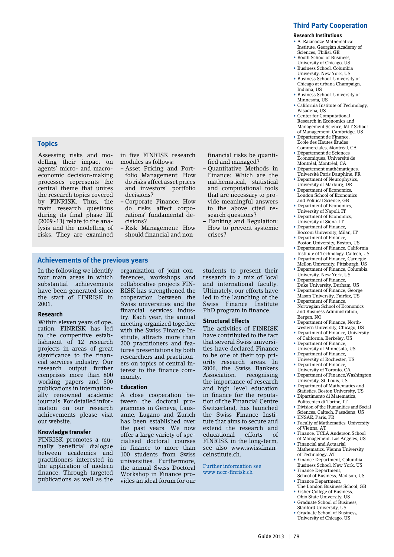#### **Research Institutions**

- A. Razmadze Mathematical Institute, Georgian Academy of Sciences, Tbilisi, GE
- Booth School of Business, University of Chicago, US
- Business School, Columbia University, New York, US • Business School, University of
- Chicago at urbana Champaign, Indiana, US • Business School, University of
- Minnesota, US
- California Institute of Technology, Pasadena, US • Center for Computational
- Research in Economics and Management Science, MIT School of Management, Cambridge, US
- Département de Finance, École des Hautes Études Commerciales, Montréal, CA
- Département de Sciences Économiques, Université de Montréal, Montréal, CA
- Département mathématiques, Université Paris Dauphine, FR
- Department of Neurophysics, University of Marburg, DE
- Department of Economics, London School of Economics and Political Science, GB
- Department of Economics,
- University of Napoli, IT • Department of Economics,
- University of Siena, IT
- Department of Finance,
- Bocconi University, Milan, IT Department of Finance.
- Boston University, Boston, US • Department of Finance, California
- Institute of Technology, Caltech, US • Department of Finance, Carnegie
- Mellon University, Pittsburgh, US • Department of Finance, Columbia University, New York, US
- Department of Finance,
- Duke University, Durham, US • Department of Finance, George
- Mason University, Fairfax, US • Department of Finance,
- Norwegian School of Economics and Business Administration, Bergen, NO
- Department of Finance, Northwestern University, Chicago, US
- Department of Finance, University of California, Berkeley, US
- Department of Finance, University of Minnesota, US
- Department of Finance, University of Rochester, US
- Department of Finance, University of Toronto, CA
- Department of Finance,Washington University, St. Louis, US
- Department of Mathematics and Statistics, Boston University, US
- Dipartimento di Matematica, Politecnico di Torino, IT
- Division of the Humanities and Social Sciences, Caltech, Pasadena, US
- ENSAE, Paris, FR
- Faculty of Mathematics, University of Vienna, AT
- Finance, UCLA Anderson School of Management, Los Angeles, US
- Financial and Actuarial Mathematics, Vienna University of Technology, AT
- Finance Department, Columbia Business School, New York, US
- Finance Department, School of Business, Madison, US
- Finance Department, The London Business School, GB
- Fisher College of Business, Ohio State University, US
- Graduate School of Business Stanford University, US
- Graduate School of Business, University of Chicago, US

## **Topics**

Assessing risks and modelling their impact on agents' micro- and macroeconomic decision-making processes represents the central theme that unites the research topics covered by FINRISK. Thus, the main research questions during its final phase III  $(2009 - 13)$  relate to the analysis and the modelling of risks. They are examined

in five FINRISK research modules as follows:

- Asset Pricing and Portfolio Management: How do risks affect asset prices and investors' portfolio decisions?
- Corporate Finance: How do risks affect corporations' fundamental decisions?
- Risk Management: How should financial and non-

fied and managed? **–** Quantitative Methods in Finance: Which are the

financial risks be quanti-

- mathematical, statistical and computational tools that are necessary to provide meaningful answers to the above cited research questions?
- **–** Banking and Regulation: How to prevent systemic crises?

#### **Achievements of the previous years**

In the following we identify four main areas in which substantial achievements have been generated since the start of FINRISK in 2001.

#### **Research**

Within eleven years of operation, FINRISK has led to the competitive establishment of 12 research projects in areas of great significance to the financial services industry. Our research output further comprises more than 800 working papers and 500 publications in internationally renowned academic journals. For detailed information on our research achievements please visit our website.

#### **Knowledge transfer**

FINRISK promotes a mutually beneficial dialogue between academics and practitioners interested in the application of modern finance. Through targeted publications as well as the

organization of joint conferences, workshops and collaborative projects FIN-RISK has strengthened the cooperation between the Swiss universities and the financial services industry. Each year, the annual meeting organized together with the Swiss Finance Institute, attracts more than 200 practitioners and features presentations by both researchers and practitioners on topics of central interest to the finance community.

#### **Education**

A close cooperation between the doctoral programmes in Geneva, Lausanne, Lugano and Zurich has been established over the past years. We now offer a large variety of specialised doctoral courses in finance to more than 100 students from Swiss universities. Furthermore, the annual Swiss Doctoral Workshop in Finance provides an ideal forum for our

students to present their research to a mix of local and international faculty. Ultimately, our efforts have led to the launching of the Swiss Finance Institute PhD program in finance.

#### **Structural Effects**

The activities of FINRISK have contributed to the fact that several Swiss universities have declared Finance to be one of their top priority research areas. In 2006, the Swiss Bankers Association, recognising the importance of research and high level education in finance for the reputation of the Financial Centre Switzerland, has launched the Swiss Finance Institute that aims to secure and extend the research and<br>educational efforts of educational efforts of FINRISK in the long-term, see also www.swissfinanceinstitute.ch.

Further information see www.nccr-finrisk.ch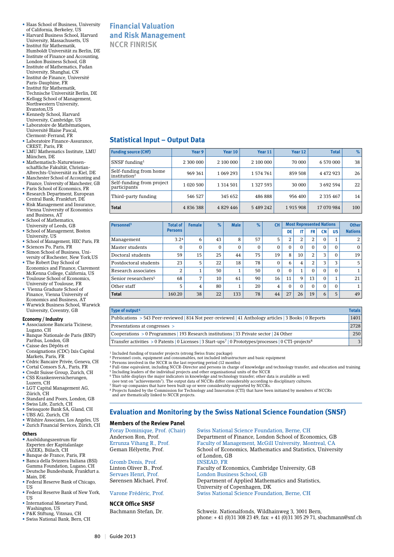- Haas School of Business, University of California, Berkeley, US
- Harvard Business School, Harvard University, Massachusetts, US • Institut für Mathematik,
- Humboldt Universität zu Berlin, DE • Institute of Finance and Accounting,
- London Business School, GB • Institute of Mathematics, Fudan
- University, Shanghai, CN • Institut de Finance, Université
- Paris-Dauphine, FR
- • Institut für Mathematik, Technische Universität Berlin, DE
- Kellogg School of Management, Northwestern University,
- Evanston,US • Kennedy School, Harvard
- University, Cambridge, US
- • Laboratoire de Mathématiques, Université Blaise Pascal, Clermont-Ferrand, FR
- • Laboratoire Finance-Assurance, CREST, Paris, FR
- • LMU Mathematics Institute, LMU München, DE
- Mathematisch-Naturwissenschaftliche Fakultät, Christian-Albrechts-Universität zu Kiel, DE
- Manchester School of Accounting and Finance, University of Manchester, GB
- Paris School of Economics, FR
- Research Department, European Central Bank, Frankfurt, DE • Risk Management and Insurance, Vienna University of Economics
- and Business, AT • School of Mathematics,
- University of Leeds, GB
- • School of Management, Boston University, US
- • School of Management, HEC Paris, FR
- • Sciences Po, Paris, FR
- • Simon School of Business, University of Rochester, New York,US • The Robert Day School of
- Economics and Finance, Claremont McKenna College, California, US • Toulouse School of Economics,
- University of Toulouse, FR • Vienna Graduate School of Finance, Vienna University of Economics and Business, AT
- • Warwick Business School, Warwick University, Coventry, GB

#### **Economy / Industry**

- **•** Associazione Bancaria Ticinese,
- Lugano, CH
- Banque Nationale de Paris (BNP) Paribas, London, GB • Caisse des Dépôts et
- Consignations (CDC) Ixis Capital Markets, Paris, FR
- Cédric Bancaire Privée, Geneva, CH
- Cortal Consors S.A., Paris, FR • Credit Suisse Group, Zurich, CH
- CSS Krankenversicherungen, Luzern, CH
- LGT Capital Management AG, Zürich, CH
- Standard and Poors, London, GB
- • Swiss Life, Zurich, CH
- Swissquote Bank SA, Gland, CH
- UBS AG, Zurich, CH • Wilshire Associates, Los Angeles, US
- Zurich Financial Services, Zürich, CH

#### **Others**

- **•** Ausbildungszentrum für Experten der Kapitalanlage (AZEK), Bülach, CH
- 
- **•** Banque de France, Paris, FR Banca della Svizzera Italiana (BSI) Gamma Foundation, Lugano, CH • Deutsche Bundesbank, Frankfurt a.
- Main, DE • Federal Reserve Bank of Chicago,
- **TIS** • Federal Reserve Bank of New York
- **TIS** • International Monetary Fund,
- Washington, US • P&K Stiftung, Vitznau, CH
- • Swiss National Bank, Bern, CH

## **Financial Valuation and Risk Management NCCR FINRISK**

## **Statistical Input – Output Data**

| <b>Funding source (CHF)</b>                        | Year 9     | Year 10       | Year 11   | Year 12 | <b>Total</b> | %               |
|----------------------------------------------------|------------|---------------|-----------|---------|--------------|-----------------|
| $SNSF$ funding <sup>1</sup>                        | 2 300 000  | 2 100 000     | 2 100 000 | 70 000  | 6 570 000    | 38 <sub>1</sub> |
| Self-funding from home<br>institution <sup>2</sup> | 969 361    | 1 069 293     | 1574761   | 859 508 | 4 472 923    | 26              |
| Self-funding from project<br>participants          | 1 0 20 500 | 1 3 1 4 5 0 1 | 1 327 593 | 30 000  | 3 692 594    | 22 <sub>1</sub> |
| Third-party funding                                | 546 527    | 345 652       | 486 888   | 956 400 | 2 3 3 4 6 7  | 14 <sup>1</sup> |
| <b>Total</b>                                       | 4836388    | 4 8 29 4 4 6  | 5 489 242 | 1915908 | 17 070 984   | 100             |

| Personnel <sup>3</sup>          | <b>Total of</b>  | <b>Female</b>  | $\%$         | <b>Male</b>  | %  | <b>CH</b> |          | <b>Most Represented Nations</b> |                |           | <b>Other</b> |                |
|---------------------------------|------------------|----------------|--------------|--------------|----|-----------|----------|---------------------------------|----------------|-----------|--------------|----------------|
|                                 | <b>Persons</b>   |                |              |              |    |           | DE       | IT                              | <b>FR</b>      | <b>CN</b> | <b>US</b>    | <b>Nations</b> |
| Management                      | 3.2 <sup>4</sup> | 6              | 43           | 8            | 57 | 5         | 2        | 2                               | 2              | $\Omega$  |              | 2              |
| Master students                 | $\Omega$         | 0              | $\mathbf{0}$ | $\mathbf{0}$ | 0  | $\Omega$  | $\Omega$ | $\Omega$                        | $\Omega$       | $\Omega$  | $\Omega$     | $\Omega$       |
| Doctoral students               | 59               | 15             | 25           | 44           | 75 | 19        | 8        | 10                              | 2              | 3         | $\Omega$     | 19             |
| Postdoctoral students           | 23               | 5              | 22           | 18           | 78 | $\Omega$  | 6        | 4                               | $\overline{2}$ | 3         | 3            | 5              |
| Research associates             | 2                |                | 50           | 1<br>┸       | 50 | $\Omega$  | $\Omega$ | 1                               | $\Omega$       | $\Omega$  | $\Omega$     |                |
| Senior researchers <sup>5</sup> | 68               | $\overline{ }$ | 10           | 61           | 90 | 16        | 11       | 9                               | 13             | $\Omega$  |              | 21             |
| Other staff                     | 5                | 4              | 80           | 1            | 20 | 4         | $\Omega$ | $\Omega$                        | $\Omega$       | $\Omega$  | $\Omega$     |                |
| <b>Total</b>                    | 160.20           | 38             | 22           | 133          | 78 | 44        | 27       | 26                              | 19             | 6         | 5            | 49             |

| Type of output <sup>6</sup>                                                                                                    | <b>Totals</b> |
|--------------------------------------------------------------------------------------------------------------------------------|---------------|
| Publications > 543 Peer-reviewed   814 Not peer-reviewed   41 Anthology articles   3 Books   0 Reports                         | 1401          |
| Presentations at congresses >                                                                                                  | 2728          |
| Cooperations $> 0$ Programmes   193 Research institutions   33 Private sector   24 Other                                       | 250           |
| Transfer activities > 0 Patents   0 Licenses   3 Start-ups <sup>7</sup>   0 Prototypes/processes   0 CTI-projects <sup>8</sup> |               |

<sup>1</sup> Included funding of transfer projects (strong Swiss franc package)

- <sup>2</sup> Personnel costs, equipment and consumables, not included infrastructure and basic equipment
- 3 Persons involved in the NCCR in the last reporting period (12 months)
- 4 Full-time equivalent, including NCCR-Director and persons in charge of knowledge and technology transfer, and education and training
- <sup>5</sup> Including leaders of the individual projects and other organisational units of the NCCR<br><sup>6</sup> This table displays the major indicators in knowledge and technology transfer; other data is available as well<br>(see text on "a
	-
- <sup>7</sup> Start-up companies that have been built up or were considerably supported by NCCRs. 8 Projects funded by the Commission for Technology and Innovation (CTI) that have been initiated by members of NCCRs and are thematically linked to NCCR projects.

## **Evaluation and Monitoring by the Swiss National Science Foundation (SNSF)**

#### **Members of the Review Panel**

**NCCR Office SNSF**

Foray Dominique, Prof. (Chair) Swiss National Science Foundation, Berne, CH Anderson Ron, Prof. Department of Finance, London School of Economics, GB Errunza Vihang R., Prof. Faculty of Management, McGill University, Montreal, CA Geman Hélyette, Prof. School of Economics, Mathematics and Statistics, University of London, GB Gromb Denis, Prof. INSEAD, FR<br>
Linton Oliver B.. Prof. Faculty of Ec Faculty of Economics, Cambridge University, GB Servaes Henri, Prof. London Business School, GB<br>
Sørensen Michael, Prof. Department of Applied Math Department of Applied Mathematics and Statistics, University of Copenhagen, DK Varone Frédéric, Prof. Swiss National Science Foundation, Berne, CH

Bachmann Stefan, Dr. Schweiz. Nationalfonds, Wildhainweg 3, 3001 Bern, phone: + 41 (0)31 308 23 49, fax: + 41 (0)31 305 29 71, sbachmann@snf.ch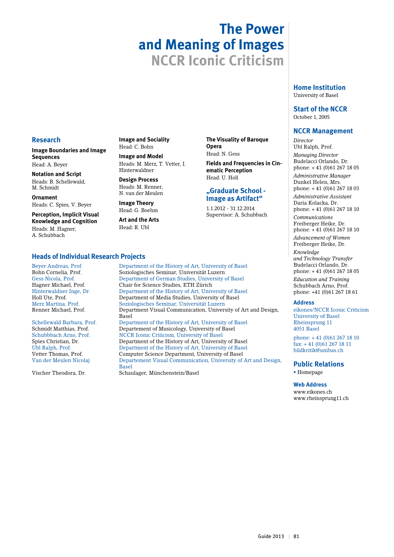## **The Power and Meaning of Images NCCR Iconic Criticism**

**Opera**  Head: N. Gess

**The Visuality of Baroque** 

**ematic Perception** Head: U. Holl

**"Graduate School - Image as Artifact"**  1.1.2012 - 31.12.2014 Supervisor: A. Schubbach

**Fields and Frequencies in Cin-**

#### **Home Institution** University of Basel

**Start of the NCCR** October 1, 2005

### **NCCR Management**

*Director* Ubl Ralph, Prof. *Managing Director* Budelacci Orlando, Dr. phone: + 41 (0)61 267 18 05 *Administrative Manager* Dunkel Helen, Mrs. phone: + 41 (0)61 267 18 03 *Administrative Assistant*

Daria Kolacka, Dr. phone: + 41 (0)61 267 18 10 *Communications* Freiberger Heike, Dr.

phone: + 41 (0)61 267 18 10 *Advancement of Women* Freiberger Heike, Dr.

*Knowledge and Technology Transfer* Budelacci Orlando, Dr. phone: + 41 (0)61 267 18 05 *Education and Training* Schubbach Arno, Prof. phone: +41 (0)61 267 18 61

#### **Address**

eikones/NCCR Iconic Criticism University of Basel Rheinsprung 11 4051 Basel

phone: + 41 (0)61 267 18 10  $\frac{1}{6}$ ax: + 41 (0) 61 267 18 11 bildkritik@unibas.ch

## **Public Relations**

• Homepage

#### **Web Address**

www.eikones.ch www.rheinsprung11.ch

## **Research**

**Image Boundaries and Image Sequences** Head: A. Beyer

**Notation and Script** Heads: B. Schellewald, M. Schmidt

**Ornament** Heads: C. Spies, V. Beyer

**Perception, Implicit Visual Knowledge and Cognition** Heads: M. Hagner, A. Schubbach

**Image and Sociality** Head: C. Bohn

#### **Image and Model** Heads: M. Merz, T. Vetter, I. Hinterwaldner

**Design Process** Heads: M. Renner, N. van der Meulen

**Image Theory** Head: G. Boehm

**Art and the Arts** Head: R. Ubl

**Heads of Individual Research Projects** Beyer Andreas, Prof. Department of the History of Art, University of Basel<br>Bohn Cornelia, Prof. Soziologisches Seminar, Universität Luzern Bohn Cornelia, Prof. Soziologisches Seminar, Universität Luzern Gess Nicola, Prof. Department of German Studies, University of Basel Chair for Science Studies, ETH Zürich Hinterwaldner Inge, Dr. Department of the History of Art, University of Basel Holl Ute, Prof. Department of Media Studies, University of Basel Merz Martina, Prof. Soziologisches Seminar, Universität Luzern Department Visual Communication, University of Art and Design, Schellewald Barbara, Prof. Department of the History of Art, University of Basel<br>Schmidt Matthias, Prof. Departement of Musicology, University of Basel Schmidt Matthias, Prof. Departement of Musicology, University of Basel Schubbbach Arno, Prof. NCCR Iconic Criticism, University of Basel NCCR Iconic Criticism, University of Basel Spies Christian, Dr. Department of the History of Art, University of Basel<br>Ubl Ralph, Prof. Department of the History of Art, University of Basel Ubl Ralph, Prof. Department of the History of Art, University of Basel Vetter Thomas, Prof. Computer Science Department, University of Basel<br>Van der Meulen Nicolai Departement Visual Communication, University of Departement Visual Communication, University of Art and Design, **Basel** Basel (1999) and the second second second second second second second second second second second second second second second second second second second second second second second second second second second seco Vischer Theodora, Dr. Schaulager, Münchenstein/Basel

Basel<br>Schellewald Barbara, Prof. Depar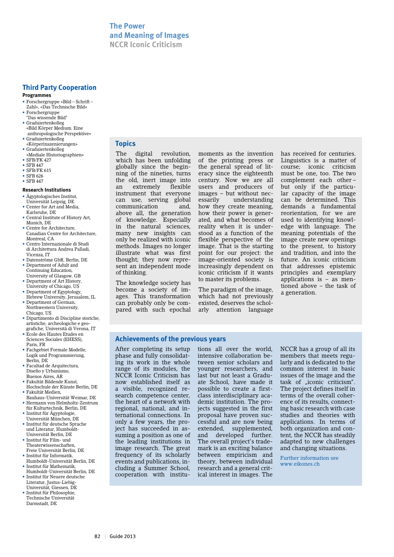#### **Programmes**

- Forschergruppe «Bild Schrift –
- Zahl», «Das Technische Bild» • Forschergruppe
- "Das wissende Bild" • Graduiertenkolleg
- «Bild Körper Medium. Eine anthropologische Perspektive» • Graduiertenkolleg
- «Körperinszenierungen» • Graduiertenkolleg «Mediale Historiographien»
- SFB/FK 427
- SFB 447
- SFB/FK 615 • SFB 626
- SFB 447
- 

#### **Research Institutions**

- Ägyptologisches Institut, Universität Leipzig, DE
- Center for Art and Media, Karlsruhe, DE
- Central Institute of History Art, Munich, DE
- Centre for Architecture, Canadian Centre for Architecture, Montreal, CA
- Centro Internazionale di Studi di Architettura Andrea Palladi, Vicenza, IT
- Datenströme GbR, Berlin, DE • Department of Adult and Continuing Education,
- University of Glasgow, GB • Department of Art History University of Chicago, US
- Department of Egyptology, Hebrew University, Jerusalem, IL
- Department of German, Northwestern University, Chicago, US
- Dipartimento di Discipline storiche, artistiche, archeologiche e geografiche, Università di Verona, IT
- Ecole des Hautes Etudes en Sciences Sociales (EHESS), Paris, FR
- Fachgebiet Formale Modelle, Logik und Programmierung, Berlin, DE
- Facultad de Arquitectura, Diseño y Urbanismo, Buenos Aires, AR
- Fakultät Bildende Kunst,
- Hochschule der Künste Berlin, DE • Fakultät Medien, Bauhaus-Universität Weimar, DE
- Hermann von Helmholtz-Zentrum für Kulturtechnik, Berlin, DE
- Institut für Ägyptologie,
- Universität München, DE • Institut für deutsche Sprache und Literatur, Humboldt-
- Universität Berlin, DE • Institut für Film- und Theaterwissenschaften,
- Freie Universität Berlin, DE • Institut für Informatik, Humboldt-Universität Berlin, DE
- Institut für Mathematik, Humboldt-Universität Berlin, DE
- Institut für Neuere deutsche Literatur, Justus-Liebig-Universität, Giessen, DE
- Institut für Philosophie, Technische Universität Darmstadt, DE

#### **Topics**

The digital revolution, which has been unfolding globally since the beginning of the nineties, turns the old, inert image into<br>an extremely flexible an extremely instrument that everyone can use, serving global communication and, above all, the generation of knowledge. Especially in the natural sciences, many new insights can only be realized with iconic methods. Images no longer illustrate what was first thought; they now represent an independent mode of thinking.

The knowledge society has become a society of images. This transformation can probably only be compared with such epochal moments as the invention of the printing press or the general spread of literacy since the eighteenth century. Now we are all users and producers of images – but without necessarily understanding how they create meaning, how their power is generated, and what becomes of reality when it is understood as a function of the flexible perspective of the image. That is the starting point for our project: the image-oriented society is increasingly dependent on iconic criticism if it wants to master its problems.

The paradigm of the image, which had not previously existed, deserves the scholarly attention language

has received for centuries. Linguistics is a matter of course; iconic criticism must be one, too. The two complement each other – but only if the particular capacity of the image can be determined. This demands a fundamental reorientation, for we are used to identifying knowledge with language. The meaning potentials of the image create new openings to the present, to history and tradition, and into the future. An iconic criticism that addresses epistemic principles and exemplary applications is – as mentioned above – the task of a generation.

#### **Achievements of the previous years**

After completing its setup phase and fully consolidating its work in the whole range of its modules, the NCCR Iconic Criticism has now established itself as a visible, recognized research competence center, the heart of a network with regional, national, and international connections. In only a few years, the project has succeeded in assuming a position as one of the leading institutions in image research. The great frequency of its scholarly events and publications, including a Summer School, cooperation with institutions all over the world, intensive collaboration between senior scholars and younger researchers, and last but not least a Graduate School, have made it possible to create a firstclass interdisciplinary academic institution. The projects suggested in the first proposal have proven successful and are now being extended, supplemented,<br>and developed further. and developed The overall project's trademark is an exciting balance between empiricism and theory, between individual research and a general critical interest in images. The

NCCR has a group of all its members that meets regularly and is dedicated to the common interest in basic issues of the image and the task of .iconic criticism". The project defines itself in terms of the overall coherence of its results, connecting basic research with case studies and theories with applications. In terms of both organization and content, the NCCR has steadily adapted to new challenges and changing situations.

Further information see www.eikones.ch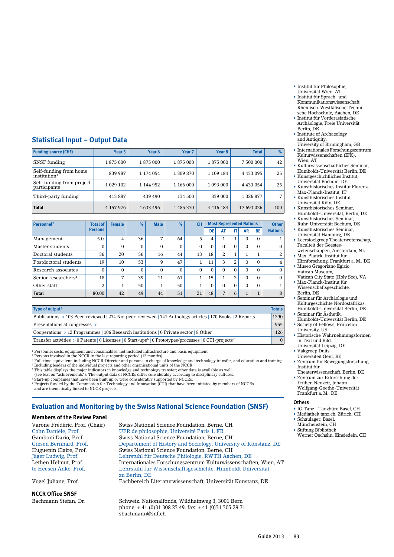- Institut für Philosophie, Universität Wien, AT
- Institut für Sprach- und Kommunikationswissenschaft, Rheinisch-Westfälische Technische Hochschule, Aachen, DE
- Institut für Vorderasiatische Archäologie, Freie Universität Berlin, DE
- Institute of Archaeology and Antiquity,
- University of Birmingham, GB • Internationales Forschungszentrum Kulturwissenschaften (IFK),
- Wien, AT • Kulturwissenschaftliches Seminar, Humboldt-Universität Berlin, DE
- Kunstgeschichtliches Institut,
- Universität Bochum, DE • Kunsthistorisches Institut Florenz, Max-Planck-Institut, IT
- Kunsthistorisches Institut,
- Universität Köln, DE • Kunsthistorisches Seminar,
- Humboldt-Universität, Berlin, DE • Kunsthistorisches Seminar,
- Ruhr-Universität Bochum, DE
- Kunsthistorisches Seminar, Universität Hamburg, DE
- Leerstoelgroep Theaterwetenschap, Faculteit der Geesteswetenschappen, Amsterdam, NL
- Max-Planck-Institut für
- Hirnforschung, Frankfurt a. M., DE • Museo Gregoriano Egizio, Vatican Museum,
- Vatican City State (Holy See), VA • Max-Planck-Institut für Wissenschaftsgeschichte,
- Berlin, DE • Seminar für Archäologie und
- Kulturgeschichte Nordostafrikas, Humboldt-Universität Berlin, DE • Seminar für Ästhetik,
- Humboldt-Universität Berlin, DE • Society of Fellows, Princeton
- University, US • Historische Wahrnehmungsformen in Text und Bild,
- Universität Leipzig, DE • Vakgroep Duits,
- Universiteit Gent, BE
- Zentrum für Bewegungsforschung, Institut für Theaterwissenschaft, Berlin, DE
- Zentrum zur Erforschung der Frühen Neuzeit, Johann Wolfgang-Goethe-Universität Frankfurt a. M., DE

#### **Others**

- IG Tanz Tanzbüro Basel, CH
- Mediathek tanz.ch, Zürich, CH
- Schaulager, Basel, Münchenstein, CH
- Stiftung Bibliothek
- Werner Oechslin, Einsiedeln, CH

## **Statistical Input – Output Data**

| <b>Funding source (CHF)</b>                        | Year 5       | Year 6    | Year <sub>7</sub> | Year <sub>8</sub> | <b>Total</b>  | %   |
|----------------------------------------------------|--------------|-----------|-------------------|-------------------|---------------|-----|
| SNSF funding                                       | 1875 000     | 1875 000  | 1875 000          | 1875000           | 7 500 000     | 42  |
| Self-funding from home<br>institution <sup>1</sup> | 839 987      | 1 174 054 | 1 309 870         | 1 109 184         | 4 4 3 0 9 5   | 25  |
| Self-funding from project<br>participants          | 1 0 29 1 0 2 | 1 144 952 | 1 166 000         | 1 093 000         | 4 4 3 3 0 5 4 | 25  |
| Third-party funding                                | 413 887      | 439 490   | 134 500           | 339 000           | 1 3 2 6 8 7 7 | 7   |
| <b>Total</b>                                       | 4 157 976    | 4 633 496 | 4 4 8 5 3 7 0     | 4 4 1 6 1 8 4     | 17 693 026    | 100 |

| Personnel <sup>2</sup>          | <b>Total of</b>  | <b>Female</b> | $\%$     | <b>Male</b><br>$\%$<br><b>CH</b> |              |          |          | <b>Most Represented Nations</b> | <b>Other</b> |                     |           |                |
|---------------------------------|------------------|---------------|----------|----------------------------------|--------------|----------|----------|---------------------------------|--------------|---------------------|-----------|----------------|
|                                 | <b>Persons</b>   |               |          |                                  |              |          | DE       | AT                              | IT           | AR                  | <b>BE</b> | <b>Nations</b> |
| Management                      | 5.0 <sup>3</sup> | 4             | 36       | 7                                | 64           | 5        | 4        | $\overline{ }$                  | 1            | $\Omega$            | $\Omega$  |                |
| Master students                 | $\Omega$         | 0             | 0        | 0                                | 0            | $\Omega$ | $\Omega$ | 0                               | $\Omega$     | $\Omega$            | $\Omega$  | $\Omega$       |
| Doctoral students               | 36               | 20            | 56       | 16                               | 44           | 13       | 18       | 2                               | 1<br>Ŧ.      | $\overline{ }$<br>T |           | 2              |
| Postdoctoral students           | 19               | 10            | 53       | 9                                | 47           |          | 11       | 3                               | 2            | $\Omega$            | $\Omega$  | $\overline{4}$ |
| Research associates             | $\Omega$         | $\Omega$      | $\Omega$ | $\Omega$                         | $\mathbf{0}$ | $\Omega$ | $\Omega$ | $\Omega$                        | $\Omega$     | $\Omega$            | $\Omega$  | $\Omega$       |
| Senior researchers <sup>4</sup> | 18               | 7             | 39       | 11                               | 61           |          | 15       | $\mathbf{1}$                    | 2            | $\Omega$            | $\Omega$  | $\Omega$       |
| Other staff                     | 2                |               | 50       | 1                                | 50           |          | $\Omega$ | 0                               | $\Omega$     | $\Omega$            | $\Omega$  |                |
| <b>Total</b>                    | 80.00            | 42            | 49       | 44                               | 51           | 21       | 48       | 7                               | 6            | $\mathbf{1}$<br>Ŧ   |           | 8              |

| Type of output <sup>5</sup>                                                                                                    | <b>Totals</b> |
|--------------------------------------------------------------------------------------------------------------------------------|---------------|
| Publications > 103 Peer-reviewed 274 Not peer-reviewed 241 Anthology articles 270 Books 2 Reports                              | 1290          |
| Presentations at congresses >                                                                                                  | 955           |
| Cooperations $> 12$ Programmes   106 Research institutions   0 Private sector   8 Other                                        | 126           |
| Transfer activities > 0 Patents   0 Licenses   0 Start-ups <sup>6</sup>   0 Prototypes/processes   0 CTI-projects <sup>7</sup> | $\Omega$      |

1 Personnel costs, equipment and consumables, not included infrastructure and basic equipment

<sup>2</sup> Persons involved in the NCCR in the last reporting period (12 months)<br><sup>3</sup> Full-time equivalent, including NCCR-Director and persons in charge of knowledge and technology transfer, and education and training 4 Including leaders of the individual projects and other organisational units of the NCCR

5 This table displays the major indicators in knowledge and technology transfer; other data is available as well

(see text on "achievements"). The output data of NCCRs differ considerably according to disciplinary cultures.

<sup>6</sup> Start-up companies that have been built up or were considerably supported by NCCRs.<br><sup>7</sup> Projects funded by the Commission for Technology and Innovation (CTI) that have been initiated by members of NCCRs<br> and are thema

## **Evaluation and Monitoring by the Swiss National Science Foundation (SNSF)**

#### **Members of the Review Panel**

### **NCCR Office SNSF**

Varone Frédéric, Prof. (Chair) Swiss National Science Foundation, Berne, CH<br>
Cohn Danièle, Prof. UFR de philosophie, Université Paris 1, FR UFR de philosophie, Université Paris 1, FR Gamboni Dario, Prof. Swiss National Science Foundation, Berne, CH Giesen Bernhard, Prof. Departement of History and Sociology, University of Konstanz, DE Huguenin Claire, Prof. Swiss National Science Foundation, Berne, CH Jäger Ludwig, Prof. Lehrstuhl für Deutsche Philologie, RWTH Aachen, DE Internationales Forschungszentrum Kulturwissenschaften, Wien, AT te Heesen Anke, Prof. Lehrstuhl für Wissenschaftsgeschichte, Humboldt Universität zu Berlin, DE Vogel Juliane, Prof. Fachbereich Literaturwissenschaft, Universität Konstanz, DE

Bachmann Stefan, Dr. Schweiz. Nationalfonds, Wildhainweg 3, 3001 Bern phone: + 41 (0)31 308 23 49, fax: + 41 (0)31 305 29 71 sbachmann@snf.ch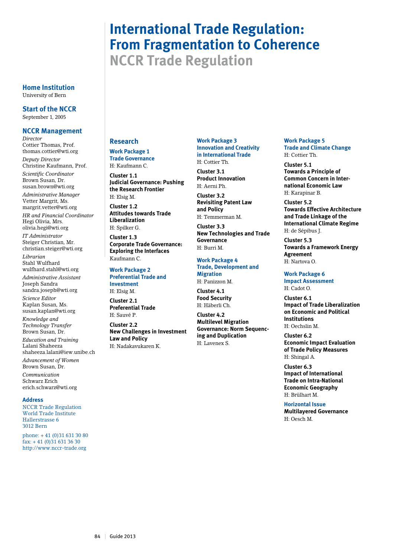# **International Trade Regulation: From Fragmentation to Coherence**

**NCCR Trade Regulation**

#### **Home Institution** University of Bern

**Start of the NCCR** September 1, 2005

## **NCCR Management**

*Director* Cottier Thomas, Prof. thomas.cottier@wti.org *Deputy Director* Christine Kaufmann, Prof. *Scientific Coordinator* Brown Susan, Dr. susan.brown@wti.org *Administrative Manager* Vetter Margrit, Ms. margrit.vetter@wti.org *HR and Financial Coordinator* Hegi Olivia, Mrs. olivia.hegi@wti.org

*IT Administrator* Steiger Christian, Mr. christian.steiger@wti.org

*Librarian* Stahl Wulfhard wulfhard.stahl@wti.org *Administrative Assistant*

Joseph Sandra sandra.joseph@wti.org

*Science Editor* Kaplan Susan, Ms. susan.kaplan@wti.org

*Knowledge and Technology Transfer* Brown Susan, Dr.

*Education and Training* Lalani Shaheeza shaheeza.lalani@iew.unibe.ch *Advancement of Women*

Brown Susan, Dr. *Communication* Schwarz Erich erich.schwarz@wti.org

#### **Address**

NCCR Trade Regulation World Trade Institute Hallerstrasse 6 3012 Bern

phone: + 41 (0)31 631 30 80 fax: + 41 (0)31 631 36 30 http://www.nccr-trade.org

## **Research**

**Work Package 1 Trade Governance** H: Kaufmann C.

**Cluster 1.1 Judicial Governance: Pushing the Research Frontier**

H: Elsig M. **Cluster 1.2 Attitudes towards Trade Liberalization**  H: Spilker G.

**Cluster 1.3 Corporate Trade Governance: Exploring the Interfaces**  Kaufmann C.

**Work Package 2 Preferential Trade and Investment**

H: Elsig M.

**Cluster 2.1 Preferential Trade**  H: Sauvé P.

**Cluster 2.2 New Challenges in Investment Law and Policy**  H: Nadakavukaren K.

#### **Work Package 3 Innovation and Creativity in International Trade** H: Cottier Th.

**Cluster 3.1 Product Innovation**  H: Aerni Ph.

**Cluster 3.2 Revisiting Patent Law and Policy**  H: Temmerman M.

**Cluster 3.3 New Technologies and Trade Governance**  H: Burri M.

## **Work Package 4 Trade, Development and**

**Migration** H: Panizzon M.

**Cluster 4.1 Food Security**  H: Häberli Ch.

**Cluster 4.2 Multilevel Migration Governance: Norm Sequencing and Duplication**  H: Lavenex S.

#### **Work Package 5 Trade and Climate Change** H: Cottier Th.

**Cluster 5.1**

**Towards a Principle of Common Concern in International Economic Law** H: Karapinar B.

**Cluster 5.2 Towards Effective Architecture and Trade Linkage of the International Climate Regime**  H: de Sépibus J.

**Cluster 5.3 Towards a Framework Energy Agreement**  H: Nartova O.

## **Work Package 6**

**Impact Assessment**  H: Cadot O.

**Cluster 6.1 Impact of Trade Liberalization on Economic and Political Institutions** H: Oechslin M.

**Cluster 6.2 Economic Impact Evaluation of Trade Policy Measures** H: Shingal A.

**Cluster 6.3 Impact of International Trade on Intra-National Economic Geography**  H: Brülhart M.

**Horizontal Issue Multilayered Governance**  H: Oesch M.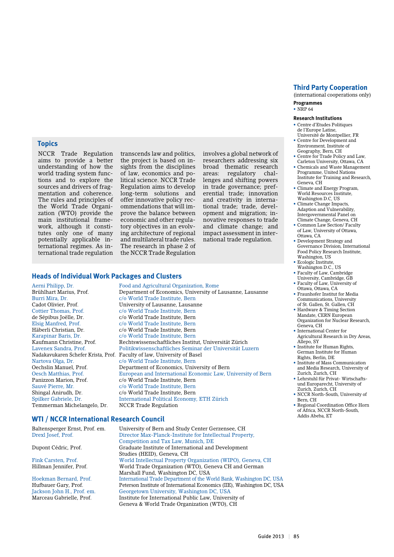(international cooperations only)

**Programmes**  $\cdot$  NRP 64

#### **Research Institutions**

• Centre d'Etudes Politiques de l'Europe Latine, Université de Montpellier, FR

- Centre for Development and Environment, Institute of Geography, Bern, CH
- • Centre for Trade Policy and Law, Carleton University, Ottawa, CA
- Chemicals and Waste Management Programme, United Nations Institute for Training and Research, Geneva, CH
- Climate and Energy Program, World Resources Institute, Washington D.C, US
- • Climate Change Impacts, Adaption and Vulnerability, Intergovernmental Panel on Climate Change, Geneva, CH
- • Common Law Section/ Faculty of Law, University of Ottawa, Ottawa, CA
- • Development Strategy and Governance Division, International Food Policy Research Institute, Washington, US
- • Ecologic Institute,
- Washington D.C., US • Faculty of Law, Cambridge
- University, Cambridge, GB • Faculty of Law, University of
- Ottawa, Ottawa, CA • Fraunhofer Institut for Media Communications, University
- of St. Gallen, St. Gallen, CH • Hardware & Timing Section
- Mandate, CERN European Organization for Nuclear Research, Geneva, CH
- • International Center for Agricultural Research in Dry Areas, Allepo, SY
- Institute for Human Rights, German Institute for Human Rights, Berlin, DE
- Institute of Mass Communication and Media Research, University of Zurich, Zurich, CH
- Lehrstuhl für Privat- Wirtschaftsund Europarecht, University of Zurich, Zurich, CH
- • NCCR North-South, University of Bern, CH
- • Regional Coordination Office Horn of Africa, NCCR North-South, Addis Abeba, ET

## **Topics**

NCCR Trade Regulation aims to provide a better understanding of how the world trading system functions and to explore the sources and drivers of fragmentation and coherence. The rules and principles of the World Trade Organization (WTO) provide the main institutional framework, although it constitutes only one of many potentially applicable international regimes. As international trade regulation

transcends law and politics, the project is based on insights from the disciplines of law, economics and political science. NCCR Trade Regulation aims to develop long-term solutions and offer innovative policy recommendations that will improve the balance between economic and other regulatory objectives in an evolving architecture of regional and multilateral trade rules. The research in phase 2 of the NCCR Trade Regulation

involves a global network of researchers addressing six broad thematic research areas: regulatory challenges and shifting powers in trade governance; preferential trade; innovation and creativity in international trade; trade, development and migration; innovative responses to trade and climate change; and impact assessment in international trade regulation.

#### **Heads of Individual Work Packages and Clusters**

Aerni Philipp, Dr. Food and Agricultural Organization, Rome Burri Mira, Dr. c/o World Trade Institute, Bern Cottier Thomas, Prof. c/o World Trade Institute, Bern de Sépibus Joëlle, Dr. c/o World Trade Institute, Bern<br>Elsig Manfred, Prof. c/o World Trade Institute, Bern Elsig Manfred, Prof. c/o World Trade Institute, Bern Häberli Christian, Dr. c/o World Trade Institute, Bern<br>Karapinar Baris, Dr. c/o World Trade Institute, Bern Nartova Olga, Dr. c/o World Trade Institute, Bern<br>
Oechslin Manuel. Prof. Department of Economics. Univ Panizzon Marion, Prof. c/o World Trade Institute, Bern Sauvé Pierre, Mr. c/o World Trade Institute, Bern Shingal Anirudh, Dr. c/o World Trade Institute, Bern Temmerman Michelangelo, Dr. NCCR Trade Regulation

Brühlhart Marius, Prof. Department of Economics, University of Lausanne, Lausanne Cadot Olivier, Prof. University of Lausanne, Lausanne c/o World Trade Institute, Bern Kaufmann Christine, Prof. Rechtswissenschaftliches Institut, Universität Zürich Lavenex Sandra, Prof. Politikwissenschaftliches Seminar der Universität Luzern Nadakavukaren Schefer Krista, Prof. Faculty of law, University of Basel Nartova Olga. Dr.  $\,$  C/O World Trade Institute, Bern Oechslin Manuel, Prof. Department of Economics, University of Bern<br>Oesch Matthias. Prof. European and International Economic Law. U European and International Economic Law, University of Bern c/o World Trade Institute, Bern Spilker Gabriele, Dr. International Political Economy, ETH Zürich

#### **WTI / NCCR International Research Council**

Baltensperger Ernst, Prof. em. University of Bern and Study Center Gerzensee, CH<br>Drexl Josef, Prof. Director Max-Planck-Institute for Intellectual Prope Director Max-Planck-Institute for Intellectual Property, Competition and Tax Law, Munich, DE<br>Dupont Cédric, Prof. 6. Capabric Graduate Institute of International and Graduate Institute of International and Development Studies (HEID), Geneva, CH Fink Carsten, Prof. World Intellectual Property Organization (WIPO), Geneva, CH World Trade Organization (WTO), Geneva CH and German Marshall Fund, Washington DC, USA Hoekman Bernard, Prof. International Trade Department of the World Bank, Washington DC, USA Peterson Institute of International Economics (IIE), Washington DC, USA Jackson John H., Prof. em. Georgetown University, Washington DC, USA Marceau Gabrielle, Prof. Institute for International Public Law, University of Geneva & World Trade Organization (WTO), CH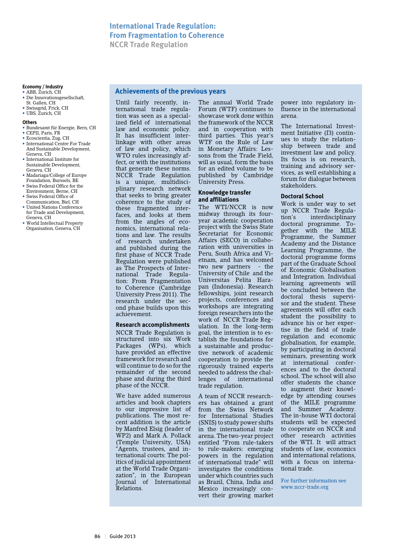**Achievements of the previous years** 

#### **Economy / Industry**

- ABB Zurich, CH • Die Innovationsgesellschaft,
- St. Gallen, CH
- • Swissgrid, Frick, CH • UBS, Zurich, CH

#### **Others**

- • Bundesamt für Energie, Bern, CH
- • CEPII, Paris, FR • Ecoscientia, Zug, CH
- • International Centre For Trade And Sustainable Development, Geneva, CH
- • International Institute for Sustainable Development, Geneva, CH
- • Madariaga/College of Europe
- Foundation, Burssels, BE • Swiss Federal Office for the
- Environment, Berne, CH • Swiss Federal Office of
- Communication, Biel, CH
- United Nations Conference for Trade and Development, Geneva, CH
- World Intellectual Property Organisation, Geneva, CH

Until fairly recently, international trade regulation was seen as a specialized field of international law and economic policy. It has insufficient interlinkage with other areas of law and policy, which WTO rules increasingly affect, or with the institutions that generate these norms. NCCR Trade Regulation is a unique, multidisciplinary research network that seeks to bring greater coherence to the study of these fragmented interfaces, and looks at them from the angles of economics, international relations and law. The results of research undertaken and published during the first phase of NCCR Trade Regulation were published as The Prospects of International Trade Regulation: From Fragmentation to Coherence (Cambridge University Press 2011). The research under the second phase builds upon this achievement.

#### **Research accomplishments**

NCCR Trade Regulation is structured into six Work Packages (WPs), which have provided an effective framework for research and will continue to do so for the remainder of the second phase and during the third phase of the NCCR.

We have added numerous articles and book chapters to our impressive list of publications. The most recent addition is the article by Manfred Elsig (leader of WP2) and Mark A. Pollack (Temple University, USA) "Agents, trustees, and international courts: The politics of judicial appointment at the World Trade Organization", in the European Journal of International Relations.

The annual World Trade Forum (WTF) continues to showcase work done within the framework of the NCCR and in cooperation with third parties. This year's WTF on the Rule of Law in Monetary Affairs: Lessons from the Trade Field, will as usual, form the basis for an edited volume to be published by Cambridge University Press.

#### **Knowledge transfer and affiliations**

The WTI/NCCR is now midway through its fouryear academic cooperation project with the Swiss State Secretariat for Economic Affairs (SECO) in collaboration with universities in Peru, South Africa and Vietnam, and has welcomed two new partners - the University of Chile and the Universitas Pelita Harapan (Indonesia). Research fellowships, joint research projects, conferences and workshops are integrating foreign researchers into the work of NCCR Trade Regulation. In the long-term goal, the intention is to establish the foundations for a sustainable and productive network of academic cooperation to provide the rigorously trained experts needed to address the challenges of international trade regulation.

A team of NCCR researchers has obtained a grant from the Swiss Network for International Studies (SNIS) to study power shifts in the international trade arena. The two-year project entitled "From rule-takers to rule-makers: emerging powers in the regulation of international trade" will investigates the conditions under which countries such as Brazil, China, India and Mexico increasingly convert their growing market power into regulatory influence in the international arena.

The International Investment Initiative (I3) continues to study the relationship between trade and investment law and policy. Its focus is on research, training and advisory services, as well establishing a forum for dialogue between stakeholders.

#### **Doctoral School**

Work is under way to set up NCCR Trade Regula-<br>tion's interdisciplinary interdisciplinary doctoral programme. Together with the MILE Programme, the Summer Academy and the Distance Learning Programme, the doctoral programme forms part of the Graduate School of Economic Globalisation and Integration. Individual learning agreements will be concluded between the doctoral thesis supervisor and the student. These agreements will offer each student the possibility to advance his or her expertise in the field of trade regulation and economic globalisation, for example, by participating in doctoral seminars, presenting work at international conferences and to the doctoral school. The school will also offer students the chance to augment their knowledge by attending courses of the MILE programme and Summer Academy. The in-house WTI doctoral students will be expected to cooperate on NCCR and other research activities of the WTI. It will attract students of law, economics and international relations, with a focus on international trade.

For further information see www.nccr-trade.org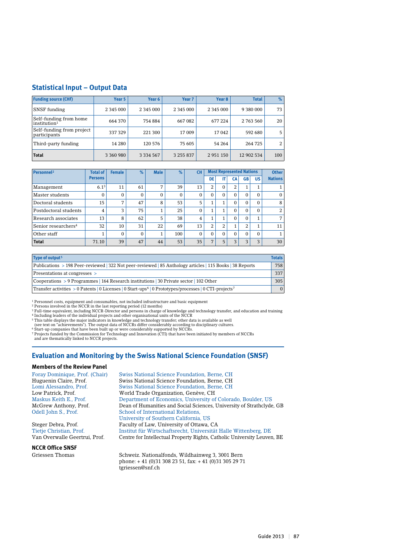#### **Statistical Input – Output Data**

| <b>Funding source (CHF)</b>                        | Year 5        | Year 6        | Year 7        | Year <sub>8</sub> | <b>Total</b> | %   |
|----------------------------------------------------|---------------|---------------|---------------|-------------------|--------------|-----|
| <b>SNSF</b> funding                                | 2 3 4 5 0 0 0 | 2 3 4 5 0 0 0 | 2 3 4 5 0 0 0 | 2 3 4 5 0 0 0     | 9 380 000    | 73  |
| Self-funding from home<br>institution <sup>1</sup> | 664 370       | 754 884       | 667 082       | 677 224           | 2 763 560    | 20  |
| Self-funding from project<br>participants          | 337 329       | 221 300       | 17 009        | 17042             | 592 680      | 5   |
| Third-party funding                                | 14 280        | 120 576       | 75 605        | 54 264            | 264 725      |     |
| <b>Total</b>                                       | 3 360 980     | 3 3 3 4 5 6 7 | 3 255 837     | 2 9 5 1 1 5 0     | 12 902 534   | 100 |

| Personnel <sup>2</sup>          | <b>Total of</b>  | <b>Female</b> | $\%$     | <b>Male</b> | $\%$     | <b>CH</b>      |          |          | <b>Most Represented Nations</b> |           |           | <b>Other</b>   |
|---------------------------------|------------------|---------------|----------|-------------|----------|----------------|----------|----------|---------------------------------|-----------|-----------|----------------|
|                                 | <b>Persons</b>   |               |          |             |          |                | DE       |          | СA                              | <b>GB</b> | <b>US</b> | <b>Nations</b> |
| Management                      | 6.1 <sup>3</sup> | 11            | 61       | ⇁           | 39       | 13             | 2        | $\Omega$ | $\overline{2}$                  | 1         |           |                |
| Master students                 | $\Omega$         | $\Omega$      | $\Omega$ | $\Omega$    | $\Omega$ | 0              | $\Omega$ | $\Omega$ | $\Omega$                        | $\Omega$  | $\Omega$  | $\mathbf{0}$   |
| Doctoral students               | 15               | 7             | 47       | 8           | 53       | 5              |          |          | $\Omega$                        | $\Omega$  | $\Omega$  | 8              |
| Postdoctoral students           | 4                | 3             | 75       | 1           | 25       | 0              | 1        |          | $\Omega$                        | $\Omega$  | $\Omega$  | 2              |
| Research associates             | 13               | 8             | 62       | 5           | 38       | $\overline{4}$ | 1        |          | $\Omega$                        | $\Omega$  |           | 7 <sub>1</sub> |
| Senior researchers <sup>4</sup> | 32               | 10            | 31       | 22          | 69       | 13             | 2        | 2        |                                 | 2         |           | 11             |
| Other staff                     |                  | $\Omega$      | $\Omega$ | 1           | 100      | 0              | $\Omega$ | $\Omega$ | $\Omega$                        | $\Omega$  | $\Omega$  | 1              |
| <b>Total</b>                    | 71.10            | 39            | 47       | 44          | 53       | 35             | 7        | 5        | 3                               | 3         | $\circ$   | 30             |

| Type of output <sup>5</sup>                                                                                                    | <b>Totals</b> |
|--------------------------------------------------------------------------------------------------------------------------------|---------------|
| Publications > 198 Peer-reviewed   322 Not peer-reviewed   85 Anthology articles   115 Books   38 Reports                      | 758           |
| Presentations at congresses >                                                                                                  | 337           |
| Cooperations > 9 Programmes   164 Research institutions   30 Private sector   102 Other                                        | 305           |
| Transfer activities > 0 Patents   0 Licenses   0 Start-ups <sup>6</sup>   0 Prototypes/processes   0 CTI-projects <sup>7</sup> | $\Omega$      |

<sup>1</sup> Personnel costs, equipment and consumables, not included infrastructure and basic equipment

<sup>2</sup> Persons involved in the NCCR in the last reporting period (12 months) <sup>3</sup> Full-time equivalent, including NCCR-Director and persons in charge of knowledge and technology transfer, and education and training<br><sup>4</sup> Including leaders of the individual projects and other organisational units of th

(see text on "achievements"). The output data of NCCRs differ considerably according to disciplinary cultures.<br><sup>6</sup> Start-up companies that have been built up or were considerably supported by NCCRs.<br><sup>7</sup> Projects funded by and are thematically linked to NCCR projects.

#### **Evaluation and Monitoring by the Swiss National Science Foundation (SNSF)**

#### **Members of the Review Panel**

### **NCCR Office SNSF**

Foray Dominique, Prof. (Chair) Swiss National Science Foundation, Berne, CH Huguenin Claire, Prof. Swiss National Science Foundation, Berne, CH<br>
Lomi Alessandro, Prof. Swiss National Science Foundation, Berne, CH Swiss National Science Foundation, Berne, CH Low Patrick, Prof. World Trade Organization, Genève, CH Department of Economics, University of Colorado, Boulder, US McGrew Anthony, Prof. Dean of Humanities and Social Sciences, University of Strathclyde, GB Odell John S., Prof. School of International Relations, University of Southern California, US Steger Debra, Prof. Faculty of Law, University of Ottawa, CA Tietje Christian, Prof. Institut für Wirtschaftsrecht, Universität Halle Wittenberg, DE Centre for Intellectual Property Rights, Catholic University Leuven, BE

Griessen Thomas Schweiz. Nationalfonds, Wildhainweg 3, 3001 Bern phone: + 41 (0)31 308 23 51, fax: + 41 (0)31 305 29 71 tgriessen@snf.ch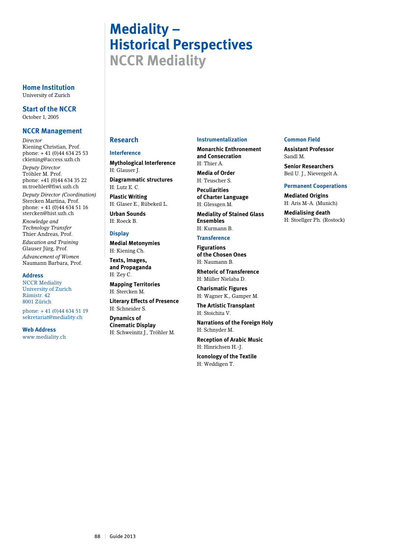# **Mediality – Historical Perspectives NCCR Mediality**

**Home Institution** University of Zurich

**Start of the NCCR** October 1, 2005

#### **NCCR Management**

*Director* Kiening Christian, Prof. phone: + 41 (0)44 634 25 53 ckiening@access.uzh.ch

*Deputy Director* Tröhler M. Prof. phone: +41 (0)44 634 35 22 m.troehler@fiwi.uzh.ch

*Deputy Director (Coordination)* Stercken Martina, Prof. phone: + 41 (0)44 634 51 16 stercken@hist.uzh.ch

*Knowledge and Technology Transfer* Thier Andreas, Prof. *Education and Training* Glauser Jürg, Prof.

*Advancement of Women* Naumann Barbara, Prof.

#### **Address**

NCCR Mediality University of Zurich Rämistr. 42 8001 Zürich

phone: + 41 (0)44 634 51 19 sekretariat@mediality.ch

**Web Address** www.mediality.ch

#### **Research**

#### **Interference**

**Mythological Interference** H: Glauser J.

**Diagrammatic structures** H: Lutz E. C.

**Plastic Writing** H: Glaser E., Rübekeil L.

**Urban Sounds** H: Roeck B.

#### **Display**

**Medial Metonymies** H: Kiening Ch.

**Texts, Images, and Propaganda** H: Zey C.

**Mapping Territories** H: Stercken M.

**Literary Effects of Presence** H: Schneider S.

**Dynamics of Cinematic Display** H: Schweinitz J., Tröhler M.

#### **Instrumentalization**

**Monarchic Enthronement and Consecration** H: Thier A.

**Media of Order** H: Teuscher S.

**Peculiarities of Charter Language** H: Glessgen M.

**Mediality of Stained Glass Ensembles** H: Kurmann B.

**Transference**

**Figurations of the Chosen Ones** H: Naumann B.

**Rhetoric of Transference** H: Müller Nielaba D.

**Charismatic Figures** H: Wagner K., Gamper M.

**The Artistic Transplant** H: Stoichita V.

**Narrations of the Foreign Holy** H: Schnyder M.

**Reception of Arabic Music** H: Hinrichsen H.-J.

**Iconology of the Textile** H: Weddigen T.

#### **Common Field**

**Assistant Professor** Sandl M.

**Senior Researchers** Beil U. J., Nievergelt A.

#### **Permanent Cooperations**

**Mediated Origins** H: Aris M-A. (Munich)

**Medialising death** H: Stoellger Ph. (Rostock)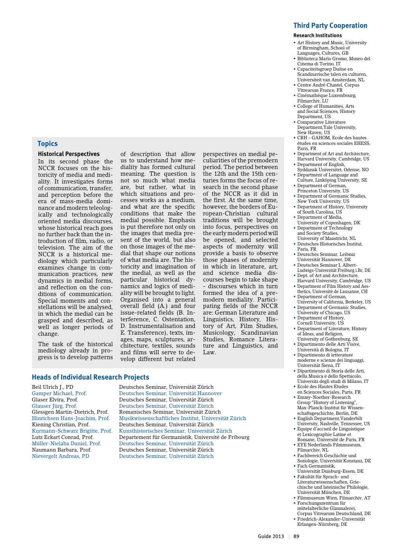## **Topics**

#### **Historical Perspectives**

In its second phase the NCCR focuses on the historicity of media and mediality. It investigates forms of communication, transfer, and perception before the era of mass-media dominance and modern teleologically and technologically oriented media discourses, whose historical reach goes no further back than the introduction of film, radio, or television. The aim of the NCCR is a historical mediology which particularly examines change in communication practices, new dynamics in medial forms, and reflection on the conditions of communication. Special moments and constellations will be analysed, in which the medial can be grasped and described, as well as longer periods of change.

The task of the historical mediology already in progress is to develop patterns

of description that allow us to understand how mediality has formed cultural meaning. The question is not so much what media are, but rather, what in which situations and processes works as a medium, and what are the specific conditions that make the medial possible. Emphasis is put therefore not only on the images that media present of the world, but also on those images of the medial that shape our notions of what media are. The historicity and imagination of the medial, as well as the particular historical dynamics and logics of mediality will be brought to light. Organised into a general overall field (A.) and four issue-related fields (B. Interference, C. Ostentation, D. Instrumentalisation and E. Transference), texts, images, maps, sculptures, architecture, textiles, sounds and films will serve to develop different but related

perspectives on medial peculiarities of the premodern period. The period between the 12th and the 15th centuries forms the focus of research in the second phase of the NCCR as it did in the first. At the same time, however, the borders of European-Christian cultural traditions will be brought into focus, perspectives on the early modern period will be opened, and selected aspects of modernity will provide a basis to observe those phases of modernity in which in literature, art, and science media discourses begin to take shape - discourses which in turn formed the idea of a premodern mediality. Participating fields of the NCCR are: German Literature and Linguistics, History, History of Art, Film Studies, Musicology, Scandinavian Studies, Romance Literature and Linguistics, and Law.

#### **Heads of Individual Research Projects**

Beil Ulrich J., PD Deutsches Seminar, Universität Zürich Gamper Michael, Prof. Deutsches Seminar, Universität Hannover Deutsches Seminar, Universität Zürich Glauser Jürg, Prof. Deutsches Seminar, Universität Zürich Romanisches Seminar, Universität Zürich Hinrichsen Hans-Joachim, Prof. Musikwissenschaftliches Institut, Universität Zürich Kiening Christian, Prof. Deutsches Seminar, Universität Zürich Kurmann-Schwarz Brigitte, Prof. Kunsthistorisches Seminar, Universität Zürich Departement für Germanistik, Université de Fribourg Müller-Nielaba Daniel, Prof. Deutsches Seminar, Universität Zürich Deutsches Seminar, Universität Zürich Nievergelt Andreas, PD Deutsches Seminar, Universität Zürich

#### **Third Party Cooperation**

#### **Research Institutions**

- Art History and Music, University of Birmingham, School of Languages, Cultures, GB
- Biblioteca Mario Gromo, Museo del Cinema di Torino, IT
- Capaciteitsgroep Duitse en Scandinavische talen en culturen, Universiteit van Amsterdam, NL
- • Centre André Chastel, Corpus Vitrearum France, FR
- • Cinémathèque Luxembourg, Filmarchiv, LH • College of Humanities, Arts
- and Social Sciences, History Department, US
- Comparative Literature Department,Yale University, New Haven, US
- CRH GAHOM, Ecole des hautes études en sciences sociales EHESS, Paris, FR
- Department of Art and Architecture, Harvard University, Cambridge, US
- • Department of English, Syddansk Universitet, Odense, NO • Department of Language and
- Culture, Linköping University, SE • Department of German,
- Princeton University, US
- • Department of Germanic Studies, New York University, US
- Department of History, University of South Carolina, US
- • Department of Media,
- University of Copenhagen, DK • Department of Technology
- and Society Studies, University of Maastricht, NL • Deutsches Historisches Institut,
- Paris, FR • Deutsches Seminar, Leibniz
- Universität Hannover, DE
- Deutsches Seminar I, Albert-Ludwigs-Universität Freiburg i.Br, DE • Dept. of Art and Architecture
- Harvard University, Cambridge, US • Department of Film History and Aes-
- thetics, Université de Lausanne, CH
- Department of German, University of California, Berkeley, US
- Department of Germanic Studies, University of Chicago, US
- Department of History, Cornell University, US
- Department of Literature, History of Ideas, and Religion,
- University of Gothenburg, SE • Dipartimento delle Arti Visive, Università di Bologna, IT
- • Dipartimento di letterature moderne e scienze dei linguaggi, Universität Siena, IT
- Dipartimento di Storia delle Arti, della Musica e dello Spettacolo, Università degli studi di Milano, IT
- • Ecole des Hautes Etudes en Sciences Sociales, Paris, FR
- Emmy-Noether-Research Group "History of Listening", Max-Planck-Institut für Wissenschaftsgeschichte, Berlin, DE
- • English Department,Vanderbilt University, Nashville, Tennessee, US
- • Equipe d'accueil de Linguistique et Lexicographie Latine et
- Romane, Université de Paris, FR • EYE Nederlands Filmmuseum,
- Filmarchiv, NL • Fachbereich Geschichte und Soziologie, Universität Konstanz, DE
- • Fach Germanistik, Universität Duisburg-Essen, DE
- • Fakultät für Sprach- und Literaturwissenschaften, Griechische und lateinische Philologie, Universität München, DE
- Filmmuseum Wien, Filmarchiv, AT • Forschungszentrum für
- mittelalterliche Glasmalerei, Corpus Vitrearum Deutschland, DE • Friedrich-Alexander-Universität Erlangen-Nürnberg, DE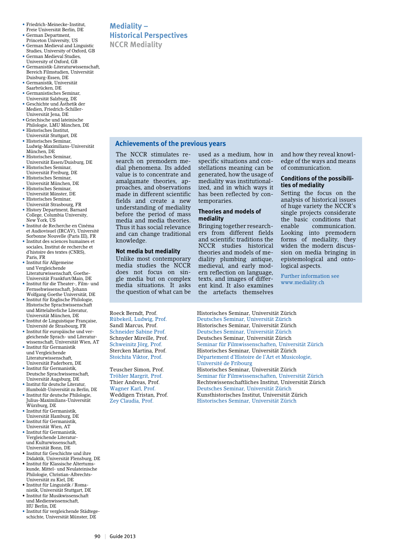- Friedrich-Meinecke-Institut, Freie Universität Berlin, DE
- • German Department,
- Princeton University, US • German Medieval and Linguistic Studies, University of Oxford, GB
- German Medieval Studies, University of Oxford, GB
- Germanistik-Literaturwissenschaft, Bereich Filmstudien, Universität Duisburg-Essen, DE
- Germanistik, Universität Saarbrücken, DE
- Germanistisches Seminar,
- Universität Salzburg, DE • Geschichte und Ästhetik der Medien, Friedrich-Schiller-Universität Jena, DE
- Griechische und lateinische Philologie, LMU München, DE
- • Historisches Institut, Universität Stuttgart, DE
- • Historisches Seminar, Ludwig-Maximilians-Universität München, DE
- Historisches Seminar, Universität Essen/Duisburg, DE
- Historisches Seminar, Universität Freiburg, DE
- Historisches Seminar, Universität München, DE
- Historisches Seminar, Universität Münster, DE • Historisches Seminar,
- Universität Strasbourg, FR • History Department, Barnard College, Columbia University,
- New York, US • Institut de Recherche en Cinéma
- et Audiovisuel (IRCAV), Université Sorbonne Nouvelle (Paris III), FR
- Institut des sciences humaines et sociales, Institut de recherche et d'histoire des textes (CNRS), Paris, FR
- Institut für Allgemeine und Vergleichende Literaturwissenschaft, Goethe-Universität Frankfurt/Main, DE
- Institut für die Theater-, Film- und Fernsehwissenschaft, Johann Wolfgang Goethe Universität, DE
- • Institut für Englische Philologie, Historische Sprachwissenschaft und Mittelalterliche Literatur, Universität München, DE
- • Institut de Linguistique Française, Université de Strasbourg, FR • Institut für europäische und ver-
- gleichende Sprach- und Literaturwissenschaft, Universität Wien, AT • Institut für Germanistik
- und Vergleichende Literaturwissenschaft, Universität Paderborn, DE
- • Institut für Germanistik, Deutsche Sprachwissenschaft, Universität Augsburg, DE
- • Institut für deutsche Literatur, Humboldt-Universität zu Berlin, DE • Institut für deutsche Philologie,
- Julius-Maximilians-Universität Würzburg, DE • Institut für Germanistik,
- Universität Hamburg, DE
- • Institut für Germanistik, Universität Wien, AT • Institut für Germanistik,
- Vergleichende Literaturund Kulturwissenschaft, Universität Bonn, DE
- • Institut für Geschichte und ihre
- Didaktik, Universität Flensburg, DE • Institut für Klassische Altertums-
- kunde, Mittel- und Neulateinische Philologie, Christian-Albrechts-Universität zu Kiel, DE • Institut für Linguistik / Roma-
- nistik, Universität Stuttgart, DE • Institut für Musikwissenschaft
- und Medienwissenschaft, HU Berlin, DE
- • Institut für vergleichende Städtegeschichte, Universität Münster, DE

## **Mediality – Historical Perspectives**

**NCCR Mediality**

## **Achievements of the previous years**

The NCCR stimulates research on premodern medial phenomena. Its added value is to concentrate and amalgamate theories, approaches, and observations made in different scientific fields and create a new understanding of mediality before the period of mass media and media theories. Thus it has social relevance and can change traditional knowledge.

#### **Not media but mediality**

Unlike most contemporary media studies the NCCR does not focus on single media but on complex media situations. It asks the question of what can be

used as a medium, how in specific situations and constellations meaning can be generated, how the usage of mediality was institutionalized, and in which ways it has been reflected by contemporaries.

#### **Theories and models of mediality**

Bringing together researchers from different fields and scientific traditions the NCCR studies historical theories and models of mediality plumbing antique, medieval, and early modern reflection on language, texts, and images of different kind. It also examines the artefacts themselves and how they reveal knowledge of the ways and means of communication.

#### **Conditions of the possibilities of mediality**

Setting the focus on the analysis of historical issues of huge variety the NCCR's single projects considerate the basic conditions that<br>enable communication. communication. Looking into premodern forms of mediality, they widen the modern discussion on media bringing in epistemological and ontological aspects.

Further information see www.mediality.ch

Roeck Berndt, Prof. Historisches Seminar, Universität Zürich Rübekeil, Ludwig, Prof. Deutsches Seminar, Universität Zürich Historisches Seminar, Universität Zürich Schneider Sabine Prof. Deutsches Seminar, Universität Zürich Deutsches Seminar, Universität Zürich Schweinitz Jörg, Prof. Seminar für Filmwissenschaften, Universität Zürich Stercken Martina, Prof. Historisches Seminar, Universität Zürich Département d'Histoire de l'Art et Musicologie, Université de Fribourg Teuscher Simon, Prof. Historisches Seminar, Universität Zürich Tröhler Margrit, Prof. Seminar für Filmwissenschaften, Universität Zürich Thier Andreas, Prof. Rechtswissenschaftliches Institut, Universität Zürich Wagner Karl, Prof. Deutsches Seminar, Universität Zürich Weddigen Tristan, Prof. Kunsthistorisches Institut, Universität Zürich Historisches Seminar, Universität Zürich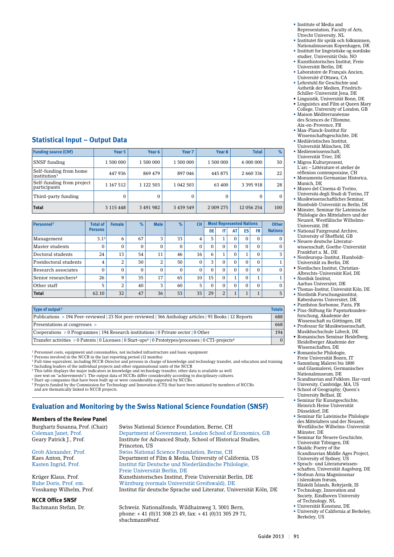## **Statistical Input – Output Data**

| <b>Funding source (CHF)</b>                         | Year 5        | Year 6      | Year <sub>7</sub> | Year <sub>8</sub> | <b>Total</b>  | %            |
|-----------------------------------------------------|---------------|-------------|-------------------|-------------------|---------------|--------------|
| <b>SNSF</b> funding                                 | 1 500 000     | 1 500 000   | 1 500 000         | 1 500 000         | 6 000 000     | 50           |
| Self-funding from home<br> institution <sup>1</sup> | 447936        | 869 479     | 897046            | 445 875           | 2 660 336     | 22           |
| Self-funding from project<br>participants           | 1 167 512     | 1 1 2 5 0 3 | 1 042 503         | 63 400            | 3 3 9 5 9 1 8 | 28           |
| Third-party funding                                 | 0             | 0           | $\Omega$          | 0                 | 0             | $\mathbf{0}$ |
| <b>Total</b>                                        | 3 1 1 5 4 4 8 | 3 491 982   | 3 4 3 9 5 4 9     | 2 009 275         | 12 056 254    | 100          |

| Personnel <sup>2</sup>          | <b>Total of</b>  | <b>Female</b> | $\%$     | <b>Male</b> | $\%$         | <b>CH</b>    |          |          |                     | <b>Most Represented Nations</b> |              | <b>Other</b>   |
|---------------------------------|------------------|---------------|----------|-------------|--------------|--------------|----------|----------|---------------------|---------------------------------|--------------|----------------|
|                                 | <b>Persons</b>   |               |          |             |              |              | DE       |          | AT                  | <b>ES</b>                       | FR           | <b>Nations</b> |
| Management                      | 3.1 <sup>3</sup> | 6             | 67       | 3           | 33           | 4            | 5        |          | $\Omega$            | $\Omega$                        | $\Omega$     | $\mathbf{0}$   |
| Master students                 | $\Omega$         | $\Omega$      | $\Omega$ | $\Omega$    | $\mathbf{0}$ | 0            | $\Omega$ | $\Omega$ | $\Omega$            | $\Omega$                        | $\Omega$     | $\mathbf{0}$   |
| Doctoral students               | 24               | 13            | 54       | 11          | 46           | 16           | 6        |          | $\Omega$            |                                 | $\Omega$     | 3              |
| Postdoctoral students           | 4                | 2             | 50       | 2           | 50           | $\mathbf{0}$ | 3        |          | $\Omega$            | $\Omega$                        | $\Omega$     | 1              |
| Research associates             | $\Omega$         | $\Omega$      | $\Omega$ | $\Omega$    | $\Omega$     | $\Omega$     | $\Omega$ | 0        | $\Omega$            | $\Omega$                        | $\Omega$     | $\Omega$       |
| Senior researchers <sup>4</sup> | 26               | 9             | 35       | 17          | 65           | 10           | 15       | $\Omega$ | $\overline{1}$<br>┸ | $\Omega$                        | 1            | 1              |
| Other staff                     | 5                | 2             | 40       | 3           | 60           | 5            | $\Omega$ | $\Omega$ | $\Omega$            | $\Omega$                        | $\Omega$     | $\Omega$       |
| <b>Total</b>                    | 62.10            | 32            | 47       | 36          | 53           | 35           | 29       | 2        | $\mathbf{1}$        |                                 | $\mathbf{1}$ | 5              |

| Type of output <sup>5</sup>                                                                                                    | <b>Totals</b> |
|--------------------------------------------------------------------------------------------------------------------------------|---------------|
| Publications > 194 Peer-reviewed 23 Not peer-reviewed 366 Anthology articles   93 Books   12 Reports                           | 688           |
| Presentations at congresses >                                                                                                  | 668           |
| $\sim$ Cooperations > 0 Programmes   194 Research institutions   0 Private sector   0 Other                                    | 194           |
| Transfer activities > 0 Patents   0 Licenses   0 Start-ups <sup>6</sup>   0 Prototypes/processes   0 CTI-projects <sup>6</sup> | $\Omega$      |

1 Personnel costs, equipment and consumables, not included infrastructure and basic equipment

<sup>2</sup> Persons involved in the NCCR in the last reporting period (12 months)<br><sup>3</sup> Full-time equivalent, including NCCR-Director and persons in charge of knowledge and technology transfer, and education and training<br><sup>4</sup> Includi

5 This table displays the major indicators in knowledge and technology transfer; other data is available as well (see text on "achievements"). The output data of NCCRs differ considerably according to disciplinary cultures.

6 Start-up companies that have been built up or were considerably supported by NCCRs.

7 Projects funded by the Commission for Technology and Innovation (CTI) that have been initiated by members of NCCRs and are thematically linked to NCCR projects.

## **Evaluation and Monitoring by the Swiss National Science Foundation (SNSF)**

#### **Members of the Review Panel**

**NCCR Office SNSF**

Burghartz Susanna, Prof. (Chair) Swiss National Science Foundation, Berne, CH<br>
Coleman Janet, Prof. Department of Government, London School of Department of Government, London School of Economics, GB Geary Patrick J., Prof. Institute for Advanced Study, School of Historical Studies, Princeton, US Grob Alexander, Prof. Swiss National Science Foundation, Berne, CH<br>Kaes Anton, Prof. Department of Film & Media, University of Cali Department of Film & Media, University of California, US Kasten Ingrid, Prof. Institut für Deutsche und Niederländische Philologie, Freie Universität Berlin, DE Krüger Klaus, Prof. Kunsthistorisches Institut, Freie Universität Berlin, DE Ruhe Doris, Prof. em. Würzburg (vormals Universität Greifswald), DE Vosskamp Wilhelm, Prof. Institut für deutsche Sprache und Literatur, Universität Köln, DE

Bachmann Stefan, Dr. Schweiz. Nationalfonds, Wildhainweg 3, 3001 Bern, phone: + 41 (0)31 308 23 49, fax: + 41 (0)31 305 29 71, <u>.</u><br>shachmann@snf

- • Institute of Media and Representation, Faculty of Arts, Utrecht University, NL
- • Institutet för språk och folkminnen, Nationalmuseum Kopenhagen, DK
- • Institutt for lingvistiske og nordiske studier, Universität Oslo, NO
- Kunsthistorisches Institut, Freie Universität Berlin, DE
- • Laboratoire de Français Ancien, Université d'Ottawa, CA • Lehrstuhl für Geschichte und
- Ästhetik der Medien, Friedrich-Schiller-Universität Jena, DE • Linguistik, Universität Bonn, DE
- • Linguistics and Film at Queen Mary College, University of London, GB
- • Maison Méditerranéenne des Sciences de l'Homme, Aix-en-Provence, FR

• Max-Planck-Institut für Wissenschaftsgeschichte, DE • Mediävistisches Institut,

- Universität München, DE • Medienwissenschaft
- Universität Trier, DE
- Migros Kulturprozent, L'arc – Littérature et atelier de réflexion contemporaine, CH
- • Monumenta Germaniae Historica, Munich, DE
- • Museo del Cinema di Torino, Università degli Studi di Torino, IT • Musikwissenschaftliches Seminar,
- Humboldt-Universität zu Berlin, DE • Münster, Seminar für Lateinische Philologie des Mittelalters und der
- Neuzeit, Westfälische Wilhelms-Universität, DE • National Fairground Archive,
- University of Sheffield, GB • Neuere deutsche Literatur-
- wissenschaft, Goethe-Universität Frankfurt a. M., DE
- • Nordeuropa-Institut, Humboldt-Universität zu Berlin, DE • Nordisches Institut, Christian-
- Albrechts-Universität Kiel, DE • Nordisk Institut,
- Aarhus Universitet, DK
- • Thomas-Institut, Universität Köln, DE • Nordistik Forschungsinstitut, Københavns Universitet, DK
- • Panthéon Sorbonne, Paris, FR • Pius-Stiftung für Papsturkunden-
- forschung, Akademie der Wissenschaft zu Göttingen, DE
- • Professur für Musikwissenschaft, Musikhochschule Lübeck, DE
- Romanisches Seminar Heidelberg Heidelberger Akademie der Wissenschaften, DE
- • Romanische Philologie, Freie Universität Bozen, IT
- Sammlung Malerei bis 1800 und Glasmalerei, Germanisches Nationalmuseum, DE
- Scandinavian and Folklore, Har-vard University, Cambridge, MA, US
- School of Geography, Queen's University Belfast, IE
- Seminar für Kunstgeschichte, Heinrich Heine Universität Düsseldorf, DE
- Seminar für Lateinische Philologie des Mittelalters und der Neuzeit, Westfälische Wilhelms-Universität Münster, DE
- • Seminar für Neuere Geschichte, Universität Tübingen, DE • Skaldic Poetry of the
- Scandinavian Middle Ages Project, University of Sydney, US
- • Sprach- und Literaturwissenschaften, Universität Augsburg, DE
- • Stofnun Árna Magnússonar í íslenskum fræum, Háskóli Íslands, Rekyjavik, IS
- Technology, Innovation and Society, Eindhoven University of Technology, NL
- Universität Konstanz, DE
- University of California at Berkeley, Berkeley, US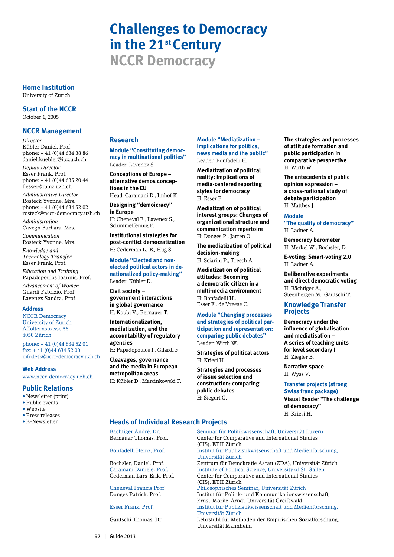# **Challenges to Democracy in the 21st Century**

**NCCR Democracy**

#### **Home Institution** University of Zurich

**Start of the NCCR** October 1, 2005

#### **NCCR Management**

*Director* Kübler Daniel, Prof. phone: + 41 (0)44 634 38 86 daniel.kuebler@ipz.uzh.ch

*Deputy Director* Esser Frank, Prof. phone: + 41 (0)44 635 20 44 f.esser@ipmz.uzh.ch

*Administrative Director* Rosteck Yvonne, Mrs. phone: + 41 (0)44 634 52 02 rosteck@nccr-democracy.uzh.ch

*Administration* Cavegn Barbara, Mrs.

*Communication* Rosteck Yvonne, Mrs.

*Knowledge and Technology Transfer* Esser Frank, Prof.

*Education and Training* Papadopoulos Ioannis, Prof.

*Advancement of Women* Gilardi Fabrizio, Prof. Lavenex Sandra, Prof.

#### **Address**

NCCR Democracy University of Zurich Affolternstrasse 56 8050 Zürich

phone: + 41 (0)44 634 52 01 fax: + 41 (0)44 634 52 00 infodesk@nccr-democracy.uzh.ch

#### **Web Address**

www.nccr-democracy.uzh.ch

#### **Public Relations**

- • Newsletter (print)
- Public events
- • Website • Press releases
- E-Newsletter

#### **Research**

**Module "Constituting democracy in multinational polities"**  Leader: Lavenex S.

**Conceptions of Europe – alternative demos conceptions in the EU**  Head: Caramani D., Imhof K.

**Designing "demoicracy" in Europe** H: Cheneval F., Lavenex S., Schimmelfennig F.

**Institutional strategies for post-conflict democratization**  H: Cederman L.-E., Hug S.

**Module "Elected and nonelected political actors in denationalized policy-making"** Leader: Kübler D.

**Civil society – government interactions in global governance**  H: Koubi V., Bernauer T.

**Internationalization, mediatization, and the accountability of regulatory agencies** 

H: Papadopoulos I., Gilardi F.

**Cleavages, governance and the media in European metropolitan areas** H: Kübler D., Marcinkowski F.

**Module "Mediatization – Implications for politics, news media and the public"** Leader: Bonfadelli H.

**Mediatization of political reality: Implications of media-centered reporting styles for democracy**  H: Esser F.

**Mediatization of political interest groups: Changes of organizational structure and communication repertoire** H: Donges P., Jarren O.

**The mediatization of political decision-making** 

**Mediatization of political attitudes: Becoming a democratic citizen in a multi-media environment** H: Bonfadelli H., Esser F., de Vreese C.

**Module "Changing processes and strategies of political participation and representation: comparing public debates"** Leader: Wirth W.

**Strategies of political actors** H: Kriesi H.

**Strategies and processes of issue selection and construction: comparing public debates**  H: Siegert G.

#### **Heads of Individual Research Projects**

**The strategies and processes of attitude formation and public participation in comparative perspective**

**The antecedents of public opinion expression – a cross-national study of debate participation** H: Matthes J. **Module** 

**"The quality of democracy"**

**Democracy barometer**  H: Merkel W., Bochsler, D. **E-voting: Smart-voting 2.0**

**Deliberative experiments and direct democratic voting** 

Steenbergen M., Gautschi T. **Knowledge Transfer**

**Democracy under the influence of globalisation and mediatisation – A series of teaching units for level secondary I** 

**Transfer projects (strong Swiss franc package) Visual Reader "The challenge** 

H: Wirth W.

H: Ladner A.

H: Ladner A.

H: Bächtiger A.,

**Projects**

H: Ziegler B. **Narrative space** H: Wyss V.

**of democracy"**  H: Kriesi H.

H: Sciarini P., Tresch A.

Bächtiger André, Dr. Seminar für Politikwissenschaft, Universität Luzern<br>Bernauer Thomas, Prof. Center for Comparative and International Studies Center for Comparative and International Studies (CIS), ETH Zürich<br>Bonfadelli Heinz, Prof. [Institut für Publizi Institut für Publizistikwissenschaft und Medienforschung, Universität Zürich Bochsler, Daniel, Prof. Zentrum für Demokratie Aarau (ZDA), Universität Zürich Caramani Daniele, Prof.<br> **Caramani Daniele, Prof.**<br> **Center for Comparative and International Studies**<br> **Center for Comparative and International Studies** Center for Comparative and International Studies (CIS), ETH Zürich<br>Cheneval Francis Prof. Philosophisches So Cheneval Francis Prof. Philosophisches Seminar, Universität Zürich Institut für Politik- und Kommunikationswissenschaft, Ernst-Moritz-Arndt-Universität Greifswald Institut für Publizistikwissenschaft und Medienforschung, Universität Zürich Lehrstuhl für Methoden der Empirischen Sozialforschung, Universität Mannheim

92 | Guide 2013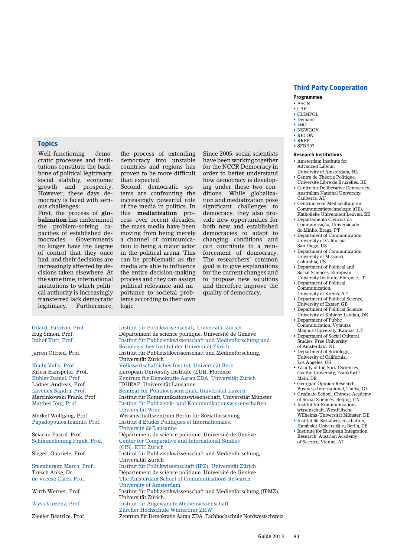#### **Programmes**

- ASCN  $•$  $CAP$
- • CLIMPOL
- Demanc
- IMO
- NEWGOV • RECON
- • RRPP
- SFB 597

#### **Research Institutions**

- • Amsterdam Institute for Advanced Labour,
- University of Amsterdam, NL • Centre de Théorie Politique, Université Libre de Bruxelles, BE
- Centre for Deliberative Democracy, Australian National University, Canberra, AU
- • Centrum voor Mediacultuur en Communicatietechnologie (OE),
- Katholieke Universiteit Leuven, BE • Departamento Ciências da Communicação, Universidade
- do Minho, Braga, PT • Department of Communication, University of California,
- San Diego, US • Department of Communication, University of Missouri, Columbia, US
- Department of Political and Social Sciences, European University Institute, Florence, IT
- Department of Political Communication,
- University of Krems, AT • Department of Political Science,
- University of Exeter, GB • Department of Political Science,
- University of Koblenz Landau, DE • Department of Public
- Communication, Vytautas Magnus University, Kaunas, LT • Department of Social Cultural
- Studies, Free University of Amsterdam, NL
- • Department of Sociology, University of California, Los Angeles, US
- Faculty of the Social Sciences, Goethe University, Frankfurt / Main, DE
	- • Georgian Opinion Research Business International, Tbilisi, GE
- Graduate School, Chinese Academy of Social Sciences, Beijing, CN
- • Institut für Kommunikationswissenschaft, Westfälische
- Wilhelms-Universität Münster, DE • Institut für Sozialwissenschaften, Humboldt-Universität zu Berlin, DE
- Institute for European Integration Research, Austrian Academy of Science, Vienna, AT

#### **Topics**

Well-functioning democratic processes and institutions constitute the backbone of political legitimacy, social stability, economic growth and prosperity. However, these days democracy is faced with serious challenges:

First, the process of **globalization** has undermined the problem-solving capacities of established democracies. Governments no longer have the degree of control that they once had, and their decisions are increasingly affected by decisions taken elsewhere. At the same time, international institutions to which political authority is increasingly transferred lack democratic legitimacy. Furthermore, the process of extending democracy into unstable countries and regions has proven to be more difficult than expected.

Second, democratic systems are confronting the increasingly powerful role of the media in politics. In this **mediatization** process over recent decades, the mass media have been moving from being merely a channel of communication to being a major actor in the political arena. This can be problematic as the media are able to influence the entire decision-making process and they can assign political relevance and importance to societal problems according to their own logic.

Since 2005, social scientists have been working together for the NCCR Democracy in order to better understand how democracy is developing under these two conditions. While globalization and mediatization pose significant challenges to democracy, they also provide new opportunities for both new and established democracies to adapt to changing conditions and can contribute to a reinforcement of democracy. The researchers' common goal is to give explanations for the current changes and to propose new solutions and therefore improve the quality of democracy.

# Gilardi Fabrizio, Prof. Institut für Politikwissenschaft, Universität Zürich

Hug Simon, Prof. Département de science politique, Université de Genève Institut für Publizistikwissenschaft und Medienforschung und Soziologisches Institut der Universität Zürich<br>Institut für Publizistikwissenschaft und Medi Institut für Publizistikwissenschaft und Medienforschung, Universität Zürich Koubi Vally, Prof. Volkswirtschaftliches Institut, Universität Bern European University Institute (EUI), Florence Kübler Daniel, Prof. Zentrum für Demokratie Aarau ZDA, Universität Zürich Ladner Andreas, Prof. IDHEAP, Universität Lausanne Lavenex Sandra, Prof. Seminar für Politikwissenschaft, Universität Luzern Marcinkowski Frank, Prof. Institut für Kommunikationswissenschaft, Universität Münster Institut für Publizistik- und Kommunikationswissenschaften, Universität Wien Merkel Wolfgang, Prof. Wissenschaftszentrum Berlin für Sozialforschung Institut d'Etudes Politiques et Internationales, Université de Lausanne Sciarini Pascal, Prof. Département de science politique, Université de Genève Schimmelfennig Frank, Prof. Center for Comparative and International Studies (CIS), ETH Zürich)<br>Siegert Gabriele. Prof. [Institut für Publizi Institut für Publizistikwissenschaft und Medienforschung, Universität Zürich<br>Steenbergen Marco, Prof. 1997 – Institut für Politik Institut für Politikwissenschaft (IPZ), Universität Zürich Tresch Anke, Dr. Département de science politique, Université de Genève de Vreese Claes, Prof. The Amsterdam School of Communtications Research, University of Amsterdam<br>Wirth Werner Prof Free True Institut für Publizistikwis Institut für Publizistikwissenschaft und Medienforschung (IPMZ), Universität Zürich Wyss Vinzenz, Prof. Institut für Angewandte Medienwissenschaft, Zürcher Hochschule Winterthur ZHW<br>Zentrum für Demokratie Aarau ZDA, Fachter Hochschule 2008, Fachter 2008, Fachter 2008, Fachter 2008, Fachter 2 Zentrum für Demokratie Aarau ZDA, Fachhochschule Nordwestschweiz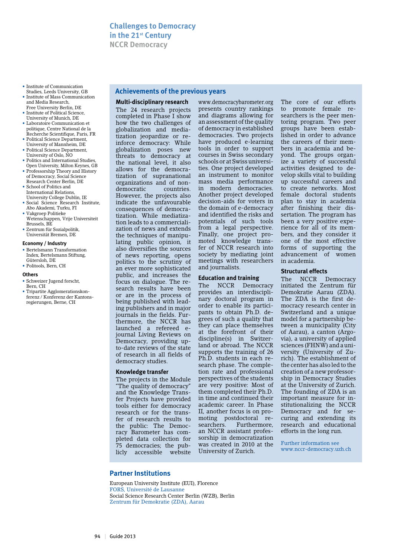- Institute of Communication Studies, Leeds University, GB
- Institute of Mass Communication and Media Research, Free University Berlin, DE
- Institute of Political Science, University of Munich, DE
- • Laboratoire Communication et politique, Centre National de la Recherche Scientifique, Paris, FR
- Political Science Department, University of Mannheim, DE
- • Political Science Department, University of Oslo, NO
- Politics and International Studies. Open University, Milton Keynes, GB
- Professorship Theory and History of Democracy, Social Science Research Center Berlin, DE
- • School of Politics and International Relations, University College Dublin, IE
- • Social Science Research Institute, Abo Akademi, Turku, FI
- • Vakgroep Politieke Wetenschappen, Vrije Universiteit Brussels, BE
- • Zentrum für Sozialpolitik, Universität Bremen, DE

#### **Economy / Industry**

• Bertelsmann Transformation Index, Bertelsmann Stiftung, Gütersloh, DE • Politools, Bern, CH

#### **Others**

- • Schweizer Jugend forscht, Bern, CH
- Tripartite Agglomerationskonferenz / Konferenz der Kantonsregierungen, Berne, CH

#### **Achievements of the previous years**

**Multi-disciplinary research** The 24 research projects completed in Phase I show how the two challenges of globalization and mediatization jeopardize or reinforce democracy: While globalization poses new threats to democracy at the national level, it also allows for the democratization of supranational organizations and of nondemocratic countries. However, the projects also indicate the unfavourable consequences of democratization. While mediatization leads to a commercialization of news and extends the techniques of manipulating public opinion, it also diversifies the sources of news reporting, opens politics to the scrutiny of an ever more sophisticated public, and increases the focus on dialogue. The research results have been or are in the process of being published with leading publishers and in major journals in the fields. Furthermore, the NCCR has launched a refereed ejournal Living Reviews on Democracy, providing upto-date reviews of the state of research in all fields of democracy studies.

#### **Knowledge transfer**

The projects in the Module "The quality of democracy" and the Knowledge Transfer Projects have provided tools either for democracy research or for the transfer of research results to the public: The Democracy Barometer has completed data collection for 75 democracies; the publicly accessible website www.democracybarometer.org presents country rankings and diagrams allowing for an assessment of the quality of democracy in established democracies. Two projects have produced e-learning tools in order to support courses in Swiss secondary schools or at Swiss universities. One project developed an instrument to monitor mass media performance in modern democracies. Another project developed decision-aids for voters in the domain of e-democracy and identified the risks and potentials of such tools from a legal perspective. Finally, one project promoted knowledge transfer of NCCR research into society by mediating joint meetings with researchers and journalists.

#### **Education and training**

The NCCR Democracy provides an interdisciplinary doctoral program in order to enable its participants to obtain Ph.D. degrees of such a quality that they can place themselves at the forefront of their discipline(s) in Switzerland or abroad. The NCCR supports the training of 26 Ph.D. students in each research phase. The completion rate and professional perspectives of the students are very positive: Most of them completed their Ph.D. in time and continued their academic career. In Phase II, another focus is on promoting postdoctoral researchers. Furthermore, an NCCR assistant professorship in democratization was created in 2010 at the University of Zurich.

The core of our efforts to promote female researchers is the peer mentoring program. Two peer groups have been established in order to advance the careers of their members in academia and beyond. The groups organize a variety of successful activities designed to develop skills vital to building up successful careers and to create networks. Most female doctoral students plan to stay in academia after finishing their dissertation. The program has been a very positive experience for all of its members, and they consider it one of the most effective forms of supporting the advancement of women in academia.

#### **Structural effects**

The NCCR Democracy initiated the Zentrum für Demokratie Aarau (ZDA). The ZDA is the first democracy research center in Switzerland and a unique model for a partnership between a municipality (City of Aarau), a canton (Argovia), a university of applied sciences (FHNW) and a university (University of Zurich). The establishment of the center has also led to the creation of a new professorship in Democracy Studies at the University of Zurich. The founding of ZDA is an important measure for institutionalizing the NCCR Democracy and for securing and extending its research and educational efforts in the long run.

Further information see www.nccr-democracy.uzh.ch

#### **Partner Institutions**

European University Institute (EUI), Florence FORS, Université de Lausanne Social Science Research Center Berlin (WZB), Berlin Zentrum für Demokratie (ZDA), Aarau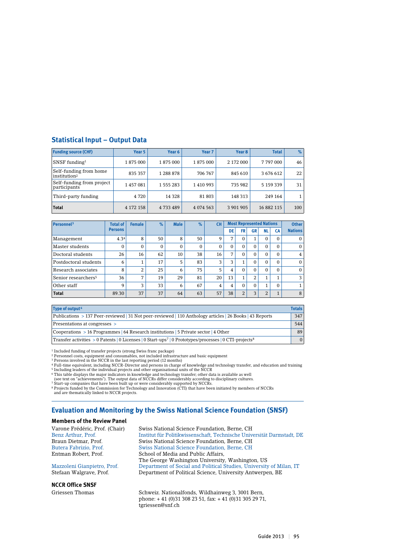### **Statistical Input – Output Data**

| <b>Funding source (CHF)</b>                        | Year 5    | Year 6    | Year <sub>7</sub> | Year 8    | <b>Total</b> | $\%$ |
|----------------------------------------------------|-----------|-----------|-------------------|-----------|--------------|------|
| $SNSF$ funding <sup>1</sup>                        | 1875 000  | 1875 000  | 1875 000          | 2 172 000 | 7797000      | 46   |
| Self-funding from home<br>institution <sup>2</sup> | 835 357   | 1 288 878 | 706 767           | 845 610   | 3 676 612    | 22   |
| Self-funding from project<br>participants          | 1457081   | 1 555 283 | 1410993           | 735 982   | 5 159 339    | 31   |
| Third-party funding                                | 4 7 2 0   | 14 3 28   | 81 803            | 148 313   | 249 164      |      |
| <b>Total</b>                                       | 4 172 158 | 4 733 489 | 4 0 74 5 63       | 3 901 905 | 16 882 115   | 100  |

| Personnel <sup>3</sup>          | <b>Total of</b> | <b>Female</b> | $\%$     | <b>Male</b> | $\%$     | <b>CH</b>    |    |                |          | <b>Most Represented Nations</b> |                      | <b>Other</b>   |
|---------------------------------|-----------------|---------------|----------|-------------|----------|--------------|----|----------------|----------|---------------------------------|----------------------|----------------|
|                                 | <b>Persons</b>  |               |          |             |          |              | DE | <b>FR</b>      | GR       | NL                              | <b>CA</b>            | <b>Nations</b> |
| Management                      | 4.34            | 8             | 50       | 8           | 50       | 9            | 7  |                |          | $\Omega$                        | $\Omega$             | $\mathbf{0}$   |
| Master students                 | $\Omega$        | $\Omega$      | $\Omega$ | $\Omega$    | $\Omega$ | $\mathbf{0}$ | 0  | $\Omega$       | $\Omega$ | $\Omega$                        | $\Omega$             | $\mathbf{0}$   |
| Doctoral students               | 26              | 16            | 62       | 10          | 38       | 16           | 7  | $\Omega$       | $\Omega$ | $\Omega$                        | $\Omega$             | $\overline{4}$ |
| Postdoctoral students           | 6               |               | 17       | 5           | 83       | 3            | 3  |                | $\Omega$ | $\Omega$                        | $\Omega$             | $\mathbf{0}$   |
| Research associates             | 8               | 2             | 25       | 6           | 75       | 5            | 4  | $\Omega$       | $\Omega$ | $\Omega$                        | $\Omega$             | $\Omega$       |
| Senior researchers <sup>5</sup> | 36              | 7             | 19       | 29          | 81       | 20           | 13 | 1              | 2        |                                 |                      | 3              |
| Other staff                     | 9               | 3             | 33       | 6           | 67       | 4            | 4  | $\Omega$       | $\Omega$ | $\blacktriangleleft$            | $\Omega$             | 1              |
| <b>Total</b>                    | 89.30           | 37            | 37       | 64          | 63       | 57           | 38 | $\overline{2}$ | 3        | 2                               | $\blacktriangleleft$ | 8              |

| Type of output <sup>6</sup>                                                                                                    | <b>Totals</b> |
|--------------------------------------------------------------------------------------------------------------------------------|---------------|
| Publications > 137 Peer-reviewed 31 Not peer-reviewed 110 Anthology articles 26 Books 43 Reports                               | 347           |
| Presentations at congresses >                                                                                                  | 544           |
| Cooperations $> 16$ Programmes   64 Research institutions   5 Private sector   4 Other                                         | 89            |
| Transfer activities > 0 Patents   0 Licenses   0 Start-ups <sup>7</sup>   0 Prototypes/processes   0 CTI-projects <sup>8</sup> | $\Omega$      |

1 Included funding of transfer projects (strong Swiss franc package)

 $^2$  Personnel costs, equipment and consumables, not included infrastructure and basic equipment<br>3 Persons involved in the NCCR in the last reporting period (12 months)

<sup>4</sup> Full-time equivalent, including NCCR-Director and persons in charge of knowledge and technology transfer, and education and training<br><sup>5</sup> Including leaders of the individual projects and other organisational units of th

6 This table displays the major indicators in knowledge and technology transfer; other data is available as well (see text on "achievements"). The output data of NCCRs differ considerably according to disciplinary cultures.

7 Start-up companies that have been built up or were considerably supported by NCCRs. 8 Projects funded by the Commission for Technology and Innovation (CTI) that have been initiated by members of NCCRs

and are thematically linked to NCCR projects.

#### **Evaluation and Monitoring by the Swiss National Science Foundation (SNSF)**

#### **Members of the Review Panel**

**NCCR Office SNSF**

Varone Frédéric, Prof. (Chair) Swiss National Science Foundation, Berne, CH Institut für Politikwissenschaft, Technische Universität Darmstadt, DE Braun Dietmar, Prof. Swiss National Science Foundation, Berne, CH Butera Fabrizio, Prof. Swiss National Science Foundation, Berne, CH School of Media and Public Affairs, The George Washington University, Washington, US<br>Mazzoleni Gianpietro, Prof. Department of Social and Political Studies, University Mazzoleni Gianpietro, Prof. Department of Social and Political Studies, University of Milan, IT Department of Political Science, University Antwerpen, BE

Griessen Thomas Schweiz. Nationalfonds, Wildhainweg 3, 3001 Bern, phone: + 41 (0)31 308 23 51, fax: + 41 (0)31 305 29 71, tgriessen@snf.ch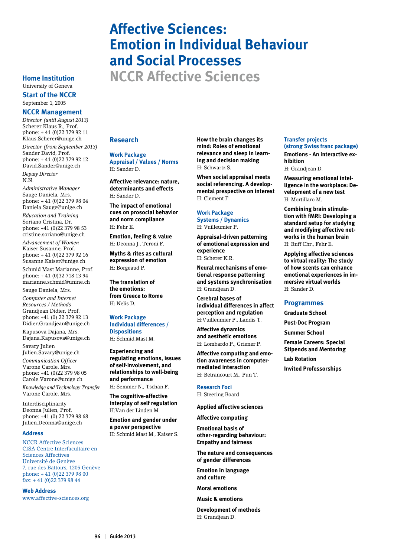## **Affective Sciences: Emotion in Individual Behaviour and Social Processes Home Institution NCCR Affective Sciences**

University of Geneva

## **Start of the NCCR** September 1, 2005

## **NCCR Management**

*Director (until August 2013)* Scherer Klaus R., Prof. phone: + 41 (0)22 379 92 11 Klaus.Scherer@unige.ch *Director (from September 2013)* Sander David, Prof. phone: + 41 (0)22 379 92 12 David.Sander@unige.ch

*Deputy Director* N.N.

*Administrative Manager* Sauge Daniela, Mrs. phone: + 41 (0)22 379 98 04 Daniela.Sauge@unige.ch *Education and Training* Soriano Cristina, Dr. phone: +41 (0)22 379 98 53 cristine.soriano@unige.ch

*Advancement of Women* Kaiser Susanne, Prof. phone: + 41 (0)22 379 92 16 Susanne.Kaiser@unige.ch

Schmid Mast Marianne, Prof. phone: + 41 (0)32 718 13 94 marianne.schmid@unine.ch

Sauge Daniela, Mrs.

*Computer and Internet Resources / Methods* Grandjean Didier, Prof. phone: +41 (0) 22 379 92 13 Didier.Grandjean@unige.ch

Kapusova Dajana, Mrs. Dajana.Kapusova@unige.ch

Savary Julien Julien.Savary@unige.ch

*Communication Officer*  Varone Carole, Mrs. phone: +41 (0)22 379 98 05 Carole.Varone@unige.ch

*Knowledge and Technology Transfer* Varone Carole, Mrs.

Interdisciplinarity Deonna Julien, Prof. phone: +41 (0) 22 379 98 68 Julien.Deonna@unige.ch

#### **Address**

NCCR Affective Sciences CISA Centre Interfacultaire en Sciences Affectives Université de Genève 7, rue des Battoirs, 1205 Genève phone: + 41 (0)22 379 98 00 fax: + 41 (0)22 379 98 44

**Web Address**

www.affective-sciences.org

## **Research**

**Work Package Appraisal / Values / Norms** H: Sander D.

**Affective relevance: nature, determinants and effects** H: Sander D.

**The impact of emotional cues on prosocial behavior and norm compliance** H: Fehr E.

**Emotion, feeling & value** H: Deonna J., Teroni F.

**Myths & rites as cultural expression of emotion** H: Borgeaud P.

**The translation of the emotions: from Greece to Rome**  H: Nelis D.

**Work Package Individual differences / Dispositions** H: Schmid Mast M.

**Experiencing and regulating emotions, issues of self-involvement, and relationships to well-being and performance**

H: Semmer N., Tschan F.

**The cognitive-affective interplay of self regulation** H:Van der Linden M.

**Emotion and gender under a power perspective** H: Schmid Mast M., Kaiser S. **How the brain changes its mind: Roles of emotional relevance and sleep in learning and decision making**  H: Schwartz S.

**When social appraisal meets social referencing. A developmental prespective on interest**  H: Clement F.

#### **Work Package Systems / Dynamics** H: Vuilleumier P.

**Appraisal-driven patterning of emotional expression and experience**  H: Scherer K.R.

**Neural mechanisms of emotional response patterning** 

**and systems synchronisation**  H: Grandjean D. **Cerebral bases of** 

**individual differences in affect perception and regulation** H:Vuilleumier P., Landis T.

**Affective dynamics and aesthetic emotions** H: Lombardo P., Griener P.

**Affective computing and emotion awareness in computermediated interaction** H: Betrancourt M., Pun T.

## **Research Foci**

H: Steering Board

**Applied affective sciences**

**Affective computing**

**Emotional basis of other-regarding behaviour: Empathy and fairness**

**The nature and consequences of gender differences**

**Emotion in language and culture**

**Moral emotions**

**Music & emotions**

**Development of methods** H: Grandjean D.

#### **Transfer projects (strong Swiss franc package) Emotions - An interactive exhibition**

H: Grandjean D.

**Measuring emotional intelligence in the workplace: Development of a new test** H: Mortillaro M.

**Combining brain stimulation with fMRI: Developing a standard setup for studying and modifying affective networks in the human brain**  $H:$  Ruff Chr., Fehr E.

**Applying affective sciences to virtual reality: The study of how scents can enhance emotional experiences in immersive virtual worlds** H: Sander D.

#### **Programmes**

**Graduate School** 

**Post-Doc Program**

**Summer School**

**Female Careers: Special** 

**Stipends and Mentoring Lab Rotation**

**Invited Professorships**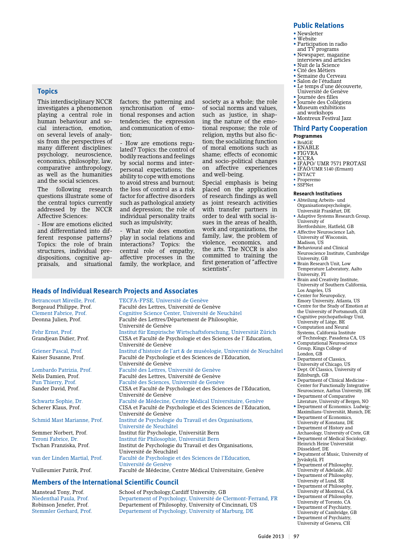#### **Public Relations**

- Newsletter
- Website
- Participation in radio and TV programs
- Newspaper, magazine interviews and articles
- Nuit de la Science
- Cité des Métiers
- Semaine du Cerveau • Salon de l'étudiant
- • Le temps d'une découverte, Université de Genève
- • Journée des filles
- Journée des Collégiens
- Museum exhibitions and workshops
- • Montreux Festival Jazz

#### **Third Party Cooperation Programmes**

- BridGE
- ENABLE
- FIGVRA
- ICCRA
- IFAPO/ UMR 7571 PROTASI
- IFAO/UMR 5140 (Ermant)
- INTACT
- Properemo
- SSPNet

#### **Research Institutions**

- Abteilung Arbeits- und Organisationspsychologie, Universität Frankfurt, DE
- Adaptive Systems Research Group University of
- Hertfordshire, Hatfield, GB • Affective Neuroscience Lab,
- University of Wisconsin, Madison, US
- Behavioural and Clinical Neuroscience Institute, Cambridge University, GB
- Brain Research Unit, Low Temperature Laboratory, Aalto University, FI
- Brain and Creativity Institute, University of Southern California, Los Angeles, US
- Emory University, Atlanta, US
- the University of Portsmouth, GB
- University of Liège, BE
- Systems, California Institute of Technology, Pasadena CA, US
- Group, Kings College of
- Department of Classics,
- University of Chicago, US
- Dept. Of Classics, University of Edinburgh, GB
- Center for Functionally Integrative Neuroscience, Aarhus University, DK
- 
- Department of Economics. Ludwig-
- Department of Economics,
- University of Konstanz, DE • Department of History and
- Archaeology, University of Crete, GR • Department of Medical Sociology,
- Düsseldorf, DE
- Depatment of Music, University of Jyväskylä, FI
- Department of Philosophy, University of Adelaide, AU
- Department of Philosophy,
- University of Lund, SE
- University of Montreal, CA
- University of Toronto, CA
- 
- Department of Psychiatry,

## **Topics**

This interdisciplinary NCCR investigates a phenomenon playing a central role in human behaviour and social interaction, emotion, on several levels of analysis from the perspectives of many different disciplines: psychology, neuroscience, economics, philosophy, law, comparative anthropology, as well as the humanities and the social sciences.

The following research questions illustrate some of the central topics currently addressed by the NCCR Affective Sciences:

- How are emotions elicited and differentiated into different response patterns? Topics: the role of brain structures, individual predispositions, cognitive appraisals, and situational factors; the patterning and synchronisation of emotional responses and action tendencies; the expression and communication of emotion;

- How are emotions regulated? Topics: the control of bodily reactions and feelings by social norms and interpersonal expectations; the ability to cope with emotions to avoid stress and burnout; the loss of control as a risk factor for affective disorders such as pathological anxiety and depression; the role of individual personality traits such as impulsivity;

- What role does emotion play in social relations and interactions? Topics: the central role of empathy, affective processes in the family, the workplace, and

Université de Genève

Université de Genève

Université de Genève

Université de Neuchâtel

Université de Neuchâtel

Faculté des Lettres, Université de Genève

Faculté des Sciences, Université de Genève

CISA et Faculté de Psychologie et des Sciences de l' Education,

Faculté de Psychologie et des Sciences de l'Education,

Faculté de Médecine, Centre Médical Universitaire, Genève

Institut de Psychologie du Travail et des Organisations,

Institut de Psychologie du Travail et des Organisations,

Faculté de Médecine, Centre Médical Universitaire, Genève

on affective experiences and well-being. Special emphasis is being placed on the application of research findings as well as joint research activities with transfer partners in order to deal with social issues in the areas of health, work and organizations, the family, law, the problem of violence, economics, and the arts. The NCCR is also committed to training the first generation of "affective scientists".

society as a whole; the role of social norms and values, such as justice, in shaping the nature of the emotional response; the role of religion, myths but also fiction; the socializing function of moral emotions such as shame; effects of economic and socio-political changes

#### **Heads of Individual Research Projects and Associates**

Betrancourt Mireille, Prof. TECFA-FPSE, Université de Genève<br>Borgeaud Philippe, Prof. Faculté des Lettres, Université de Ge Clement Fabrice, Prof. Cognitive Science Center, Université de Neuchâtel Deonna Julien, Prof. Faculté des Lettres/Département de Philosophie,

Fehr Ernst, Prof. Institut für Empirische Wirtschaftsforschung, Universität Zürich Grandiean Didier, Prof. CISA et Faculté de Psychologie et des Sciences de l'Education,

Griener Pascal, Prof.<br> **Institut d'histoire de l'art & de muséologie, Université de Neuchâtel<br>
Exculté de Psychologie et des Sciences de l'Education** 

Lombardo Patrizia, Prof. Faculté des Lettres, Université de Genève Nelis Damien, Prof. Faculté des Lettres, Université de Genève<br>Pun Thierry, Prof. Faculté des Sciences, Université de Genèv Sander David, Prof. CISA et Faculté de Psychologie et des Sciences de l'Education,

Université de Genève<br>Schwartz Sophie, Dr. Faculté de Médecine, Scherer Klaus, Prof. CISA et Faculté de Psychologie et des Sciences de l'Education,

## Université de Genève<br>Schmid Mast Marianne. Prof. linstitut de Psychologi

Semmer Norbert, Prof. Institut für Psychologie, Universität Bern Teroni Fabrice, Dr. Institut für Philosophie, Universität Bern

#### van der Linden Martial, Prof. Faculté de Psychologie et des Sciences de l'Education,

Université de Genève<br>Vuilleumier Patrik Prof Faculté de Médecine

#### **Members of the International Scientific Council**

Manstead Tony, Prof. School of Psychology,Cardiff University, GB<br>Niedenthal Paula, Prof. Departement of Psychology, Université de C Departement of Psychology, Université de Clermont-Ferrand, FR Robinson Jenefer, Prof. Departement of Philosophy, University of Cincinnati, US<br>Stemmler Gerhard, Prof. Departement of Psychology, University of Marburg, DE Departement of Psychology, University of Marburg, DE

- Center for Neuropolicy, • Centre for the Study of Emotion at
	- Cognitive psychopathology Unit,
		- Computation and Neural
		- Computational Neuroscience
		- London, GB
		-
		-
		- Department of Clinical Medicine -
	- Department of Comparative
		- Literature, University of Bergen, NO
		- Maximilians-Universität, Munich, DE
		-
	-
	- Heinrich Heine Universität
	-
	-
	-
	- Department of Philosophy,
	- Department of Philosophy,
	- Department of Psychiatry,
	- University of Cambridge, GB
	- University of Geneva, CH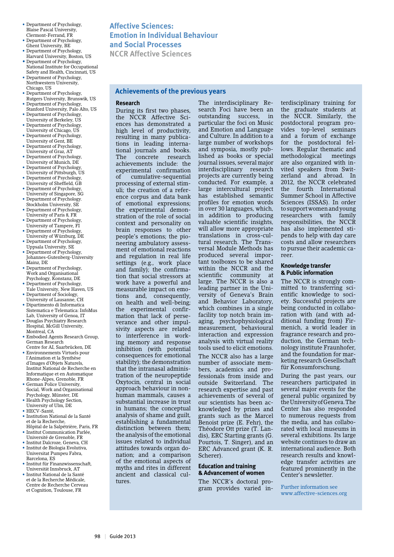- Department of Psychology, Blaise Pascal University, Clermont-Ferrand, FR
- Department of Psychology, Ghent University, BE • Department of Psychology,
- Harvard University, Boston, US • Department of Psychology,
- National Institute for Occupational Safety and Health, Cincinnati, US • Department of Psychology,
- Northwestern University, Chicago, US • Department of Psychology,
- Rutgers University, Brunswik, US
- Department of Psychology, Stanford University, Palo Alto, US
- Department of Psychology, University of Berkeley, US
- Department of Psychology, University of Chicago, US
- Department of Psychology, University of Gent, BE
- Department of Psychology, University of Graz, AT
- Department of Psychology, University of Munich, DE
- Department of Psychology, University of Pittsburgh, US
- Department of Psychology, University of Sheffield, GB
- Department of Psychology, University of Singapore, SG
- Department of Psychology. Stockholm University, SE
- Department of Psychology, University of Paris 8, FR
- Department of Psychology,
- University of Tampere, FI
- Department of Psychology, University of Würzburg, DE • Department of Psychology,
- Uppsala University, SE
- Department of Psychology, Johannes-Gutenberg-University Mainz, DE
- Department of Psychology, Work and Organisational Psychology, Konstanz, DE
- Department of Psychology, Yale University, New Haven, US
- Department of Sociology, University of Lausanne, CH
- Dipartimento di Informatica Sistematica e Telematica: InfoMus
- Lab, University of Genoa, IT • Douglas Psychiatry Research Hospital, McGill University, Montreal, CA
- Embodied Agents Research Group, German Research
- Centre for AI, Saarbrücken, DE • Environnements Virtuels pour l'Animation et la Synthèse d'Images d'Objets Naturels, Institut National de Recherche en Informatique et en Automatique Rhone-Alpes, Grenoble, FR
- German Police University, Social, Work and Organisational Psychology, Münster, DE
- Health Psychology Section, University of Ulm, DE
- HECV-Santé,
- Institution National de la Santé et de la Recherche, Hôpital de la Salpétrière, Paris, FR
- Institut Communication Parlée, Université de Grenoble, FR
- Institut Dalcroze, Geneva, CH • Institut de Biologia Evolutiva, Universitat Pumpeu Fabra, Barcelona, ES
- Institut für Finanzwissenschaft, Universität Innsbruck, AT
- Institut National de la Santé et de la Recherche Médicale, Centre de Recherche Cerveau et Cognition, Toulouse, FR

## **Affective Sciences: Emotion in Individual Behaviour and Social Processes**

**NCCR Affective Sciences**

#### **Achievements of the previous years**

#### **Research**

During its first two phases, the NCCR Affective Sciences has demonstrated a high level of productivity, resulting in many publications in leading international journals and books. The concrete research achievements include: the experimental confirmation<br>of cumulative-sequential cumulative-sequential processing of external stimuli; the creation of a reference corpus and data bank of emotional expressions; the experimental demonstration of the role of social context and personality on brain responses to other people's emotions; the pioneering ambulatory assessment of emotional reactions and regulation in real life settings (e.g., work place and family); the confirmation that social stressors at work have a powerful and measurable impact on emotions and, consequently, on health and well-being; the experimental confirmation that lack of perseverance and other impulsivity aspects are related to interference in working memory and response inhibition (with potential consequences for emotional stability); the demonstration that the intranasal administration of the neuropeptide Oxytocin, central in social approach behaviour in nonhuman mammals, causes a substantial increase in trust in humans; the conceptual analysis of shame and guilt, establishing a fundamental distinction between them; the analysis of the emotional issues related to individual attitudes towards organ donation; and a comparison of the emotional aspects of myths and rites in different ancient and classical cultures.

The interdisciplinary Research Foci have been an outstanding success, in particular the foci on Music and Emotion and Language and Culture. In addition to a large number of workshops and symposia, mostly published as books or special journal issues, several major interdisciplinary research projects are currently being conducted. For example, a large intercultural project has established semantic profiles for emotion words in over 30 languages, which, in addition to producing valuable scientific insights, will allow more appropriate translations in cross-cultural research. The Transversal Module Methods has produced several important toolboxes to be shared within the NCCR and the scientific community at large. The NCCR is also a leading partner in the University of Geneva's Brain and Behavior Laboratory, which combines in a single facility top notch brain imaging, psychophysiological measurement, behavioural interaction and expression analysis with virtual reality tools used to elicit emotions. The NCCR also has a large number of associate mem-

bers, academics and professionals from inside and outside Switzerland. The research expertise and past achievements of several of our scientists has been acknowledged by prizes and grants such as the Marcel Benoist prize (E. Fehr), the Théodore Ott prize (T. Landis), ERC Starting grants (G. Pourtois, T. Singer), and an ERC Advanced grant (K. R. Scherer).

#### **Education and training & Advancement of women**

The NCCR's doctoral program provides varied interdisciplinary training for the graduate students at the NCCR. Similarly, the postdoctoral program provides top-level seminars and a forum of exchange for the postdoctoral fellows. Regular thematic and methodological meetings are also organized with invited speakers from Switzerland and abroad. In 2012, the NCCR celebrated the fourth International Summer School in Affective Sciences (ISSAS). In order to support women and young researchers with family responsibilities, the NCCR has also implemented stipends to help with day care costs and allow researchers to pursue their academic career.

#### **Knowledge transfer & Public information**

The NCCR is strongly committed to transferring scientific knowledge to society. Successful projects are being conducted in collaboration with (and with additional funding from) Firmenich, a world leader in fragrance research and production, the German technology institute Fraunhofer, and the foundation for marketing research Gesellschaft für Konsumforschung.

During the past years, our researchers participated in several major events for the general public organized by the University of Geneva. The Center has also responded to numerous requests from the media, and has collaborated with local museums in several exhibitions. Its large website continues to draw an international audience. Both research results and knowledge transfer activities are featured prominently in the Center's newsletter.

Further information see www.affective-sciences.org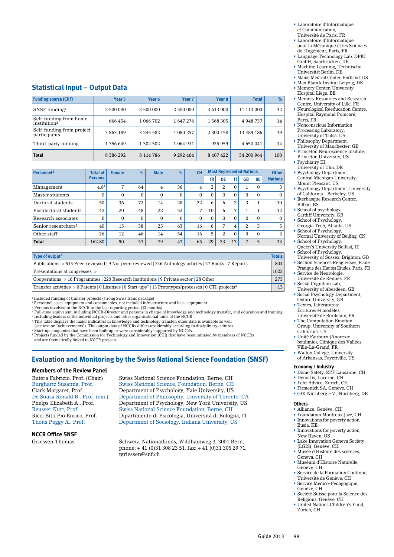- Laboratoire d'Informatique et Communication,
- Université de Paris, FR • Laboratoire d'Informatique
- pour la Mécanique et les Sciences de l'Ingénieur, Paris, FR
- Language Technology Lab, DFKI GmbH, Saarbrücken, DE • Machine Learning, Technische
- Universität Berlin, DE
- Maine Medical Center, Portland, US
- Max Planck Institut Leipzig, DE
- Memory Center, University Hospital Liège, BE
- Memory Resources and Research Centre, University of Lille, FR
- Neurological Reeducation Centre, Hospital Raymond Poincaré, Paris, FR
- Nonconscious Information Processing Laboratory, University of Tulsa, US
- Philosophy Department,
- University of Manchester, GB • Princeton Neuroscience Insitute, Princeton University, US
- Psychiatry III,
- University of Ulm, DE • Psychology Department, Central Michigan University,
- Mount Pleasant, US • Psychology Department, University of California - Berkeley, US
- Ikerbasque Research Center, Bilbao, ES
- School of psychology, Cardiff University, GB
- School of Psychology, Georgia Tech, Atlanta, US
- School of Psychology, Normal University of Beijing, CN
- School of Psychology,
- Queen's University Belfast, IE • School of Psychology, University of Sussex, Brighton, GB
- Section Sciences Religieuses, Ecole Pratique des Hautes Etudes, Paris, FR
- Service de Neurologie,
- Université de Rennes, FR • Social Cognition Lab,
- University of Aberdeen, GB
- Social Psychology Department, Oxford University, GB
- Textes, Littératures: Écritures et modèles, Université de Bordeaux, FR
- The Computation Emotion Group, University of Southern
- California, US • Unité Fairburn (Anorexie
- boulimie), Clinique des Vallées, Ville-La-Grand, FR • Walton College, University
- of Arkansas, Fayettville, US

#### **Economy / Industry**

- **•**  Domo Safety, EPF Lausanne, CH
- Dynortis, Lucerne, CH
- Fehr Advice, Zurich, CH
- Firmenich SA, Genève, CH • GfK Nürnberg e.V., Nürnberg, DE

#### **Others**

- **•** Alliance, Genève, CH
- Foundation Montreux Jazz, CH
- Innovations for poverty action, Busia, KE
- Innovations for poverty action, New Haven, US
- Lake Innovation Geneva Society (LGIS), Genève, CH
- Musée d'Histoire des sciences, Geneva, CH • Muséum d'Histoire Naturelle,
- Genève, CH
- Service de la Formation Continue, Université de Genève, CH
- Service Médico-Pédagogique, Genève, CH
- Société Suisse pour la Science des Religions, Genève, CH
- United Nations Children's Fund,
- 
- 
- Zurich, CH

## **Statistical Input – Output Data**

| <b>Funding source (CHF)</b>                        | Year 5        | Year 6    | Year <sub>7</sub> | Year <sub>8</sub> | <b>Total</b> | $\%$ |
|----------------------------------------------------|---------------|-----------|-------------------|-------------------|--------------|------|
| SNSF funding $1$                                   | 2 500 000     | 2 500 000 | 2 500 000         | 3 613 000         | 11 113 000   | 32   |
| Self-funding from home<br>institution <sup>2</sup> | 666 454       | 1 066 702 | 1647276           | 1 568 305         | 4 948 737    | 14   |
| Self-funding from project<br>participants          | 3 863 189     | 3 245 582 | 4 080 257         | 2 300 158         | 13 489 186   | 39   |
| Third-party funding                                | 1 356 649     | 1 302 502 | 1064931           | 925 959           | 4 650 041    | 14   |
| <b>Total</b>                                       | 8 3 8 6 2 9 2 | 8 114 786 | 9 2 9 2 4 6 4     | 8 407 422         | 34 200 964   | 100  |

| Personnel <sup>3</sup>          | <b>Total of</b> | <b>Female</b>  | $\%$     | <b>Male</b> | $\%$         | <b>CH</b>      | <b>Most Represented Nations</b> |                |                | <b>Other</b> |          |                |
|---------------------------------|-----------------|----------------|----------|-------------|--------------|----------------|---------------------------------|----------------|----------------|--------------|----------|----------------|
|                                 | <b>Persons</b>  |                |          |             |              |                | <b>FR</b>                       | DE             | IT             | <b>GB</b>    | BE       | <b>Nations</b> |
| Management                      | 4.84            | $\overline{ }$ | 64       | 4           | 36           | $\overline{4}$ | 2                               | 2              | $\mathbf{0}$   |              | $\Omega$ | 3              |
| Master students                 | $\Omega$        | $\Omega$       | $\Omega$ | 0           | $\mathbf{0}$ | $\mathbf{0}$   | 0                               |                | $\Omega$       | $\Omega$     | $\Omega$ | $\mathbf{0}$   |
| Doctoral students               | 50              | 36             | 72       | 14          | 28           | 22             | 6                               | 6              | 2              | 3            | л.       | 10             |
| Postdoctoral students           | 42              | 20             | 48       | 22          | 52           | 7              | 10                              | 6              | 7              |              | 1        | 12             |
| Research associates             | $\Omega$        | $\Omega$       | $\Omega$ | $\Omega$    | $\Omega$     | $\Omega$       | $\Omega$                        | 0              | $\Omega$       | $\Omega$     | $\Omega$ | $\Omega$       |
| Senior researchers <sup>5</sup> | 40              | 15             | 38       | 25          | 63           | 16             | 6                               | $\overline{ }$ | $\overline{4}$ | 2            | 3        | 5              |
| Other staff                     | 26              | 12             | 46       | 14          | 54           | 16             | 5                               | 2              | $\Omega$       | $\Omega$     | $\Omega$ | 3              |
| <b>Total</b>                    | 162.80          | 90             | 53       | 79          | 47           | 65             | 29                              | 23             | 13             | 7            | 5        | 33             |

| Type of output <sup>6</sup>                                                                                                     | <b>Totals</b> |
|---------------------------------------------------------------------------------------------------------------------------------|---------------|
| Publications > 515 Peer-reviewed   9 Not peer-reviewed   246 Anthology articles   27 Books   7 Reports                          | 804           |
| Presentations at congresses >                                                                                                   | 1022          |
| $\sim$ Cooperations $> 16$ Programmes 220 Research institutions 9 Private sector 28 Other                                       | 273           |
| Transfer activities > 0 Patents   0 Licenses   0 Start-ups <sup>7</sup>   13 Prototypes/processes   0 CTI-projects <sup>8</sup> | 13            |

1 Included funding of transfer projects (strong Swiss franc package)

2 Personnel costs, equipment and consumables, not included infrastructure and basic equipment

<sup>3</sup> Persons involved in the NCCR in the last reporting period (12 months)<br><sup>4</sup> Full-time equivalent, including NCCR-Director and persons in charge of knowledge and technology transfer, and education and training

5 Including leaders of the individual projects and other organisational units of the NCCR 6 This table displays the major indicators in knowledge and technology transfer; other data is available as well

(see text on "achievements"). The output data of NCCRs differ considerably according to disciplinary cultures.<br><sup>7</sup> Start-up companies that have been built up or were considerably supported by NCCRs.<br><sup>8</sup> Projects funded by

## **Evaluation and Monitoring by the Swiss National Science Foundation (SNSF)**

#### **Members of the Review Panel**

**NCCR Office SNSF**

Butera Fabrizio, Prof. (Chair) Swiss National Science Foundation, Berne, CH Burghartz Susanna, Prof. Swiss National Science, Foundation, Berne, CH<br>Clark Margaret, Prof. Department of Psychology, Yale University. US Department of Psychology, Yale University, US De Sousa Ronald B., Prof. (em.) Department of Philosophy, University of Toronto, CA Department of Psychology, New York University, US Reusser Kurt, Prof. Swiss National Science Foundation, Berne, CH Ricci Bitti Pio Enrico, Prof. Dipartimento di Psicologia, Università di Bologna, IT Department of Sociology, Indiana University, US

Griessen Thomas Schweiz. Nationalfonds, Wildhainweg 3, 3001 Bern, phone: + 41 (0)31 308 23 51, fax: + 41 (0)31 305 29 71, tgriessen@snf.ch

Guide 2013 | 99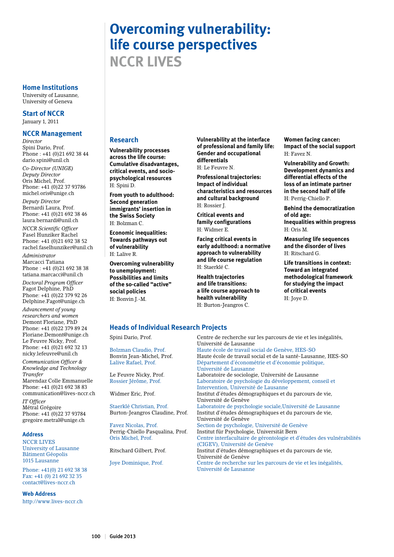## **Overcoming vulnerability: life course perspectives NCCR LIVES**

#### **Home Institutions**

University of Lausanne, University of Geneva

**Start of NCCR**

January 1, 2011

#### **NCCR Management**

*Director* Spini Dario, Prof. Phone : +41 (0)21 692 38 44 dario.spini@unil.ch *Co-Director (UNIGE) Deputy Director* Oris Michel, Prof. Phone: +41 (0)22 37 93786 michel.oris@unige.ch

*Deputy Director* Bernardi Laura, Prof. Phone: +41 (0)21 692 38 46 laura.bernardi@unil.ch

*NCCR Scientific Officer* Fasel Hunziker Rachel Phone: +41 (0)21 692 38 52 rachel.faselhunziker@unil.ch

*Administrator* Marcacci Tatiana Phone : +41 (0)21 692 38 38 tatiana.marcacci@unil.ch

*Doctoral Program Officer* Fagot Delphine, PhD Phone: +41 (0)22 379 92 26 Delphine.Fagot@unige.ch

*Advancement of young researchers and women* Demont Floriane, PhD Phone: +41 (0)22 379 89 24 Floriane.Demont@unige.ch Le Feuvre Nicky, Prof. Phone: +41 (0)21 692 32 13 nicky.lefeuvre@unil.ch

*Communication Officer & Knowledge and Technology Transfer* Marendaz Colle Emmanuelle Phone: +41 (0)21 692 38 83 communication@lives-nccr.ch

*IT Officer* Métral Grégoire Phone: +41 (0)22 37 93784 gregoire.metral@unige.ch

#### **Address**

NCCR LIVES University of Lausanne Bâtiment Géopolis 1015 Lausanne

Phone: +41(0) 21 692 38 38 Fax: +41 (0) 21 692 32 35 contact@lives-nccr.ch

**Web Address**

http://www.lives-nccr.ch

#### **Research**

**Vulnerability processes across the life course: Cumulative disadvantages, critical events, and sociopsychological resources** H: Spini D.

**From youth to adulthood: Second generation immigrants' insertion in the Swiss Society** H: Bolzman C.

**Economic inequalities: Towards pathways out of vulnerability** H: Lalive R.

**Overcoming vulnerability to unemployment: Possibilities and limits of the so-called "active" social policies** H: Bonvin J.-M.

**Vulnerability at the interface of professional and family life: Gender and occupational differentials**

H: Le Feuvre N.

**Professional trajectories: Impact of individual characteristics and resources and cultural background** H: Rossier J.

**Critical events and family configurations** H: Widmer E.

**Facing critical events in early adulthood: a normative approach to vulnerability and life course regulation** H: Staerklé C.

**Health trajectories and life transitions: a life course approach to health vulnerability** H: Burton-Jeangros C.

**Women facing cancer: Impact of the social support** H: Favez N.

**Vulnerability and Growth: Development dynamics and differential effects of the loss of an intimate partner in the second half of life** H: Perrig-Chiello P.

**Behind the democratization of old age: Inequalities within progress** H: Oris M.

**Measuring life sequences and the disorder of lives** H: Ritschard G.

**Life transitions in context: Toward an integrated methodological framework for studying the impact of critical events** H: Joye D.

### **Heads of Individual Research Projects**

Spini Dario, Prof. Centre de recherche sur les parcours de vie et les inégalités, Université de Lausanne Bolzman Claudio, Prof. Haute école de travail social de Genève, HES-SO Bonvin Jean-Michel, Prof. Haute école de travail social et de la santé-Lausanne, HES-SO<br>Lalive Rafael. Prof. Département d'économétrie et d'économie politique. Département d'économétrie et d'économie politique, Université de Lausanne<br>Le Feuvre Nicky, Prof. Laboratoire de sociologi Laboratoire de sociologie, Université de Lausanne Rossier Jérôme, Prof. Laboratoire de psychologie du développement, conseil et Intervention, Université de Lausanne Institut d'études démographiques et du parcours de vie, Université de Genève Staerklé Christian, Prof. Laboratoire de psychologie sociale,Université de Lausanne Burton-Jeangros Claudine, Prof. Institut d'études démographiques et du parcours de vie, Université de Genève Favez Nicolas, Prof. Section de psychologie, Université de Genève Perrig-Chiello Pasqualina, Prof. Institut für Psychologie, Universität Bern Centre interfacultaire de gérontologie et d'études des vulnérabilités (CIGEV), Université de Genève<br>Ritschard Gilbert, Prof. 15. Institut d'études démographique Institut d'études démographiques et du parcours de vie, Université de Genève Joye Dominique, Prof. Centre de recherche sur les parcours de vie et les inégalités, Université de Lausanne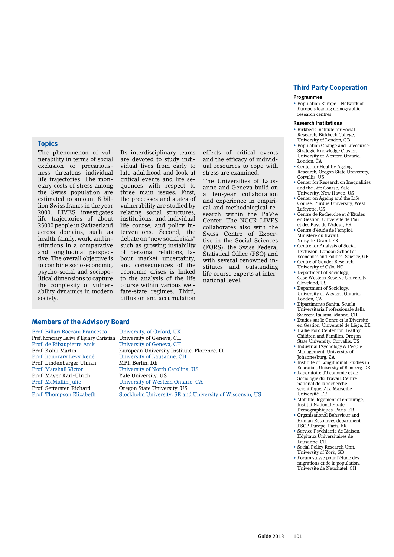#### **Programmes**

• Population Europe – Network of Europe's leading demographic research centres

#### **Research Institutions**

- • Birkbeck Institute for Social Research, Birkbeck College, University of London, GB
- Population Change and Lifecourse: Strategic Knowledge Cluster, University of Western Ontario, London, CA
- • Center for Healthy Ageing Research, Oregon State University, Corvallis, US
- • Center for Research on Inequalities and the Life Course, Yale University, New Haven, US
- • Center on Ageing and the Life Course, Purdue University, West Lafayette, US
- • Centre de Recherche et d'Etudes en Gestion, Université de Pau
- et des Pays de l'Adour, FR Centre d'étude de l'emploi,
- Ministère du travail, Noisy-le-Grand, FR • Centre for Analysis of Social
- Exclusion, London School of Economics and Political Science, GB
- Centre of Gender Research University of Oslo, NO
- Department of Sociology Case Western Reserve University,
- Cleveland, US Department of Sociology
- University of Western Ontario, London, CA
- Dipartimento Sanita, Scuola Universitaria Professionale della Svizzera Italiana, Manno, CH
- • Etudes sur le Genre et la Diversité en Gestion, Université de Liège, BE • Hallie Ford Center for Healthy
- Children and Families, Oregon State University, Corvallis, US
- • Industrial Psychology & People Management, University of Johannesburg, ZA
- Institute of Longitudinal Studies in Education, University of Bamberg, DE
- • Laboratoire d'Economie et de Sociologie du Travail, Centre national de la recherche scientifique, Aix-Marseille Université, FR
- • Mobilité, logement et entourage, Institut National Etude
- Démographiques, Paris, FR • Organizational Behaviour and Human Resources department, ESCP Europe, Paris, FR
- • Service Psychiatrie de Liaison, Hôpitaux Universitaires de Lausanne, CH
- • Social Policy Research Unit, University of York, GB
- • Forum suisse pour l'étude des migrations et de la population, Université de Neuchâtel, CH

#### **Topics**

The phenomenon of vulnerability in terms of social exclusion or precariousness threatens individual life trajectories. The monetary costs of stress among the Swiss population are estimated to amount 8 billion Swiss francs in the year 2000. LIVES investigates life trajectories of about 25000 people in Switzerland across domains, such as health, family, work, and institutions in a comparative and longitudinal perspective. The overall objective is to combine socio-economic, psycho-social and sociopolitical dimensions to capture the complexity of vulnerability dynamics in modern society.

Its interdisciplinary teams are devoted to study individual lives from early to late adulthood and look at critical events and life sequences with respect to three main issues. First, the processes and states of vulnerability are studied by relating social structures, institutions, and individual life course, and policy interventions. Second, the debate on "new social risks" such as growing instability of personal relations, labour market uncertainty, and consequences of the economic crises is linked to the analysis of the life course within various welfare-state regimes. Third, diffusion and accumulation

effects of critical events and the efficacy of individual resources to cope with stress are examined.

The Universities of Lausanne and Geneva build on a ten-year collaboration and experience in empirical and methodological research within the PaVie Center. The NCCR LIVES collaborates also with the Swiss Centre of Expertise in the Social Sciences (FORS), the Swiss Federal Statistical Office (FSO) and with several renowned institutes and outstanding life course experts at international level.

### **Members of the Advisory Board**

Prof. Billari Bocconi Francesco University, of Oxford, UK Prof. honorary Lalive d'Epinay Christian University of Geneva, CH Prof. de Ribaupierre Anik University of Geneva, CH Prof. honorary Levy René University of Lausanne, CH<br>Prof. Lindenberger Ulman MPI, Berlin, DE Prof. Lindenberger Ulman<br>Prof. Marshall Victor Prof. Mayer Karl-Ulrich Yale University, US Prof. McMullin Julie University of Western Ontario, CA<br>Prof. Settersten Richard Oregon State University. US

European University Institute, Florence, IT University of North Carolina, US Oregon State University, US Prof. Thompson Elizabeth Stockholm University, SE and University of Wisconsin, US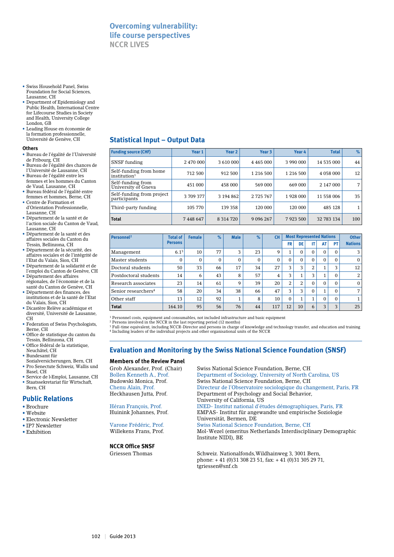## **Overcoming vulnerability: life course perspectives NCCR LIVES**

- • Swiss Household Panel, Swiss Foundation for Social Sciences, Lausanne, CH
- • Department of Epidemiology and Public Health, International Centre for Lifecourse Studies in Society and Health, University College London, GB
- • Leading House en économie de la formation professionnelle, Université de Genève, CH

#### **Others**

- • Bureau de l'égalité de l'Université de Fribourg, CH
- • Bureau de l'égalité des chances de l'Université de Lausanne, CH
- • Bureau de l'égalité entre les femmes et les hommes du Canton de Vaud, Lausanne, CH
- • Bureau fédéral de l'égalité entre femmes et hommes, Berne, CH • Centre de Formation et
- d'Orientation Professionnelle, Lausanne, CH
- • Département de la santé et de l'action sociale du Canton de Vaud, Lausanne, CH
- • Département de la santé et des affaires sociales du Canton du Tessin, Bellinzona, CH
- • Département de la sécurité, des affaires sociales et de l'intégrité de l'Etat du Valais, Sion, CH
- • Département de la solidarité et de l'emploi du Canton de Genève, CH
- • Département des affaires régionales, de l'économie et de la santé du Canton de Genève, CH
- • Département des finances, des institutions et de la santé de l'Etat du Valais, Sion, CH
- • Dicastère Relève académique et diversité, Université de Lausanne, CH
- Federation of Swiss Psychologists, Berne, CH
- • Office de statistique du canton du Tessin, Bellinzona, CH • Office fédéral de la statistique,
- Neuchâtel, CH • Bundesamt für
- Sozialversicherungen, Bern, CH • Pro Senectute Schweiz, Wallis und
- Basel, CH • Service de l›Emploi, Lausanne, CH • Staatssekretariat für Wirtschaft, Bern, CH

#### **Public Relations**

- • Brochure
- Website
- Electronic Newsletter
- IP7 Newsletter
- Exhibition

## **Statistical Input – Output Data**

| <b>Funding source (CHF)</b>                        | Year 1    | Year <sub>2</sub> | Year 3        | Year 4        | <b>Total</b> | %   |
|----------------------------------------------------|-----------|-------------------|---------------|---------------|--------------|-----|
| SNSF funding                                       | 2 470 000 | 3 610 000         | 4 4 6 5 0 0 0 | 3 990 000     | 14 535 000   | 44  |
| Self-funding from home<br>institution <sup>1</sup> | 712 500   | 912 500           | 1 2 1 6 5 0 0 | 1 2 1 6 5 0 0 | 4 058 000    | 12  |
| Self-funding from<br>University of Gneva           | 451 000   | 458 000           | 569 000       | 669 000       | 2 147 000    | 7   |
| Self-funding from project<br>participants          | 3709377   | 3 194 862         | 2 725 767     | 1928 000      | 11 558 006   | 35  |
| Third-party funding                                | 105 770   | 139 358           | 120 000       | 120 000       | 485 128      |     |
| <b>Total</b>                                       | 7448647   | 8 3 1 4 7 2 0     | 9 0 9 6 2 6 7 | 7923500       | 32 783 134   | 100 |

| <b>Personnel<sup>2</sup></b>    | <b>Total of</b> | <b>Female</b> | $\%$ | <b>Male</b>  | %            | <b>CH</b> | <b>Most Represented Nations</b> |                      |          | <b>Other</b>         |          |                |
|---------------------------------|-----------------|---------------|------|--------------|--------------|-----------|---------------------------------|----------------------|----------|----------------------|----------|----------------|
|                                 | <b>Persons</b>  |               |      |              |              |           | <b>FR</b>                       | DE                   | IT       | AT                   | PT       | <b>Nations</b> |
| Management                      | $6.1^{3}$       | 10            | 77   | 3            | 23           | 9         |                                 | 0                    | $\Omega$ | $\Omega$             | $\Omega$ | 3              |
| Master students                 | $\Omega$        | 0             | 0    | $\mathbf{0}$ | $\mathbf{0}$ | $\Omega$  | $\Omega$                        | 0                    | $\Omega$ | $\Omega$             | $\Omega$ | $\Omega$       |
| Doctoral students               | 50              | 33            | 66   | 17           | 34           | 27        | 3                               | 3                    | 2        |                      | פ        | 12             |
| Postdoctoral students           | 14              | 6             | 43   | 8            | 57           | 4         | 3                               |                      | 3        |                      | $\Omega$ | 2              |
| Research associates             | 23              | 14            | 61   | 9            | 39           | 20        | 2                               | 2                    | $\Omega$ | $\Omega$             | $\Omega$ | $\Omega$       |
| Senior researchers <sup>4</sup> | 58              | 20            | 34   | 38           | 66           | 47        | 3                               | 3                    | $\Omega$ | $\blacktriangleleft$ | $\Omega$ | $\overline{ }$ |
| Other staff                     | 13              | 12            | 92   |              | 8            | 10        | $\Omega$                        | $\blacktriangleleft$ | 1        | $\Omega$             | $\Omega$ |                |
| <b>Total</b>                    | 164.10          | 95            | 56   | 76           | 44           | 117       | 12                              | 10                   | 6        | 3                    | ּ        | 25             |

<sup>1</sup> Personnel costs, equipment and consumables, not included infrastructure and basic equipment

<sup>2</sup> Persons involved in the NCCR in the last reporting period (12 months)<br><sup>3 Full-time equivalent, including NCCR-Director and persons in charge of knowledge and technology transfer, and education and training<br><sup>4</sup> Includin</sup>

## **Evaluation and Monitoring by the Swiss National Science Foundation (SNSF)**

#### **Members of the Review Panel**

#### **NCCR Office SNSF**

Grob Alexander, Prof. (Chair) Swiss National Science Foundation, Berne, CH Bollen Kenneth A., Prof. Department of Sociology, University of North Carolina, US<br>Budowski Monica. Prof. Swiss National Science Foundation. Berne. CH Swiss National Science Foundation, Berne, CH Chenu Alain, Prof. Directeur de l'Observatoire sociologique du changement, Paris, FR Department of Psychology and Social Behavior, University of California, US Héran François, Prof. INED- Institut national d'études démographiques, Paris, FR<br>Huinink Johannes. Prof. EMPAS- Institut für angewandte und empirische Soziologie EMPAS- Institut für angewandte und empirische Soziologie Varone Frédéric, Prof.<br>
Varone Frédéric, Prof.<br>
Swiss National Science F Varone Frédéric, Prof. Swiss National Science Foundation, Berne, CH Mol-Wezel (emeritus Netherlands Interdisciplinary Demographic Institute NIDI), BE

Griessen Thomas Schweiz. Nationalfonds, Wildhainweg 3, 3001 Bern, phone: + 41 (0)31 308 23 51, fax: + 41 (0)31 305 29 71, tgriessen@snf.ch